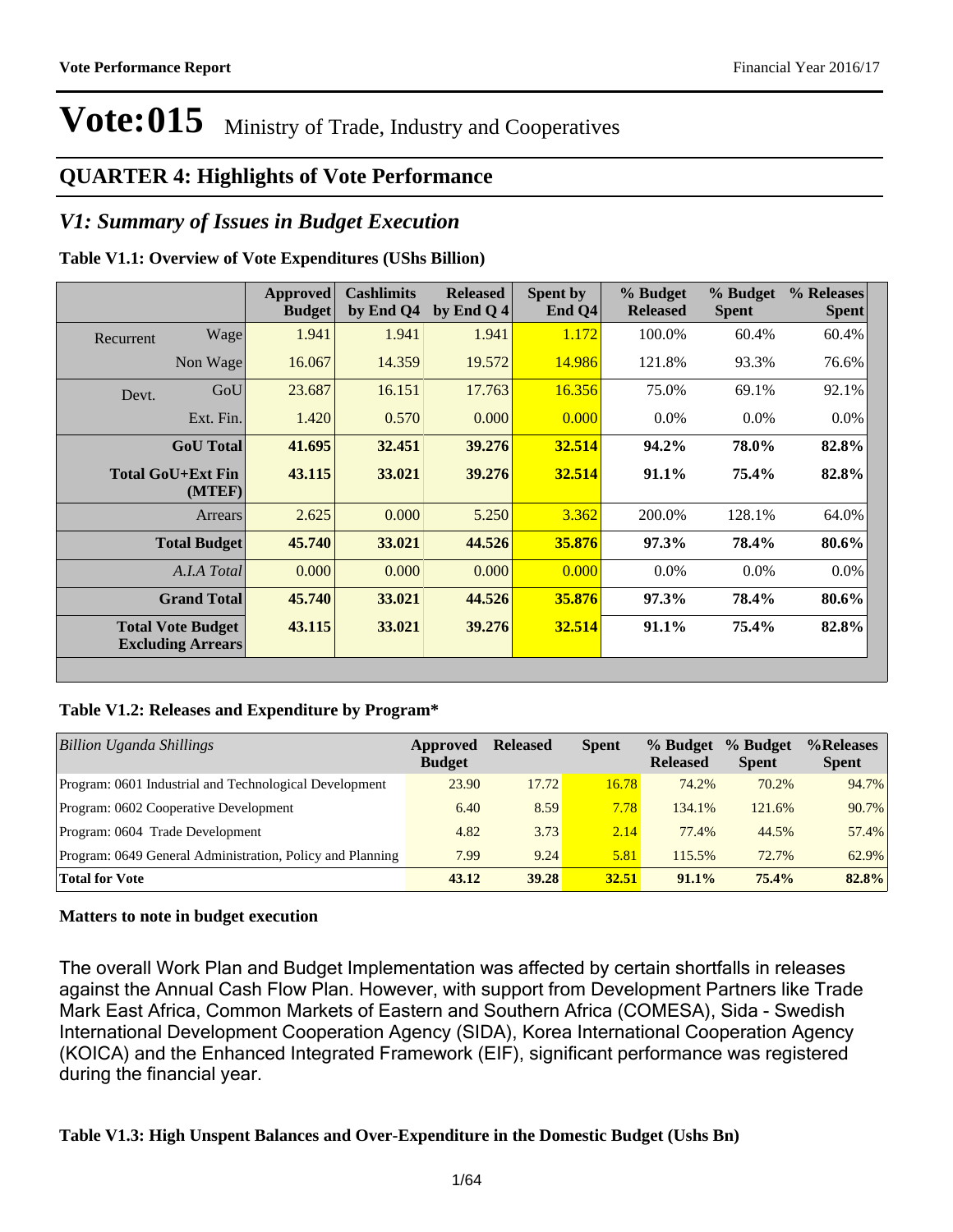### **QUARTER 4: Highlights of Vote Performance**

### *V1: Summary of Issues in Budget Execution*

### **Table V1.1: Overview of Vote Expenditures (UShs Billion)**

|           |                                                      | Approved<br><b>Budget</b> | <b>Cashlimits</b><br>by End Q4 | <b>Released</b><br>by End Q 4 | Spent by<br>End $Q4$ | % Budget<br><b>Released</b> | % Budget<br><b>Spent</b> | % Releases<br><b>Spent</b> |
|-----------|------------------------------------------------------|---------------------------|--------------------------------|-------------------------------|----------------------|-----------------------------|--------------------------|----------------------------|
| Recurrent | Wage                                                 | 1.941                     | 1.941                          | 1.941                         | 1.172                | 100.0%                      | 60.4%                    | 60.4%                      |
|           | Non Wage                                             | 16.067                    | 14.359                         | 19.572                        | 14.986               | 121.8%                      | 93.3%                    | 76.6%                      |
| Devt.     | GoU                                                  | 23.687                    | 16.151                         | 17.763                        | 16.356               | 75.0%                       | 69.1%                    | 92.1%                      |
|           | Ext. Fin.                                            | 1.420                     | 0.570                          | 0.000                         | 0.000                | $0.0\%$                     | $0.0\%$                  | $0.0\%$                    |
|           | <b>GoU</b> Total                                     | 41.695                    | 32.451                         | 39.276                        | 32.514               | 94.2%                       | 78.0%                    | 82.8%                      |
|           | <b>Total GoU+Ext Fin</b><br>(MTEF)                   | 43.115                    | 33.021                         | 39.276                        | 32.514               | $91.1\%$                    | 75.4%                    | 82.8%                      |
|           | Arrears                                              | 2.625                     | 0.000                          | 5.250                         | 3.362                | 200.0%                      | 128.1%                   | 64.0%                      |
|           | <b>Total Budget</b>                                  | 45.740                    | 33.021                         | 44.526                        | 35.876               | 97.3%                       | 78.4%                    | 80.6%                      |
|           | A.I.A Total                                          | 0.000                     | 0.000                          | 0.000                         | 0.000                | $0.0\%$                     | $0.0\%$                  | $0.0\%$                    |
|           | <b>Grand Total</b>                                   | 45.740                    | 33.021                         | 44.526                        | 35.876               | 97.3%                       | 78.4%                    | 80.6%                      |
|           | <b>Total Vote Budget</b><br><b>Excluding Arrears</b> | 43.115                    | 33.021                         | 39.276                        | 32.514               | $91.1\%$                    | 75.4%                    | 82.8%                      |

### **Table V1.2: Releases and Expenditure by Program\***

| Billion Uganda Shillings                                  | Approved<br><b>Budget</b> | <b>Released</b> | <b>Spent</b> | % Budget<br><b>Released</b> | % Budget<br><b>Spent</b> | %Releases<br><b>Spent</b> |
|-----------------------------------------------------------|---------------------------|-----------------|--------------|-----------------------------|--------------------------|---------------------------|
| Program: 0601 Industrial and Technological Development    | 23.90                     | 17.72           | 16.78        | 74.2%                       | 70.2%                    | 94.7%                     |
| Program: 0602 Cooperative Development                     | 6.40                      | 8.59            | 7.78         | 134.1%                      | 121.6%                   | 90.7%                     |
| Program: 0604 Trade Development                           | 4.82                      | 3.73            | 2.14         | 77.4%                       | 44.5%                    | 57.4%                     |
| Program: 0649 General Administration, Policy and Planning | 7.99                      | 9.24            | 5.81         | 115.5%                      | 72.7%                    | 62.9%                     |
| <b>Total for Vote</b>                                     | 43.12                     | 39.28           | 32.51        | 91.1%                       | 75.4%                    | 82.8%                     |

### **Matters to note in budget execution**

The overall Work Plan and Budget Implementation was affected by certain shortfalls in releases against the Annual Cash Flow Plan. However, with support from Development Partners like Trade Mark East Africa, Common Markets of Eastern and Southern Africa (COMESA), Sida - Swedish International Development Cooperation Agency (SIDA), Korea International Cooperation Agency (KOICA) and the Enhanced Integrated Framework (EIF), significant performance was registered during the financial year.

### **Table V1.3: High Unspent Balances and Over-Expenditure in the Domestic Budget (Ushs Bn)**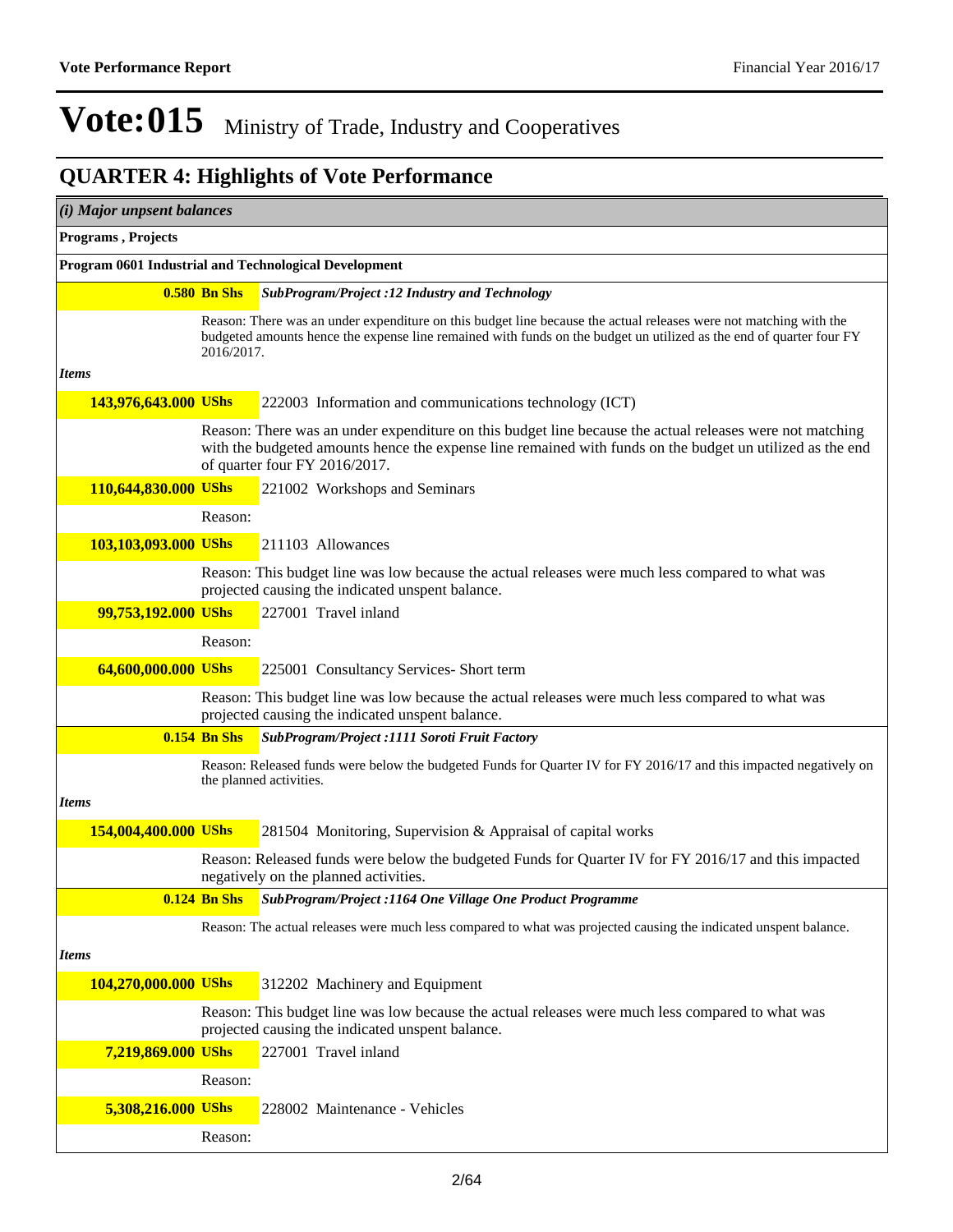| (i) Major unpsent balances |                     |                                                                                                                                                                                                                                                        |
|----------------------------|---------------------|--------------------------------------------------------------------------------------------------------------------------------------------------------------------------------------------------------------------------------------------------------|
| Programs, Projects         |                     |                                                                                                                                                                                                                                                        |
|                            |                     | Program 0601 Industrial and Technological Development                                                                                                                                                                                                  |
|                            | <b>0.580 Bn Shs</b> | SubProgram/Project :12 Industry and Technology                                                                                                                                                                                                         |
|                            | 2016/2017.          | Reason: There was an under expenditure on this budget line because the actual releases were not matching with the<br>budgeted amounts hence the expense line remained with funds on the budget un utilized as the end of quarter four FY               |
| <b>Items</b>               |                     |                                                                                                                                                                                                                                                        |
| 143,976,643.000 UShs       |                     | 222003 Information and communications technology (ICT)                                                                                                                                                                                                 |
|                            |                     | Reason: There was an under expenditure on this budget line because the actual releases were not matching<br>with the budgeted amounts hence the expense line remained with funds on the budget un utilized as the end<br>of quarter four FY 2016/2017. |
| 110,644,830.000 UShs       |                     | 221002 Workshops and Seminars                                                                                                                                                                                                                          |
|                            | Reason:             |                                                                                                                                                                                                                                                        |
| 103,103,093.000 UShs       |                     | 211103 Allowances                                                                                                                                                                                                                                      |
|                            |                     | Reason: This budget line was low because the actual releases were much less compared to what was<br>projected causing the indicated unspent balance.                                                                                                   |
| 99,753,192.000 UShs        |                     | 227001 Travel inland                                                                                                                                                                                                                                   |
|                            | Reason:             |                                                                                                                                                                                                                                                        |
| 64,600,000.000 UShs        |                     | 225001 Consultancy Services- Short term                                                                                                                                                                                                                |
|                            |                     | Reason: This budget line was low because the actual releases were much less compared to what was<br>projected causing the indicated unspent balance.                                                                                                   |
|                            | $0.154$ Bn Shs      | SubProgram/Project :1111 Soroti Fruit Factory                                                                                                                                                                                                          |
|                            |                     | Reason: Released funds were below the budgeted Funds for Quarter IV for FY 2016/17 and this impacted negatively on<br>the planned activities.                                                                                                          |
| <b>Items</b>               |                     |                                                                                                                                                                                                                                                        |
| 154,004,400.000 UShs       |                     | 281504 Monitoring, Supervision & Appraisal of capital works                                                                                                                                                                                            |
|                            |                     | Reason: Released funds were below the budgeted Funds for Quarter IV for FY 2016/17 and this impacted<br>negatively on the planned activities.                                                                                                          |
|                            | <b>0.124 Bn Shs</b> | SubProgram/Project :1164 One Village One Product Programme                                                                                                                                                                                             |
|                            |                     | Reason: The actual releases were much less compared to what was projected causing the indicated unspent balance.                                                                                                                                       |
| <b>Items</b>               |                     |                                                                                                                                                                                                                                                        |
| 104,270,000.000 UShs       |                     | 312202 Machinery and Equipment                                                                                                                                                                                                                         |
|                            |                     | Reason: This budget line was low because the actual releases were much less compared to what was<br>projected causing the indicated unspent balance.                                                                                                   |
| 7,219,869.000 UShs         |                     | 227001 Travel inland                                                                                                                                                                                                                                   |
|                            | Reason:             |                                                                                                                                                                                                                                                        |
| 5,308,216.000 UShs         |                     | 228002 Maintenance - Vehicles                                                                                                                                                                                                                          |
|                            | Reason:             |                                                                                                                                                                                                                                                        |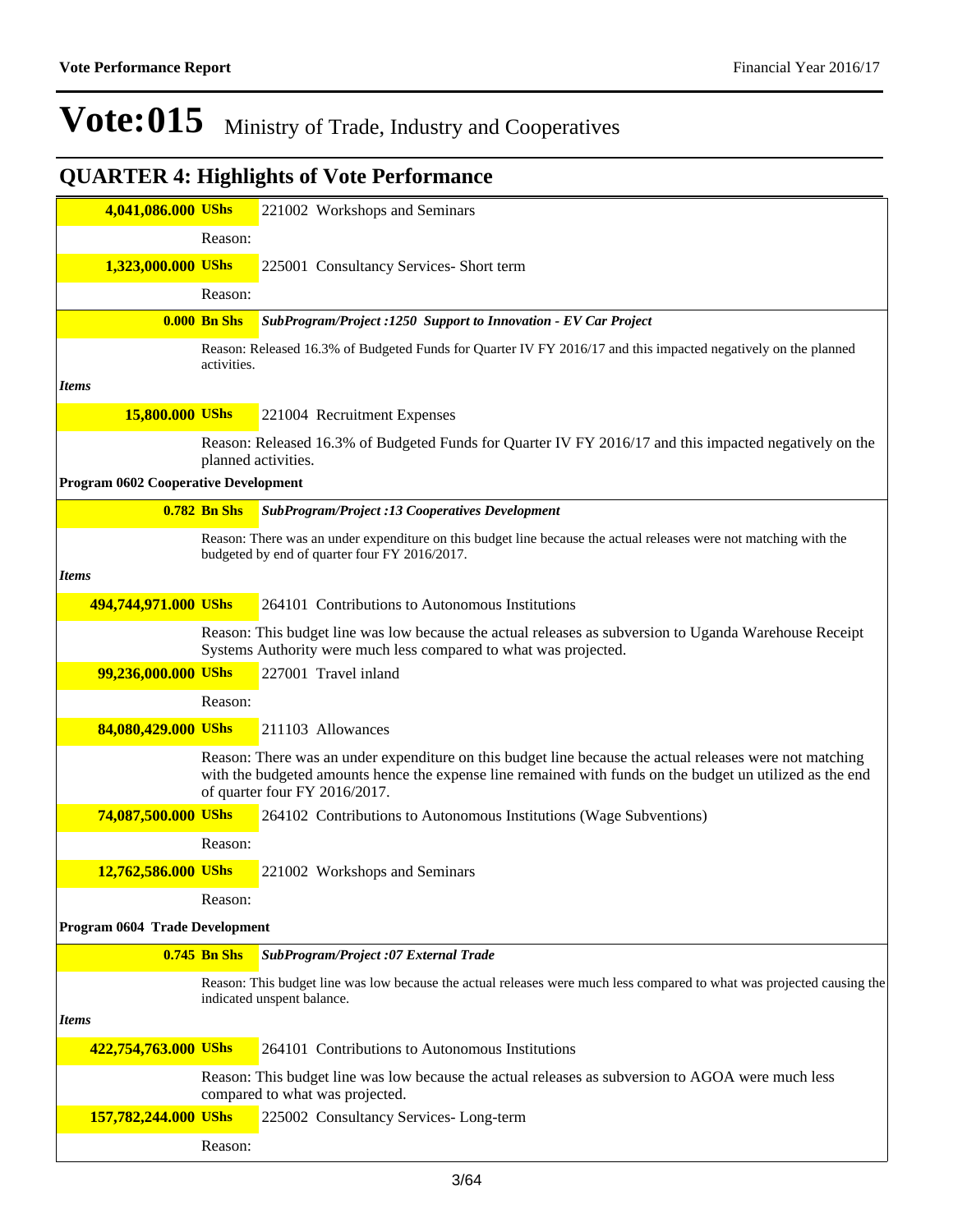| 4,041,086.000 UShs                   |                     | 221002 Workshops and Seminars                                                                                                                                                                                                                          |
|--------------------------------------|---------------------|--------------------------------------------------------------------------------------------------------------------------------------------------------------------------------------------------------------------------------------------------------|
|                                      | Reason:             |                                                                                                                                                                                                                                                        |
| 1,323,000.000 UShs                   |                     | 225001 Consultancy Services- Short term                                                                                                                                                                                                                |
|                                      | Reason:             |                                                                                                                                                                                                                                                        |
|                                      | <b>0.000 Bn Shs</b> | SubProgram/Project :1250 Support to Innovation - EV Car Project                                                                                                                                                                                        |
|                                      |                     |                                                                                                                                                                                                                                                        |
|                                      | activities.         | Reason: Released 16.3% of Budgeted Funds for Quarter IV FY 2016/17 and this impacted negatively on the planned                                                                                                                                         |
| <i>Items</i>                         |                     |                                                                                                                                                                                                                                                        |
| 15,800.000 UShs                      |                     | 221004 Recruitment Expenses                                                                                                                                                                                                                            |
|                                      |                     | Reason: Released 16.3% of Budgeted Funds for Quarter IV FY 2016/17 and this impacted negatively on the<br>planned activities.                                                                                                                          |
| Program 0602 Cooperative Development |                     |                                                                                                                                                                                                                                                        |
|                                      | <b>0.782 Bn Shs</b> | <b>SubProgram/Project :13 Cooperatives Development</b>                                                                                                                                                                                                 |
|                                      |                     | Reason: There was an under expenditure on this budget line because the actual releases were not matching with the<br>budgeted by end of quarter four FY 2016/2017.                                                                                     |
| <b>Items</b>                         |                     |                                                                                                                                                                                                                                                        |
| 494,744,971.000 UShs                 |                     | 264101 Contributions to Autonomous Institutions                                                                                                                                                                                                        |
|                                      |                     | Reason: This budget line was low because the actual releases as subversion to Uganda Warehouse Receipt<br>Systems Authority were much less compared to what was projected.                                                                             |
| 99,236,000.000 UShs                  |                     | 227001 Travel inland                                                                                                                                                                                                                                   |
|                                      | Reason:             |                                                                                                                                                                                                                                                        |
| 84,080,429.000 UShs                  |                     | 211103 Allowances                                                                                                                                                                                                                                      |
|                                      |                     | Reason: There was an under expenditure on this budget line because the actual releases were not matching<br>with the budgeted amounts hence the expense line remained with funds on the budget un utilized as the end<br>of quarter four FY 2016/2017. |
| 74,087,500.000 UShs                  |                     | 264102 Contributions to Autonomous Institutions (Wage Subventions)                                                                                                                                                                                     |
|                                      | Reason:             |                                                                                                                                                                                                                                                        |
| 12,762,586.000 UShs                  |                     | 221002 Workshops and Seminars                                                                                                                                                                                                                          |
|                                      | Reason:             |                                                                                                                                                                                                                                                        |
| Program 0604 Trade Development       |                     |                                                                                                                                                                                                                                                        |
|                                      | $0.745$ Bn Shs      | SubProgram/Project :07 External Trade                                                                                                                                                                                                                  |
|                                      |                     | Reason: This budget line was low because the actual releases were much less compared to what was projected causing the                                                                                                                                 |
|                                      |                     | indicated unspent balance.                                                                                                                                                                                                                             |
| <i>Items</i>                         |                     |                                                                                                                                                                                                                                                        |
| 422,754,763.000 UShs                 |                     | 264101 Contributions to Autonomous Institutions                                                                                                                                                                                                        |
|                                      |                     | Reason: This budget line was low because the actual releases as subversion to AGOA were much less<br>compared to what was projected.                                                                                                                   |
| 157,782,244.000 UShs                 |                     | 225002 Consultancy Services-Long-term                                                                                                                                                                                                                  |
|                                      | Reason:             |                                                                                                                                                                                                                                                        |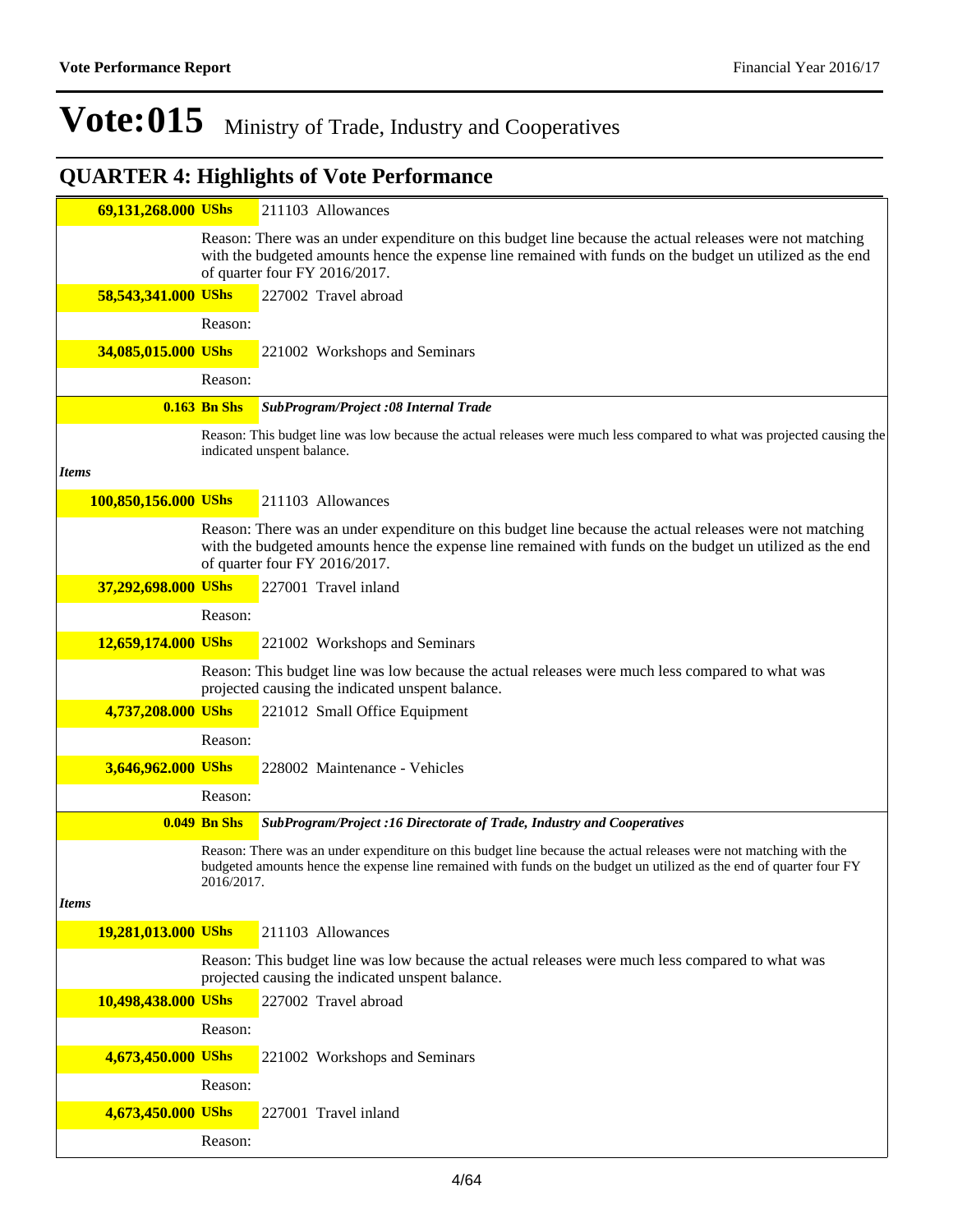| 69,131,268.000 UShs  |                     | 211103 Allowances                                                                                                                                                                                                                                      |
|----------------------|---------------------|--------------------------------------------------------------------------------------------------------------------------------------------------------------------------------------------------------------------------------------------------------|
|                      |                     | Reason: There was an under expenditure on this budget line because the actual releases were not matching<br>with the budgeted amounts hence the expense line remained with funds on the budget un utilized as the end<br>of quarter four FY 2016/2017. |
| 58,543,341.000 UShs  |                     | 227002 Travel abroad                                                                                                                                                                                                                                   |
|                      | Reason:             |                                                                                                                                                                                                                                                        |
| 34,085,015.000 UShs  |                     | 221002 Workshops and Seminars                                                                                                                                                                                                                          |
|                      | Reason:             |                                                                                                                                                                                                                                                        |
|                      | <b>0.163 Bn Shs</b> | SubProgram/Project :08 Internal Trade                                                                                                                                                                                                                  |
|                      |                     | Reason: This budget line was low because the actual releases were much less compared to what was projected causing the<br>indicated unspent balance.                                                                                                   |
| <b>Items</b>         |                     |                                                                                                                                                                                                                                                        |
| 100,850,156.000 UShs |                     | 211103 Allowances                                                                                                                                                                                                                                      |
|                      |                     | Reason: There was an under expenditure on this budget line because the actual releases were not matching<br>with the budgeted amounts hence the expense line remained with funds on the budget un utilized as the end<br>of quarter four FY 2016/2017. |
| 37,292,698.000 UShs  |                     | 227001 Travel inland                                                                                                                                                                                                                                   |
|                      | Reason:             |                                                                                                                                                                                                                                                        |
| 12,659,174.000 UShs  |                     | 221002 Workshops and Seminars                                                                                                                                                                                                                          |
|                      |                     | Reason: This budget line was low because the actual releases were much less compared to what was<br>projected causing the indicated unspent balance.                                                                                                   |
| 4,737,208.000 UShs   |                     | 221012 Small Office Equipment                                                                                                                                                                                                                          |
|                      | Reason:             |                                                                                                                                                                                                                                                        |
| 3,646,962.000 UShs   |                     | 228002 Maintenance - Vehicles                                                                                                                                                                                                                          |
|                      | Reason:             |                                                                                                                                                                                                                                                        |
|                      | <b>0.049 Bn Shs</b> | SubProgram/Project :16 Directorate of Trade, Industry and Cooperatives                                                                                                                                                                                 |
|                      | 2016/2017.          | Reason: There was an under expenditure on this budget line because the actual releases were not matching with the<br>budgeted amounts hence the expense line remained with funds on the budget un utilized as the end of quarter four FY               |
| <b>Items</b>         |                     |                                                                                                                                                                                                                                                        |
| 19,281,013.000 UShs  |                     | 211103 Allowances                                                                                                                                                                                                                                      |
|                      |                     | Reason: This budget line was low because the actual releases were much less compared to what was<br>projected causing the indicated unspent balance.                                                                                                   |
| 10,498,438.000 UShs  |                     | 227002 Travel abroad                                                                                                                                                                                                                                   |
|                      | Reason:             |                                                                                                                                                                                                                                                        |
| 4,673,450.000 UShs   |                     | 221002 Workshops and Seminars                                                                                                                                                                                                                          |
|                      | Reason:             |                                                                                                                                                                                                                                                        |
| 4,673,450.000 UShs   |                     | 227001 Travel inland                                                                                                                                                                                                                                   |
|                      | Reason:             |                                                                                                                                                                                                                                                        |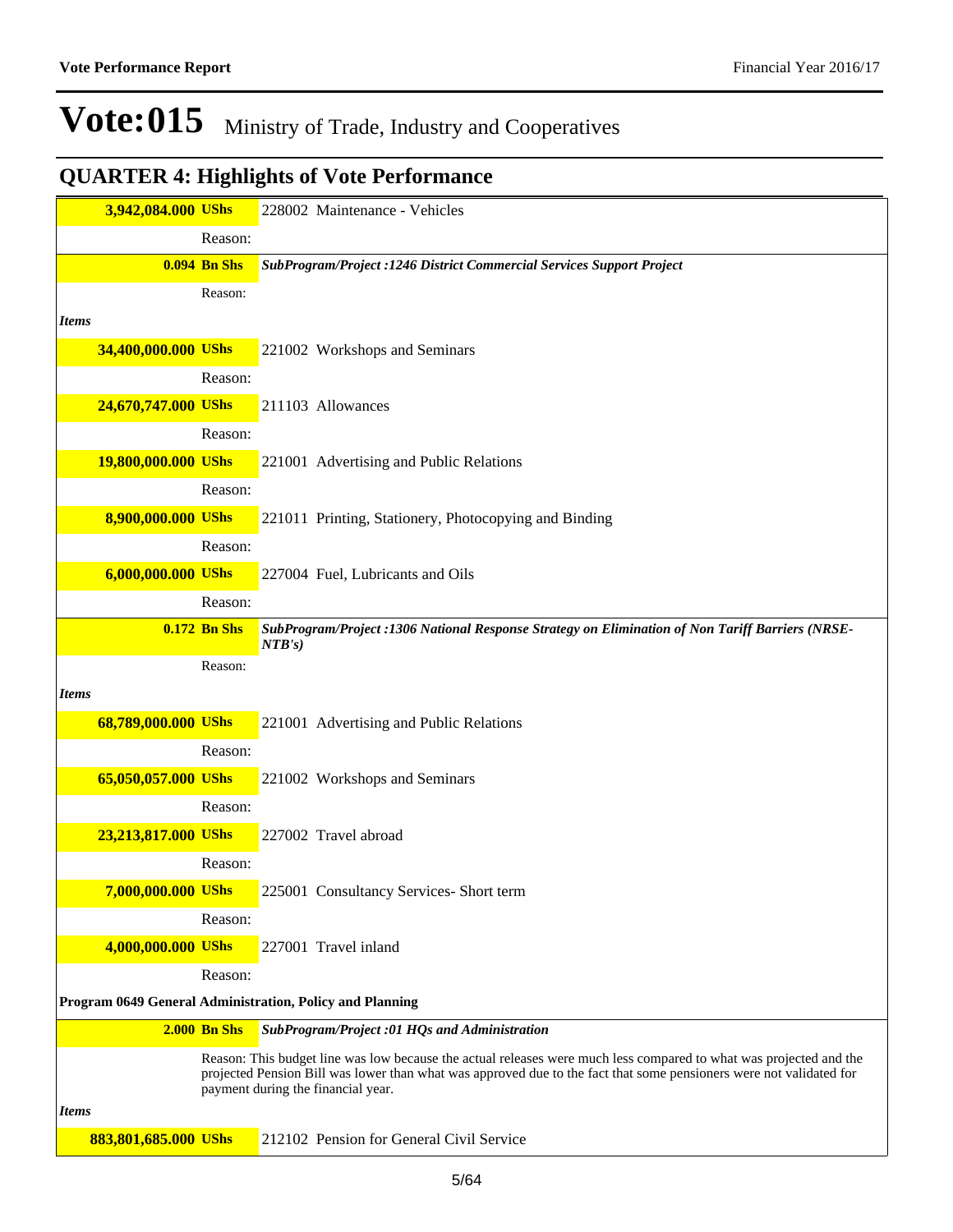| 3,942,084.000 UShs   |                     | 228002 Maintenance - Vehicles                                                                                                                                                                                                                                                   |
|----------------------|---------------------|---------------------------------------------------------------------------------------------------------------------------------------------------------------------------------------------------------------------------------------------------------------------------------|
|                      | Reason:             |                                                                                                                                                                                                                                                                                 |
|                      | <b>0.094 Bn Shs</b> | SubProgram/Project :1246 District Commercial Services Support Project                                                                                                                                                                                                           |
|                      | Reason:             |                                                                                                                                                                                                                                                                                 |
| <b>Items</b>         |                     |                                                                                                                                                                                                                                                                                 |
| 34,400,000.000 UShs  |                     | 221002 Workshops and Seminars                                                                                                                                                                                                                                                   |
|                      | Reason:             |                                                                                                                                                                                                                                                                                 |
| 24,670,747.000 UShs  |                     | 211103 Allowances                                                                                                                                                                                                                                                               |
|                      | Reason:             |                                                                                                                                                                                                                                                                                 |
| 19,800,000.000 UShs  |                     | 221001 Advertising and Public Relations                                                                                                                                                                                                                                         |
|                      | Reason:             |                                                                                                                                                                                                                                                                                 |
| 8,900,000.000 UShs   |                     | 221011 Printing, Stationery, Photocopying and Binding                                                                                                                                                                                                                           |
|                      | Reason:             |                                                                                                                                                                                                                                                                                 |
| 6,000,000.000 UShs   |                     | 227004 Fuel, Lubricants and Oils                                                                                                                                                                                                                                                |
|                      | Reason:             |                                                                                                                                                                                                                                                                                 |
|                      | <b>0.172 Bn Shs</b> | SubProgram/Project : 1306 National Response Strategy on Elimination of Non Tariff Barriers (NRSE-<br>NTB's)                                                                                                                                                                     |
|                      | Reason:             |                                                                                                                                                                                                                                                                                 |
| <b>Items</b>         |                     |                                                                                                                                                                                                                                                                                 |
| 68,789,000.000 UShs  |                     | 221001 Advertising and Public Relations                                                                                                                                                                                                                                         |
|                      | Reason:             |                                                                                                                                                                                                                                                                                 |
| 65,050,057.000 UShs  |                     | 221002 Workshops and Seminars                                                                                                                                                                                                                                                   |
|                      | Reason:             |                                                                                                                                                                                                                                                                                 |
| 23,213,817.000 UShs  |                     | 227002 Travel abroad                                                                                                                                                                                                                                                            |
|                      | Reason:             |                                                                                                                                                                                                                                                                                 |
| 7,000,000.000 UShs   |                     | 225001 Consultancy Services- Short term                                                                                                                                                                                                                                         |
|                      | Reason:             |                                                                                                                                                                                                                                                                                 |
| 4,000,000.000 UShs   |                     | 227001 Travel inland                                                                                                                                                                                                                                                            |
|                      | Reason:             |                                                                                                                                                                                                                                                                                 |
|                      |                     | Program 0649 General Administration, Policy and Planning                                                                                                                                                                                                                        |
|                      | <b>2.000 Bn Shs</b> | SubProgram/Project :01 HQs and Administration                                                                                                                                                                                                                                   |
|                      |                     | Reason: This budget line was low because the actual releases were much less compared to what was projected and the<br>projected Pension Bill was lower than what was approved due to the fact that some pensioners were not validated for<br>payment during the financial year. |
| <i>Items</i>         |                     |                                                                                                                                                                                                                                                                                 |
| 883,801,685.000 UShs |                     | 212102 Pension for General Civil Service                                                                                                                                                                                                                                        |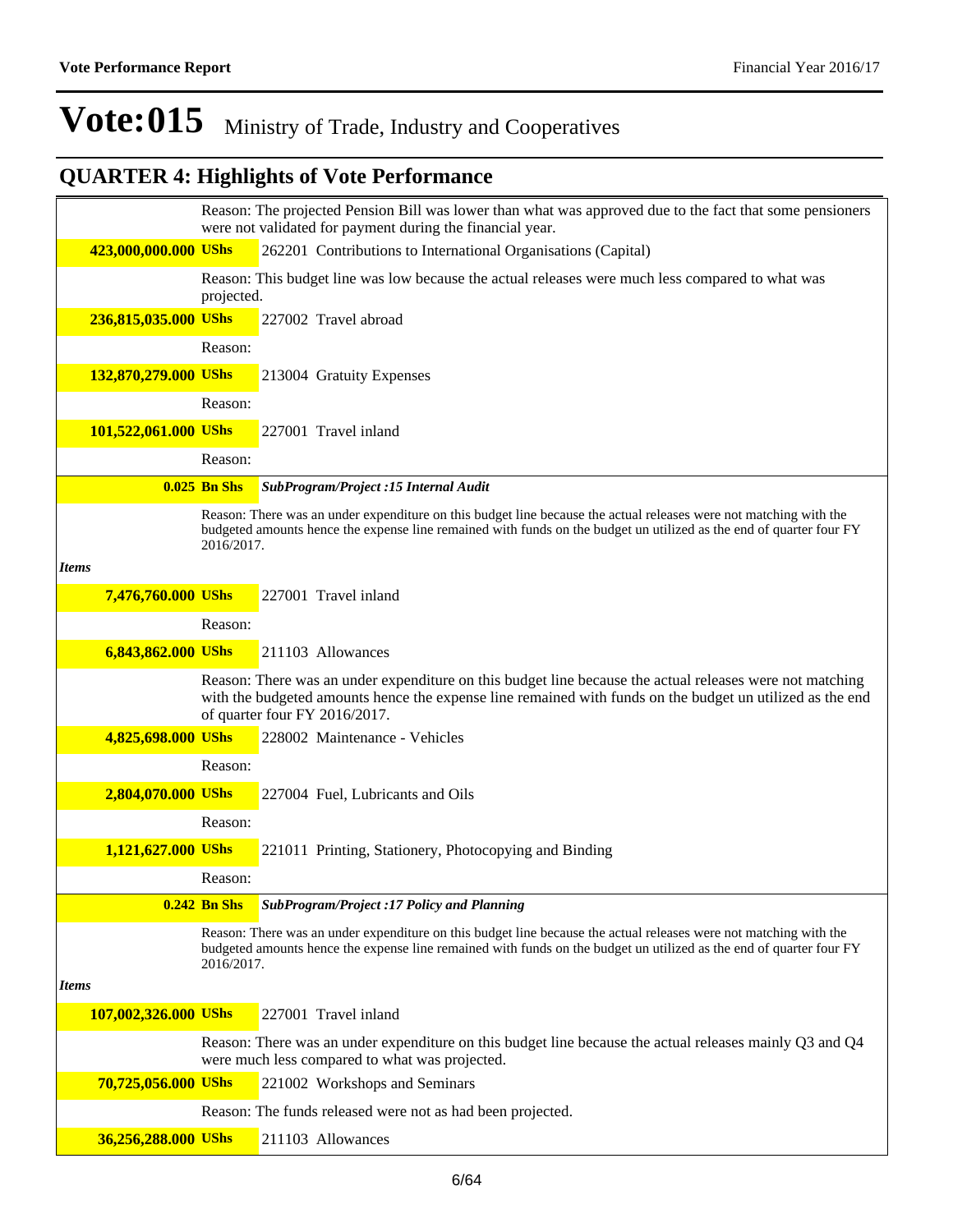|                      |                     | Reason: The projected Pension Bill was lower than what was approved due to the fact that some pensioners<br>were not validated for payment during the financial year.                                                                                  |
|----------------------|---------------------|--------------------------------------------------------------------------------------------------------------------------------------------------------------------------------------------------------------------------------------------------------|
| 423,000,000.000 UShs |                     | 262201 Contributions to International Organisations (Capital)                                                                                                                                                                                          |
|                      | projected.          | Reason: This budget line was low because the actual releases were much less compared to what was                                                                                                                                                       |
| 236,815,035.000 UShs |                     | 227002 Travel abroad                                                                                                                                                                                                                                   |
|                      | Reason:             |                                                                                                                                                                                                                                                        |
| 132,870,279.000 UShs |                     | 213004 Gratuity Expenses                                                                                                                                                                                                                               |
|                      | Reason:             |                                                                                                                                                                                                                                                        |
| 101,522,061.000 UShs |                     | 227001 Travel inland                                                                                                                                                                                                                                   |
|                      | Reason:             |                                                                                                                                                                                                                                                        |
|                      | <b>0.025 Bn Shs</b> | SubProgram/Project :15 Internal Audit                                                                                                                                                                                                                  |
|                      | 2016/2017.          | Reason: There was an under expenditure on this budget line because the actual releases were not matching with the<br>budgeted amounts hence the expense line remained with funds on the budget un utilized as the end of quarter four FY               |
| <b>Items</b>         |                     |                                                                                                                                                                                                                                                        |
| 7,476,760.000 UShs   |                     | 227001 Travel inland                                                                                                                                                                                                                                   |
|                      | Reason:             |                                                                                                                                                                                                                                                        |
| 6,843,862.000 UShs   |                     | 211103 Allowances                                                                                                                                                                                                                                      |
|                      |                     | Reason: There was an under expenditure on this budget line because the actual releases were not matching<br>with the budgeted amounts hence the expense line remained with funds on the budget un utilized as the end<br>of quarter four FY 2016/2017. |
| 4,825,698.000 UShs   |                     | 228002 Maintenance - Vehicles                                                                                                                                                                                                                          |
|                      | Reason:             |                                                                                                                                                                                                                                                        |
| 2,804,070.000 UShs   |                     | 227004 Fuel, Lubricants and Oils                                                                                                                                                                                                                       |
|                      | Reason:             |                                                                                                                                                                                                                                                        |
| 1,121,627.000 UShs   |                     | 221011 Printing, Stationery, Photocopying and Binding                                                                                                                                                                                                  |
|                      | Reason:             |                                                                                                                                                                                                                                                        |
|                      | $0.242$ Bn Shs      | <b>SubProgram/Project :17 Policy and Planning</b>                                                                                                                                                                                                      |
|                      | 2016/2017.          | Reason: There was an under expenditure on this budget line because the actual releases were not matching with the<br>budgeted amounts hence the expense line remained with funds on the budget un utilized as the end of quarter four FY               |
| <b>Items</b>         |                     |                                                                                                                                                                                                                                                        |
| 107,002,326.000 UShs |                     | 227001 Travel inland                                                                                                                                                                                                                                   |
|                      |                     | Reason: There was an under expenditure on this budget line because the actual releases mainly Q3 and Q4<br>were much less compared to what was projected.                                                                                              |
| 70,725,056.000 UShs  |                     | 221002 Workshops and Seminars                                                                                                                                                                                                                          |
|                      |                     | Reason: The funds released were not as had been projected.                                                                                                                                                                                             |
| 36,256,288.000 UShs  |                     | 211103 Allowances                                                                                                                                                                                                                                      |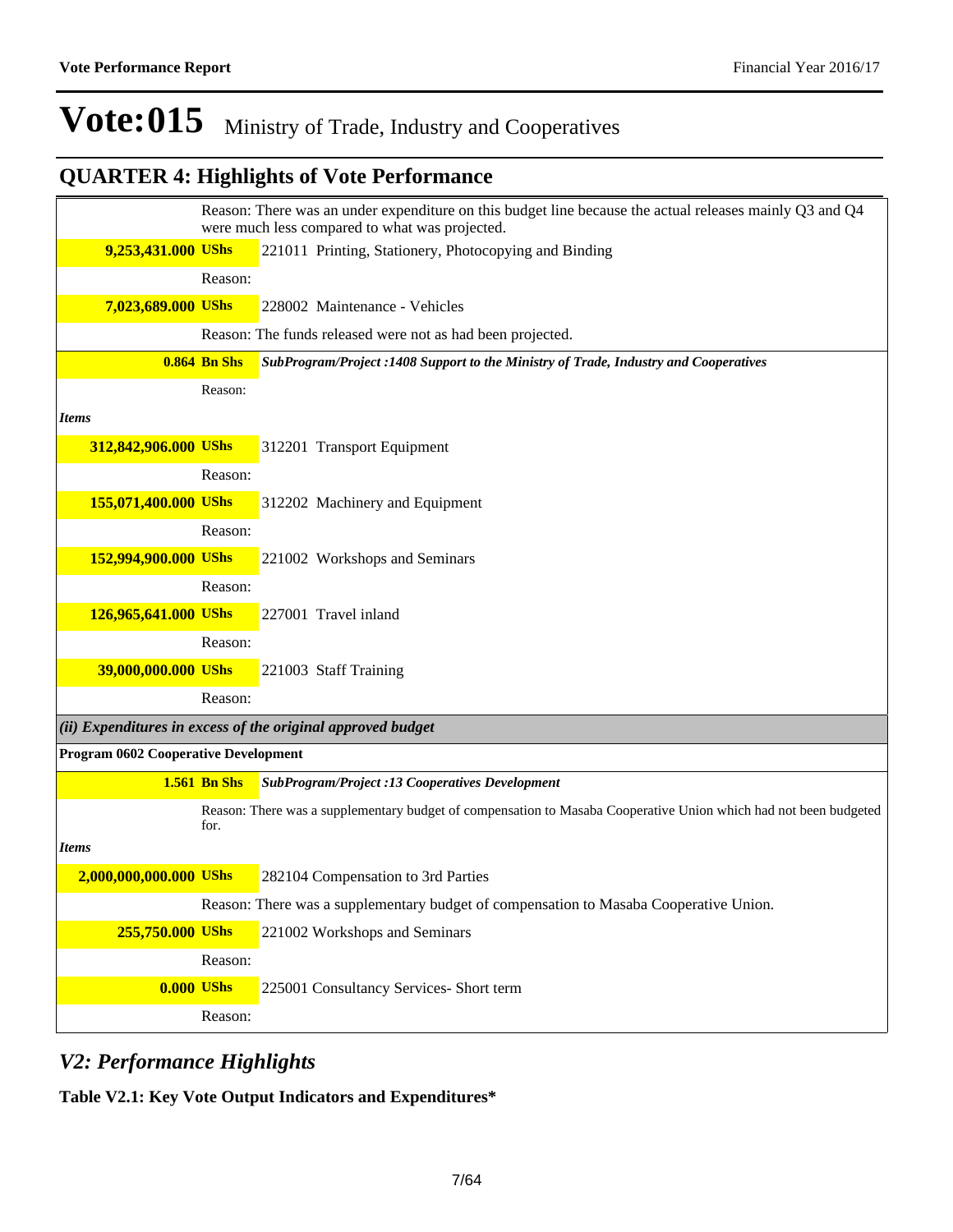## **QUARTER 4: Highlights of Vote Performance**

|                                      |                     | Reason: There was an under expenditure on this budget line because the actual releases mainly Q3 and Q4<br>were much less compared to what was projected. |
|--------------------------------------|---------------------|-----------------------------------------------------------------------------------------------------------------------------------------------------------|
| 9,253,431.000 UShs                   |                     | 221011 Printing, Stationery, Photocopying and Binding                                                                                                     |
|                                      | Reason:             |                                                                                                                                                           |
| 7,023,689.000 UShs                   |                     | 228002 Maintenance - Vehicles                                                                                                                             |
|                                      |                     | Reason: The funds released were not as had been projected.                                                                                                |
|                                      | <b>0.864 Bn Shs</b> | SubProgram/Project : 1408 Support to the Ministry of Trade, Industry and Cooperatives                                                                     |
|                                      | Reason:             |                                                                                                                                                           |
| <b>Items</b>                         |                     |                                                                                                                                                           |
| 312,842,906.000 UShs                 |                     | 312201 Transport Equipment                                                                                                                                |
|                                      | Reason:             |                                                                                                                                                           |
| 155,071,400.000 UShs                 |                     | 312202 Machinery and Equipment                                                                                                                            |
|                                      | Reason:             |                                                                                                                                                           |
| 152,994,900.000 UShs                 |                     | 221002 Workshops and Seminars                                                                                                                             |
|                                      | Reason:             |                                                                                                                                                           |
| 126,965,641.000 UShs                 |                     | 227001 Travel inland                                                                                                                                      |
|                                      | Reason:             |                                                                                                                                                           |
| 39,000,000.000 UShs                  |                     | 221003 Staff Training                                                                                                                                     |
|                                      | Reason:             |                                                                                                                                                           |
|                                      |                     | $(iii)$ Expenditures in excess of the original approved budget                                                                                            |
| Program 0602 Cooperative Development |                     |                                                                                                                                                           |
|                                      | <b>1.561 Bn Shs</b> | <b>SubProgram/Project :13 Cooperatives Development</b>                                                                                                    |
|                                      | for.                | Reason: There was a supplementary budget of compensation to Masaba Cooperative Union which had not been budgeted                                          |
| <b>Items</b>                         |                     |                                                                                                                                                           |
| 2,000,000,000.000 UShs               |                     | 282104 Compensation to 3rd Parties                                                                                                                        |
|                                      |                     | Reason: There was a supplementary budget of compensation to Masaba Cooperative Union.                                                                     |
| 255,750.000 UShs                     |                     | 221002 Workshops and Seminars                                                                                                                             |
|                                      | Reason:             |                                                                                                                                                           |
|                                      | $0.000$ UShs        | 225001 Consultancy Services- Short term                                                                                                                   |
|                                      | Reason:             |                                                                                                                                                           |

### *V2: Performance Highlights*

**Table V2.1: Key Vote Output Indicators and Expenditures\***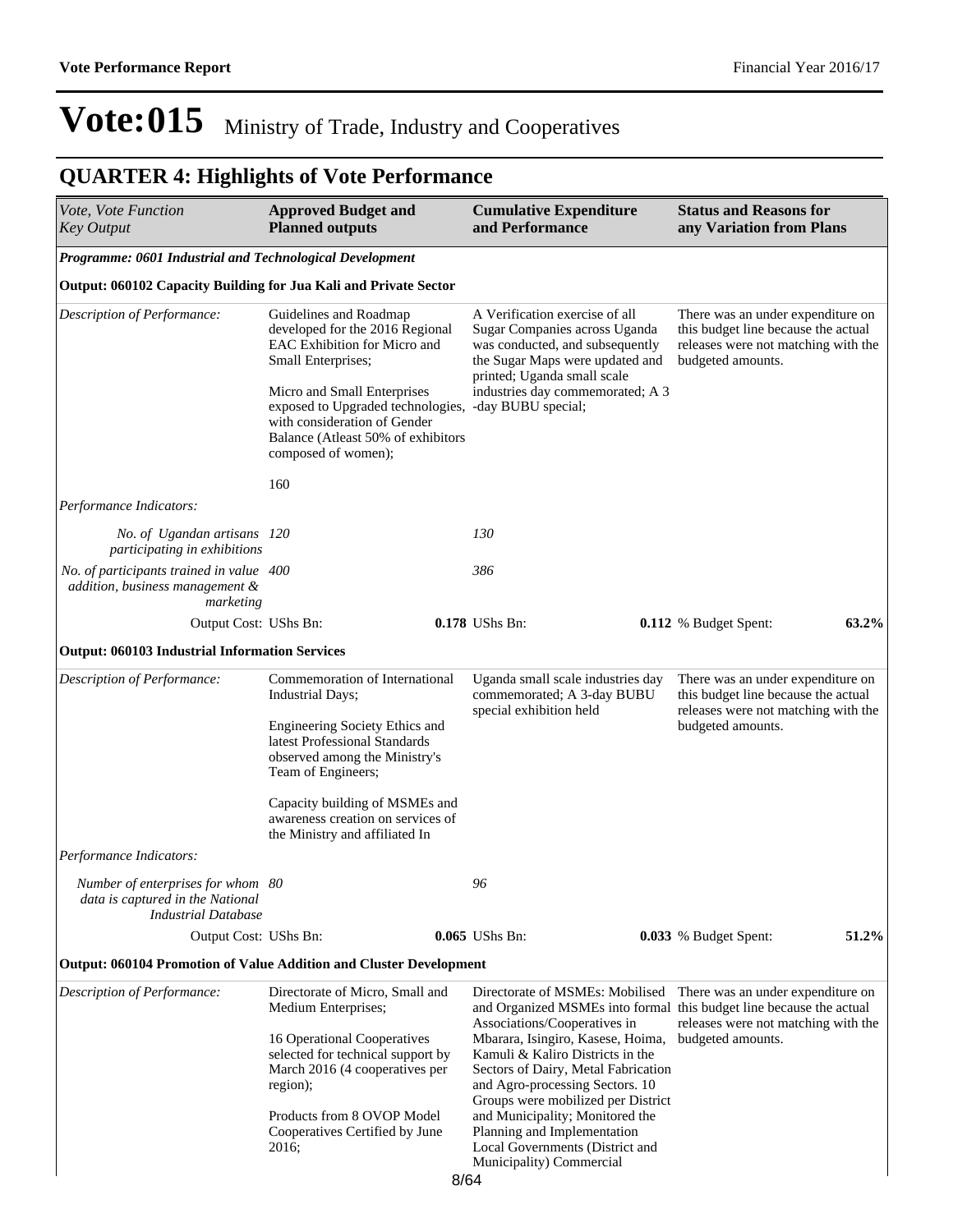| Vote, Vote Function<br><b>Key Output</b>                                                            | <b>Approved Budget and</b><br><b>Planned outputs</b>                                                                                                                                                                                                                             |      | <b>Cumulative Expenditure</b><br>and Performance                                                                                                                                                                      | <b>Status and Reasons for</b><br>any Variation from Plans                                                                            |  |
|-----------------------------------------------------------------------------------------------------|----------------------------------------------------------------------------------------------------------------------------------------------------------------------------------------------------------------------------------------------------------------------------------|------|-----------------------------------------------------------------------------------------------------------------------------------------------------------------------------------------------------------------------|--------------------------------------------------------------------------------------------------------------------------------------|--|
| Programme: 0601 Industrial and Technological Development                                            |                                                                                                                                                                                                                                                                                  |      |                                                                                                                                                                                                                       |                                                                                                                                      |  |
| Output: 060102 Capacity Building for Jua Kali and Private Sector                                    |                                                                                                                                                                                                                                                                                  |      |                                                                                                                                                                                                                       |                                                                                                                                      |  |
| Description of Performance:                                                                         | Guidelines and Roadmap<br>developed for the 2016 Regional<br>EAC Exhibition for Micro and<br>Small Enterprises;<br>Micro and Small Enterprises<br>exposed to Upgraded technologies,<br>with consideration of Gender<br>Balance (Atleast 50% of exhibitors<br>composed of women); |      | A Verification exercise of all<br>Sugar Companies across Uganda<br>was conducted, and subsequently<br>the Sugar Maps were updated and<br>printed; Uganda small scale                                                  | There was an under expenditure on<br>this budget line because the actual<br>releases were not matching with the<br>budgeted amounts. |  |
|                                                                                                     |                                                                                                                                                                                                                                                                                  |      | industries day commemorated; A 3<br>-day BUBU special;                                                                                                                                                                |                                                                                                                                      |  |
|                                                                                                     | 160                                                                                                                                                                                                                                                                              |      |                                                                                                                                                                                                                       |                                                                                                                                      |  |
| Performance Indicators:                                                                             |                                                                                                                                                                                                                                                                                  |      |                                                                                                                                                                                                                       |                                                                                                                                      |  |
| No. of Ugandan artisans 120<br>participating in exhibitions                                         |                                                                                                                                                                                                                                                                                  |      | 130                                                                                                                                                                                                                   |                                                                                                                                      |  |
| No. of participants trained in value 400<br>addition, business management &<br>marketing            |                                                                                                                                                                                                                                                                                  |      | 386                                                                                                                                                                                                                   |                                                                                                                                      |  |
| Output Cost: UShs Bn:                                                                               |                                                                                                                                                                                                                                                                                  |      | 0.178 UShs Bn:                                                                                                                                                                                                        | 63.2%<br>0.112 % Budget Spent:                                                                                                       |  |
| <b>Output: 060103 Industrial Information Services</b>                                               |                                                                                                                                                                                                                                                                                  |      |                                                                                                                                                                                                                       |                                                                                                                                      |  |
| Description of Performance:                                                                         | Commemoration of International<br><b>Industrial Days;</b>                                                                                                                                                                                                                        |      | Uganda small scale industries day<br>commemorated; A 3-day BUBU<br>special exhibition held                                                                                                                            | There was an under expenditure on<br>this budget line because the actual                                                             |  |
|                                                                                                     | Engineering Society Ethics and<br>latest Professional Standards<br>observed among the Ministry's<br>Team of Engineers;                                                                                                                                                           |      |                                                                                                                                                                                                                       | releases were not matching with the<br>budgeted amounts.                                                                             |  |
|                                                                                                     | Capacity building of MSMEs and<br>awareness creation on services of<br>the Ministry and affiliated In                                                                                                                                                                            |      |                                                                                                                                                                                                                       |                                                                                                                                      |  |
| <i>Performance Indicators:</i>                                                                      |                                                                                                                                                                                                                                                                                  |      |                                                                                                                                                                                                                       |                                                                                                                                      |  |
| Number of enterprises for whom 80<br>data is captured in the National<br><b>Industrial Database</b> |                                                                                                                                                                                                                                                                                  |      | 96                                                                                                                                                                                                                    |                                                                                                                                      |  |
| Output Cost: UShs Bn:                                                                               |                                                                                                                                                                                                                                                                                  |      | 0.065 UShs Bn:                                                                                                                                                                                                        | 51.2%<br><b>0.033</b> % Budget Spent:                                                                                                |  |
| <b>Output: 060104 Promotion of Value Addition and Cluster Development</b>                           |                                                                                                                                                                                                                                                                                  |      |                                                                                                                                                                                                                       |                                                                                                                                      |  |
| Description of Performance:                                                                         | Directorate of Micro, Small and<br>Medium Enterprises;                                                                                                                                                                                                                           |      | Directorate of MSMEs: Mobilised                                                                                                                                                                                       | There was an under expenditure on<br>and Organized MSMEs into formal this budget line because the actual                             |  |
|                                                                                                     | 16 Operational Cooperatives<br>selected for technical support by<br>March 2016 (4 cooperatives per<br>region);                                                                                                                                                                   |      | Associations/Cooperatives in<br>Mbarara, Isingiro, Kasese, Hoima,<br>Kamuli & Kaliro Districts in the<br>Sectors of Dairy, Metal Fabrication<br>and Agro-processing Sectors. 10<br>Groups were mobilized per District | releases were not matching with the<br>budgeted amounts.                                                                             |  |
|                                                                                                     | Products from 8 OVOP Model<br>Cooperatives Certified by June<br>2016;                                                                                                                                                                                                            | 8/64 | and Municipality; Monitored the<br>Planning and Implementation<br>Local Governments (District and<br>Municipality) Commercial                                                                                         |                                                                                                                                      |  |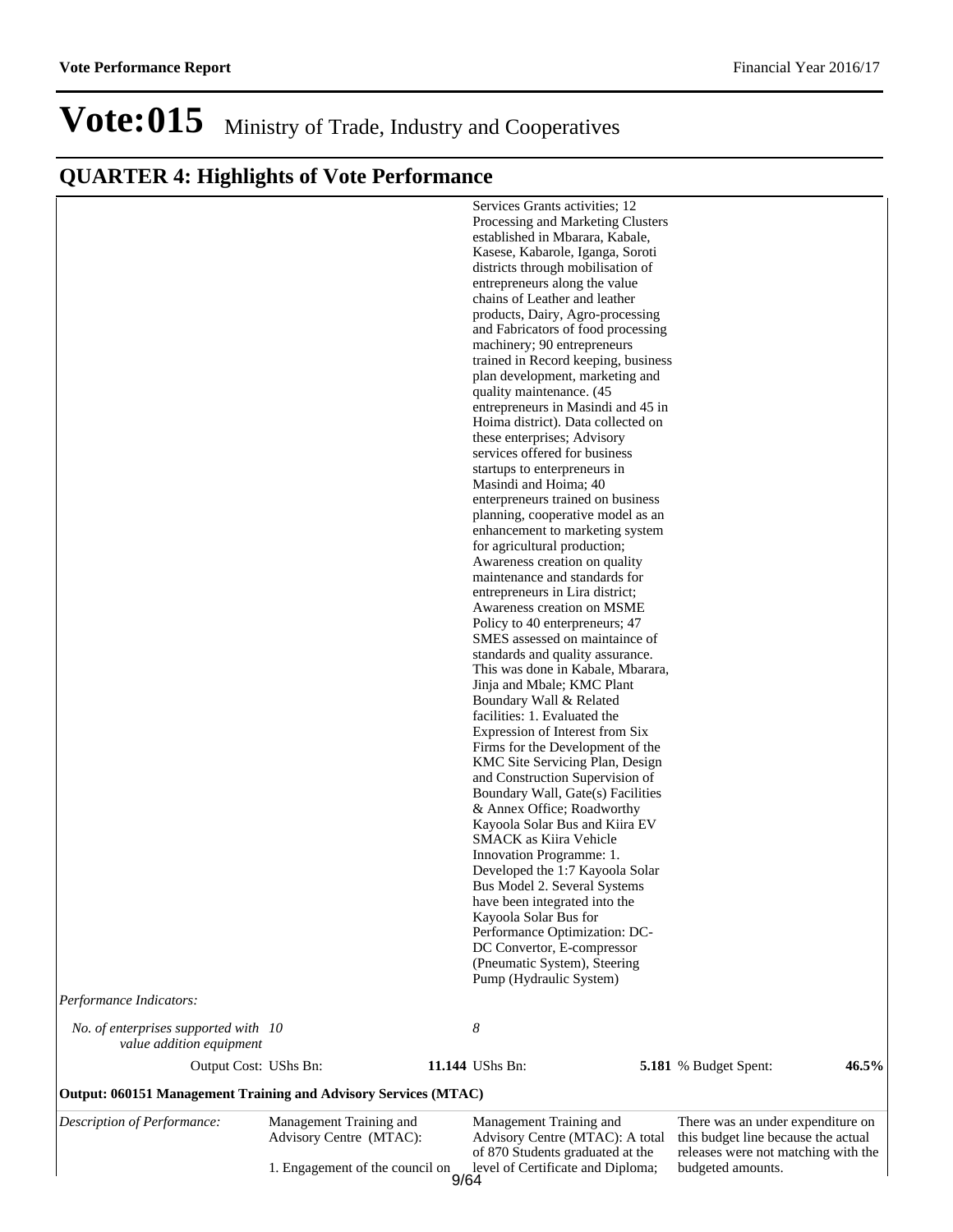|                                                                 | Advisory Centre (MTAC):<br>1. Engagement of the council on | Advisory Centre (MTAC): A total<br>of 870 Students graduated at the<br>level of Certificate and Diploma; | this budget line because the actual<br>releases were not matching with the<br>budgeted amounts. |       |
|-----------------------------------------------------------------|------------------------------------------------------------|----------------------------------------------------------------------------------------------------------|-------------------------------------------------------------------------------------------------|-------|
| Description of Performance:                                     | Management Training and                                    | Management Training and                                                                                  | There was an under expenditure on                                                               |       |
| Output: 060151 Management Training and Advisory Services (MTAC) |                                                            |                                                                                                          |                                                                                                 |       |
| value addition equipment<br>Output Cost: UShs Bn:               |                                                            | 11.144 UShs Bn:                                                                                          | 5.181 % Budget Spent:                                                                           | 46.5% |
| No. of enterprises supported with 10                            |                                                            | 8                                                                                                        |                                                                                                 |       |
| Performance Indicators:                                         |                                                            |                                                                                                          |                                                                                                 |       |
|                                                                 |                                                            | (Pneumatic System), Steering<br>Pump (Hydraulic System)                                                  |                                                                                                 |       |
|                                                                 |                                                            | Performance Optimization: DC-<br>DC Convertor, E-compressor                                              |                                                                                                 |       |
|                                                                 |                                                            | have been integrated into the<br>Kayoola Solar Bus for                                                   |                                                                                                 |       |
|                                                                 |                                                            | Developed the 1:7 Kayoola Solar<br>Bus Model 2. Several Systems                                          |                                                                                                 |       |
|                                                                 |                                                            | Innovation Programme: 1.                                                                                 |                                                                                                 |       |
|                                                                 |                                                            | Kayoola Solar Bus and Kiira EV<br><b>SMACK</b> as Kiira Vehicle                                          |                                                                                                 |       |
|                                                                 |                                                            | Boundary Wall, Gate(s) Facilities<br>& Annex Office; Roadworthy                                          |                                                                                                 |       |
|                                                                 |                                                            | KMC Site Servicing Plan, Design<br>and Construction Supervision of                                       |                                                                                                 |       |
|                                                                 |                                                            | Expression of Interest from Six<br>Firms for the Development of the                                      |                                                                                                 |       |
|                                                                 |                                                            | facilities: 1. Evaluated the                                                                             |                                                                                                 |       |
|                                                                 |                                                            | Jinja and Mbale; KMC Plant<br>Boundary Wall & Related                                                    |                                                                                                 |       |
|                                                                 |                                                            | standards and quality assurance.<br>This was done in Kabale, Mbarara,                                    |                                                                                                 |       |
|                                                                 |                                                            | Policy to 40 enterpreneurs; 47<br>SMES assessed on maintaince of                                         |                                                                                                 |       |
|                                                                 |                                                            | entrepreneurs in Lira district;<br>Awareness creation on MSME                                            |                                                                                                 |       |
|                                                                 |                                                            | Awareness creation on quality<br>maintenance and standards for                                           |                                                                                                 |       |
|                                                                 |                                                            | for agricultural production;                                                                             |                                                                                                 |       |
|                                                                 |                                                            | planning, cooperative model as an<br>enhancement to marketing system                                     |                                                                                                 |       |
|                                                                 |                                                            | Masindi and Hoima; 40<br>enterpreneurs trained on business                                               |                                                                                                 |       |
|                                                                 |                                                            | services offered for business<br>startups to enterpreneurs in                                            |                                                                                                 |       |
|                                                                 |                                                            | these enterprises; Advisory                                                                              |                                                                                                 |       |
|                                                                 |                                                            | entrepreneurs in Masindi and 45 in<br>Hoima district). Data collected on                                 |                                                                                                 |       |
|                                                                 |                                                            | plan development, marketing and<br>quality maintenance. (45                                              |                                                                                                 |       |
|                                                                 |                                                            | machinery; 90 entrepreneurs<br>trained in Record keeping, business                                       |                                                                                                 |       |
|                                                                 |                                                            | products, Dairy, Agro-processing<br>and Fabricators of food processing                                   |                                                                                                 |       |
|                                                                 |                                                            | chains of Leather and leather                                                                            |                                                                                                 |       |
|                                                                 |                                                            | districts through mobilisation of<br>entrepreneurs along the value                                       |                                                                                                 |       |
|                                                                 |                                                            | established in Mbarara, Kabale,<br>Kasese, Kabarole, Iganga, Soroti                                      |                                                                                                 |       |
|                                                                 |                                                            | Services Grants activities; 12<br>Processing and Marketing Clusters                                      |                                                                                                 |       |
|                                                                 |                                                            |                                                                                                          |                                                                                                 |       |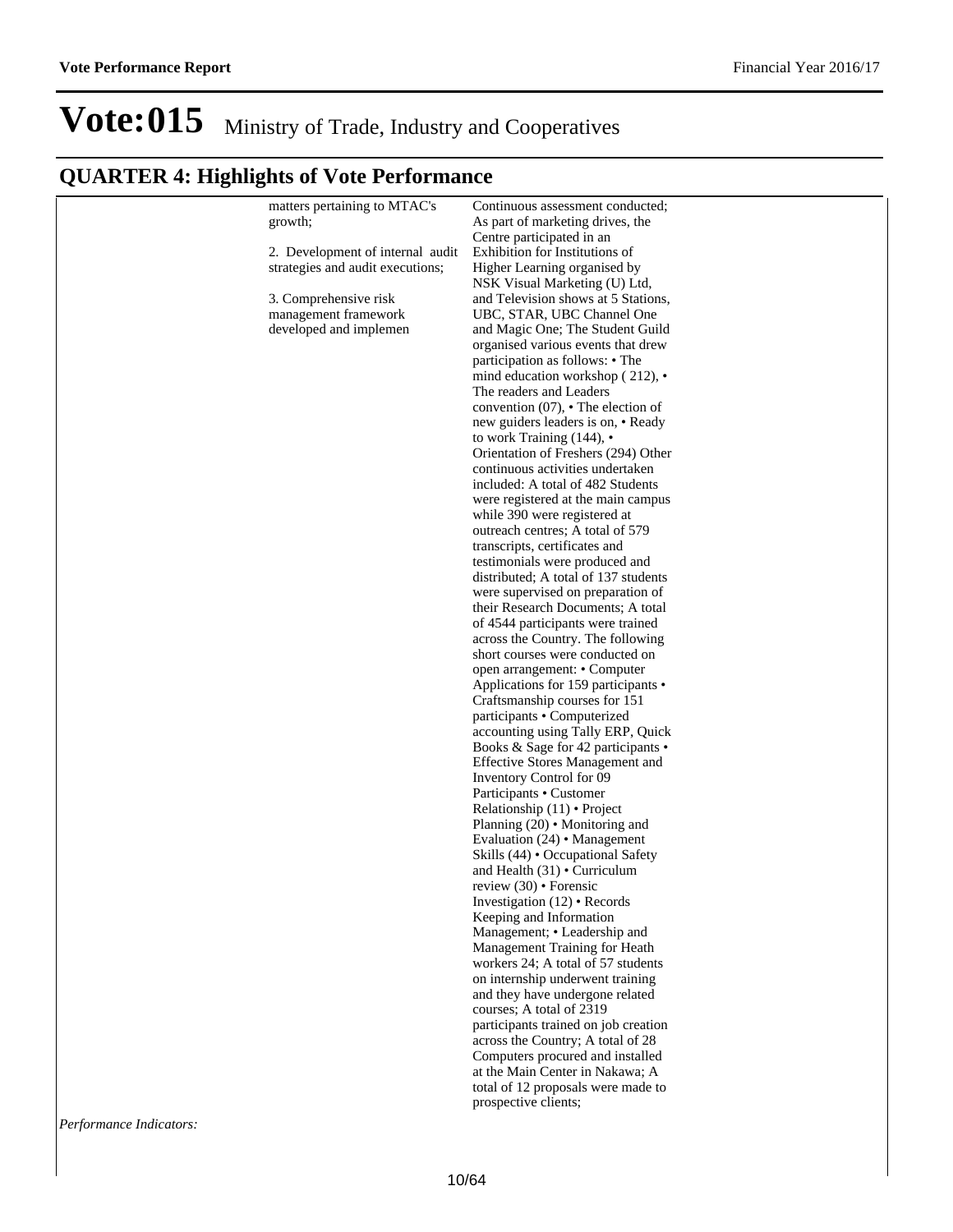## **QUARTER 4: Highlights of Vote Performance**

| matters pertaining to MTAC's     | Continuous assessment conducted;                                       |
|----------------------------------|------------------------------------------------------------------------|
| growth;                          | As part of marketing drives, the                                       |
|                                  | Centre participated in an                                              |
| 2. Development of internal audit | Exhibition for Institutions of                                         |
| strategies and audit executions; | Higher Learning organised by                                           |
|                                  | NSK Visual Marketing (U) Ltd,                                          |
| 3. Comprehensive risk            | and Television shows at 5 Stations,                                    |
| management framework             | UBC, STAR, UBC Channel One                                             |
| developed and implemen           | and Magic One; The Student Guild                                       |
|                                  | organised various events that drew                                     |
|                                  | participation as follows: • The                                        |
|                                  | mind education workshop $(212)$ , •                                    |
|                                  | The readers and Leaders                                                |
|                                  | convention $(07)$ , $\cdot$ The election of                            |
|                                  | new guiders leaders is on, • Ready                                     |
|                                  | to work Training $(144)$ , $\cdot$                                     |
|                                  | Orientation of Freshers (294) Other                                    |
|                                  | continuous activities undertaken                                       |
|                                  | included: A total of 482 Students                                      |
|                                  |                                                                        |
|                                  | were registered at the main campus<br>while 390 were registered at     |
|                                  |                                                                        |
|                                  | outreach centres; A total of 579                                       |
|                                  | transcripts, certificates and<br>testimonials were produced and        |
|                                  | distributed; A total of 137 students                                   |
|                                  |                                                                        |
|                                  | were supervised on preparation of<br>their Research Documents; A total |
|                                  |                                                                        |
|                                  | of 4544 participants were trained                                      |
|                                  | across the Country. The following                                      |
|                                  | short courses were conducted on                                        |
|                                  | open arrangement: • Computer                                           |
|                                  | Applications for 159 participants •                                    |
|                                  | Craftsmanship courses for 151                                          |
|                                  | participants • Computerized                                            |
|                                  | accounting using Tally ERP, Quick                                      |
|                                  | Books & Sage for 42 participants •                                     |
|                                  | <b>Effective Stores Management and</b>                                 |
|                                  | Inventory Control for 09                                               |
|                                  | Participants • Customer                                                |
|                                  | Relationship $(11) \cdot$ Project                                      |
|                                  | Planning $(20) \cdot$ Monitoring and                                   |
|                                  | Evaluation $(24)$ • Management                                         |
|                                  | Skills (44) • Occupational Safety                                      |
|                                  | and Health $(31) \cdot$ Curriculum                                     |
|                                  | review $(30) \cdot$ Forensic<br>Investigation $(12) \cdot$ Records     |
|                                  |                                                                        |
|                                  | Keeping and Information                                                |
|                                  | Management; • Leadership and                                           |
|                                  | Management Training for Heath                                          |
|                                  | workers 24; A total of 57 students                                     |
|                                  | on internship underwent training                                       |
|                                  | and they have undergone related                                        |
|                                  | courses; A total of 2319                                               |
|                                  | participants trained on job creation                                   |
|                                  | across the Country; A total of 28                                      |
|                                  | Computers procured and installed                                       |
|                                  | at the Main Center in Nakawa; A                                        |
|                                  | total of 12 proposals were made to                                     |
|                                  | prospective clients;                                                   |
|                                  |                                                                        |

*Performance Indicators:*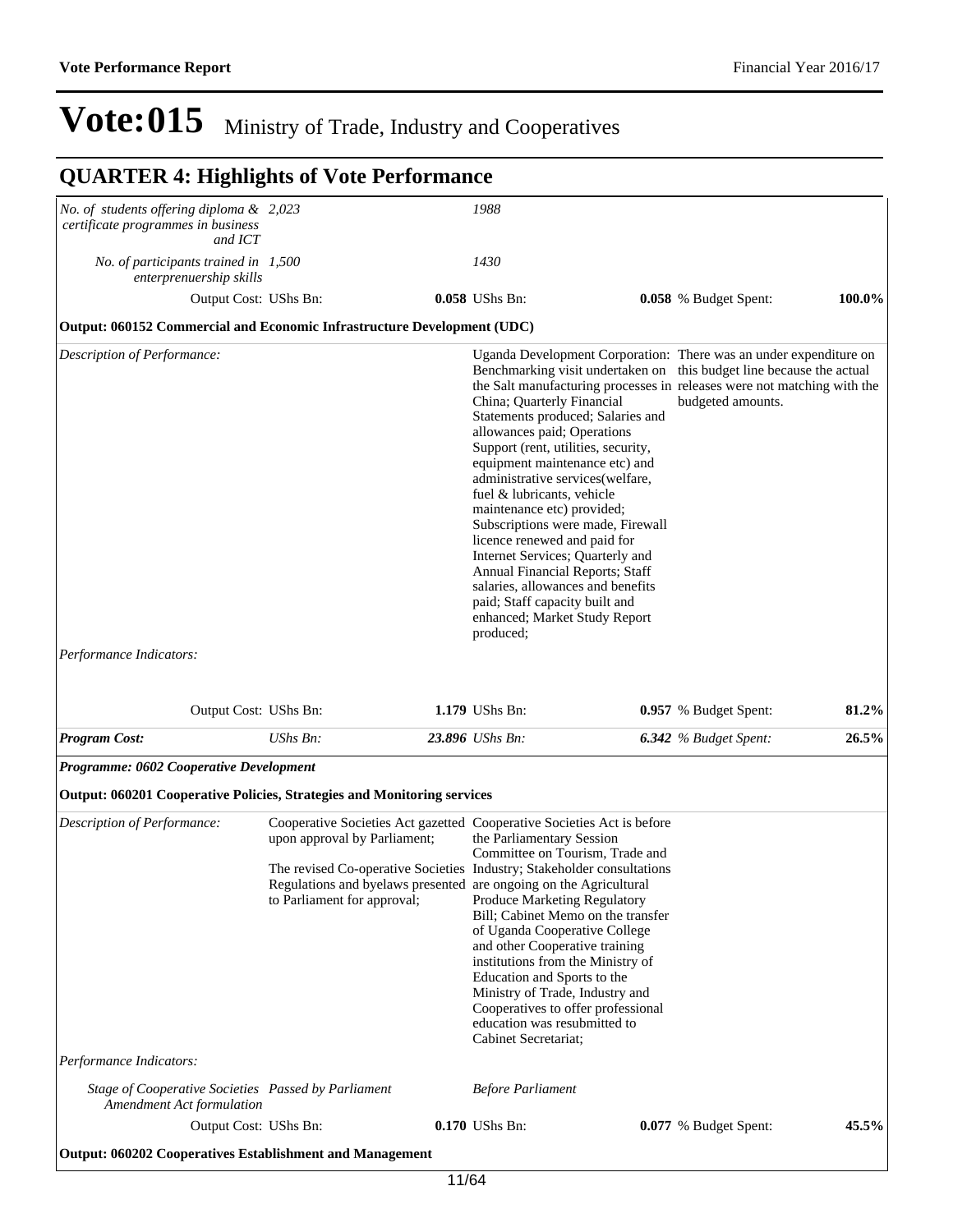| No. of students offering diploma & 2,023                                         |                                                                                                                                                                                                                                                                                      |                                                                                                                                                                                                                                                                                                                                                                                                                                                                                                                                           |                                                                                                                                                                                                                                           |                         |
|----------------------------------------------------------------------------------|--------------------------------------------------------------------------------------------------------------------------------------------------------------------------------------------------------------------------------------------------------------------------------------|-------------------------------------------------------------------------------------------------------------------------------------------------------------------------------------------------------------------------------------------------------------------------------------------------------------------------------------------------------------------------------------------------------------------------------------------------------------------------------------------------------------------------------------------|-------------------------------------------------------------------------------------------------------------------------------------------------------------------------------------------------------------------------------------------|-------------------------|
| certificate programmes in business<br>and ICT                                    |                                                                                                                                                                                                                                                                                      | 1988                                                                                                                                                                                                                                                                                                                                                                                                                                                                                                                                      |                                                                                                                                                                                                                                           |                         |
| No. of participants trained in 1,500<br>enterprenuership skills                  |                                                                                                                                                                                                                                                                                      | 1430                                                                                                                                                                                                                                                                                                                                                                                                                                                                                                                                      |                                                                                                                                                                                                                                           |                         |
|                                                                                  | Output Cost: UShs Bn:                                                                                                                                                                                                                                                                | 0.058 UShs Bn:                                                                                                                                                                                                                                                                                                                                                                                                                                                                                                                            | 0.058 % Budget Spent:                                                                                                                                                                                                                     | 100.0%                  |
| Output: 060152 Commercial and Economic Infrastructure Development (UDC)          |                                                                                                                                                                                                                                                                                      |                                                                                                                                                                                                                                                                                                                                                                                                                                                                                                                                           |                                                                                                                                                                                                                                           |                         |
| Description of Performance:<br>Performance Indicators:                           |                                                                                                                                                                                                                                                                                      | China; Quarterly Financial<br>Statements produced; Salaries and<br>allowances paid; Operations<br>Support (rent, utilities, security,<br>equipment maintenance etc) and<br>administrative services (welfare,<br>fuel & lubricants, vehicle<br>maintenance etc) provided;<br>Subscriptions were made, Firewall<br>licence renewed and paid for<br>Internet Services; Quarterly and<br>Annual Financial Reports; Staff<br>salaries, allowances and benefits<br>paid; Staff capacity built and<br>enhanced; Market Study Report<br>produced; | Uganda Development Corporation: There was an under expenditure on<br>Benchmarking visit undertaken on this budget line because the actual<br>the Salt manufacturing processes in releases were not matching with the<br>budgeted amounts. |                         |
|                                                                                  |                                                                                                                                                                                                                                                                                      |                                                                                                                                                                                                                                                                                                                                                                                                                                                                                                                                           |                                                                                                                                                                                                                                           |                         |
|                                                                                  | Output Cost: UShs Bn:                                                                                                                                                                                                                                                                | 1.179 UShs Bn:                                                                                                                                                                                                                                                                                                                                                                                                                                                                                                                            | 0.957 % Budget Spent:                                                                                                                                                                                                                     |                         |
| <b>Program Cost:</b>                                                             | UShs Bn:                                                                                                                                                                                                                                                                             | 23.896 UShs Bn:                                                                                                                                                                                                                                                                                                                                                                                                                                                                                                                           | <b>6.342</b> % Budget Spent:                                                                                                                                                                                                              |                         |
| Programme: 0602 Cooperative Development                                          |                                                                                                                                                                                                                                                                                      |                                                                                                                                                                                                                                                                                                                                                                                                                                                                                                                                           |                                                                                                                                                                                                                                           |                         |
| <b>Output: 060201 Cooperative Policies, Strategies and Monitoring services</b>   |                                                                                                                                                                                                                                                                                      |                                                                                                                                                                                                                                                                                                                                                                                                                                                                                                                                           |                                                                                                                                                                                                                                           |                         |
| Description of Performance:                                                      | Cooperative Societies Act gazetted Cooperative Societies Act is before<br>upon approval by Parliament;<br>The revised Co-operative Societies Industry; Stakeholder consultations<br>Regulations and byelaws presented are ongoing on the Agricultural<br>to Parliament for approval; | the Parliamentary Session<br>Committee on Tourism, Trade and<br>Produce Marketing Regulatory<br>Bill; Cabinet Memo on the transfer<br>of Uganda Cooperative College<br>and other Cooperative training<br>institutions from the Ministry of<br>Education and Sports to the<br>Ministry of Trade, Industry and<br>Cooperatives to offer professional<br>education was resubmitted to<br>Cabinet Secretariat;                                                                                                                                |                                                                                                                                                                                                                                           |                         |
| Performance Indicators:                                                          |                                                                                                                                                                                                                                                                                      |                                                                                                                                                                                                                                                                                                                                                                                                                                                                                                                                           |                                                                                                                                                                                                                                           |                         |
| Stage of Cooperative Societies Passed by Parliament<br>Amendment Act formulation |                                                                                                                                                                                                                                                                                      | <b>Before Parliament</b>                                                                                                                                                                                                                                                                                                                                                                                                                                                                                                                  |                                                                                                                                                                                                                                           | 81.2%<br>26.5%<br>45.5% |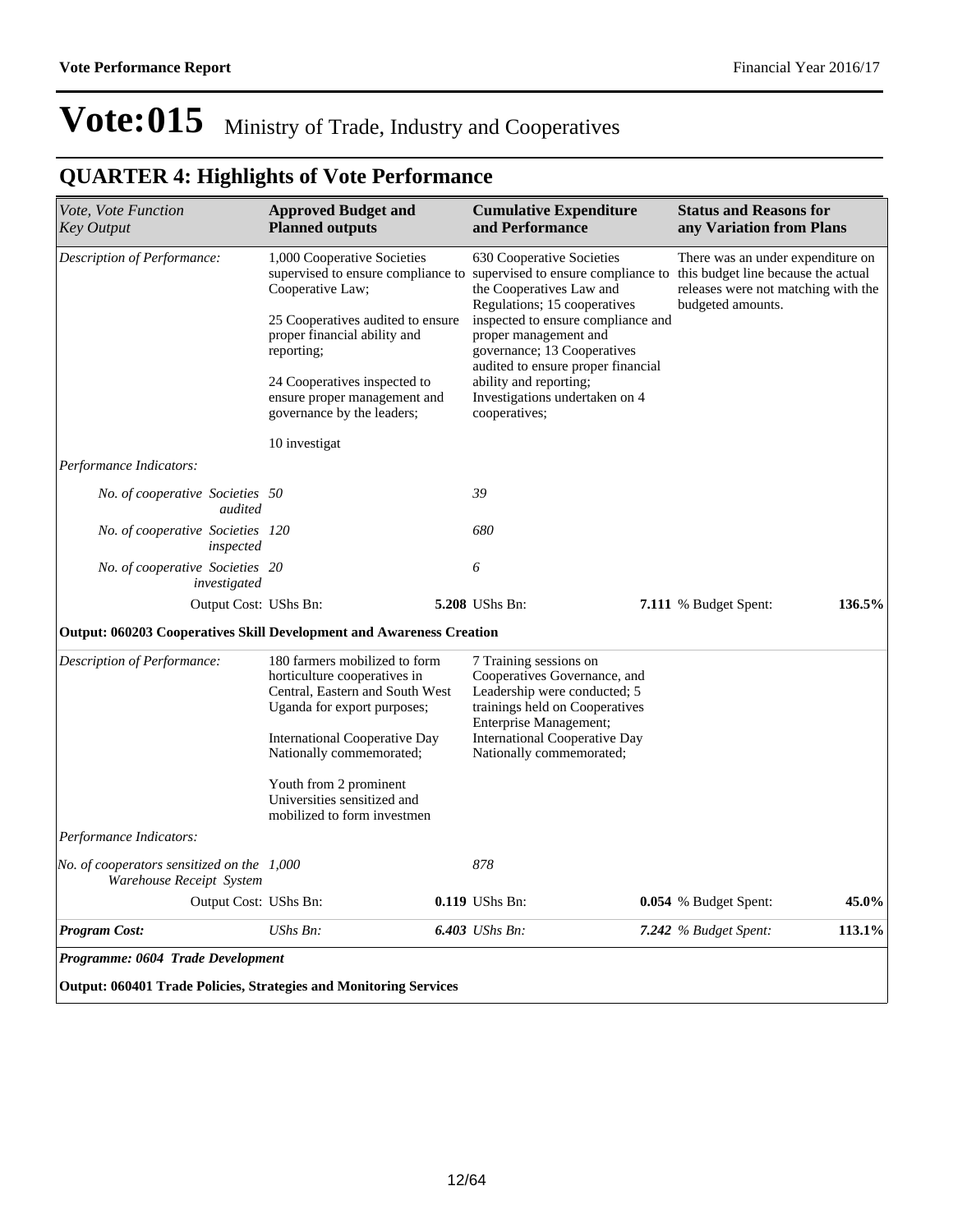| Vote, Vote Function<br><b>Key Output</b>                                    | <b>Approved Budget and</b><br><b>Planned outputs</b>                                                                                                                                                                                                                   |  | <b>Cumulative Expenditure</b><br>and Performance                                                                                                                                                                                                                                                                                             |                                                                                                                                      | <b>Status and Reasons for</b><br>any Variation from Plans |        |
|-----------------------------------------------------------------------------|------------------------------------------------------------------------------------------------------------------------------------------------------------------------------------------------------------------------------------------------------------------------|--|----------------------------------------------------------------------------------------------------------------------------------------------------------------------------------------------------------------------------------------------------------------------------------------------------------------------------------------------|--------------------------------------------------------------------------------------------------------------------------------------|-----------------------------------------------------------|--------|
| Description of Performance:                                                 | 1,000 Cooperative Societies<br>supervised to ensure compliance to<br>Cooperative Law;<br>25 Cooperatives audited to ensure<br>proper financial ability and<br>reporting;<br>24 Cooperatives inspected to<br>ensure proper management and<br>governance by the leaders; |  | 630 Cooperative Societies<br>supervised to ensure compliance to<br>the Cooperatives Law and<br>Regulations; 15 cooperatives<br>inspected to ensure compliance and<br>proper management and<br>governance; 13 Cooperatives<br>audited to ensure proper financial<br>ability and reporting;<br>Investigations undertaken on 4<br>cooperatives; | There was an under expenditure on<br>this budget line because the actual<br>releases were not matching with the<br>budgeted amounts. |                                                           |        |
|                                                                             |                                                                                                                                                                                                                                                                        |  |                                                                                                                                                                                                                                                                                                                                              |                                                                                                                                      |                                                           |        |
| Performance Indicators:                                                     | 10 investigat                                                                                                                                                                                                                                                          |  |                                                                                                                                                                                                                                                                                                                                              |                                                                                                                                      |                                                           |        |
| No. of cooperative Societies 50<br>audited                                  |                                                                                                                                                                                                                                                                        |  | 39                                                                                                                                                                                                                                                                                                                                           |                                                                                                                                      |                                                           |        |
| No. of cooperative Societies 120<br>inspected                               |                                                                                                                                                                                                                                                                        |  | 680                                                                                                                                                                                                                                                                                                                                          |                                                                                                                                      |                                                           |        |
| No. of cooperative Societies 20<br>investigated                             |                                                                                                                                                                                                                                                                        |  | 6                                                                                                                                                                                                                                                                                                                                            |                                                                                                                                      |                                                           |        |
| Output Cost: UShs Bn:                                                       |                                                                                                                                                                                                                                                                        |  | 5.208 UShs Bn:                                                                                                                                                                                                                                                                                                                               |                                                                                                                                      | 7.111 % Budget Spent:                                     | 136.5% |
| <b>Output: 060203 Cooperatives Skill Development and Awareness Creation</b> |                                                                                                                                                                                                                                                                        |  |                                                                                                                                                                                                                                                                                                                                              |                                                                                                                                      |                                                           |        |
| Description of Performance:                                                 | 180 farmers mobilized to form<br>horticulture cooperatives in<br>Central, Eastern and South West<br>Uganda for export purposes;<br>International Cooperative Day<br>Nationally commemorated;                                                                           |  | 7 Training sessions on<br>Cooperatives Governance, and<br>Leadership were conducted; 5<br>trainings held on Cooperatives<br>Enterprise Management;<br><b>International Cooperative Day</b><br>Nationally commemorated;                                                                                                                       |                                                                                                                                      |                                                           |        |
|                                                                             | Youth from 2 prominent<br>Universities sensitized and<br>mobilized to form investmen                                                                                                                                                                                   |  |                                                                                                                                                                                                                                                                                                                                              |                                                                                                                                      |                                                           |        |
| Performance Indicators:                                                     |                                                                                                                                                                                                                                                                        |  |                                                                                                                                                                                                                                                                                                                                              |                                                                                                                                      |                                                           |        |
| No. of cooperators sensitized on the $1,000$<br>Warehouse Receipt System    |                                                                                                                                                                                                                                                                        |  | 878                                                                                                                                                                                                                                                                                                                                          |                                                                                                                                      |                                                           |        |
| Output Cost: UShs Bn:                                                       |                                                                                                                                                                                                                                                                        |  | 0.119 UShs Bn:                                                                                                                                                                                                                                                                                                                               |                                                                                                                                      | 0.054 % Budget Spent:                                     | 45.0%  |
| <b>Program Cost:</b>                                                        | $UShs Bn$ :                                                                                                                                                                                                                                                            |  | 6.403 UShs Bn:                                                                                                                                                                                                                                                                                                                               |                                                                                                                                      | 7.242 $%$ Budget Spent:                                   | 113.1% |
| Programme: 0604 Trade Development                                           |                                                                                                                                                                                                                                                                        |  |                                                                                                                                                                                                                                                                                                                                              |                                                                                                                                      |                                                           |        |
| <b>Output: 060401 Trade Policies, Strategies and Monitoring Services</b>    |                                                                                                                                                                                                                                                                        |  |                                                                                                                                                                                                                                                                                                                                              |                                                                                                                                      |                                                           |        |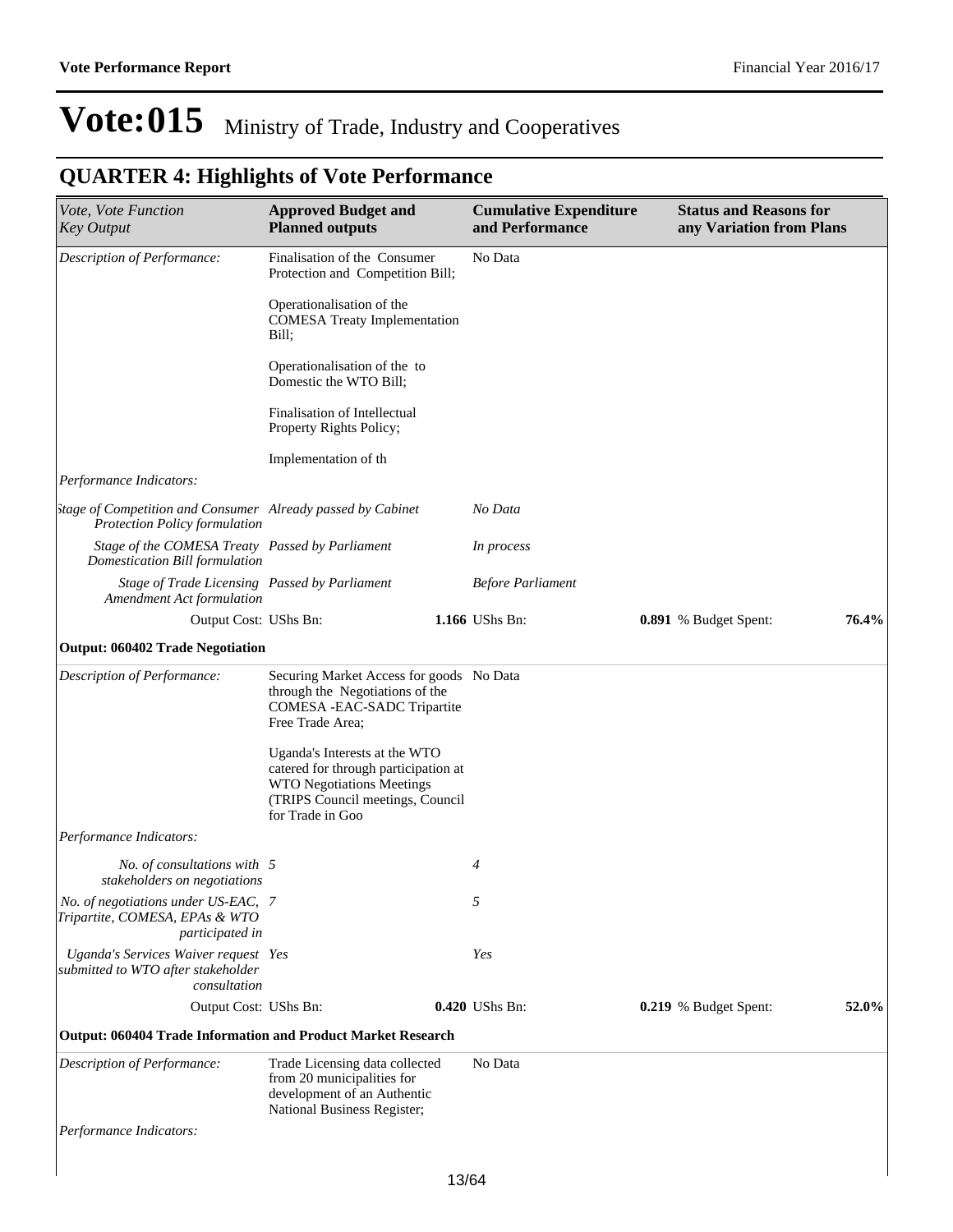| Vote, Vote Function<br><b>Key Output</b>                                                            | <b>Approved Budget and</b><br><b>Planned outputs</b>                                                                                                              |       | <b>Cumulative Expenditure</b><br>and Performance | <b>Status and Reasons for</b><br>any Variation from Plans |       |
|-----------------------------------------------------------------------------------------------------|-------------------------------------------------------------------------------------------------------------------------------------------------------------------|-------|--------------------------------------------------|-----------------------------------------------------------|-------|
| Description of Performance:                                                                         | Finalisation of the Consumer<br>Protection and Competition Bill;                                                                                                  |       | No Data                                          |                                                           |       |
|                                                                                                     | Operationalisation of the<br><b>COMESA Treaty Implementation</b><br>Bill;                                                                                         |       |                                                  |                                                           |       |
|                                                                                                     | Operationalisation of the to<br>Domestic the WTO Bill;                                                                                                            |       |                                                  |                                                           |       |
|                                                                                                     | Finalisation of Intellectual<br>Property Rights Policy;                                                                                                           |       |                                                  |                                                           |       |
|                                                                                                     | Implementation of th                                                                                                                                              |       |                                                  |                                                           |       |
| Performance Indicators:                                                                             |                                                                                                                                                                   |       |                                                  |                                                           |       |
| stage of Competition and Consumer Already passed by Cabinet<br><b>Protection Policy formulation</b> |                                                                                                                                                                   |       | No Data                                          |                                                           |       |
| Stage of the COMESA Treaty Passed by Parliament<br>Domestication Bill formulation                   |                                                                                                                                                                   |       | In process                                       |                                                           |       |
| Stage of Trade Licensing Passed by Parliament<br><b>Amendment Act formulation</b>                   |                                                                                                                                                                   |       | <b>Before Parliament</b>                         |                                                           |       |
| Output Cost: UShs Bn:                                                                               |                                                                                                                                                                   |       | 1.166 UShs Bn:                                   | 0.891 % Budget Spent:                                     | 76.4% |
| <b>Output: 060402 Trade Negotiation</b>                                                             |                                                                                                                                                                   |       |                                                  |                                                           |       |
| Description of Performance:                                                                         | Securing Market Access for goods No Data<br>through the Negotiations of the<br>COMESA - EAC-SADC Tripartite<br>Free Trade Area;                                   |       |                                                  |                                                           |       |
|                                                                                                     | Uganda's Interests at the WTO<br>catered for through participation at<br><b>WTO Negotiations Meetings</b><br>(TRIPS Council meetings, Council<br>for Trade in Goo |       |                                                  |                                                           |       |
| Performance Indicators:                                                                             |                                                                                                                                                                   |       |                                                  |                                                           |       |
| No. of consultations with 5<br>stakeholders on negotiations                                         |                                                                                                                                                                   |       | $\overline{4}$                                   |                                                           |       |
| No. of negotiations under US-EAC, 7<br>Tripartite, COMESA, EPAs & WTO<br>participated in            |                                                                                                                                                                   |       | 5                                                |                                                           |       |
| Uganda's Services Waiver request Yes<br>submitted to WTO after stakeholder<br>consultation          |                                                                                                                                                                   |       | Yes                                              |                                                           |       |
| Output Cost: UShs Bn:                                                                               |                                                                                                                                                                   |       | 0.420 UShs Bn:                                   | 0.219 % Budget Spent:                                     | 52.0% |
| <b>Output: 060404 Trade Information and Product Market Research</b>                                 |                                                                                                                                                                   |       |                                                  |                                                           |       |
| Description of Performance:                                                                         | Trade Licensing data collected<br>from 20 municipalities for<br>development of an Authentic<br>National Business Register;                                        |       | No Data                                          |                                                           |       |
| Performance Indicators:                                                                             |                                                                                                                                                                   |       |                                                  |                                                           |       |
|                                                                                                     |                                                                                                                                                                   |       |                                                  |                                                           |       |
|                                                                                                     |                                                                                                                                                                   | 10/01 |                                                  |                                                           |       |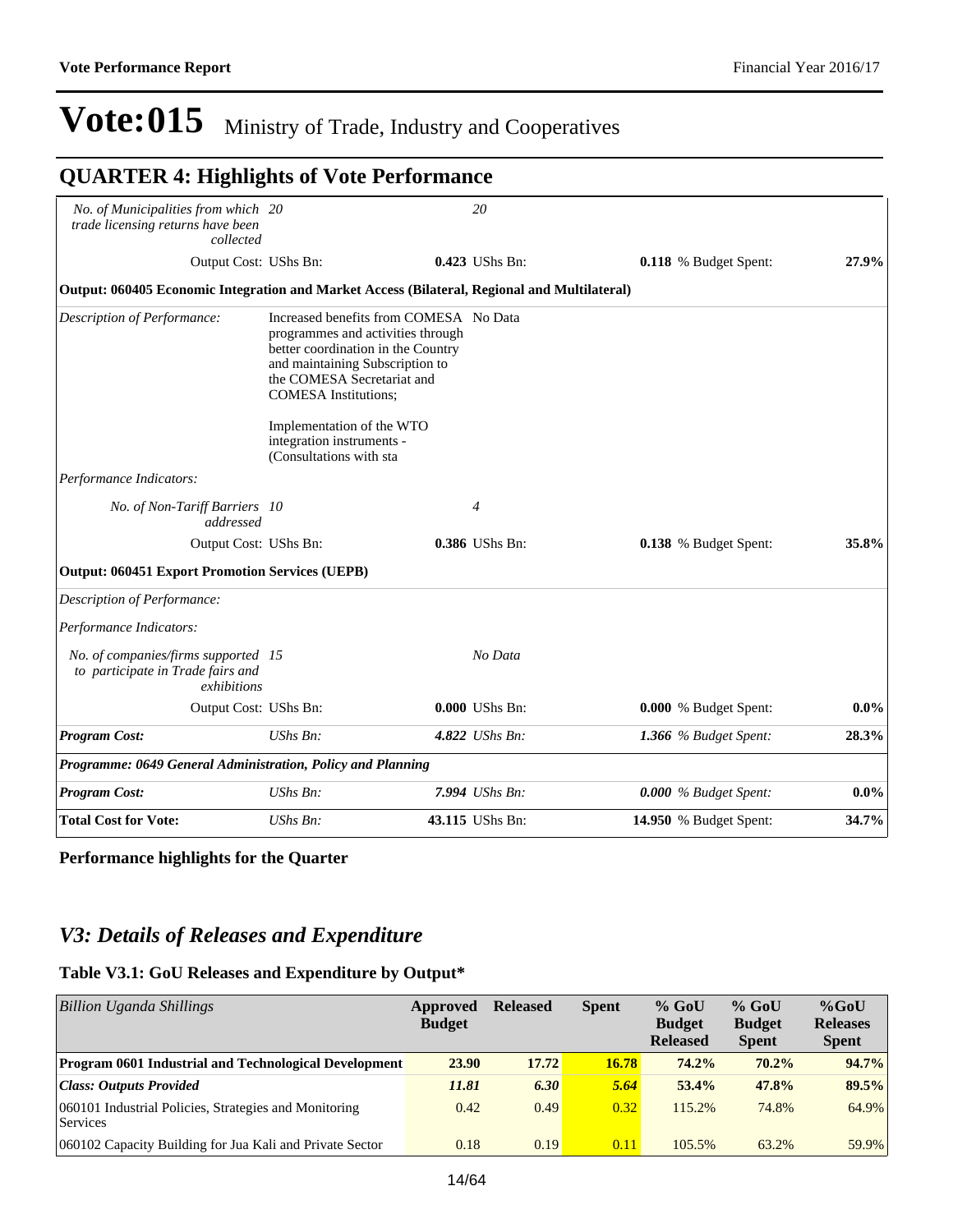### **QUARTER 4: Highlights of Vote Performance**

| No. of Municipalities from which 20                                                          |                                                                                                                                                                                                                                                | 20              |                         |         |
|----------------------------------------------------------------------------------------------|------------------------------------------------------------------------------------------------------------------------------------------------------------------------------------------------------------------------------------------------|-----------------|-------------------------|---------|
| trade licensing returns have been<br>collected                                               |                                                                                                                                                                                                                                                |                 |                         |         |
| Output Cost: UShs Bn:                                                                        |                                                                                                                                                                                                                                                | 0.423 UShs Bn:  | 0.118 % Budget Spent:   | 27.9%   |
| Output: 060405 Economic Integration and Market Access (Bilateral, Regional and Multilateral) |                                                                                                                                                                                                                                                |                 |                         |         |
| Description of Performance:                                                                  | Increased benefits from COMESA No Data<br>programmes and activities through<br>better coordination in the Country<br>and maintaining Subscription to<br>the COMESA Secretariat and<br><b>COMESA</b> Institutions;<br>Implementation of the WTO |                 |                         |         |
|                                                                                              | integration instruments -<br>(Consultations with sta                                                                                                                                                                                           |                 |                         |         |
| Performance Indicators:                                                                      |                                                                                                                                                                                                                                                |                 |                         |         |
| No. of Non-Tariff Barriers 10<br>addressed                                                   |                                                                                                                                                                                                                                                | $\overline{4}$  |                         |         |
| Output Cost: UShs Bn:                                                                        |                                                                                                                                                                                                                                                | 0.386 UShs Bn:  | 0.138 % Budget Spent:   | 35.8%   |
| <b>Output: 060451 Export Promotion Services (UEPB)</b>                                       |                                                                                                                                                                                                                                                |                 |                         |         |
| Description of Performance:                                                                  |                                                                                                                                                                                                                                                |                 |                         |         |
| Performance Indicators:                                                                      |                                                                                                                                                                                                                                                |                 |                         |         |
| No. of companies/firms supported 15<br>to participate in Trade fairs and<br>exhibitions      |                                                                                                                                                                                                                                                | No Data         |                         |         |
| Output Cost: UShs Bn:                                                                        |                                                                                                                                                                                                                                                | 0.000 UShs Bn:  | 0.000 % Budget Spent:   | $0.0\%$ |
| <b>Program Cost:</b>                                                                         | UShs Bn:                                                                                                                                                                                                                                       | 4.822 UShs Bn:  | 1.366 % Budget Spent:   | 28.3%   |
| Programme: 0649 General Administration, Policy and Planning                                  |                                                                                                                                                                                                                                                |                 |                         |         |
| <b>Program Cost:</b>                                                                         | $UShs Bn$ :                                                                                                                                                                                                                                    | 7.994 UShs Bn:  | $0.000\%$ Budget Spent: | $0.0\%$ |
| <b>Total Cost for Vote:</b>                                                                  | $UShs Bn$ :                                                                                                                                                                                                                                    | 43.115 UShs Bn: | 14.950 % Budget Spent:  | 34.7%   |

**Performance highlights for the Quarter**

### *V3: Details of Releases and Expenditure*

### **Table V3.1: GoU Releases and Expenditure by Output\***

| <b>Billion Uganda Shillings</b>                                   | Approved<br><b>Budget</b> | <b>Released</b> | <b>Spent</b> | $%$ GoU<br><b>Budget</b><br><b>Released</b> | $%$ GoU<br><b>Budget</b><br><b>Spent</b> | $%$ GoU<br><b>Releases</b><br><b>Spent</b> |
|-------------------------------------------------------------------|---------------------------|-----------------|--------------|---------------------------------------------|------------------------------------------|--------------------------------------------|
| <b>Program 0601 Industrial and Technological Development</b>      | 23.90                     | 17.72           | 16.78        | 74.2%                                       | $70.2\%$                                 | 94.7%                                      |
| <b>Class: Outputs Provided</b>                                    | 11.81                     | 6.30            | 5.64         | 53.4%                                       | 47.8%                                    | 89.5%                                      |
| 060101 Industrial Policies, Strategies and Monitoring<br>Services | 0.42                      | 0.49            | 0.32         | 115.2%                                      | 74.8%                                    | 64.9%                                      |
| 060102 Capacity Building for Jua Kali and Private Sector          | 0.18                      | 0.19            | 0.11         | 105.5%                                      | 63.2%                                    | 59.9%                                      |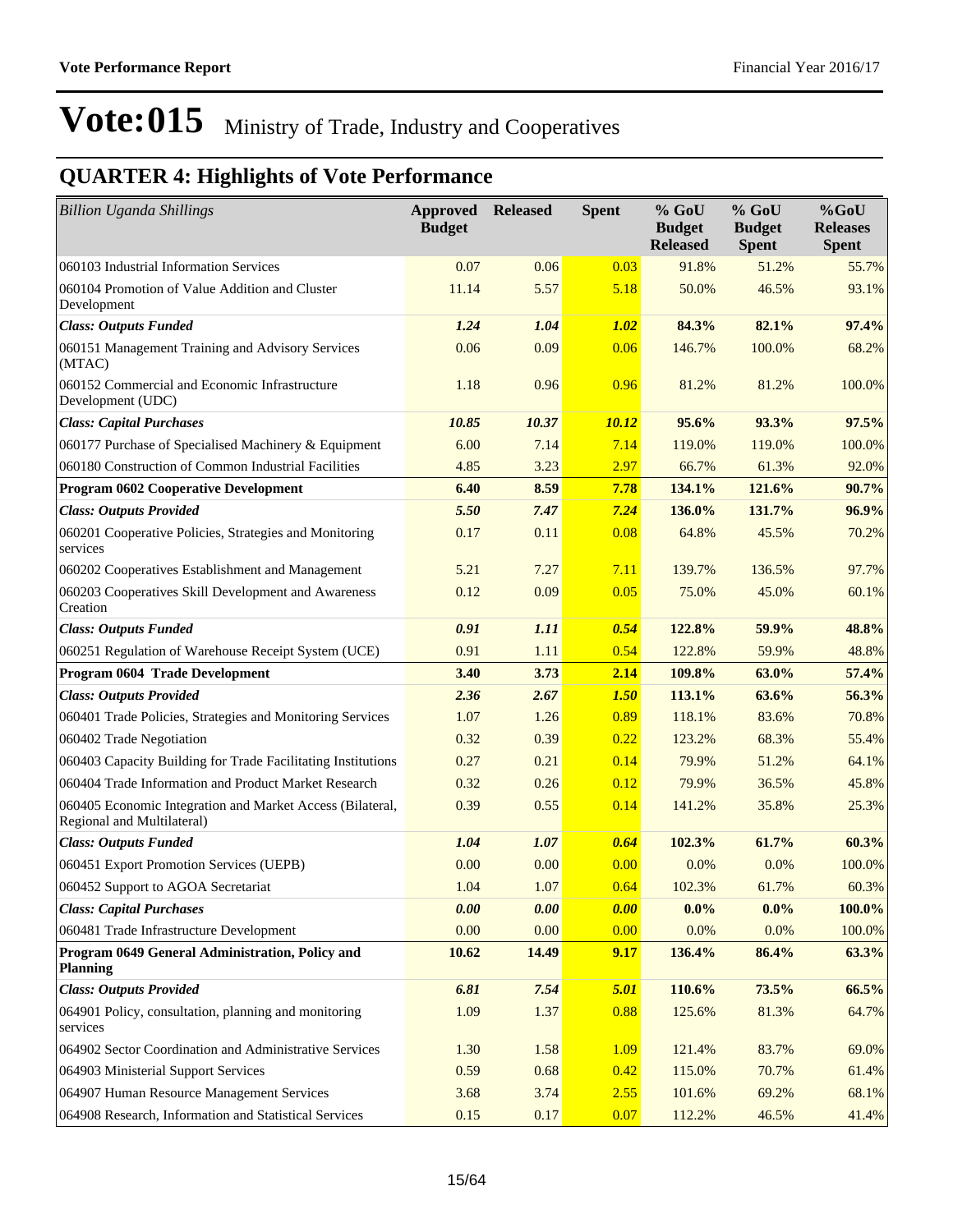| <b>Billion Uganda Shillings</b>                                                         | <b>Approved Released</b><br><b>Budget</b> |       | <b>Spent</b> | $%$ GoU<br><b>Budget</b><br><b>Released</b> | $%$ GoU<br><b>Budget</b><br><b>Spent</b> | $%$ GoU<br><b>Releases</b><br><b>Spent</b> |
|-----------------------------------------------------------------------------------------|-------------------------------------------|-------|--------------|---------------------------------------------|------------------------------------------|--------------------------------------------|
| 060103 Industrial Information Services                                                  | 0.07                                      | 0.06  | 0.03         | 91.8%                                       | 51.2%                                    | 55.7%                                      |
| 060104 Promotion of Value Addition and Cluster<br>Development                           | 11.14                                     | 5.57  | 5.18         | 50.0%                                       | 46.5%                                    | 93.1%                                      |
| <b>Class: Outputs Funded</b>                                                            | 1.24                                      | 1.04  | 1.02         | 84.3%                                       | 82.1%                                    | 97.4%                                      |
| 060151 Management Training and Advisory Services<br>(MTAC)                              | 0.06                                      | 0.09  | 0.06         | 146.7%                                      | 100.0%                                   | 68.2%                                      |
| 060152 Commercial and Economic Infrastructure<br>Development (UDC)                      | 1.18                                      | 0.96  | 0.96         | 81.2%                                       | 81.2%                                    | 100.0%                                     |
| <b>Class: Capital Purchases</b>                                                         | 10.85                                     | 10.37 | 10.12        | 95.6%                                       | 93.3%                                    | 97.5%                                      |
| 060177 Purchase of Specialised Machinery & Equipment                                    | 6.00                                      | 7.14  | 7.14         | 119.0%                                      | 119.0%                                   | 100.0%                                     |
| 060180 Construction of Common Industrial Facilities                                     | 4.85                                      | 3.23  | 2.97         | 66.7%                                       | 61.3%                                    | 92.0%                                      |
| <b>Program 0602 Cooperative Development</b>                                             | 6.40                                      | 8.59  | 7.78         | 134.1%                                      | 121.6%                                   | 90.7%                                      |
| <b>Class: Outputs Provided</b>                                                          | 5.50                                      | 7.47  | 7.24         | 136.0%                                      | 131.7%                                   | 96.9%                                      |
| 060201 Cooperative Policies, Strategies and Monitoring<br>services                      | 0.17                                      | 0.11  | 0.08         | 64.8%                                       | 45.5%                                    | 70.2%                                      |
| 060202 Cooperatives Establishment and Management                                        | 5.21                                      | 7.27  | 7.11         | 139.7%                                      | 136.5%                                   | 97.7%                                      |
| 060203 Cooperatives Skill Development and Awareness<br>Creation                         | 0.12                                      | 0.09  | 0.05         | 75.0%                                       | 45.0%                                    | 60.1%                                      |
| <b>Class: Outputs Funded</b>                                                            | 0.91                                      | 1.11  | 0.54         | 122.8%                                      | 59.9%                                    | 48.8%                                      |
| 060251 Regulation of Warehouse Receipt System (UCE)                                     | 0.91                                      | 1.11  | 0.54         | 122.8%                                      | 59.9%                                    | 48.8%                                      |
| Program 0604 Trade Development                                                          | 3.40                                      | 3.73  | 2.14         | 109.8%                                      | 63.0%                                    | 57.4%                                      |
| <b>Class: Outputs Provided</b>                                                          | 2.36                                      | 2.67  | 1.50         | 113.1%                                      | 63.6%                                    | 56.3%                                      |
| 060401 Trade Policies, Strategies and Monitoring Services                               | 1.07                                      | 1.26  | 0.89         | 118.1%                                      | 83.6%                                    | 70.8%                                      |
| 060402 Trade Negotiation                                                                | 0.32                                      | 0.39  | 0.22         | 123.2%                                      | 68.3%                                    | 55.4%                                      |
| 060403 Capacity Building for Trade Facilitating Institutions                            | 0.27                                      | 0.21  | 0.14         | 79.9%                                       | 51.2%                                    | 64.1%                                      |
| 060404 Trade Information and Product Market Research                                    | 0.32                                      | 0.26  | 0.12         | 79.9%                                       | 36.5%                                    | 45.8%                                      |
| 060405 Economic Integration and Market Access (Bilateral,<br>Regional and Multilateral) | 0.39                                      | 0.55  | 0.14         | 141.2%                                      | 35.8%                                    | 25.3%                                      |
| <b>Class: Outputs Funded</b>                                                            | 1.04                                      | 1.07  | 0.64         | 102.3%                                      | 61.7%                                    | 60.3%                                      |
| 060451 Export Promotion Services (UEPB)                                                 | 0.00                                      | 0.00  | 0.00         | 0.0%                                        | 0.0%                                     | 100.0%                                     |
| 060452 Support to AGOA Secretariat                                                      | 1.04                                      | 1.07  | 0.64         | 102.3%                                      | 61.7%                                    | 60.3%                                      |
| <b>Class: Capital Purchases</b>                                                         | 0.00                                      | 0.00  | 0.00         | $0.0\%$                                     | $0.0\%$                                  | 100.0%                                     |
| 060481 Trade Infrastructure Development                                                 | 0.00                                      | 0.00  | 0.00         | 0.0%                                        | 0.0%                                     | 100.0%                                     |
| Program 0649 General Administration, Policy and<br><b>Planning</b>                      | 10.62                                     | 14.49 | 9.17         | 136.4%                                      | 86.4%                                    | 63.3%                                      |
| <b>Class: Outputs Provided</b>                                                          | 6.81                                      | 7.54  | 5.01         | 110.6%                                      | 73.5%                                    | 66.5%                                      |
| 064901 Policy, consultation, planning and monitoring<br>services                        | 1.09                                      | 1.37  | 0.88         | 125.6%                                      | 81.3%                                    | 64.7%                                      |
| 064902 Sector Coordination and Administrative Services                                  | 1.30                                      | 1.58  | 1.09         | 121.4%                                      | 83.7%                                    | 69.0%                                      |
| 064903 Ministerial Support Services                                                     | 0.59                                      | 0.68  | 0.42         | 115.0%                                      | 70.7%                                    | 61.4%                                      |
| 064907 Human Resource Management Services                                               | 3.68                                      | 3.74  | 2.55         | 101.6%                                      | 69.2%                                    | 68.1%                                      |
| 064908 Research, Information and Statistical Services                                   | 0.15                                      | 0.17  | 0.07         | 112.2%                                      | 46.5%                                    | 41.4%                                      |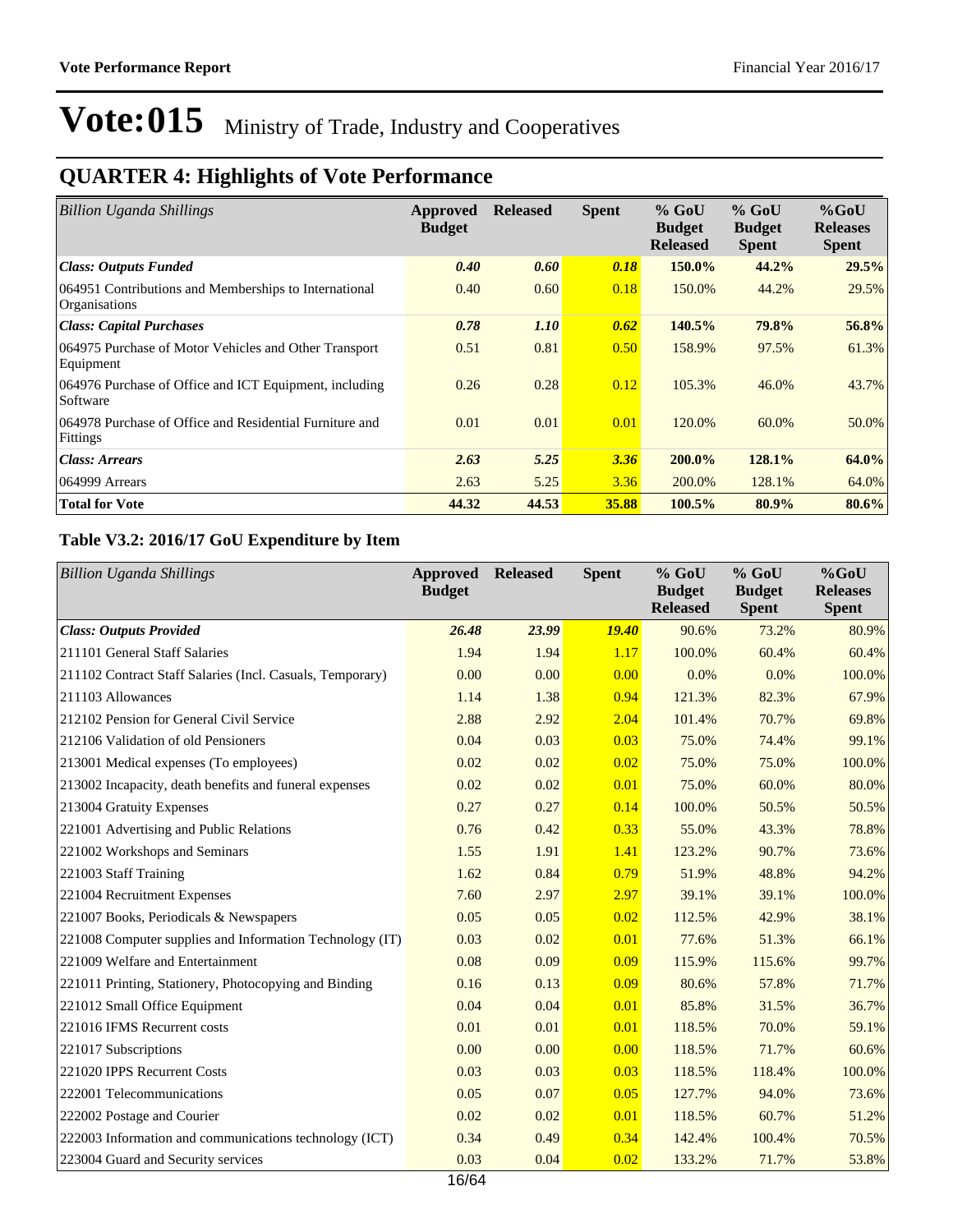## **QUARTER 4: Highlights of Vote Performance**

| <b>Billion Uganda Shillings</b>                                               | Approved<br><b>Budget</b> | <b>Released</b> | <b>Spent</b> | $%$ GoU<br><b>Budget</b><br><b>Released</b> | $%$ GoU<br><b>Budget</b><br><b>Spent</b> | $%$ GoU<br><b>Releases</b><br><b>Spent</b> |
|-------------------------------------------------------------------------------|---------------------------|-----------------|--------------|---------------------------------------------|------------------------------------------|--------------------------------------------|
| <b>Class: Outputs Funded</b>                                                  | 0.40                      | 0.60            | 0.18         | 150.0%                                      | 44.2%                                    | 29.5%                                      |
| 064951 Contributions and Memberships to International<br><b>Organisations</b> | 0.40                      | 0.60            | 0.18         | 150.0%                                      | 44.2%                                    | 29.5%                                      |
| <b>Class: Capital Purchases</b>                                               | 0.78                      | <i>1.10</i>     | 0.62         | 140.5%                                      | 79.8%                                    | 56.8%                                      |
| 064975 Purchase of Motor Vehicles and Other Transport<br>Equipment            | 0.51                      | 0.81            | 0.50         | 158.9%                                      | 97.5%                                    | 61.3%                                      |
| 064976 Purchase of Office and ICT Equipment, including<br>Software            | 0.26                      | 0.28            | 0.12         | 105.3%                                      | 46.0%                                    | 43.7%                                      |
| 064978 Purchase of Office and Residential Furniture and<br>Fittings           | 0.01                      | 0.01            | 0.01         | 120.0%                                      | 60.0%                                    | 50.0%                                      |
| <b>Class: Arrears</b>                                                         | 2.63                      | 5.25            | 3.36         | 200.0%                                      | 128.1%                                   | 64.0%                                      |
| 064999 Arrears                                                                | 2.63                      | 5.25            | 3.36         | 200.0%                                      | 128.1%                                   | 64.0%                                      |
| <b>Total for Vote</b>                                                         | 44.32                     | 44.53           | 35.88        | 100.5%                                      | 80.9%                                    | 80.6%                                      |

### **Table V3.2: 2016/17 GoU Expenditure by Item**

| <b>Billion Uganda Shillings</b>                           | Approved<br><b>Budget</b> | <b>Released</b> | <b>Spent</b> | % GoU<br><b>Budget</b><br><b>Released</b> | $%$ GoU<br><b>Budget</b><br><b>Spent</b> | %GoU<br><b>Releases</b><br><b>Spent</b> |
|-----------------------------------------------------------|---------------------------|-----------------|--------------|-------------------------------------------|------------------------------------------|-----------------------------------------|
| <b>Class: Outputs Provided</b>                            | 26.48                     | 23.99           | <b>19.40</b> | 90.6%                                     | 73.2%                                    | 80.9%                                   |
| 211101 General Staff Salaries                             | 1.94                      | 1.94            | 1.17         | 100.0%                                    | 60.4%                                    | 60.4%                                   |
| 211102 Contract Staff Salaries (Incl. Casuals, Temporary) | 0.00                      | 0.00            | 0.00         | 0.0%                                      | 0.0%                                     | 100.0%                                  |
| 211103 Allowances                                         | 1.14                      | 1.38            | 0.94         | 121.3%                                    | 82.3%                                    | 67.9%                                   |
| 212102 Pension for General Civil Service                  | 2.88                      | 2.92            | 2.04         | 101.4%                                    | 70.7%                                    | 69.8%                                   |
| 212106 Validation of old Pensioners                       | 0.04                      | 0.03            | 0.03         | 75.0%                                     | 74.4%                                    | 99.1%                                   |
| 213001 Medical expenses (To employees)                    | 0.02                      | 0.02            | 0.02         | 75.0%                                     | 75.0%                                    | 100.0%                                  |
| 213002 Incapacity, death benefits and funeral expenses    | 0.02                      | 0.02            | 0.01         | 75.0%                                     | 60.0%                                    | 80.0%                                   |
| 213004 Gratuity Expenses                                  | 0.27                      | 0.27            | 0.14         | 100.0%                                    | 50.5%                                    | 50.5%                                   |
| 221001 Advertising and Public Relations                   | 0.76                      | 0.42            | 0.33         | 55.0%                                     | 43.3%                                    | 78.8%                                   |
| 221002 Workshops and Seminars                             | 1.55                      | 1.91            | 1.41         | 123.2%                                    | 90.7%                                    | 73.6%                                   |
| 221003 Staff Training                                     | 1.62                      | 0.84            | 0.79         | 51.9%                                     | 48.8%                                    | 94.2%                                   |
| 221004 Recruitment Expenses                               | 7.60                      | 2.97            | 2.97         | 39.1%                                     | 39.1%                                    | 100.0%                                  |
| 221007 Books, Periodicals & Newspapers                    | 0.05                      | 0.05            | 0.02         | 112.5%                                    | 42.9%                                    | 38.1%                                   |
| 221008 Computer supplies and Information Technology (IT)  | 0.03                      | 0.02            | 0.01         | 77.6%                                     | 51.3%                                    | 66.1%                                   |
| 221009 Welfare and Entertainment                          | 0.08                      | 0.09            | 0.09         | 115.9%                                    | 115.6%                                   | 99.7%                                   |
| 221011 Printing, Stationery, Photocopying and Binding     | 0.16                      | 0.13            | 0.09         | 80.6%                                     | 57.8%                                    | 71.7%                                   |
| 221012 Small Office Equipment                             | 0.04                      | 0.04            | 0.01         | 85.8%                                     | 31.5%                                    | 36.7%                                   |
| 221016 IFMS Recurrent costs                               | 0.01                      | 0.01            | 0.01         | 118.5%                                    | 70.0%                                    | 59.1%                                   |
| 221017 Subscriptions                                      | 0.00                      | 0.00            | 0.00         | 118.5%                                    | 71.7%                                    | 60.6%                                   |
| 221020 IPPS Recurrent Costs                               | 0.03                      | 0.03            | 0.03         | 118.5%                                    | 118.4%                                   | 100.0%                                  |
| 222001 Telecommunications                                 | 0.05                      | 0.07            | 0.05         | 127.7%                                    | 94.0%                                    | 73.6%                                   |
| 222002 Postage and Courier                                | 0.02                      | 0.02            | 0.01         | 118.5%                                    | 60.7%                                    | 51.2%                                   |
| 222003 Information and communications technology (ICT)    | 0.34                      | 0.49            | 0.34         | 142.4%                                    | 100.4%                                   | 70.5%                                   |
| 223004 Guard and Security services                        | 0.03                      | 0.04            | 0.02         | 133.2%                                    | 71.7%                                    | 53.8%                                   |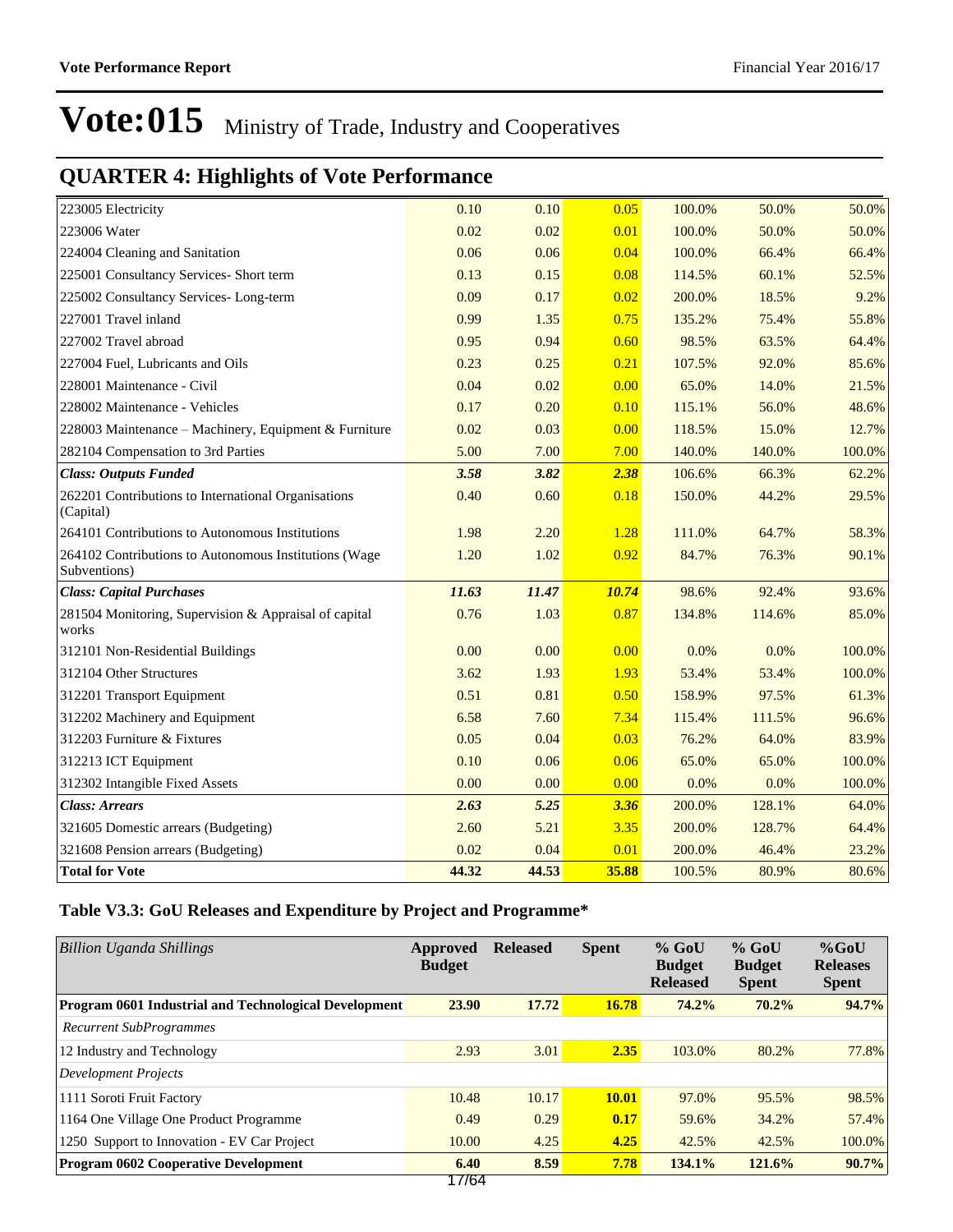## **QUARTER 4: Highlights of Vote Performance**

| 223005 Electricity                                                    | 0.10  | 0.10  | 0.05  | 100.0% | 50.0%  | 50.0%  |
|-----------------------------------------------------------------------|-------|-------|-------|--------|--------|--------|
| 223006 Water                                                          | 0.02  | 0.02  | 0.01  | 100.0% | 50.0%  | 50.0%  |
| 224004 Cleaning and Sanitation                                        | 0.06  | 0.06  | 0.04  | 100.0% | 66.4%  | 66.4%  |
| 225001 Consultancy Services- Short term                               | 0.13  | 0.15  | 0.08  | 114.5% | 60.1%  | 52.5%  |
| 225002 Consultancy Services-Long-term                                 | 0.09  | 0.17  | 0.02  | 200.0% | 18.5%  | 9.2%   |
| 227001 Travel inland                                                  | 0.99  | 1.35  | 0.75  | 135.2% | 75.4%  | 55.8%  |
| 227002 Travel abroad                                                  | 0.95  | 0.94  | 0.60  | 98.5%  | 63.5%  | 64.4%  |
| 227004 Fuel, Lubricants and Oils                                      | 0.23  | 0.25  | 0.21  | 107.5% | 92.0%  | 85.6%  |
| 228001 Maintenance - Civil                                            | 0.04  | 0.02  | 0.00  | 65.0%  | 14.0%  | 21.5%  |
| 228002 Maintenance - Vehicles                                         | 0.17  | 0.20  | 0.10  | 115.1% | 56.0%  | 48.6%  |
| 228003 Maintenance - Machinery, Equipment & Furniture                 | 0.02  | 0.03  | 0.00  | 118.5% | 15.0%  | 12.7%  |
| 282104 Compensation to 3rd Parties                                    | 5.00  | 7.00  | 7.00  | 140.0% | 140.0% | 100.0% |
| <b>Class: Outputs Funded</b>                                          | 3.58  | 3.82  | 2.38  | 106.6% | 66.3%  | 62.2%  |
| 262201 Contributions to International Organisations<br>(Capital)      | 0.40  | 0.60  | 0.18  | 150.0% | 44.2%  | 29.5%  |
| 264101 Contributions to Autonomous Institutions                       | 1.98  | 2.20  | 1.28  | 111.0% | 64.7%  | 58.3%  |
| 264102 Contributions to Autonomous Institutions (Wage<br>Subventions) | 1.20  | 1.02  | 0.92  | 84.7%  | 76.3%  | 90.1%  |
| <b>Class: Capital Purchases</b>                                       | 11.63 | 11.47 | 10.74 | 98.6%  | 92.4%  | 93.6%  |
| 281504 Monitoring, Supervision & Appraisal of capital<br>works        | 0.76  | 1.03  | 0.87  | 134.8% | 114.6% | 85.0%  |
| 312101 Non-Residential Buildings                                      | 0.00  | 0.00  | 0.00  | 0.0%   | 0.0%   | 100.0% |
| 312104 Other Structures                                               | 3.62  | 1.93  | 1.93  | 53.4%  | 53.4%  | 100.0% |
| 312201 Transport Equipment                                            | 0.51  | 0.81  | 0.50  | 158.9% | 97.5%  | 61.3%  |
| 312202 Machinery and Equipment                                        | 6.58  | 7.60  | 7.34  | 115.4% | 111.5% | 96.6%  |
| 312203 Furniture & Fixtures                                           | 0.05  | 0.04  | 0.03  | 76.2%  | 64.0%  | 83.9%  |
| 312213 ICT Equipment                                                  | 0.10  | 0.06  | 0.06  | 65.0%  | 65.0%  | 100.0% |
| 312302 Intangible Fixed Assets                                        | 0.00  | 0.00  | 0.00  | 0.0%   | 0.0%   | 100.0% |
| <b>Class: Arrears</b>                                                 | 2.63  | 5.25  | 3.36  | 200.0% | 128.1% | 64.0%  |
| 321605 Domestic arrears (Budgeting)                                   | 2.60  | 5.21  | 3.35  | 200.0% | 128.7% | 64.4%  |
| 321608 Pension arrears (Budgeting)                                    | 0.02  | 0.04  | 0.01  | 200.0% | 46.4%  | 23.2%  |
| <b>Total for Vote</b>                                                 | 44.32 | 44.53 | 35.88 | 100.5% | 80.9%  | 80.6%  |

### **Table V3.3: GoU Releases and Expenditure by Project and Programme\***

| Billion Uganda Shillings                              | Approved<br><b>Budget</b> | <b>Released</b> | <b>Spent</b> | $%$ GoU<br><b>Budget</b><br><b>Released</b> | $%$ GoU<br><b>Budget</b><br><b>Spent</b> | $%$ GoU<br><b>Releases</b><br><b>Spent</b> |
|-------------------------------------------------------|---------------------------|-----------------|--------------|---------------------------------------------|------------------------------------------|--------------------------------------------|
| Program 0601 Industrial and Technological Development | 23.90                     | 17.72           | 16.78        | 74.2%                                       | 70.2%                                    | 94.7%                                      |
| Recurrent SubProgrammes                               |                           |                 |              |                                             |                                          |                                            |
| 12 Industry and Technology                            | 2.93                      | 3.01            | 2.35         | 103.0%                                      | 80.2%                                    | 77.8%                                      |
| <b>Development Projects</b>                           |                           |                 |              |                                             |                                          |                                            |
| 1111 Soroti Fruit Factory                             | 10.48                     | 10.17           | 10.01        | 97.0%                                       | 95.5%                                    | 98.5%                                      |
| 1164 One Village One Product Programme                | 0.49                      | 0.29            | 0.17         | 59.6%                                       | 34.2%                                    | 57.4%                                      |
| 1250 Support to Innovation - EV Car Project           | 10.00                     | 4.25            | 4.25         | 42.5%                                       | 42.5%                                    | 100.0%                                     |
| <b>Program 0602 Cooperative Development</b>           | 6.40<br>オフカウオ             | 8.59            | 7.78         | 134.1%                                      | 121.6%                                   | 90.7%                                      |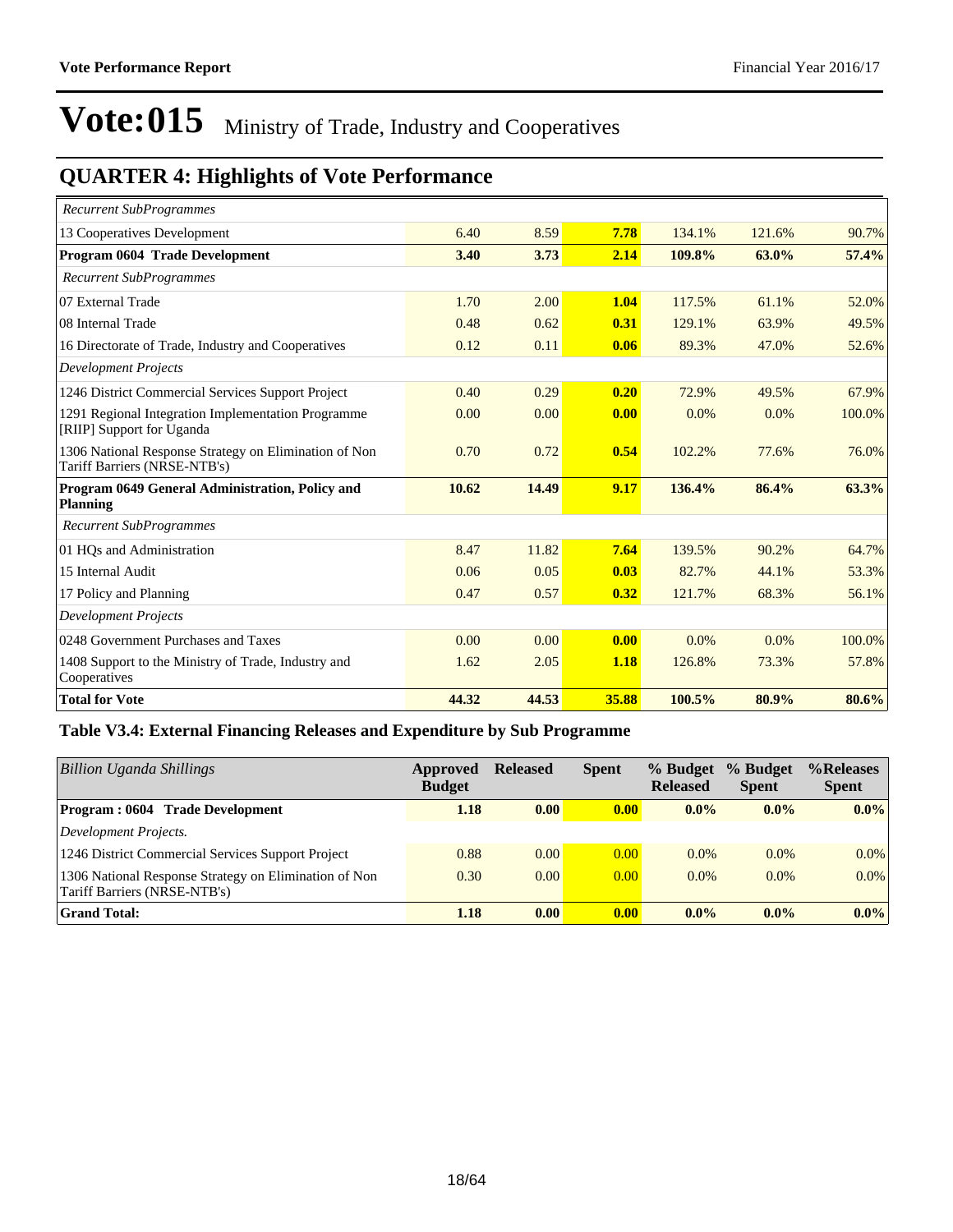## **QUARTER 4: Highlights of Vote Performance**

| <b>Recurrent SubProgrammes</b>                                                        |       |       |       |        |         |        |
|---------------------------------------------------------------------------------------|-------|-------|-------|--------|---------|--------|
| 13 Cooperatives Development                                                           | 6.40  | 8.59  | 7.78  | 134.1% | 121.6%  | 90.7%  |
| Program 0604 Trade Development                                                        | 3.40  | 3.73  | 2.14  | 109.8% | 63.0%   | 57.4%  |
| <b>Recurrent SubProgrammes</b>                                                        |       |       |       |        |         |        |
| 07 External Trade                                                                     | 1.70  | 2.00  | 1.04  | 117.5% | 61.1%   | 52.0%  |
| 08 Internal Trade                                                                     | 0.48  | 0.62  | 0.31  | 129.1% | 63.9%   | 49.5%  |
| 16 Directorate of Trade, Industry and Cooperatives                                    | 0.12  | 0.11  | 0.06  | 89.3%  | 47.0%   | 52.6%  |
| <b>Development Projects</b>                                                           |       |       |       |        |         |        |
| 1246 District Commercial Services Support Project                                     | 0.40  | 0.29  | 0.20  | 72.9%  | 49.5%   | 67.9%  |
| 1291 Regional Integration Implementation Programme<br>[RIIP] Support for Uganda       | 0.00  | 0.00  | 0.00  | 0.0%   | 0.0%    | 100.0% |
| 1306 National Response Strategy on Elimination of Non<br>Tariff Barriers (NRSE-NTB's) | 0.70  | 0.72  | 0.54  | 102.2% | 77.6%   | 76.0%  |
| Program 0649 General Administration, Policy and<br><b>Planning</b>                    | 10.62 | 14.49 | 9.17  | 136.4% | 86.4%   | 63.3%  |
| <b>Recurrent SubProgrammes</b>                                                        |       |       |       |        |         |        |
| 01 HQs and Administration                                                             | 8.47  | 11.82 | 7.64  | 139.5% | 90.2%   | 64.7%  |
| 15 Internal Audit                                                                     | 0.06  | 0.05  | 0.03  | 82.7%  | 44.1%   | 53.3%  |
| 17 Policy and Planning                                                                | 0.47  | 0.57  | 0.32  | 121.7% | 68.3%   | 56.1%  |
| <b>Development Projects</b>                                                           |       |       |       |        |         |        |
| 0248 Government Purchases and Taxes                                                   | 0.00  | 0.00  | 0.00  | 0.0%   | $0.0\%$ | 100.0% |
| 1408 Support to the Ministry of Trade, Industry and<br>Cooperatives                   | 1.62  | 2.05  | 1.18  | 126.8% | 73.3%   | 57.8%  |
| <b>Total for Vote</b>                                                                 | 44.32 | 44.53 | 35.88 | 100.5% | 80.9%   | 80.6%  |

### **Table V3.4: External Financing Releases and Expenditure by Sub Programme**

| Billion Uganda Shillings                                                              | Approved<br><b>Budget</b> | <b>Released</b> | <b>Spent</b>      | % Budget<br><b>Released</b> | % Budget<br><b>Spent</b> | %Releases<br><b>Spent</b> |
|---------------------------------------------------------------------------------------|---------------------------|-----------------|-------------------|-----------------------------|--------------------------|---------------------------|
| <b>Program: 0604 Trade Development</b>                                                | 1.18                      | 0.00            | 0.00              | $0.0\%$                     | $0.0\%$                  | $0.0\%$                   |
| Development Projects.                                                                 |                           |                 |                   |                             |                          |                           |
| 1246 District Commercial Services Support Project                                     | 0.88                      | 0.00            | 0.00              | $0.0\%$                     | $0.0\%$                  | $0.0\%$                   |
| 1306 National Response Strategy on Elimination of Non<br>Tariff Barriers (NRSE-NTB's) | 0.30                      | 0.00            | 0.00              | $0.0\%$                     | $0.0\%$                  | $0.0\%$                   |
| <b>Grand Total:</b>                                                                   | 1.18                      | 0.00            | 0.00 <sub>l</sub> | $0.0\%$                     | $0.0\%$                  | $0.0\%$                   |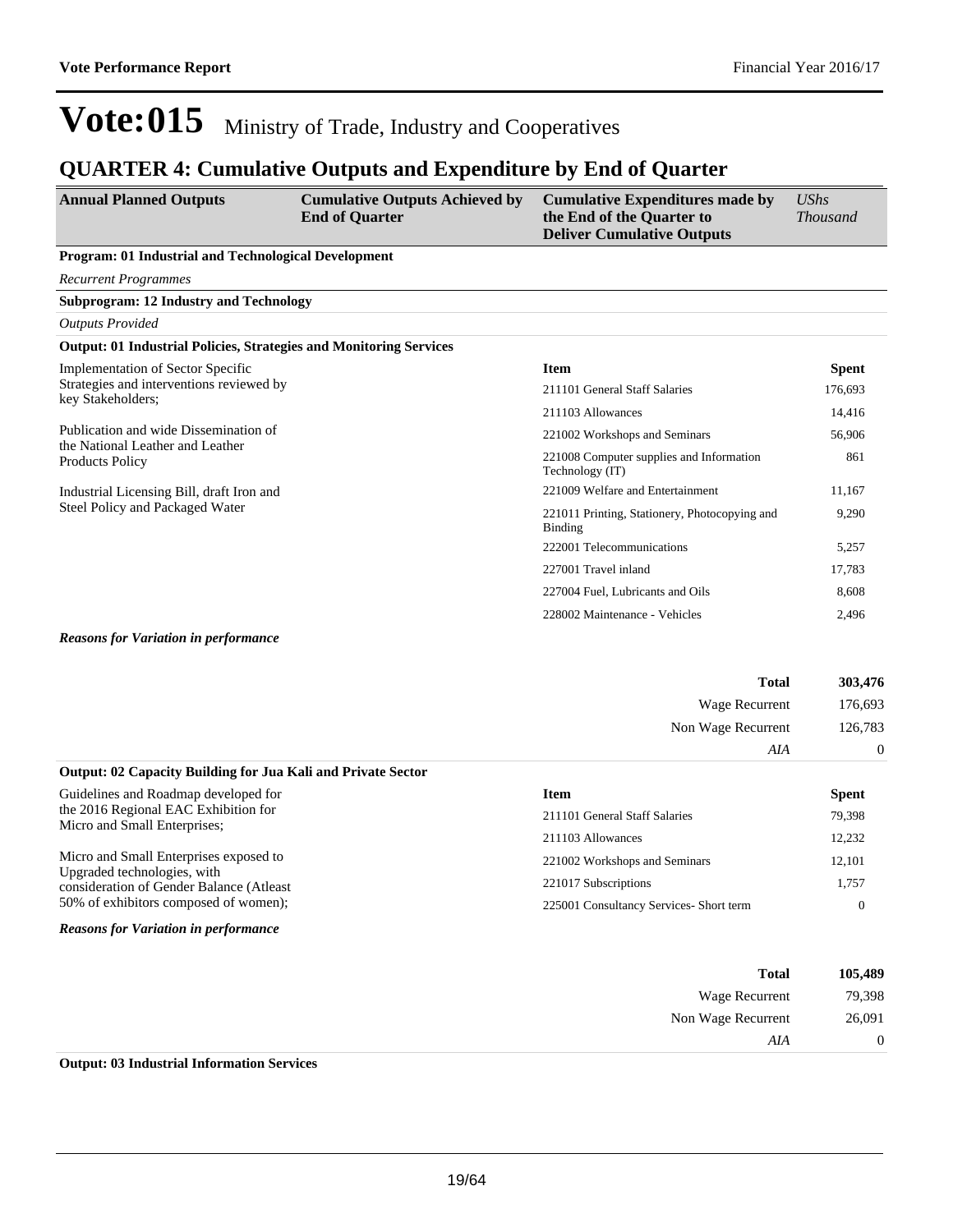### **QUARTER 4: Cumulative Outputs and Expenditure by End of Quarter**

| <b>Annual Planned Outputs</b>                                                                           | <b>Cumulative Outputs Achieved by</b><br><b>End of Quarter</b> | <b>Cumulative Expenditures made by</b><br>the End of the Quarter to<br><b>Deliver Cumulative Outputs</b> | <b>UShs</b><br><b>Thousand</b> |
|---------------------------------------------------------------------------------------------------------|----------------------------------------------------------------|----------------------------------------------------------------------------------------------------------|--------------------------------|
| Program: 01 Industrial and Technological Development                                                    |                                                                |                                                                                                          |                                |
| <b>Recurrent Programmes</b>                                                                             |                                                                |                                                                                                          |                                |
| <b>Subprogram: 12 Industry and Technology</b>                                                           |                                                                |                                                                                                          |                                |
| <b>Outputs Provided</b>                                                                                 |                                                                |                                                                                                          |                                |
| <b>Output: 01 Industrial Policies, Strategies and Monitoring Services</b>                               |                                                                |                                                                                                          |                                |
| Implementation of Sector Specific                                                                       |                                                                | <b>Item</b>                                                                                              | <b>Spent</b>                   |
| Strategies and interventions reviewed by<br>key Stakeholders;                                           |                                                                | 211101 General Staff Salaries                                                                            | 176,693                        |
|                                                                                                         |                                                                | 211103 Allowances                                                                                        | 14,416                         |
| Publication and wide Dissemination of                                                                   |                                                                | 221002 Workshops and Seminars                                                                            | 56,906                         |
| the National Leather and Leather<br>Products Policy                                                     |                                                                | 221008 Computer supplies and Information<br>Technology (IT)                                              | 861                            |
| Industrial Licensing Bill, draft Iron and                                                               |                                                                | 221009 Welfare and Entertainment                                                                         | 11,167                         |
| Steel Policy and Packaged Water                                                                         |                                                                | 221011 Printing, Stationery, Photocopying and<br><b>Binding</b>                                          | 9,290                          |
|                                                                                                         |                                                                | 222001 Telecommunications                                                                                | 5,257                          |
|                                                                                                         |                                                                | 227001 Travel inland                                                                                     | 17,783                         |
|                                                                                                         |                                                                | 227004 Fuel, Lubricants and Oils                                                                         | 8,608                          |
|                                                                                                         |                                                                | 228002 Maintenance - Vehicles                                                                            | 2,496                          |
| $\mathbf{r}$ $\mathbf{r}$ $\mathbf{r}$ $\mathbf{r}$ $\mathbf{r}$ $\mathbf{r}$ $\mathbf{r}$ $\mathbf{r}$ |                                                                |                                                                                                          |                                |

#### *Reasons for Variation in performance*

| <b>Total</b>                                                        | 303,476  |
|---------------------------------------------------------------------|----------|
| Wage Recurrent                                                      | 176,693  |
| Non Wage Recurrent                                                  | 126,783  |
| AIA                                                                 | $\Omega$ |
| <b>Output: 02 Capacity Building for Jua Kali and Private Sector</b> |          |

| Guidelines and Roadmap developed for<br>the 2016 Regional EAC Exhibition for<br>Micro and Small Enterprises;      | Item<br>211101 General Staff Salaries<br>211103 Allowances | <b>Spent</b><br>79,398<br>12,232 |
|-------------------------------------------------------------------------------------------------------------------|------------------------------------------------------------|----------------------------------|
| Micro and Small Enterprises exposed to<br>Upgraded technologies, with<br>consideration of Gender Balance (Atleast | 221002 Workshops and Seminars<br>221017 Subscriptions      | 12,101<br>1,757                  |
| 50% of exhibitors composed of women);<br><b>Reasons for Variation in performance</b>                              | 225001 Consultancy Services- Short term                    | $\Omega$                         |

| 105,489        | <b>Total</b>       |
|----------------|--------------------|
| 79,398         | Wage Recurrent     |
| 26,091         | Non Wage Recurrent |
| $\overline{0}$ | AIA                |
|                |                    |

#### **Output: 03 Industrial Information Services**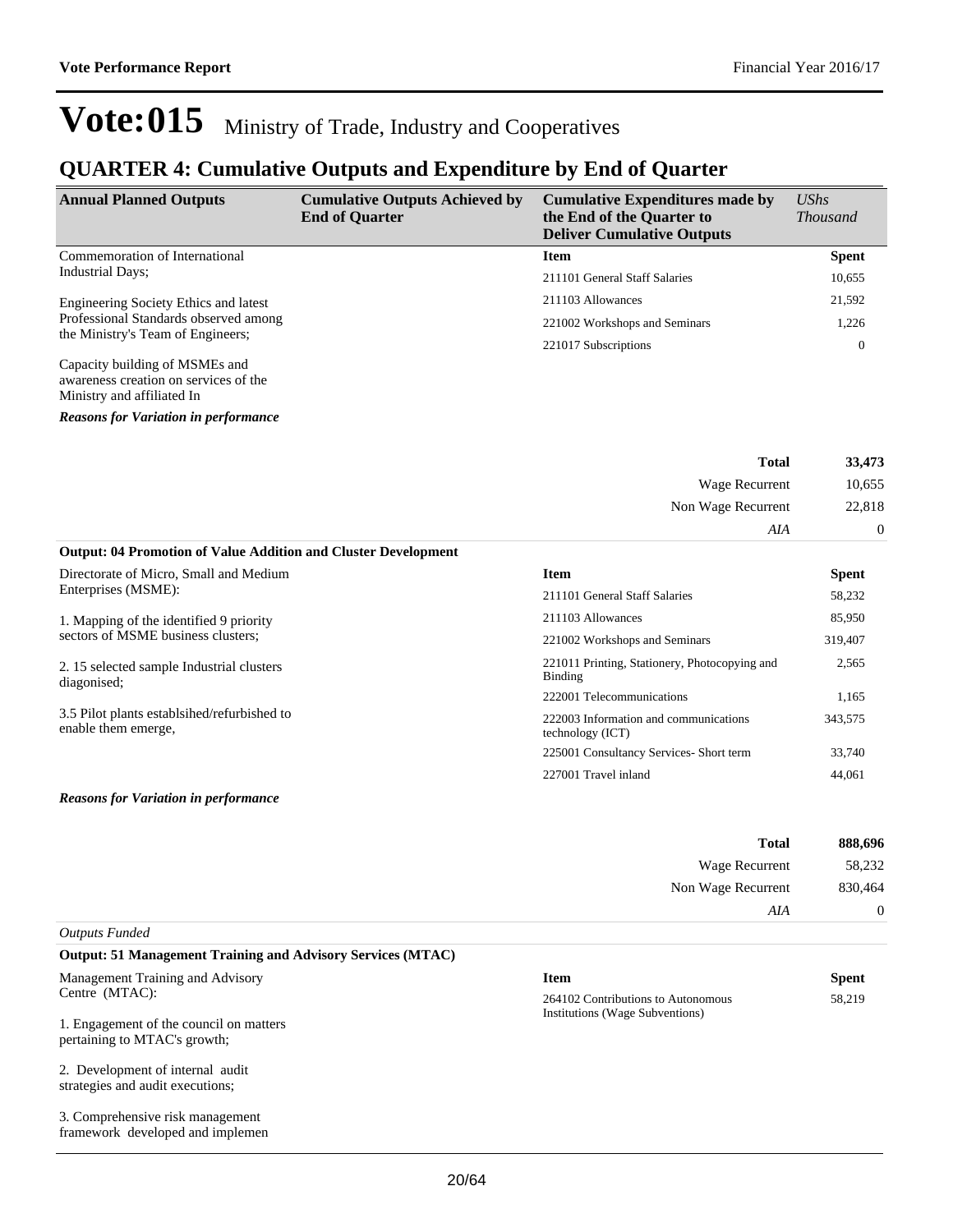### **QUARTER 4: Cumulative Outputs and Expenditure by End of Quarter**

| <b>Annual Planned Outputs</b>         | <b>Cumulative Outputs Achieved by</b><br><b>End of Quarter</b> | <b>Cumulative Expenditures made by</b><br>the End of the Quarter to<br><b>Deliver Cumulative Outputs</b> | $\mathit{UShs}$<br><i>Thousand</i> |
|---------------------------------------|----------------------------------------------------------------|----------------------------------------------------------------------------------------------------------|------------------------------------|
| Commemoration of International        |                                                                | <b>Item</b>                                                                                              | <b>Spent</b>                       |
| Industrial Days;                      |                                                                | 211101 General Staff Salaries                                                                            | 10,655                             |
| Engineering Society Ethics and latest |                                                                | 211103 Allowances                                                                                        | 21,592                             |
| Professional Standards observed among |                                                                | 221002 Workshops and Seminars                                                                            | 1,226                              |
| the Ministry's Team of Engineers;     |                                                                | 221017 Subscriptions                                                                                     | 0                                  |
| Capacity building of MSMEs and        |                                                                |                                                                                                          |                                    |

awareness creation on services of the Ministry and affiliated In

*Reasons for Variation in performance*

| 33,473   | <b>Total</b>       |
|----------|--------------------|
| 10,655   | Wage Recurrent     |
| 22,818   | Non Wage Recurrent |
| $\theta$ | AIA                |

| <b>Output: 04 Promotion of Value Addition and Cluster Development</b> |  |
|-----------------------------------------------------------------------|--|
|-----------------------------------------------------------------------|--|

| Directorate of Micro, Small and Medium                             | <b>Item</b>                                               | <b>Spent</b> |
|--------------------------------------------------------------------|-----------------------------------------------------------|--------------|
| Enterprises (MSME):                                                | 211101 General Staff Salaries                             | 58,232       |
| 1. Mapping of the identified 9 priority                            | 211103 Allowances                                         | 85,950       |
| sectors of MSME business clusters;                                 | 221002 Workshops and Seminars                             | 319,407      |
| 2.15 selected sample Industrial clusters<br>diagonised:            | 221011 Printing, Stationery, Photocopying and<br>Binding  | 2,565        |
|                                                                    | 222001 Telecommunications                                 | 1,165        |
| 3.5 Pilot plants established/refurbished to<br>enable them emerge, | 222003 Information and communications<br>technology (ICT) | 343,575      |
|                                                                    | 225001 Consultancy Services- Short term                   | 33.740       |
|                                                                    | 227001 Travel inland                                      | 44.061       |

#### *Reasons for Variation in performance*

| 888,696 | <b>Total</b>       |
|---------|--------------------|
| 58,232  | Wage Recurrent     |
| 830,464 | Non Wage Recurrent |
|         | AIA                |
|         |                    |

#### *Outputs Funded*

#### **Output: 51 Management Training and Advisory Services (MTAC)**

Management Training and Advisory Centre (MTAC):

1. Engagement of the council on matters pertaining to MTAC's growth;

2. Development of internal audit strategies and audit executions;

3. Comprehensive risk management framework developed and implemen

### **Item Spent**

| 264102 Contributions to Autonomous     | 58.219 |
|----------------------------------------|--------|
|                                        |        |
| <b>Institutions (Wage Subventions)</b> |        |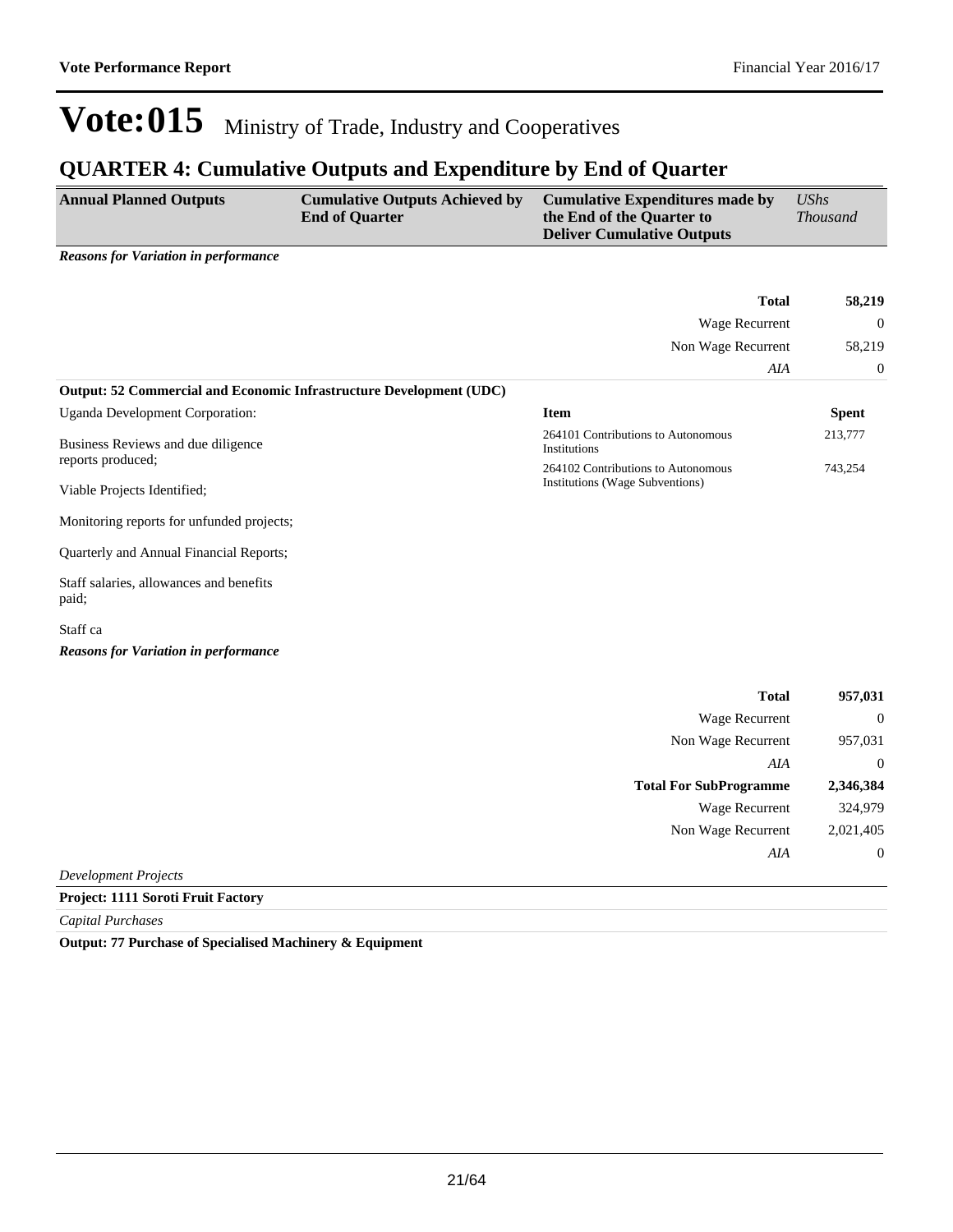### **QUARTER 4: Cumulative Outputs and Expenditure by End of Quarter**

| <b>Annual Planned Outputs</b>               | <b>Cumulative Outputs Achieved by</b><br><b>End of Quarter</b> | <b>Cumulative Expenditures made by</b><br>the End of the Quarter to<br><b>Deliver Cumulative Outputs</b> | <b>UShs</b><br><i>Thousand</i> |  |
|---------------------------------------------|----------------------------------------------------------------|----------------------------------------------------------------------------------------------------------|--------------------------------|--|
| <b>Reasons for Variation in performance</b> |                                                                | <b>Total</b>                                                                                             | 58,219                         |  |

|                                                                       | -----        |
|-----------------------------------------------------------------------|--------------|
| Wage Recurrent                                                        | $\theta$     |
| Non Wage Recurrent                                                    | 58,219       |
| AIA                                                                   | $\theta$     |
|                                                                       |              |
| <b>Item</b>                                                           | <b>Spent</b> |
| 264101 Contributions to Autonomous<br><b>Institutions</b>             | 213,777      |
| 264102 Contributions to Autonomous<br>Institutions (Wage Subventions) | 743.254      |
|                                                                       |              |

Monitoring reports for unfunded projects;

Quarterly and Annual Financial Reports;

Staff salaries, allowances and benefits paid;

Staff ca

*Reasons for Variation in performance*

| 957,031        | <b>Total</b>                  |  |
|----------------|-------------------------------|--|
| $\overline{0}$ | <b>Wage Recurrent</b>         |  |
| 957,031        | Non Wage Recurrent            |  |
| $\overline{0}$ | AIA                           |  |
| 2,346,384      | <b>Total For SubProgramme</b> |  |
| 324,979        | <b>Wage Recurrent</b>         |  |
| 2,021,405      | Non Wage Recurrent            |  |
| $\overline{0}$ | AIA                           |  |
|                |                               |  |

*Development Projects*

#### **Project: 1111 Soroti Fruit Factory**

*Capital Purchases*

**Output: 77 Purchase of Specialised Machinery & Equipment**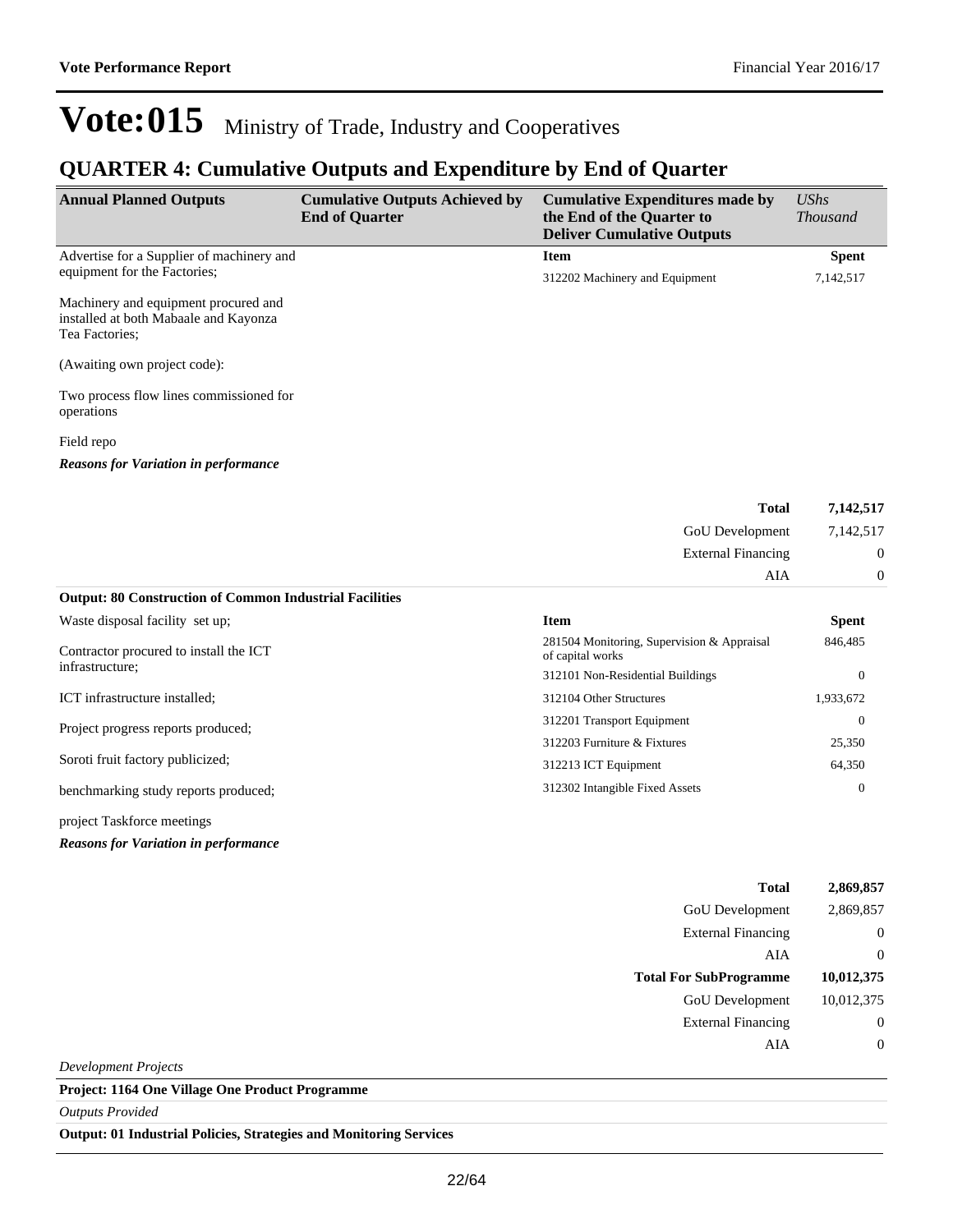### **QUARTER 4: Cumulative Outputs and Expenditure by End of Quarter**

| <b>Annual Planned Outputs</b>                                                                   | <b>Cumulative Outputs Achieved by</b><br><b>End of Quarter</b> | <b>Cumulative Expenditures made by</b><br>the End of the Quarter to<br><b>Deliver Cumulative Outputs</b> | <b>UShs</b><br><b>Thousand</b> |
|-------------------------------------------------------------------------------------------------|----------------------------------------------------------------|----------------------------------------------------------------------------------------------------------|--------------------------------|
| Advertise for a Supplier of machinery and                                                       |                                                                | <b>Item</b>                                                                                              | <b>Spent</b>                   |
| equipment for the Factories;                                                                    |                                                                | 312202 Machinery and Equipment                                                                           | 7,142,517                      |
| Machinery and equipment procured and<br>installed at both Mabaale and Kayonza<br>Tea Factories; |                                                                |                                                                                                          |                                |
| (Awaiting own project code):                                                                    |                                                                |                                                                                                          |                                |
| Two process flow lines commissioned for<br>operations                                           |                                                                |                                                                                                          |                                |
| Field repo                                                                                      |                                                                |                                                                                                          |                                |
| <b>Reasons for Variation in performance</b>                                                     |                                                                |                                                                                                          |                                |
|                                                                                                 |                                                                | <b>Total</b>                                                                                             | 7,142,517                      |
|                                                                                                 |                                                                | GoU Development                                                                                          | 7,142,517                      |
|                                                                                                 |                                                                | <b>External Financing</b>                                                                                | $\overline{0}$                 |
|                                                                                                 |                                                                | AIA                                                                                                      | $\boldsymbol{0}$               |
| <b>Output: 80 Construction of Common Industrial Facilities</b>                                  |                                                                |                                                                                                          |                                |
| Waste disposal facility set up;                                                                 |                                                                | <b>Item</b>                                                                                              | <b>Spent</b>                   |
| Contractor procured to install the ICT                                                          |                                                                | 281504 Monitoring, Supervision & Appraisal<br>of capital works                                           | 846,485                        |
| infrastructure;                                                                                 |                                                                | 312101 Non-Residential Buildings                                                                         | $\mathbf{0}$                   |
| ICT infrastructure installed;                                                                   |                                                                | 312104 Other Structures                                                                                  | 1,933,672                      |
| Project progress reports produced;                                                              |                                                                | 312201 Transport Equipment                                                                               | $\Omega$                       |
|                                                                                                 |                                                                | 312203 Furniture & Fixtures                                                                              | 25,350                         |
| Soroti fruit factory publicized;                                                                |                                                                | 312213 ICT Equipment                                                                                     | 64,350                         |
| benchmarking study reports produced;                                                            |                                                                | 312302 Intangible Fixed Assets                                                                           | $\Omega$                       |
| project Taskforce meetings                                                                      |                                                                |                                                                                                          |                                |
| <b>Reasons for Variation in performance</b>                                                     |                                                                |                                                                                                          |                                |
|                                                                                                 |                                                                | <b>Total</b>                                                                                             | 2.869.857                      |

| GoU Development               | 2,869,857      |
|-------------------------------|----------------|
| <b>External Financing</b>     | $\overline{0}$ |
| AIA                           | $\overline{0}$ |
| <b>Total For SubProgramme</b> | 10,012,375     |
| GoU Development               | 10,012,375     |
| <b>External Financing</b>     | $\overline{0}$ |
| AIA                           | $\overline{0}$ |
| Development Projects          |                |

**Project: 1164 One Village One Product Programme**

*Outputs Provided*

**Output: 01 Industrial Policies, Strategies and Monitoring Services**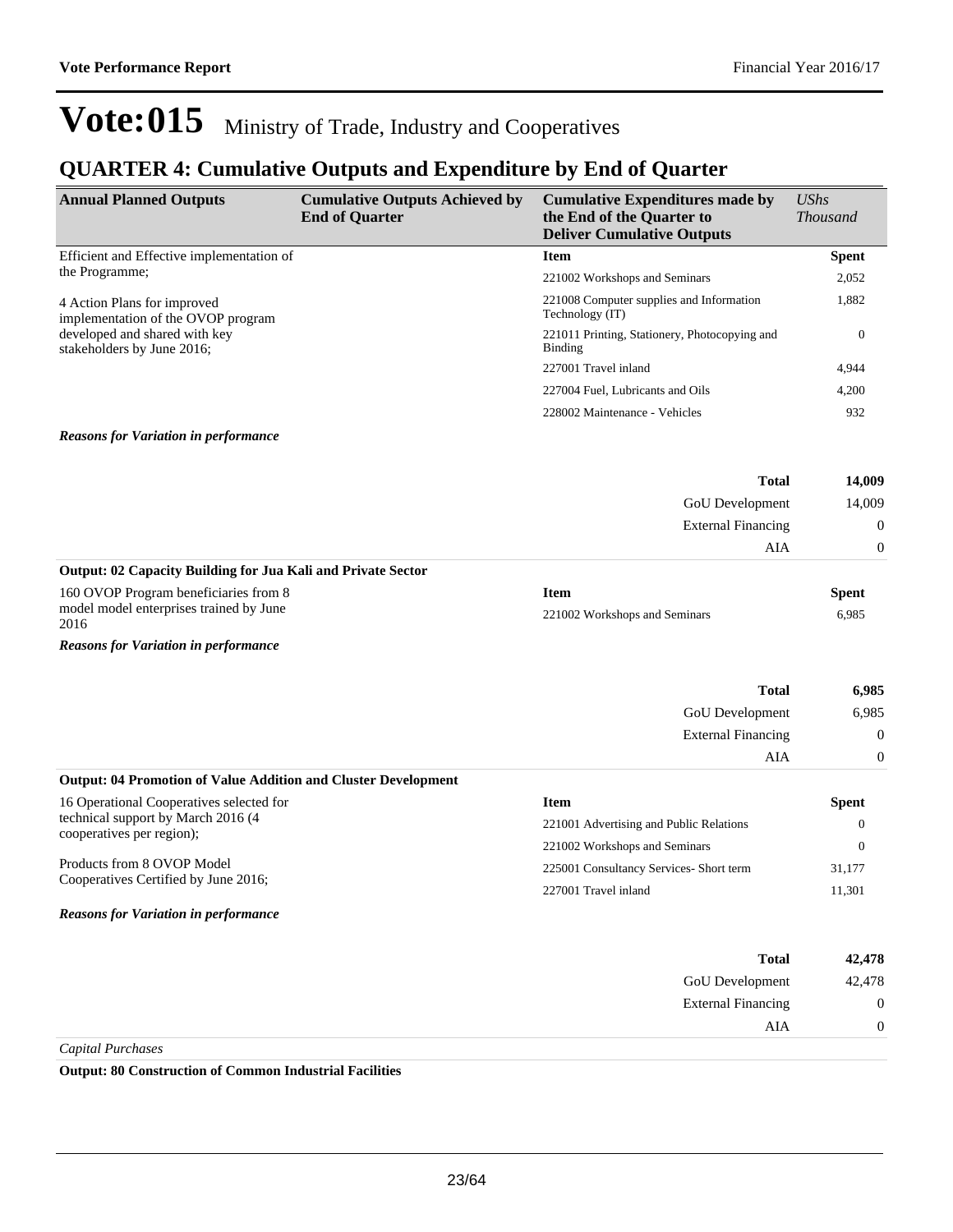*UShs* 

## Vote:015 Ministry of Trade, Industry and Cooperatives

### **QUARTER 4: Cumulative Outputs and Expenditure by End of Quarter**

| <b>Annual Planned Outputs</b>                                         | <b>Cumulative Outputs Achieved by</b><br><b>End of Quarter</b> | <b>Cumulative Expenditures made by</b><br>the End of the Quarter to<br><b>Deliver Cumulative Outputs</b> | <b>UShs</b><br><b>Thousand</b> |
|-----------------------------------------------------------------------|----------------------------------------------------------------|----------------------------------------------------------------------------------------------------------|--------------------------------|
| Efficient and Effective implementation of                             |                                                                | <b>Item</b>                                                                                              | <b>Spent</b>                   |
| the Programme;                                                        |                                                                | 221002 Workshops and Seminars                                                                            | 2,052                          |
| 4 Action Plans for improved<br>implementation of the OVOP program     |                                                                | 221008 Computer supplies and Information<br>Technology (IT)                                              | 1,882                          |
| developed and shared with key<br>stakeholders by June 2016;           |                                                                | 221011 Printing, Stationery, Photocopying and<br><b>Binding</b>                                          | $\mathbf{0}$                   |
|                                                                       |                                                                | 227001 Travel inland                                                                                     | 4,944                          |
|                                                                       |                                                                | 227004 Fuel, Lubricants and Oils                                                                         | 4,200                          |
|                                                                       |                                                                | 228002 Maintenance - Vehicles                                                                            | 932                            |
| <b>Reasons for Variation in performance</b>                           |                                                                |                                                                                                          |                                |
|                                                                       |                                                                | <b>Total</b>                                                                                             | 14,009                         |
|                                                                       |                                                                | GoU Development                                                                                          | 14,009                         |
|                                                                       |                                                                | <b>External Financing</b>                                                                                | $\boldsymbol{0}$               |
|                                                                       |                                                                | AIA                                                                                                      | $\boldsymbol{0}$               |
| Output: 02 Capacity Building for Jua Kali and Private Sector          |                                                                |                                                                                                          |                                |
| 160 OVOP Program beneficiaries from 8                                 |                                                                | <b>Item</b>                                                                                              | <b>Spent</b>                   |
| model model enterprises trained by June<br>2016                       |                                                                | 221002 Workshops and Seminars                                                                            | 6,985                          |
| <b>Reasons for Variation in performance</b>                           |                                                                |                                                                                                          |                                |
|                                                                       |                                                                | <b>Total</b>                                                                                             | 6,985                          |
|                                                                       |                                                                | GoU Development                                                                                          | 6,985                          |
|                                                                       |                                                                | <b>External Financing</b>                                                                                | $\boldsymbol{0}$               |
|                                                                       |                                                                | AIA                                                                                                      | $\boldsymbol{0}$               |
| <b>Output: 04 Promotion of Value Addition and Cluster Development</b> |                                                                |                                                                                                          |                                |
| 16 Operational Cooperatives selected for                              |                                                                | <b>Item</b>                                                                                              | <b>Spent</b>                   |
| technical support by March 2016 (4                                    |                                                                | 221001 Advertising and Public Relations                                                                  | $\mathbf{0}$                   |
| cooperatives per region);                                             |                                                                | 221002 Workshops and Seminars                                                                            | $\mathbf{0}$                   |
| Products from 8 OVOP Model                                            |                                                                | 225001 Consultancy Services- Short term                                                                  | 31,177                         |
| Cooperatives Certified by June 2016;                                  |                                                                | 227001 Travel inland                                                                                     | 11,301                         |
| <b>Reasons for Variation in performance</b>                           |                                                                |                                                                                                          |                                |
|                                                                       |                                                                | <b>Total</b>                                                                                             | 42,478                         |
|                                                                       |                                                                | <b>GoU</b> Development                                                                                   | 42,478                         |
|                                                                       |                                                                | <b>External Financing</b>                                                                                | $\boldsymbol{0}$               |
|                                                                       |                                                                | <b>AIA</b>                                                                                               | $\boldsymbol{0}$               |
| Capital Purchases                                                     |                                                                |                                                                                                          |                                |

**Output: 80 Construction of Common Industrial Facilities**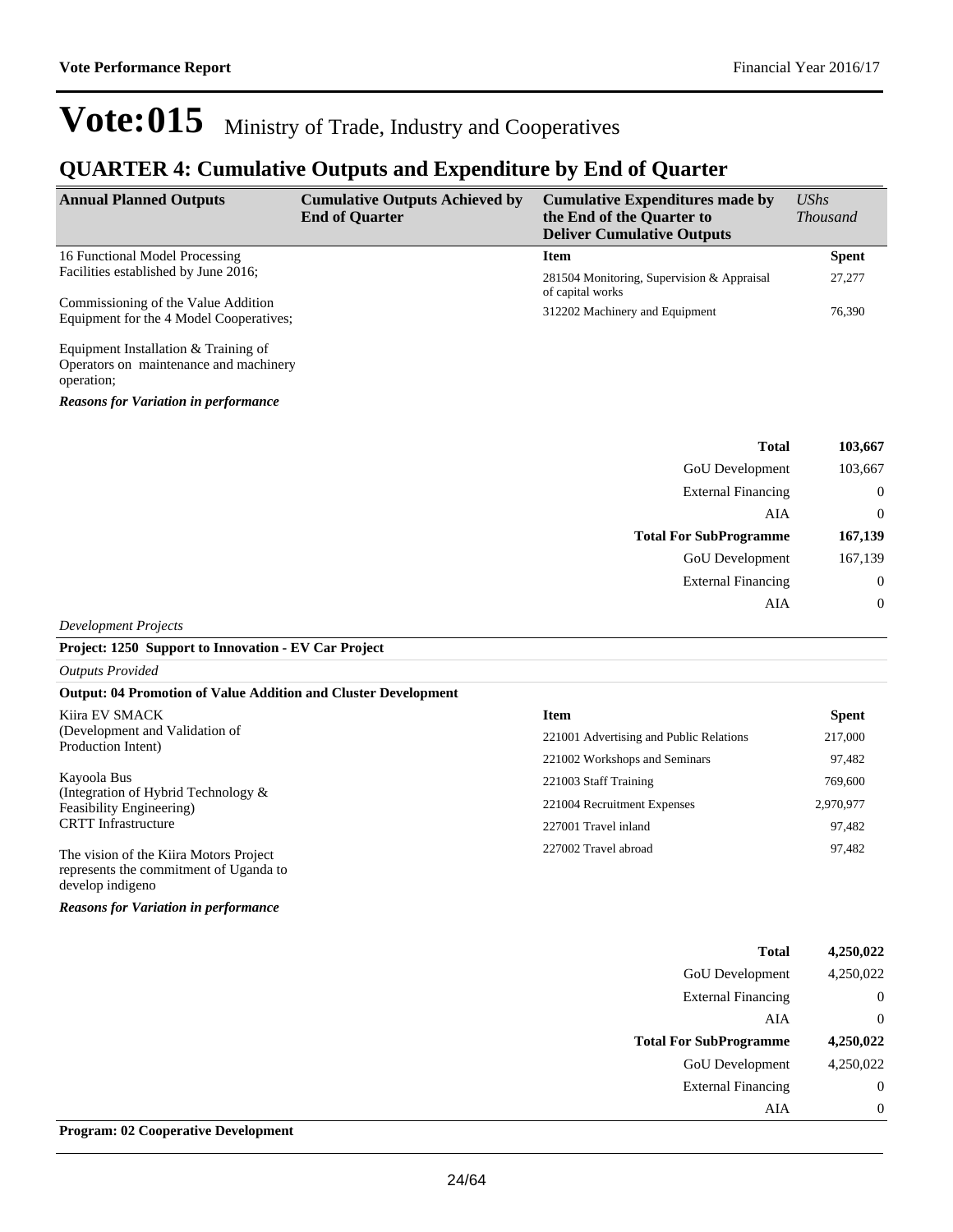### **QUARTER 4: Cumulative Outputs and Expenditure by End of Quarter**

| <b>Annual Planned Outputs</b>                                                  | <b>Cumulative Outputs Achieved by</b><br><b>End of Quarter</b> | <b>Cumulative Expenditures made by</b><br>the End of the Quarter to<br><b>Deliver Cumulative Outputs</b> | $\mathit{UShs}$<br><i>Thousand</i> |
|--------------------------------------------------------------------------------|----------------------------------------------------------------|----------------------------------------------------------------------------------------------------------|------------------------------------|
| 16 Functional Model Processing                                                 |                                                                | <b>Item</b>                                                                                              | <b>Spent</b>                       |
| Facilities established by June 2016;                                           |                                                                | 281504 Monitoring, Supervision & Appraisal<br>of capital works                                           | 27,277                             |
| Commissioning of the Value Addition<br>Equipment for the 4 Model Cooperatives; |                                                                | 312202 Machinery and Equipment                                                                           | 76,390                             |
| $\mathbf{r}$ . The state $\mathbf{r}$                                          |                                                                |                                                                                                          |                                    |

Equipment Installation & Training of Operators on maintenance and machinery operation;

*Reasons for Variation in performance*

| 103,667          | <b>Total</b>                  |
|------------------|-------------------------------|
| 103,667          | GoU Development               |
| $\boldsymbol{0}$ | <b>External Financing</b>     |
| $\overline{0}$   | AIA                           |
| 167,139          | <b>Total For SubProgramme</b> |
| 167,139          | GoU Development               |
| $\boldsymbol{0}$ | <b>External Financing</b>     |
| $\boldsymbol{0}$ | AIA                           |
|                  |                               |

*Development Projects*

#### **Project: 1250 Support to Innovation - EV Car Project**

*Outputs Provided*

#### **Output: 04 Promotion of Value Addition and Cluster Development**

| Kiira EV SMACK                                                                                       | <b>Item</b>                             | <b>Spent</b> |
|------------------------------------------------------------------------------------------------------|-----------------------------------------|--------------|
| (Development and Validation of<br>Production Intent)                                                 | 221001 Advertising and Public Relations | 217,000      |
|                                                                                                      | 221002 Workshops and Seminars           | 97,482       |
| Kayoola Bus                                                                                          | 221003 Staff Training                   | 769,600      |
| (Integration of Hybrid Technology $\&$<br>Feasibility Engineering)<br><b>CRTT</b> Infrastructure     | 221004 Recruitment Expenses             | 2,970,977    |
|                                                                                                      | 227001 Travel inland                    | 97,482       |
| The vision of the Kiira Motors Project<br>represents the commitment of Uganda to<br>develop indigeno | 227002 Travel abroad                    | 97,482       |

*Reasons for Variation in performance*

|                               | <b>Total</b> | 4,250,022 |
|-------------------------------|--------------|-----------|
| <b>GoU</b> Development        |              | 4,250,022 |
| <b>External Financing</b>     |              | 0         |
|                               | AIA          | 0         |
|                               |              |           |
| <b>Total For SubProgramme</b> |              | 4,250,022 |
| <b>GoU</b> Development        |              | 4,250,022 |
| <b>External Financing</b>     |              | $\theta$  |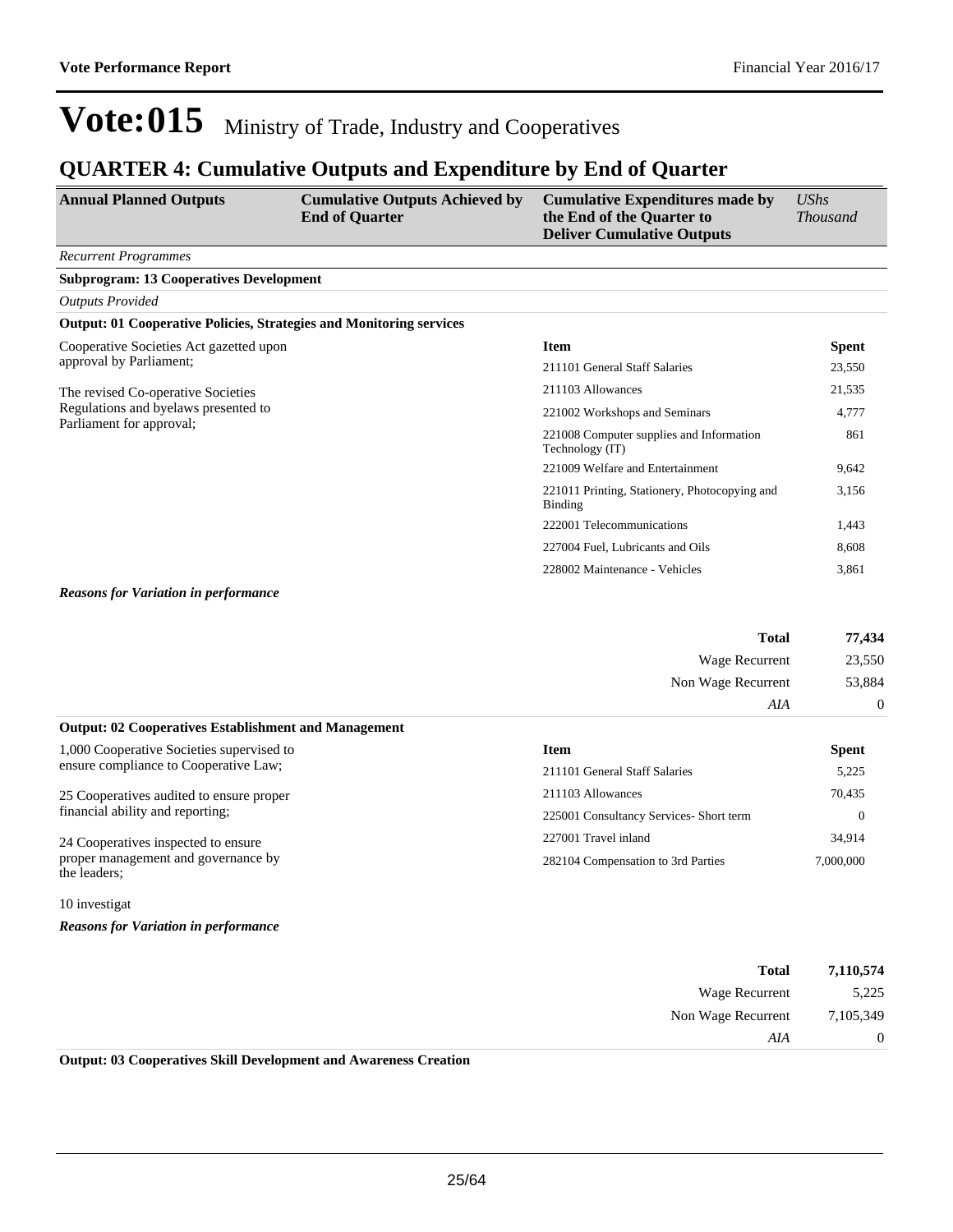### **QUARTER 4: Cumulative Outputs and Expenditure by End of Quarter**

| <b>Annual Planned Outputs</b>                                              | <b>Cumulative Outputs Achieved by</b><br><b>End of Quarter</b> | <b>Cumulative Expenditures made by</b><br>the End of the Quarter to<br><b>Deliver Cumulative Outputs</b> | $\mathit{UShs}$<br><b>Thousand</b> |
|----------------------------------------------------------------------------|----------------------------------------------------------------|----------------------------------------------------------------------------------------------------------|------------------------------------|
| <b>Recurrent Programmes</b>                                                |                                                                |                                                                                                          |                                    |
| <b>Subprogram: 13 Cooperatives Development</b>                             |                                                                |                                                                                                          |                                    |
| <b>Outputs Provided</b>                                                    |                                                                |                                                                                                          |                                    |
| <b>Output: 01 Cooperative Policies, Strategies and Monitoring services</b> |                                                                |                                                                                                          |                                    |
| Cooperative Societies Act gazetted upon                                    |                                                                | <b>Item</b>                                                                                              | <b>Spent</b>                       |
| approval by Parliament;                                                    |                                                                | 211101 General Staff Salaries                                                                            | 23,550                             |
| The revised Co-operative Societies                                         |                                                                | 211103 Allowances                                                                                        | 21,535                             |
| Regulations and byelaws presented to<br>Parliament for approval;           |                                                                | 221002 Workshops and Seminars                                                                            | 4,777                              |
|                                                                            |                                                                | 221008 Computer supplies and Information<br>Technology (IT)                                              | 861                                |
|                                                                            |                                                                | 221009 Welfare and Entertainment                                                                         | 9,642                              |
|                                                                            |                                                                | 221011 Printing, Stationery, Photocopying and<br><b>Binding</b>                                          | 3,156                              |
|                                                                            |                                                                | 222001 Telecommunications                                                                                | 1,443                              |
|                                                                            |                                                                | 227004 Fuel, Lubricants and Oils                                                                         | 8,608                              |
|                                                                            |                                                                | 228002 Maintenance - Vehicles                                                                            | 3,861                              |

*Reasons for Variation in performance*

| 77,434         | <b>Total</b>       |
|----------------|--------------------|
| 23,550         | Wage Recurrent     |
| 53,884         | Non Wage Recurrent |
| $\overline{0}$ | AIA                |

| <b>Output: 02 Cooperatives Establishment and Management</b> |                                         |              |
|-------------------------------------------------------------|-----------------------------------------|--------------|
| 1,000 Cooperative Societies supervised to                   | Item                                    | <b>Spent</b> |
| ensure compliance to Cooperative Law;                       | 211101 General Staff Salaries           | 5,225        |
| 25 Cooperatives audited to ensure proper                    | 211103 Allowances                       | 70,435       |
| financial ability and reporting;                            | 225001 Consultancy Services- Short term | $\Omega$     |
| 24 Cooperatives inspected to ensure                         | 227001 Travel inland                    | 34,914       |
| proper management and governance by<br>the leaders;         | 282104 Compensation to 3rd Parties      | 7,000,000    |

10 investigat

*Reasons for Variation in performance*

| 7,110,574      | <b>Total</b>       |
|----------------|--------------------|
| 5,225          | Wage Recurrent     |
| 7,105,349      | Non Wage Recurrent |
| $\overline{0}$ | AIA                |
|                | .<br>________      |

**Output: 03 Cooperatives Skill Development and Awareness Creation**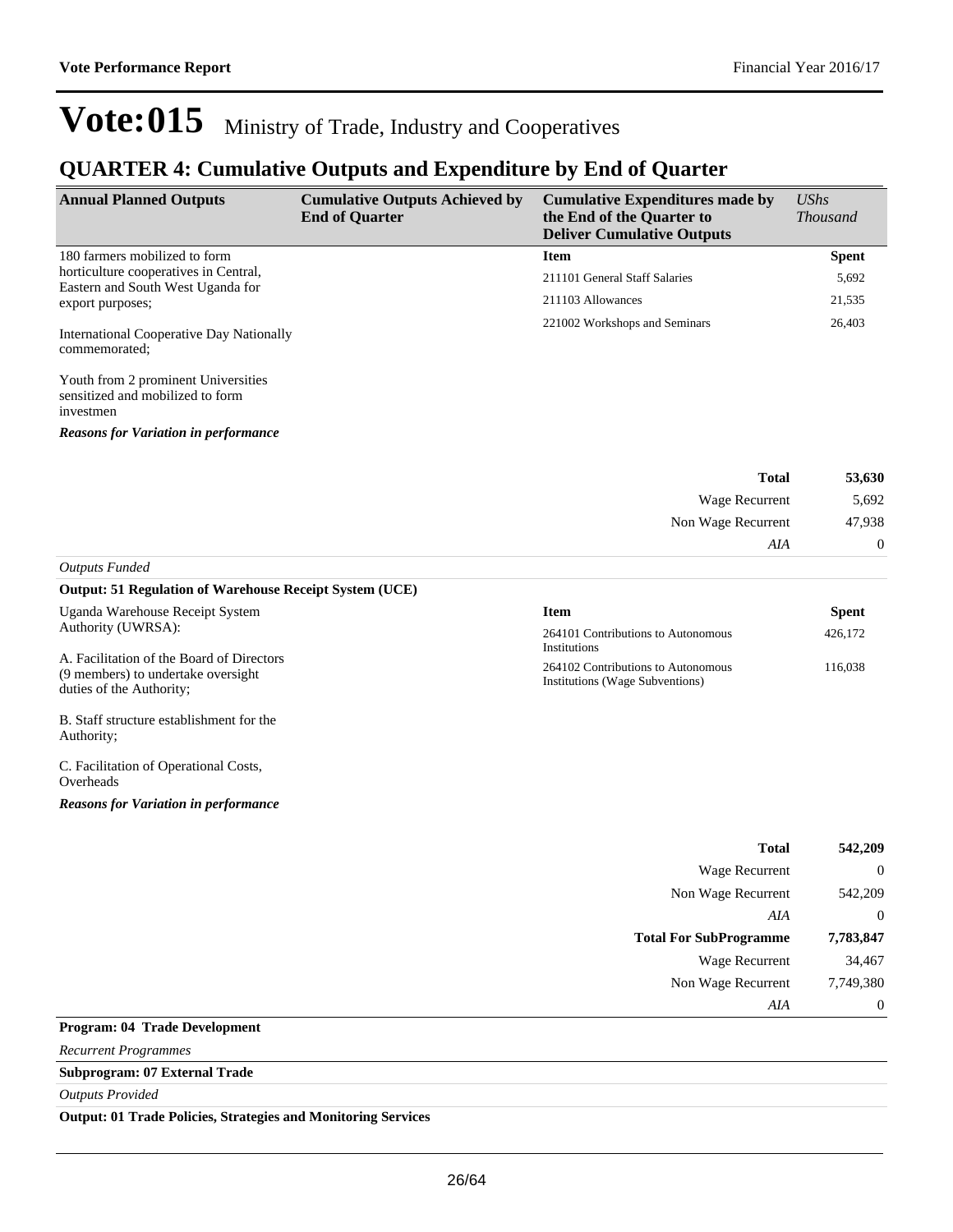### **QUARTER 4: Cumulative Outputs and Expenditure by End of Quarter**

| <b>Annual Planned Outputs</b>                                                                  | <b>Cumulative Outputs Achieved by</b><br><b>End of Quarter</b> | <b>Cumulative Expenditures made by</b><br>the End of the Quarter to<br><b>Deliver Cumulative Outputs</b> | $\mathit{UShs}$<br><i>Thousand</i> |
|------------------------------------------------------------------------------------------------|----------------------------------------------------------------|----------------------------------------------------------------------------------------------------------|------------------------------------|
| 180 farmers mobilized to form                                                                  |                                                                | <b>Item</b>                                                                                              | <b>Spent</b>                       |
| horticulture cooperatives in Central,<br>Eastern and South West Uganda for<br>export purposes; |                                                                | 211101 General Staff Salaries                                                                            | 5,692                              |
|                                                                                                |                                                                | 211103 Allowances                                                                                        | 21,535                             |
| <b>International Cooperative Day Nationally</b><br>commemorated;                               |                                                                | 221002 Workshops and Seminars                                                                            | 26,403                             |

Youth from 2 prominent Universities sensitized and mobilized to form investmen

*Reasons for Variation in performance*

| 53,630         | <b>Total</b>       |
|----------------|--------------------|
| 5,692          | Wage Recurrent     |
| 47,938         | Non Wage Recurrent |
| $\overline{0}$ | AIA                |
|                |                    |

#### *Outputs Funded*

#### **Output: 51 Regulation of Warehouse Receipt System (UCE)**

| Uganda Warehouse Receipt System                                                                             | <b>Item</b>                                                           | <b>Spent</b> |
|-------------------------------------------------------------------------------------------------------------|-----------------------------------------------------------------------|--------------|
| Authority (UWRSA):                                                                                          | 264101 Contributions to Autonomous<br>Institutions                    | 426,172      |
| A. Facilitation of the Board of Directors<br>(9 members) to undertake oversight<br>duties of the Authority; | 264102 Contributions to Autonomous<br>Institutions (Wage Subventions) | 116,038      |
| B. Staff structure establishment for the<br>Authority:                                                      |                                                                       |              |
| C. Facilitation of Operational Costs,<br>Overheads                                                          |                                                                       |              |
| <b>Reasons for Variation in performance</b>                                                                 |                                                                       |              |
|                                                                                                             |                                                                       | ____         |

| <b>Total</b>                  | 542,209        |
|-------------------------------|----------------|
| <b>Wage Recurrent</b>         | $\overline{0}$ |
| Non Wage Recurrent            | 542,209        |
| AIA                           | $\overline{0}$ |
| <b>Total For SubProgramme</b> | 7,783,847      |
| Wage Recurrent                | 34,467         |
| Non Wage Recurrent            | 7,749,380      |
| AIA                           | $\overline{0}$ |
| Program: 04 Trade Development |                |

*Recurrent Programmes*

**Subprogram: 07 External Trade**

*Outputs Provided*

 $\overline{a}$ 

**Output: 01 Trade Policies, Strategies and Monitoring Services**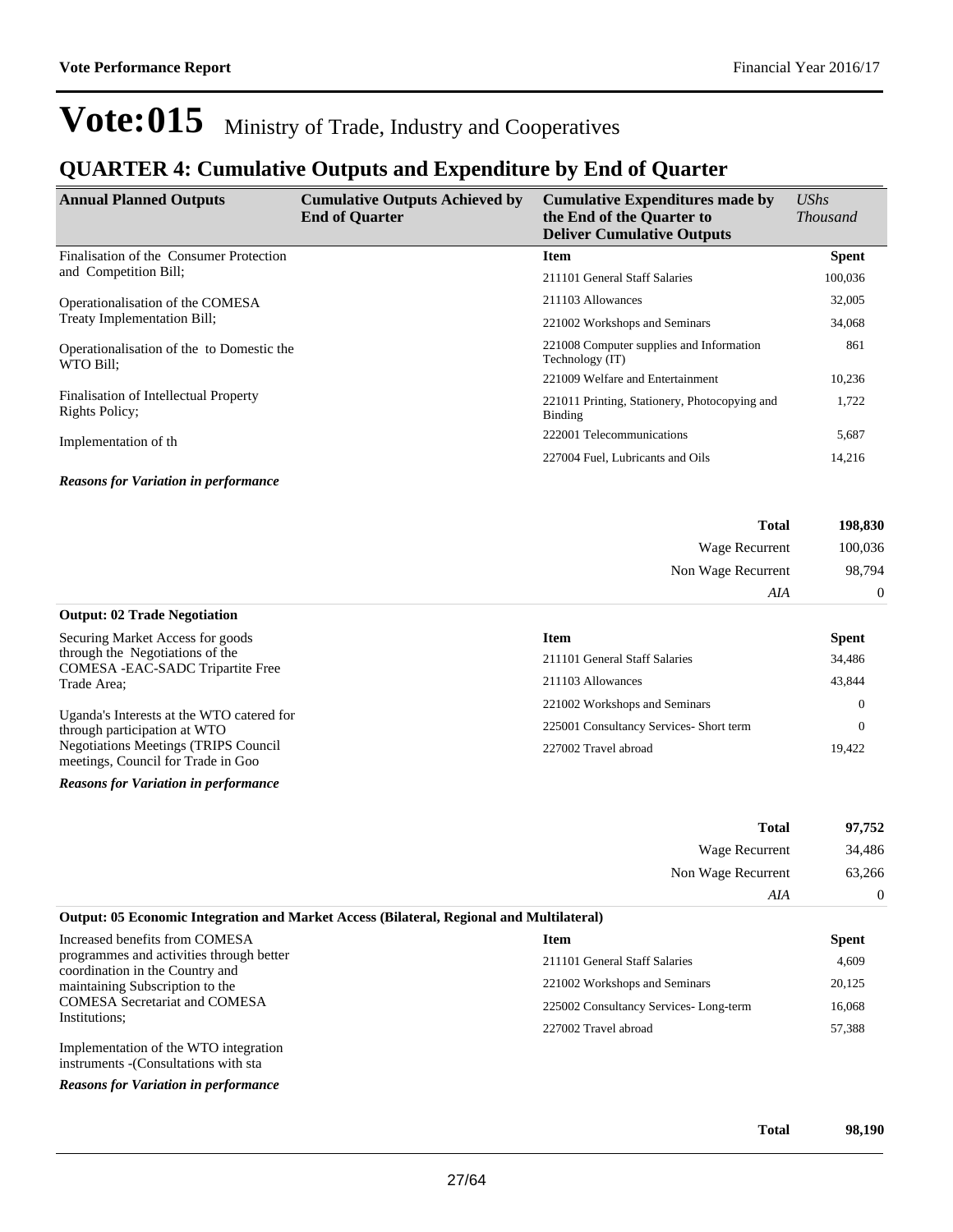*AIA* 0

## Vote:015 Ministry of Trade, Industry and Cooperatives

### **QUARTER 4: Cumulative Outputs and Expenditure by End of Quarter**

| <b>Annual Planned Outputs</b>                           | <b>Cumulative Outputs Achieved by</b><br><b>End of Quarter</b> | <b>Cumulative Expenditures made by</b><br>the End of the Quarter to<br><b>Deliver Cumulative Outputs</b> | <b>UShs</b><br><i>Thousand</i> |
|---------------------------------------------------------|----------------------------------------------------------------|----------------------------------------------------------------------------------------------------------|--------------------------------|
| Finalisation of the Consumer Protection                 |                                                                | <b>Item</b>                                                                                              | <b>Spent</b>                   |
| and Competition Bill;                                   |                                                                | 211101 General Staff Salaries                                                                            | 100,036                        |
| Operationalisation of the COMESA                        |                                                                | 211103 Allowances                                                                                        | 32,005                         |
| Treaty Implementation Bill;                             |                                                                | 221002 Workshops and Seminars                                                                            | 34,068                         |
| Operationalisation of the to Domestic the<br>WTO Bill:  |                                                                | 221008 Computer supplies and Information<br>Technology (IT)                                              | 861                            |
|                                                         |                                                                | 221009 Welfare and Entertainment                                                                         | 10,236                         |
| Finalisation of Intellectual Property<br>Rights Policy; |                                                                | 221011 Printing, Stationery, Photocopying and<br>Binding                                                 | 1,722                          |
| Implementation of th                                    |                                                                | 222001 Telecommunications                                                                                | 5,687                          |
|                                                         |                                                                | 227004 Fuel, Lubricants and Oils                                                                         | 14,216                         |
| <b>Reasons for Variation in performance</b>             |                                                                |                                                                                                          |                                |

| 198,830 | <b>Total</b>       |
|---------|--------------------|
| 100,036 | Wage Recurrent     |
| 98,794  | Non Wage Recurrent |

| <b>Output: 02 Trade Negotiation</b>                                                |                                         |              |
|------------------------------------------------------------------------------------|-----------------------------------------|--------------|
| Securing Market Access for goods                                                   | <b>Item</b>                             | <b>Spent</b> |
| through the Negotiations of the<br>COMESA - EAC-SADC Tripartite Free               | 211101 General Staff Salaries           | 34,486       |
| Trade Area:                                                                        | 211103 Allowances                       | 43,844       |
|                                                                                    | 221002 Workshops and Seminars           |              |
| Uganda's Interests at the WTO catered for<br>through participation at WTO          | 225001 Consultancy Services- Short term |              |
| <b>Negotiations Meetings (TRIPS Council)</b><br>meetings, Council for Trade in Goo | 227002 Travel abroad                    | 19.422       |

*Reasons for Variation in performance*

|                                                                                          | <b>Total</b>                  | 97.752       |
|------------------------------------------------------------------------------------------|-------------------------------|--------------|
|                                                                                          | Wage Recurrent                | 34,486       |
|                                                                                          | Non Wage Recurrent<br>AIA     | 63,266       |
|                                                                                          |                               |              |
| Output: 05 Economic Integration and Market Access (Bilateral, Regional and Multilateral) |                               |              |
| Increased benefits from COMESA                                                           | Item                          | <b>Spent</b> |
| programmes and activities through better                                                 | 211101 General Staff Salaries | 4.609        |

coordination in the Country and maintaining Subscription to the COMESA Secretariat and COMESA Institutions;

Implementation of the WTO integration instruments -(Consultations with sta

*Reasons for Variation in performance*

**Total 98,190**

221002 Workshops and Seminars 20,125 225002 Consultancy Services- Long-term 16,068 227002 Travel abroad 57,388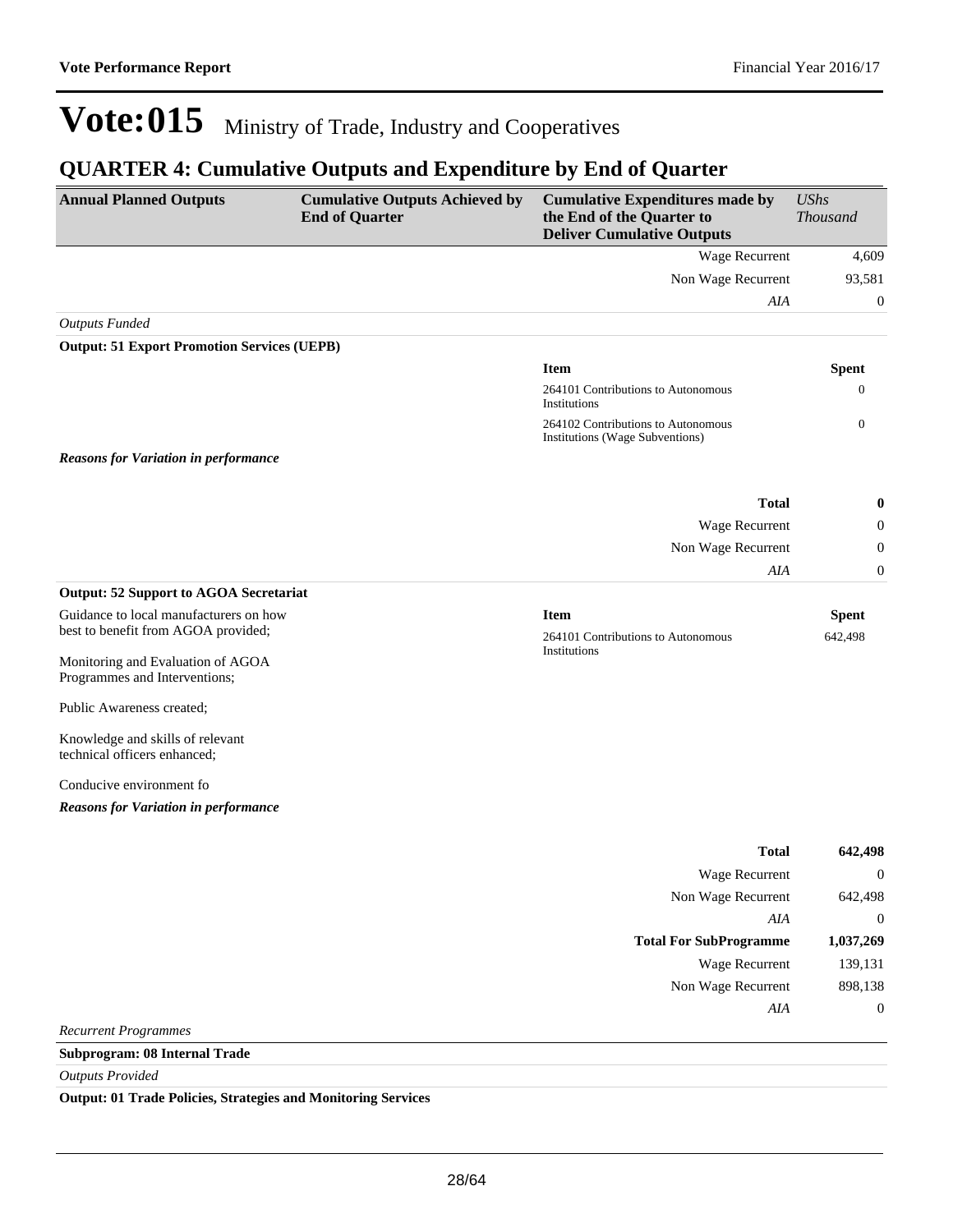### **QUARTER 4: Cumulative Outputs and Expenditure by End of Quarter**

| <b>Annual Planned Outputs</b>                                                 | <b>Cumulative Outputs Achieved by</b><br><b>End of Quarter</b> | <b>Cumulative Expenditures made by</b><br>the End of the Quarter to<br><b>Deliver Cumulative Outputs</b> | <b>UShs</b><br>Thousand |
|-------------------------------------------------------------------------------|----------------------------------------------------------------|----------------------------------------------------------------------------------------------------------|-------------------------|
|                                                                               |                                                                | Wage Recurrent                                                                                           | 4,609                   |
|                                                                               |                                                                | Non Wage Recurrent                                                                                       | 93,581                  |
|                                                                               |                                                                | AIA                                                                                                      | $\mathbf{0}$            |
| <b>Outputs Funded</b>                                                         |                                                                |                                                                                                          |                         |
| <b>Output: 51 Export Promotion Services (UEPB)</b>                            |                                                                |                                                                                                          |                         |
|                                                                               |                                                                | <b>Item</b>                                                                                              | <b>Spent</b>            |
|                                                                               |                                                                | 264101 Contributions to Autonomous<br>Institutions                                                       | 0                       |
|                                                                               |                                                                | 264102 Contributions to Autonomous<br>Institutions (Wage Subventions)                                    | $\mathbf{0}$            |
| <b>Reasons for Variation in performance</b>                                   |                                                                |                                                                                                          |                         |
|                                                                               |                                                                | <b>Total</b>                                                                                             | $\bf{0}$                |
|                                                                               |                                                                | Wage Recurrent                                                                                           | $\mathbf{0}$            |
|                                                                               |                                                                | Non Wage Recurrent                                                                                       | $\boldsymbol{0}$        |
|                                                                               |                                                                | AIA                                                                                                      | $\boldsymbol{0}$        |
| <b>Output: 52 Support to AGOA Secretariat</b>                                 |                                                                |                                                                                                          |                         |
| Guidance to local manufacturers on how<br>best to benefit from AGOA provided; |                                                                | <b>Item</b><br>264101 Contributions to Autonomous                                                        | <b>Spent</b><br>642,498 |
| Monitoring and Evaluation of AGOA<br>Programmes and Interventions;            |                                                                | Institutions                                                                                             |                         |
| Public Awareness created;                                                     |                                                                |                                                                                                          |                         |
| Knowledge and skills of relevant<br>technical officers enhanced;              |                                                                |                                                                                                          |                         |
| Conducive environment fo                                                      |                                                                |                                                                                                          |                         |
| <b>Reasons for Variation in performance</b>                                   |                                                                |                                                                                                          |                         |
|                                                                               |                                                                | <b>Total</b>                                                                                             | 642,498                 |
|                                                                               |                                                                | Wage Recurrent                                                                                           | $\theta$                |
|                                                                               |                                                                | Non Wage Recurrent                                                                                       | 642,498                 |
|                                                                               |                                                                | AIA                                                                                                      | $\boldsymbol{0}$        |
|                                                                               |                                                                | <b>Total For SubProgramme</b>                                                                            | 1,037,269               |
|                                                                               |                                                                | Wage Recurrent                                                                                           | 139,131                 |
|                                                                               |                                                                | Non Wage Recurrent                                                                                       | 898,138                 |
|                                                                               |                                                                | AIA                                                                                                      | $\boldsymbol{0}$        |
| <b>Recurrent Programmes</b>                                                   |                                                                |                                                                                                          |                         |
| Subprogram: 08 Internal Trade                                                 |                                                                |                                                                                                          |                         |
| <b>Outputs Provided</b>                                                       |                                                                |                                                                                                          |                         |

**Output: 01 Trade Policies, Strategies and Monitoring Services**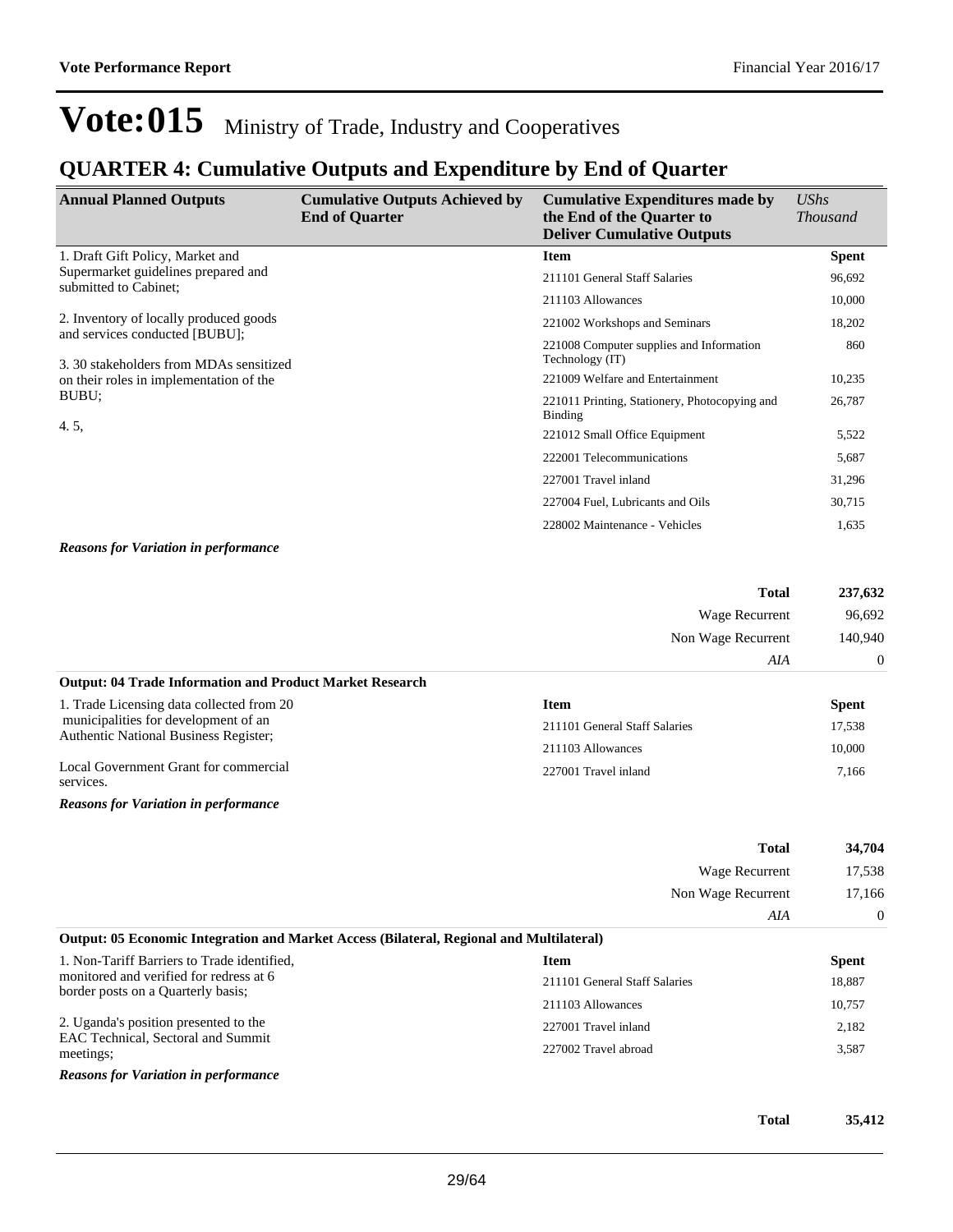### **QUARTER 4: Cumulative Outputs and Expenditure by End of Quarter**

| <b>Annual Planned Outputs</b>                                                                                                        | <b>Cumulative Outputs Achieved by</b><br><b>End of Quarter</b> | <b>Cumulative Expenditures made by</b><br>the End of the Quarter to<br><b>Deliver Cumulative Outputs</b> | <b>UShs</b><br><i>Thousand</i> |
|--------------------------------------------------------------------------------------------------------------------------------------|----------------------------------------------------------------|----------------------------------------------------------------------------------------------------------|--------------------------------|
| 1. Draft Gift Policy, Market and                                                                                                     |                                                                | <b>Item</b>                                                                                              | <b>Spent</b>                   |
| Supermarket guidelines prepared and<br>submitted to Cabinet:                                                                         |                                                                | 211101 General Staff Salaries                                                                            | 96,692                         |
|                                                                                                                                      |                                                                | 211103 Allowances                                                                                        | 10,000                         |
| 2. Inventory of locally produced goods                                                                                               |                                                                | 221002 Workshops and Seminars                                                                            | 18,202                         |
| and services conducted [BUBU];<br>3.30 stakeholders from MDAs sensitized<br>on their roles in implementation of the<br>BUBU:<br>4.5, |                                                                | 221008 Computer supplies and Information<br>Technology (IT)                                              | 860                            |
|                                                                                                                                      |                                                                | 221009 Welfare and Entertainment                                                                         | 10,235                         |
|                                                                                                                                      |                                                                | 221011 Printing, Stationery, Photocopying and<br>Binding                                                 | 26,787                         |
|                                                                                                                                      |                                                                | 221012 Small Office Equipment                                                                            | 5,522                          |
|                                                                                                                                      |                                                                | 222001 Telecommunications                                                                                | 5,687                          |
|                                                                                                                                      |                                                                | 227001 Travel inland                                                                                     | 31,296                         |
|                                                                                                                                      |                                                                | 227004 Fuel, Lubricants and Oils                                                                         | 30,715                         |
|                                                                                                                                      |                                                                | 228002 Maintenance - Vehicles                                                                            | 1,635                          |

*Reasons for Variation in performance*

| 237,632 | <b>Total</b>       |
|---------|--------------------|
| 96,692  | Wage Recurrent     |
| 140,940 | Non Wage Recurrent |
| AIA     |                    |

#### **Output: 04 Trade Information and Product Market Research**

| 1. Trade Licensing data collected from 20                                            | Item                          | <b>Spent</b> |
|--------------------------------------------------------------------------------------|-------------------------------|--------------|
| municipalities for development of an<br><b>Authentic National Business Register:</b> | 211101 General Staff Salaries | 17.538       |
|                                                                                      | 211103 Allowances             | 10.000       |
| Local Government Grant for commercial<br>services.                                   | 227001 Travel inland          | 7.166        |

*Reasons for Variation in performance*

|                                                                                                                              | <b>Total</b>                  | 34,704       |
|------------------------------------------------------------------------------------------------------------------------------|-------------------------------|--------------|
|                                                                                                                              | Wage Recurrent                | 17,538       |
|                                                                                                                              | Non Wage Recurrent            | 17,166       |
|                                                                                                                              | AIA                           | $\theta$     |
| Output: 05 Economic Integration and Market Access (Bilateral, Regional and Multilateral)                                     |                               |              |
| 1. Non-Tariff Barriers to Trade identified,<br>monitored and verified for redress at 6<br>border posts on a Quarterly basis; | <b>Item</b>                   | <b>Spent</b> |
|                                                                                                                              | 211101 General Staff Salaries | 18,887       |
|                                                                                                                              | 211103 Allowances             | 10,757       |
| 2. Uganda's position presented to the<br>EAC Technical, Sectoral and Summit<br>meetings;                                     | 227001 Travel inland          | 2,182        |
|                                                                                                                              | 227002 Travel abroad          | 3,587        |
| <b>Reasons for Variation in performance</b>                                                                                  |                               |              |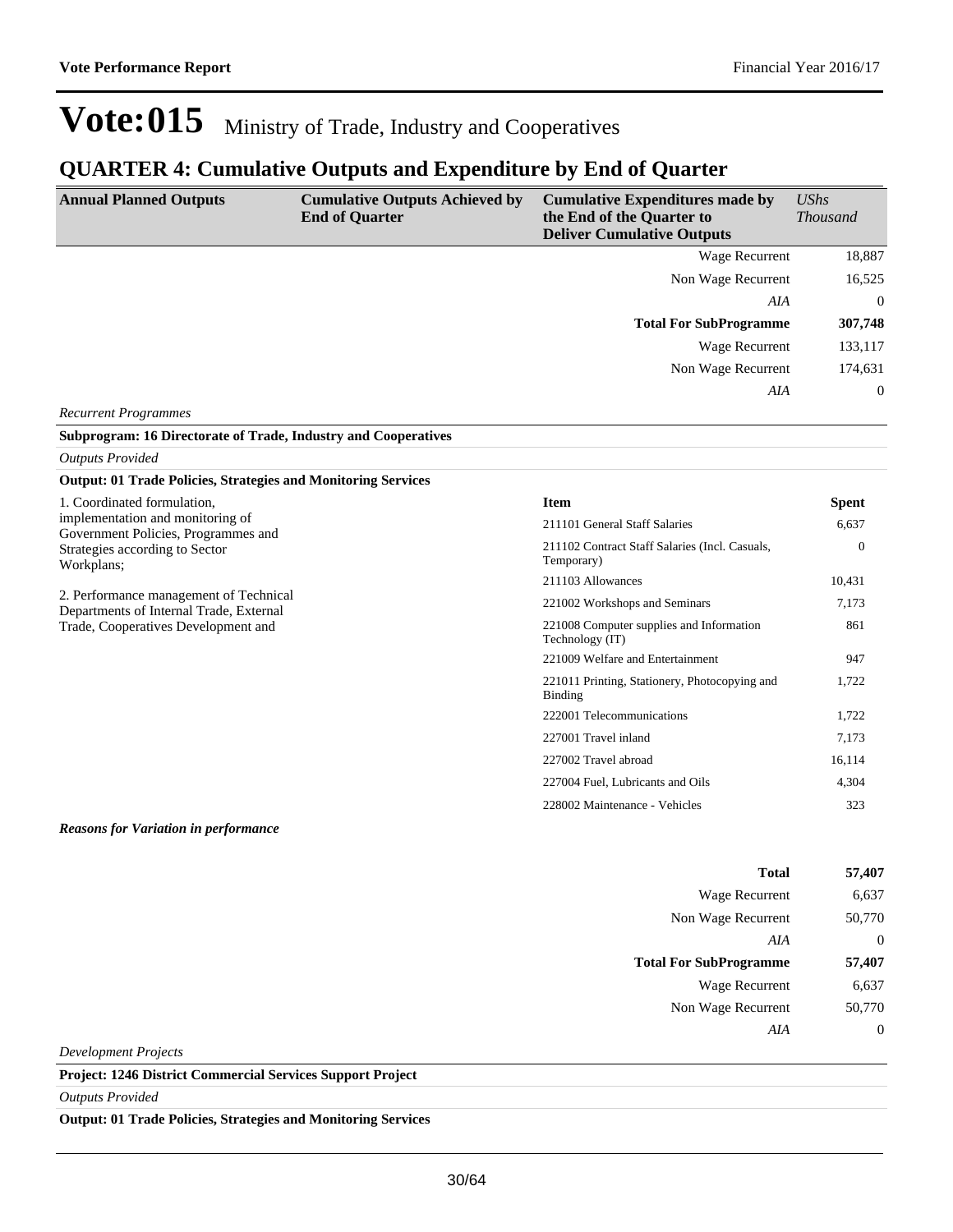### **QUARTER 4: Cumulative Outputs and Expenditure by End of Quarter**

| <b>Annual Planned Outputs</b>                                                     | <b>Cumulative Outputs Achieved by</b><br><b>End of Quarter</b> | <b>Cumulative Expenditures made by</b><br>the End of the Quarter to<br><b>Deliver Cumulative Outputs</b> | UShs<br><b>Thousand</b> |
|-----------------------------------------------------------------------------------|----------------------------------------------------------------|----------------------------------------------------------------------------------------------------------|-------------------------|
|                                                                                   |                                                                | Wage Recurrent                                                                                           | 18,887                  |
|                                                                                   |                                                                | Non Wage Recurrent                                                                                       | 16,525                  |
|                                                                                   |                                                                | AIA                                                                                                      | $\Omega$                |
|                                                                                   |                                                                | <b>Total For SubProgramme</b>                                                                            | 307,748                 |
|                                                                                   |                                                                | <b>Wage Recurrent</b>                                                                                    | 133,117                 |
|                                                                                   |                                                                | Non Wage Recurrent                                                                                       | 174,631                 |
|                                                                                   |                                                                | AIA                                                                                                      | $\theta$                |
| <b>Recurrent Programmes</b>                                                       |                                                                |                                                                                                          |                         |
| Subprogram: 16 Directorate of Trade, Industry and Cooperatives                    |                                                                |                                                                                                          |                         |
| <b>Outputs Provided</b>                                                           |                                                                |                                                                                                          |                         |
| <b>Output: 01 Trade Policies, Strategies and Monitoring Services</b>              |                                                                |                                                                                                          |                         |
| 1. Coordinated formulation,                                                       |                                                                | <b>Item</b>                                                                                              | <b>Spent</b>            |
| implementation and monitoring of<br>Government Policies, Programmes and           |                                                                | 211101 General Staff Salaries                                                                            | 6.637                   |
| Strategies according to Sector<br>Workplans;                                      |                                                                | 211102 Contract Staff Salaries (Incl. Casuals,<br>Temporary)                                             | $\mathbf{0}$            |
|                                                                                   |                                                                | 211103 Allowances                                                                                        | 10,431                  |
| 2. Performance management of Technical<br>Departments of Internal Trade, External |                                                                | 221002 Workshops and Seminars                                                                            | 7,173                   |
| Trade, Cooperatives Development and                                               |                                                                | 221008 Computer supplies and Information<br>Technology (IT)                                              | 861                     |
|                                                                                   |                                                                | 221009 Welfare and Entertainment                                                                         | 947                     |
|                                                                                   |                                                                | 221011 Printing, Stationery, Photocopying and<br>Binding                                                 | 1,722                   |
|                                                                                   |                                                                | 222001 Telecommunications                                                                                | 1,722                   |
|                                                                                   |                                                                | 227001 Travel inland                                                                                     | 7,173                   |
|                                                                                   |                                                                | 227002 Travel abroad                                                                                     | 16,114                  |
|                                                                                   |                                                                | 227004 Fuel. Lubricants and Oils                                                                         | 4,304                   |
|                                                                                   |                                                                | 228002 Maintenance - Vehicles                                                                            | 323                     |
| <b>Reasons for Variation in performance</b>                                       |                                                                |                                                                                                          |                         |

| Total                         | 57,407 |
|-------------------------------|--------|
| Wage Recurrent                | 6,637  |
| Non Wage Recurrent            | 50,770 |
| AIA                           | 0      |
|                               |        |
| <b>Total For SubProgramme</b> | 57,407 |
| Wage Recurrent                | 6,637  |
| Non Wage Recurrent            | 50,770 |

*Development Projects*

**Project: 1246 District Commercial Services Support Project**

*Outputs Provided*

**Output: 01 Trade Policies, Strategies and Monitoring Services**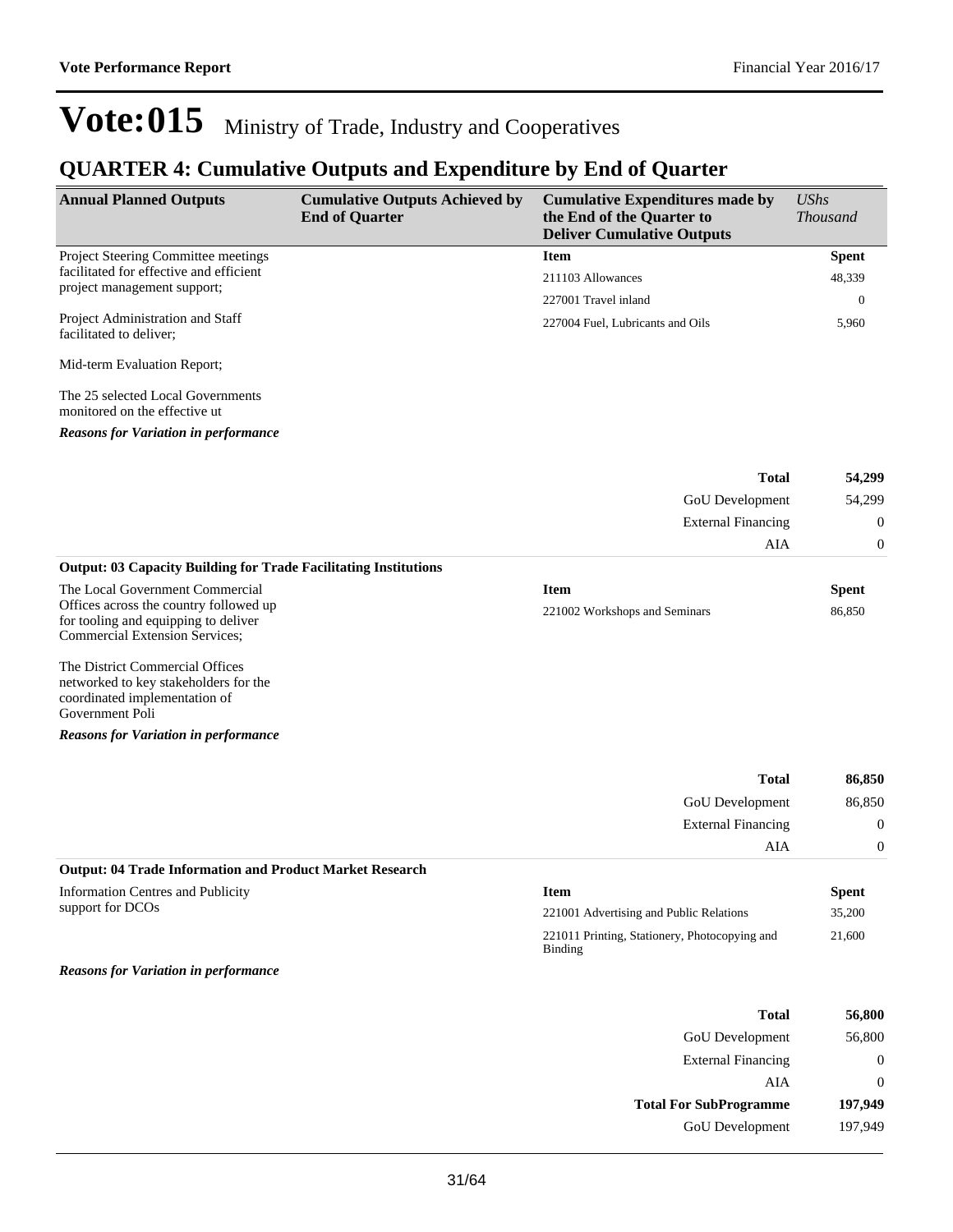### **QUARTER 4: Cumulative Outputs and Expenditure by End of Quarter**

| <b>Annual Planned Outputs</b>                                          | <b>Cumulative Outputs Achieved by</b><br><b>End of Quarter</b> | <b>Cumulative Expenditures made by</b><br>the End of the Quarter to<br><b>Deliver Cumulative Outputs</b> | $\mathit{UShs}$<br><i>Thousand</i> |
|------------------------------------------------------------------------|----------------------------------------------------------------|----------------------------------------------------------------------------------------------------------|------------------------------------|
| <b>Project Steering Committee meetings</b>                             |                                                                | <b>Item</b>                                                                                              | <b>Spent</b>                       |
| facilitated for effective and efficient<br>project management support; |                                                                | 211103 Allowances                                                                                        | 48,339                             |
|                                                                        |                                                                | 227001 Travel inland                                                                                     | $\theta$                           |
| Project Administration and Staff<br>facilitated to deliver;            |                                                                | 227004 Fuel. Lubricants and Oils                                                                         | 5,960                              |
| Mid-term Evaluation Report;                                            |                                                                |                                                                                                          |                                    |
| The 25 selected Local Governments                                      |                                                                |                                                                                                          |                                    |

monitored on the effective ut

*Reasons for Variation in performance*

| <b>Total</b>                                                            | 54,299   |
|-------------------------------------------------------------------------|----------|
| <b>GoU</b> Development                                                  | 54,299   |
| <b>External Financing</b>                                               | $\theta$ |
| AIA                                                                     | $\Omega$ |
| <b>Output: 03 Capacity Building for Trade Facilitating Institutions</b> |          |

| The Local Government Commercial        | Item                          | Spent  |
|----------------------------------------|-------------------------------|--------|
| Offices across the country followed up | 221002 Workshops and Seminars | 86.850 |
| for tooling and equipping to deliver   |                               |        |

The District Commercial Offices networked to key stakeholders for the coordinated implementation of Government Poli

Commercial Extension Services;

*Reasons for Variation in performance*

| 86,850   | <b>Total</b>                                             |
|----------|----------------------------------------------------------|
| 86,850   | <b>GoU</b> Development                                   |
| $\theta$ | <b>External Financing</b>                                |
| $\theta$ | AIA                                                      |
|          | Outpute 04 Trade Information and Draduat Morket Deceanak |

#### **Output: 04 Trade Information and Product Market Research**

Information Centres and Publicity support for DCOs

*Reasons for Variation in performance*

| <b>Item</b>                                                     | <b>Spent</b> |
|-----------------------------------------------------------------|--------------|
| 221001 Advertising and Public Relations                         | 35,200       |
| 221011 Printing, Stationery, Photocopying and<br><b>Binding</b> | 21,600       |

| <b>Total</b>                  | 56,800   |
|-------------------------------|----------|
| <b>GoU</b> Development        | 56,800   |
| <b>External Financing</b>     |          |
| AIA                           | $\theta$ |
| <b>Total For SubProgramme</b> | 197,949  |
| <b>GoU</b> Development        | 197,949  |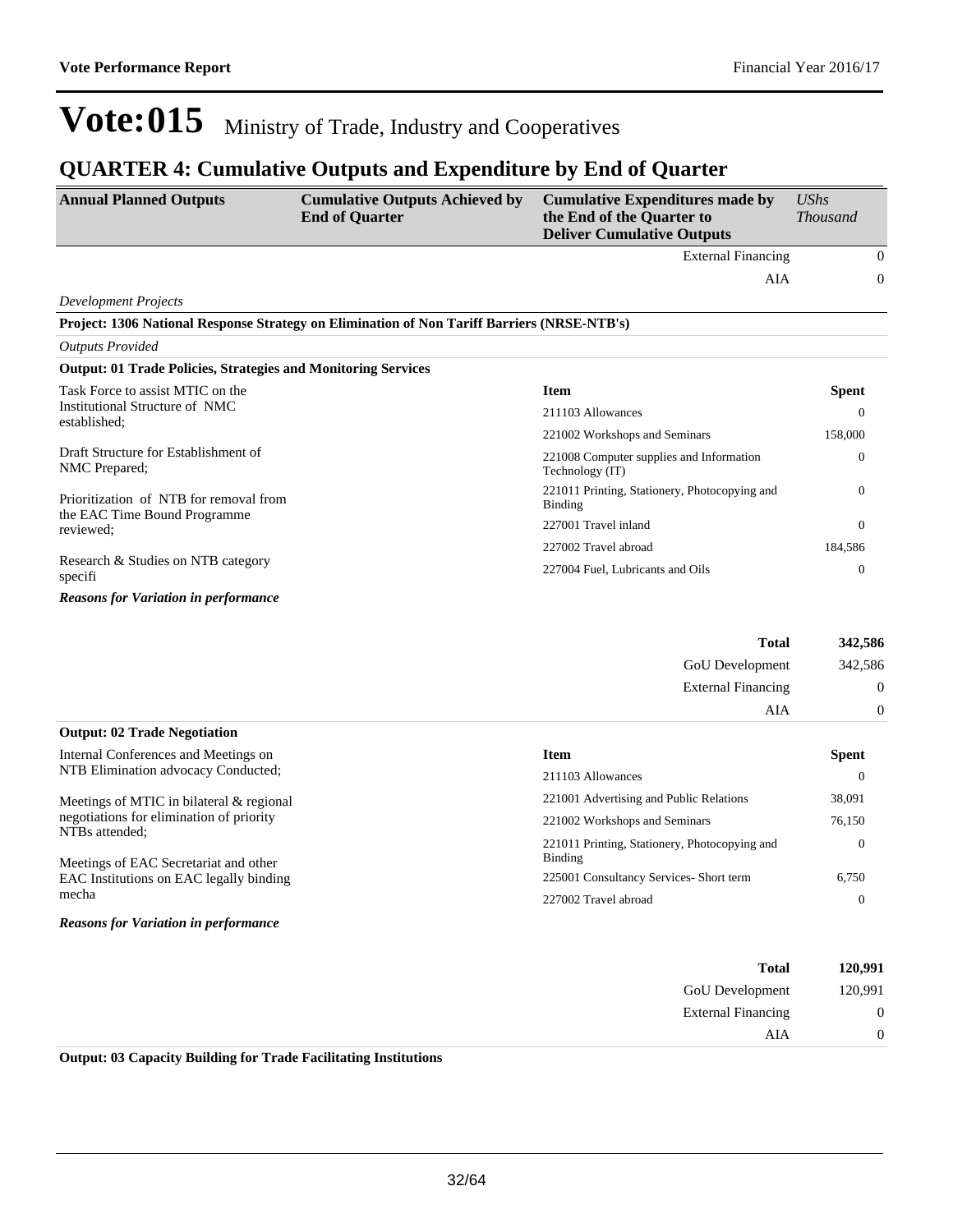AIA 0

## Vote:015 Ministry of Trade, Industry and Cooperatives

### **QUARTER 4: Cumulative Outputs and Expenditure by End of Quarter**

| <b>Annual Planned Outputs</b>                                        | <b>Cumulative Outputs Achieved by</b><br><b>End of Quarter</b>                              | <b>Cumulative Expenditures made by</b><br>the End of the Quarter to<br><b>Deliver Cumulative Outputs</b> | $\mathit{UShs}$<br><b>Thousand</b> |
|----------------------------------------------------------------------|---------------------------------------------------------------------------------------------|----------------------------------------------------------------------------------------------------------|------------------------------------|
|                                                                      |                                                                                             | <b>External Financing</b>                                                                                | $\mathbf{0}$                       |
|                                                                      |                                                                                             | AIA                                                                                                      | $\mathbf{0}$                       |
| <b>Development Projects</b>                                          |                                                                                             |                                                                                                          |                                    |
|                                                                      | Project: 1306 National Response Strategy on Elimination of Non Tariff Barriers (NRSE-NTB's) |                                                                                                          |                                    |
| <b>Outputs Provided</b>                                              |                                                                                             |                                                                                                          |                                    |
| <b>Output: 01 Trade Policies, Strategies and Monitoring Services</b> |                                                                                             |                                                                                                          |                                    |
| Task Force to assist MTIC on the                                     |                                                                                             | <b>Item</b>                                                                                              | <b>Spent</b>                       |
| Institutional Structure of NMC<br>established;                       |                                                                                             | 211103 Allowances                                                                                        | $\Omega$                           |
|                                                                      |                                                                                             | 221002 Workshops and Seminars                                                                            | 158,000                            |
| Draft Structure for Establishment of<br>NMC Prepared;                |                                                                                             | 221008 Computer supplies and Information<br>Technology (IT)                                              | $\mathbf{0}$                       |
| Prioritization of NTB for removal from                               |                                                                                             | 221011 Printing, Stationery, Photocopying and<br>Binding                                                 | $\Omega$                           |
| the EAC Time Bound Programme<br>reviewed;                            |                                                                                             | 227001 Travel inland                                                                                     | $\theta$                           |
| Decease & Studies on NTD estageny                                    |                                                                                             | 227002 Travel abroad                                                                                     | 184,586                            |

|                                               | <i>22/002</i> Travel aproad      | 184,580  |
|-----------------------------------------------|----------------------------------|----------|
| Research & Studies on NTB category<br>specifi | 227004 Fuel, Lubricants and Oils | 0        |
| <b>Reasons for Variation in performance</b>   |                                  |          |
|                                               | <b>Total</b>                     | 342,586  |
|                                               | <b>GoU</b> Development           | 342,586  |
|                                               | <b>External Financing</b>        | $\Omega$ |

| <b>Output: 02 Trade Negotiation</b>                        |                                                          |              |
|------------------------------------------------------------|----------------------------------------------------------|--------------|
| Internal Conferences and Meetings on                       | <b>Item</b>                                              | <b>Spent</b> |
| NTB Elimination advocacy Conducted;                        | 211103 Allowances                                        |              |
| Meetings of MTIC in bilateral & regional                   | 221001 Advertising and Public Relations                  | 38,091       |
| negotiations for elimination of priority<br>NTBs attended; | 221002 Workshops and Seminars                            | 76,150       |
| Meetings of EAC Secretariat and other                      | 221011 Printing, Stationery, Photocopying and<br>Binding | $\Omega$     |
| EAC Institutions on EAC legally binding                    | 225001 Consultancy Services- Short term                  | 6.750        |
| mecha                                                      | 227002 Travel abroad                                     |              |
| <b>Reasons for Variation in performance</b>                |                                                          |              |

| 120,991          | <b>Total</b>              |
|------------------|---------------------------|
| 120,991          | <b>GoU</b> Development    |
| $\boldsymbol{0}$ | <b>External Financing</b> |
| $\Omega$         | AIA                       |

**Output: 03 Capacity Building for Trade Facilitating Institutions**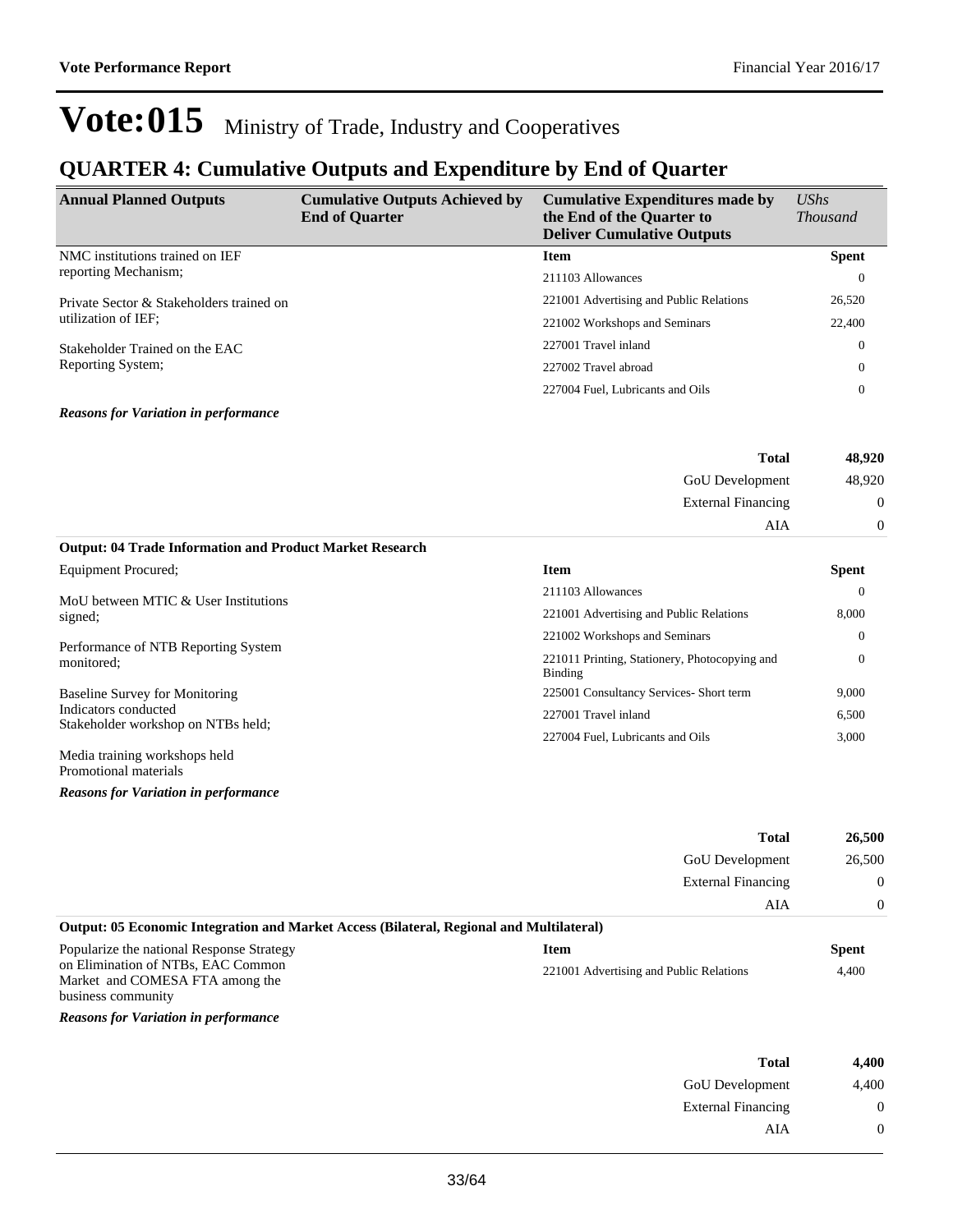### **QUARTER 4: Cumulative Outputs and Expenditure by End of Quarter**

| <b>Annual Planned Outputs</b>                                   | <b>Cumulative Outputs Achieved by</b><br><b>End of Quarter</b> | <b>Cumulative Expenditures made by</b><br>the End of the Quarter to<br><b>Deliver Cumulative Outputs</b> | $\mathit{UShs}$<br><i>Thousand</i> |
|-----------------------------------------------------------------|----------------------------------------------------------------|----------------------------------------------------------------------------------------------------------|------------------------------------|
| NMC institutions trained on IEF                                 |                                                                | <b>Item</b>                                                                                              | <b>Spent</b>                       |
| reporting Mechanism;                                            |                                                                | 211103 Allowances                                                                                        | $\theta$                           |
| Private Sector & Stakeholders trained on<br>utilization of IEF; |                                                                | 221001 Advertising and Public Relations                                                                  | 26,520                             |
|                                                                 |                                                                | 221002 Workshops and Seminars                                                                            | 22,400                             |
| Stakeholder Trained on the EAC<br>Reporting System;             |                                                                | 227001 Travel inland                                                                                     | $\overline{0}$                     |
|                                                                 |                                                                | 227002 Travel abroad                                                                                     | $\Omega$                           |
|                                                                 |                                                                | 227004 Fuel, Lubricants and Oils                                                                         | 0                                  |
| <b>Reasons for Variation in performance</b>                     |                                                                |                                                                                                          |                                    |

| 48,920           | <b>Total</b>              |  |
|------------------|---------------------------|--|
| 48,920           | GoU Development           |  |
| $\boldsymbol{0}$ | <b>External Financing</b> |  |
| $\Omega$         | AIA                       |  |

#### **Output: 04 Trade Information and Product Market Research**

| Equipment Procured:                                        | <b>Item</b>                                              | <b>Spent</b> |
|------------------------------------------------------------|----------------------------------------------------------|--------------|
| MoU between MTIC & User Institutions                       | 211103 Allowances                                        | $\Omega$     |
| signed;                                                    | 221001 Advertising and Public Relations                  | 8,000        |
|                                                            | 221002 Workshops and Seminars                            | $\Omega$     |
| Performance of NTB Reporting System<br>monitored;          | 221011 Printing, Stationery, Photocopying and<br>Binding | $\theta$     |
| <b>Baseline Survey for Monitoring</b>                      | 225001 Consultancy Services- Short term                  | 9,000        |
| Indicators conducted<br>Stakeholder workshop on NTBs held; | 227001 Travel inland                                     | 6,500        |
|                                                            | 227004 Fuel. Lubricants and Oils                         | 3.000        |
| Media training workshops held<br>Promotional materials     |                                                          |              |

*Reasons for Variation in performance*

|                                                                                             | Total                                   | 26,500       |
|---------------------------------------------------------------------------------------------|-----------------------------------------|--------------|
|                                                                                             | <b>GoU</b> Development                  | 26,500       |
|                                                                                             | <b>External Financing</b>               | $\Omega$     |
|                                                                                             | AIA                                     | $\Omega$     |
| Output: 05 Economic Integration and Market Access (Bilateral, Regional and Multilateral)    |                                         |              |
| Popularize the national Response Strategy                                                   | <b>Item</b>                             | <b>Spent</b> |
| on Elimination of NTBs, EAC Common<br>Market and COMESA FTA among the<br>business community | 221001 Advertising and Public Relations | 4,400        |

*Reasons for Variation in performance*

| Total                     | 4,400             |
|---------------------------|-------------------|
| <b>GoU</b> Development    | 4,400             |
| <b>External Financing</b> | $\mathbf{\Omega}$ |
| AIA                       | $\mathbf{\Omega}$ |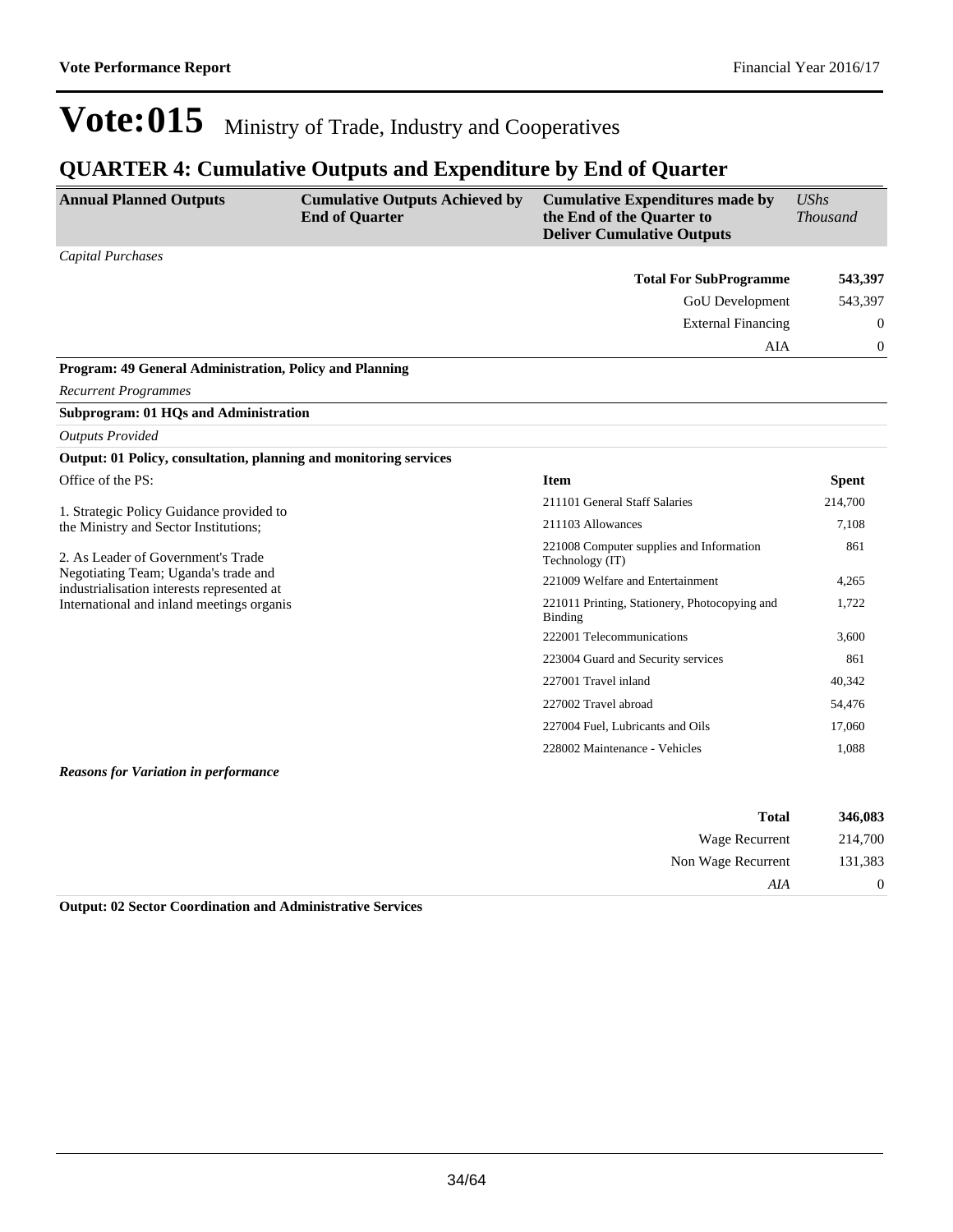### **QUARTER 4: Cumulative Outputs and Expenditure by End of Quarter**

| <b>Annual Planned Outputs</b>                                                                                                                                                                                                                              | <b>Cumulative Outputs Achieved by</b><br><b>End of Quarter</b> | <b>Cumulative Expenditures made by</b><br>the End of the Quarter to<br><b>Deliver Cumulative Outputs</b> | <b>UShs</b><br><b>Thousand</b> |
|------------------------------------------------------------------------------------------------------------------------------------------------------------------------------------------------------------------------------------------------------------|----------------------------------------------------------------|----------------------------------------------------------------------------------------------------------|--------------------------------|
| <b>Capital Purchases</b>                                                                                                                                                                                                                                   |                                                                |                                                                                                          |                                |
|                                                                                                                                                                                                                                                            |                                                                | <b>Total For SubProgramme</b>                                                                            | 543,397                        |
|                                                                                                                                                                                                                                                            |                                                                | <b>GoU</b> Development                                                                                   | 543,397                        |
|                                                                                                                                                                                                                                                            |                                                                | <b>External Financing</b>                                                                                | $\theta$                       |
|                                                                                                                                                                                                                                                            |                                                                | AIA                                                                                                      | 0                              |
| Program: 49 General Administration, Policy and Planning                                                                                                                                                                                                    |                                                                |                                                                                                          |                                |
| <b>Recurrent Programmes</b>                                                                                                                                                                                                                                |                                                                |                                                                                                          |                                |
| <b>Subprogram: 01 HQs and Administration</b>                                                                                                                                                                                                               |                                                                |                                                                                                          |                                |
| <b>Outputs Provided</b>                                                                                                                                                                                                                                    |                                                                |                                                                                                          |                                |
| Output: 01 Policy, consultation, planning and monitoring services                                                                                                                                                                                          |                                                                |                                                                                                          |                                |
| Office of the PS:                                                                                                                                                                                                                                          |                                                                | <b>Item</b>                                                                                              | <b>Spent</b>                   |
| 1. Strategic Policy Guidance provided to<br>the Ministry and Sector Institutions;<br>2. As Leader of Government's Trade<br>Negotiating Team; Uganda's trade and<br>industrialisation interests represented at<br>International and inland meetings organis |                                                                | 211101 General Staff Salaries                                                                            | 214,700                        |
|                                                                                                                                                                                                                                                            |                                                                | 211103 Allowances                                                                                        | 7,108                          |
|                                                                                                                                                                                                                                                            |                                                                | 221008 Computer supplies and Information<br>Technology (IT)                                              | 861                            |
|                                                                                                                                                                                                                                                            |                                                                | 221009 Welfare and Entertainment                                                                         | 4,265                          |
|                                                                                                                                                                                                                                                            |                                                                | 221011 Printing, Stationery, Photocopying and<br>Binding                                                 | 1,722                          |
|                                                                                                                                                                                                                                                            |                                                                | 222001 Telecommunications                                                                                | 3,600                          |
|                                                                                                                                                                                                                                                            |                                                                | 223004 Guard and Security services                                                                       | 861                            |
|                                                                                                                                                                                                                                                            |                                                                | 227001 Travel inland                                                                                     | 40,342                         |
|                                                                                                                                                                                                                                                            |                                                                | 227002 Travel abroad                                                                                     | 54,476                         |
|                                                                                                                                                                                                                                                            |                                                                | 227004 Fuel, Lubricants and Oils                                                                         | 17,060                         |
|                                                                                                                                                                                                                                                            |                                                                | 228002 Maintenance - Vehicles                                                                            | 1,088                          |
| <b>Reasons for Variation in performance</b>                                                                                                                                                                                                                |                                                                |                                                                                                          |                                |

| 346,083  | <b>Total</b>       |
|----------|--------------------|
| 214,700  | Wage Recurrent     |
| 131,383  | Non Wage Recurrent |
| $\theta$ | AIA                |

**Output: 02 Sector Coordination and Administrative Services**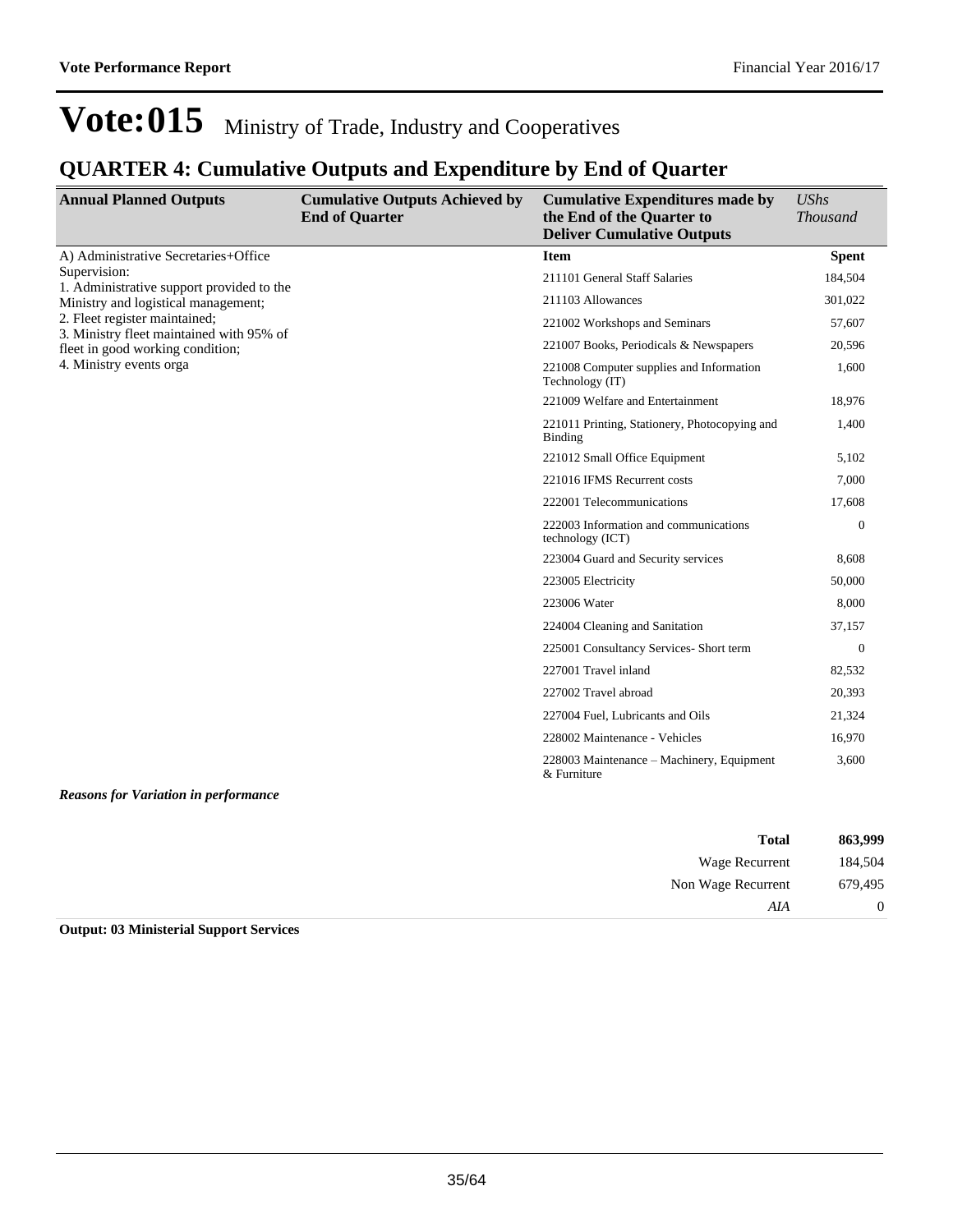### **QUARTER 4: Cumulative Outputs and Expenditure by End of Quarter**

| <b>Annual Planned Outputs</b>                                             | <b>Cumulative Outputs Achieved by</b><br><b>End of Quarter</b> | <b>Cumulative Expenditures made by</b><br>the End of the Quarter to<br><b>Deliver Cumulative Outputs</b> | <b>UShs</b><br><b>Thousand</b> |
|---------------------------------------------------------------------------|----------------------------------------------------------------|----------------------------------------------------------------------------------------------------------|--------------------------------|
| A) Administrative Secretaries+Office                                      |                                                                | <b>Item</b>                                                                                              | <b>Spent</b>                   |
| Supervision:<br>1. Administrative support provided to the                 |                                                                | 211101 General Staff Salaries                                                                            | 184,504                        |
| Ministry and logistical management;                                       |                                                                | 211103 Allowances                                                                                        | 301,022                        |
| 2. Fleet register maintained;<br>3. Ministry fleet maintained with 95% of |                                                                | 221002 Workshops and Seminars                                                                            | 57,607                         |
| fleet in good working condition;                                          |                                                                | 221007 Books, Periodicals & Newspapers                                                                   | 20,596                         |
| 4. Ministry events orga                                                   |                                                                | 221008 Computer supplies and Information<br>Technology (IT)                                              | 1,600                          |
|                                                                           |                                                                | 221009 Welfare and Entertainment                                                                         | 18,976                         |
|                                                                           |                                                                | 221011 Printing, Stationery, Photocopying and<br><b>Binding</b>                                          | 1,400                          |
|                                                                           |                                                                | 221012 Small Office Equipment                                                                            | 5,102                          |
|                                                                           |                                                                | 221016 IFMS Recurrent costs                                                                              | 7,000                          |
|                                                                           |                                                                | 222001 Telecommunications                                                                                | 17,608                         |
|                                                                           |                                                                | 222003 Information and communications<br>technology (ICT)                                                | $\theta$                       |
|                                                                           |                                                                | 223004 Guard and Security services                                                                       | 8,608                          |
|                                                                           |                                                                | 223005 Electricity                                                                                       | 50,000                         |
|                                                                           |                                                                | 223006 Water                                                                                             | 8,000                          |
|                                                                           |                                                                | 224004 Cleaning and Sanitation                                                                           | 37,157                         |
|                                                                           |                                                                | 225001 Consultancy Services- Short term                                                                  | $\overline{0}$                 |
|                                                                           |                                                                | 227001 Travel inland                                                                                     | 82,532                         |
|                                                                           |                                                                | 227002 Travel abroad                                                                                     | 20,393                         |
|                                                                           |                                                                | 227004 Fuel, Lubricants and Oils                                                                         | 21,324                         |
|                                                                           |                                                                | 228002 Maintenance - Vehicles                                                                            | 16,970                         |
|                                                                           |                                                                | 228003 Maintenance – Machinery, Equipment<br>& Furniture                                                 | 3,600                          |

#### *Reasons for Variation in performance*

| 863,999        | <b>Total</b>          |
|----------------|-----------------------|
| 184,504        | <b>Wage Recurrent</b> |
| 679,495        | Non Wage Recurrent    |
| $\overline{0}$ | AIA                   |

**Output: 03 Ministerial Support Services**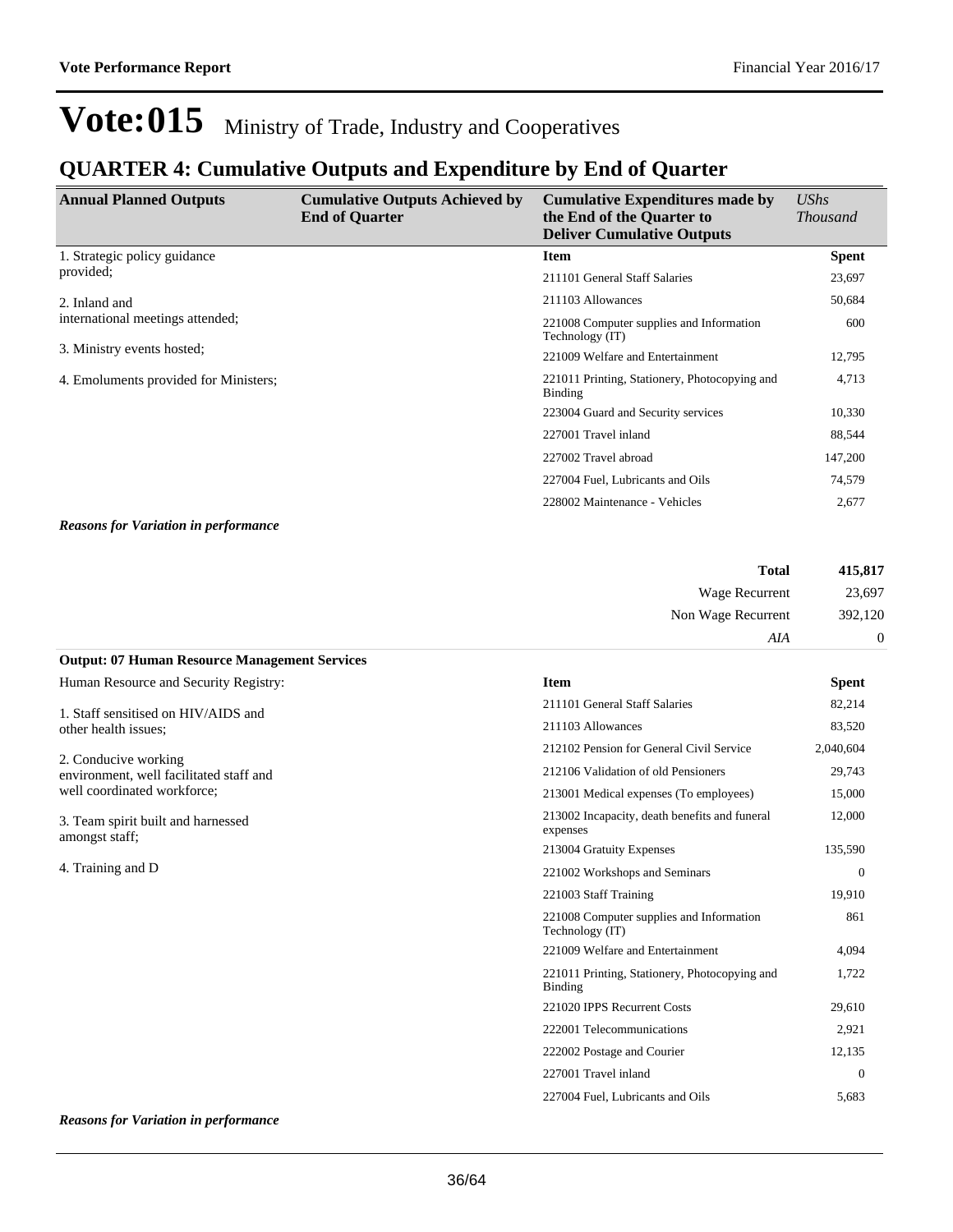### **QUARTER 4: Cumulative Outputs and Expenditure by End of Quarter**

| <b>Annual Planned Outputs</b>                                  | <b>Cumulative Outputs Achieved by</b><br><b>End of Quarter</b> | <b>Cumulative Expenditures made by</b><br>the End of the Quarter to<br><b>Deliver Cumulative Outputs</b> | <b>UShs</b><br><i>Thousand</i> |
|----------------------------------------------------------------|----------------------------------------------------------------|----------------------------------------------------------------------------------------------------------|--------------------------------|
| 1. Strategic policy guidance                                   |                                                                | Item                                                                                                     | <b>Spent</b>                   |
| provided:                                                      |                                                                | 211101 General Staff Salaries                                                                            | 23,697                         |
| 2. Inland and                                                  |                                                                | 211103 Allowances                                                                                        | 50,684                         |
| international meetings attended;<br>3. Ministry events hosted; |                                                                | 221008 Computer supplies and Information<br>Technology (IT)                                              | 600                            |
|                                                                |                                                                | 221009 Welfare and Entertainment                                                                         | 12,795                         |
| 4. Emoluments provided for Ministers;                          |                                                                | 221011 Printing, Stationery, Photocopying and<br>Binding                                                 | 4,713                          |
|                                                                |                                                                | 223004 Guard and Security services                                                                       | 10,330                         |
|                                                                |                                                                | 227001 Travel inland                                                                                     | 88,544                         |
|                                                                |                                                                | 227002 Travel abroad                                                                                     | 147,200                        |
|                                                                |                                                                | 227004 Fuel, Lubricants and Oils                                                                         | 74,579                         |
|                                                                |                                                                | 228002 Maintenance - Vehicles                                                                            | 2,677                          |
|                                                                |                                                                |                                                                                                          |                                |

*Reasons for Variation in performance*

**Output: 07 Human Resource Management Services**

| 415,817        | <b>Total</b>       |
|----------------|--------------------|
| 23,697         | Wage Recurrent     |
| 392,120        | Non Wage Recurrent |
| $\overline{0}$ | AIA                |

| Human Resource and Security Registry:                           | <b>Item</b>                                                 | <b>Spent</b> |
|-----------------------------------------------------------------|-------------------------------------------------------------|--------------|
| 1. Staff sensitised on HIV/AIDS and                             | 211101 General Staff Salaries                               | 82,214       |
| other health issues;                                            | 211103 Allowances                                           | 83,520       |
|                                                                 | 212102 Pension for General Civil Service                    | 2,040,604    |
| 2. Conducive working<br>environment, well facilitated staff and | 212106 Validation of old Pensioners                         | 29,743       |
| well coordinated workforce;                                     | 213001 Medical expenses (To employees)                      | 15,000       |
| 3. Team spirit built and harnessed<br>amongst staff;            | 213002 Incapacity, death benefits and funeral<br>expenses   | 12,000       |
|                                                                 | 213004 Gratuity Expenses                                    | 135,590      |
| 4. Training and D                                               | 221002 Workshops and Seminars                               | $\theta$     |
|                                                                 | 221003 Staff Training                                       | 19,910       |
|                                                                 | 221008 Computer supplies and Information<br>Technology (IT) | 861          |
|                                                                 | 221009 Welfare and Entertainment                            | 4,094        |
|                                                                 | 221011 Printing, Stationery, Photocopying and<br>Binding    | 1,722        |
|                                                                 | 221020 IPPS Recurrent Costs                                 | 29,610       |
|                                                                 | 222001 Telecommunications                                   | 2,921        |
|                                                                 | 222002 Postage and Courier                                  | 12,135       |
|                                                                 | 227001 Travel inland                                        | $\Omega$     |
|                                                                 | 227004 Fuel. Lubricants and Oils                            | 5.683        |

#### *Reasons for Variation in performance*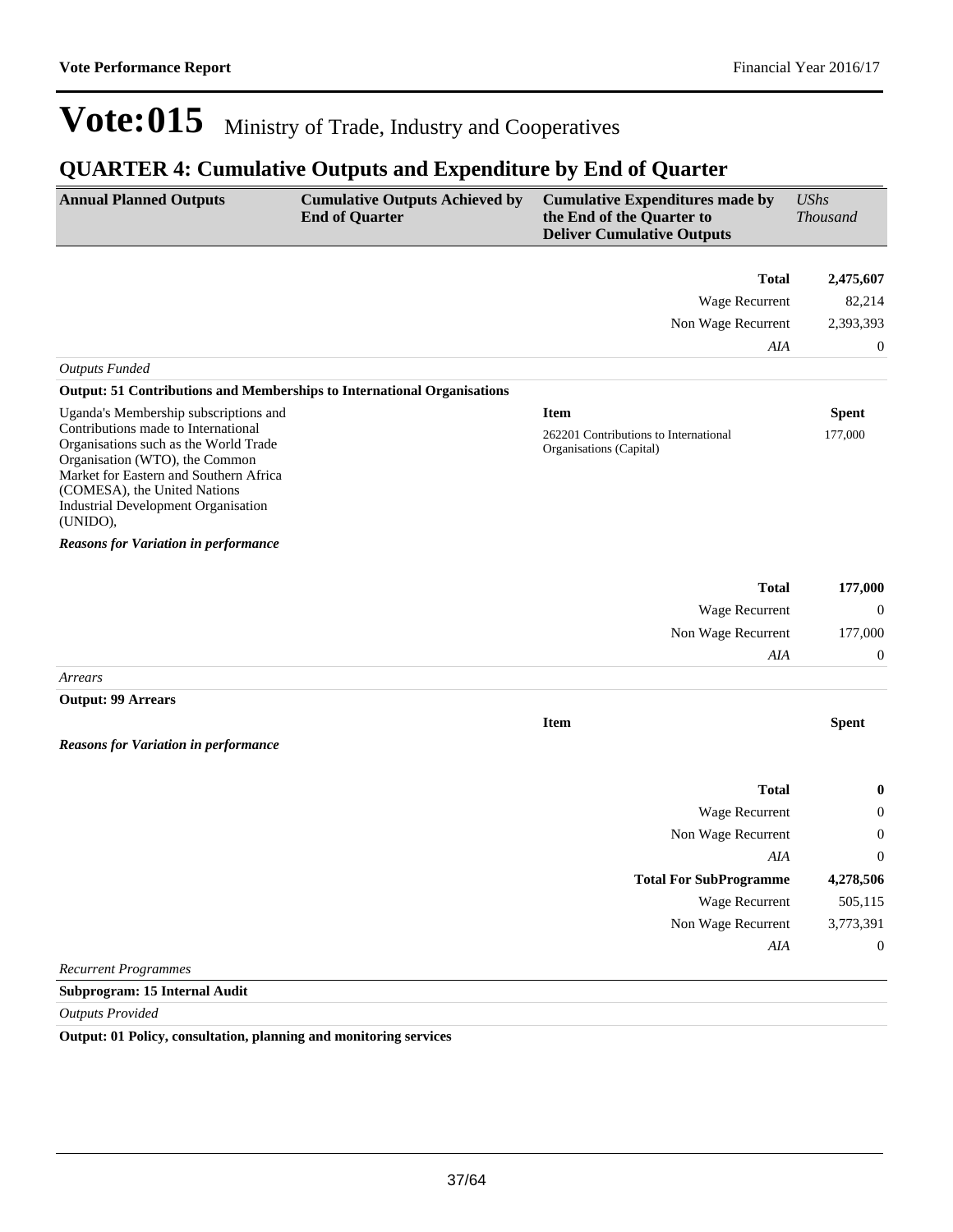### **QUARTER 4: Cumulative Outputs and Expenditure by End of Quarter**

| <b>Annual Planned Outputs</b>                                                                                                                                                                                                                      | <b>Cumulative Outputs Achieved by</b><br><b>End of Quarter</b> | <b>Cumulative Expenditures made by</b><br>the End of the Quarter to<br><b>Deliver Cumulative Outputs</b> | <b>UShs</b><br><b>Thousand</b> |
|----------------------------------------------------------------------------------------------------------------------------------------------------------------------------------------------------------------------------------------------------|----------------------------------------------------------------|----------------------------------------------------------------------------------------------------------|--------------------------------|
|                                                                                                                                                                                                                                                    |                                                                | <b>Total</b>                                                                                             | 2,475,607                      |
|                                                                                                                                                                                                                                                    |                                                                | Wage Recurrent                                                                                           | 82,214                         |
|                                                                                                                                                                                                                                                    |                                                                | Non Wage Recurrent                                                                                       | 2,393,393                      |
|                                                                                                                                                                                                                                                    |                                                                | AIA                                                                                                      | $\boldsymbol{0}$               |
| <b>Outputs Funded</b>                                                                                                                                                                                                                              |                                                                |                                                                                                          |                                |
| <b>Output: 51 Contributions and Memberships to International Organisations</b>                                                                                                                                                                     |                                                                |                                                                                                          |                                |
| Uganda's Membership subscriptions and                                                                                                                                                                                                              |                                                                | <b>Item</b>                                                                                              | <b>Spent</b>                   |
| Contributions made to International<br>Organisations such as the World Trade<br>Organisation (WTO), the Common<br>Market for Eastern and Southern Africa<br>(COMESA), the United Nations<br><b>Industrial Development Organisation</b><br>(UNIDO), |                                                                | 262201 Contributions to International<br>Organisations (Capital)                                         | 177,000                        |
| <b>Reasons for Variation in performance</b>                                                                                                                                                                                                        |                                                                |                                                                                                          |                                |
|                                                                                                                                                                                                                                                    |                                                                | <b>Total</b>                                                                                             | 177,000                        |
|                                                                                                                                                                                                                                                    |                                                                | Wage Recurrent                                                                                           | $\boldsymbol{0}$               |
|                                                                                                                                                                                                                                                    |                                                                | Non Wage Recurrent                                                                                       | 177,000                        |
|                                                                                                                                                                                                                                                    |                                                                | AIA                                                                                                      | $\boldsymbol{0}$               |
| Arrears                                                                                                                                                                                                                                            |                                                                |                                                                                                          |                                |
| <b>Output: 99 Arrears</b>                                                                                                                                                                                                                          |                                                                |                                                                                                          |                                |
| <b>Reasons for Variation in performance</b>                                                                                                                                                                                                        |                                                                | <b>Item</b>                                                                                              | <b>Spent</b>                   |
|                                                                                                                                                                                                                                                    |                                                                | <b>Total</b>                                                                                             | $\bf{0}$                       |
|                                                                                                                                                                                                                                                    |                                                                | Wage Recurrent                                                                                           | $\boldsymbol{0}$               |
|                                                                                                                                                                                                                                                    |                                                                | Non Wage Recurrent                                                                                       | $\boldsymbol{0}$               |
|                                                                                                                                                                                                                                                    |                                                                | AIA                                                                                                      | $\mathbf{0}$                   |
|                                                                                                                                                                                                                                                    |                                                                | <b>Total For SubProgramme</b>                                                                            | 4,278,506                      |
|                                                                                                                                                                                                                                                    |                                                                | Wage Recurrent                                                                                           | 505,115                        |
|                                                                                                                                                                                                                                                    |                                                                | Non Wage Recurrent                                                                                       | 3,773,391                      |
|                                                                                                                                                                                                                                                    |                                                                | AIA                                                                                                      | $\boldsymbol{0}$               |
| <b>Recurrent Programmes</b>                                                                                                                                                                                                                        |                                                                |                                                                                                          |                                |
| <b>Subprogram: 15 Internal Audit</b>                                                                                                                                                                                                               |                                                                |                                                                                                          |                                |

*Outputs Provided*

**Output: 01 Policy, consultation, planning and monitoring services**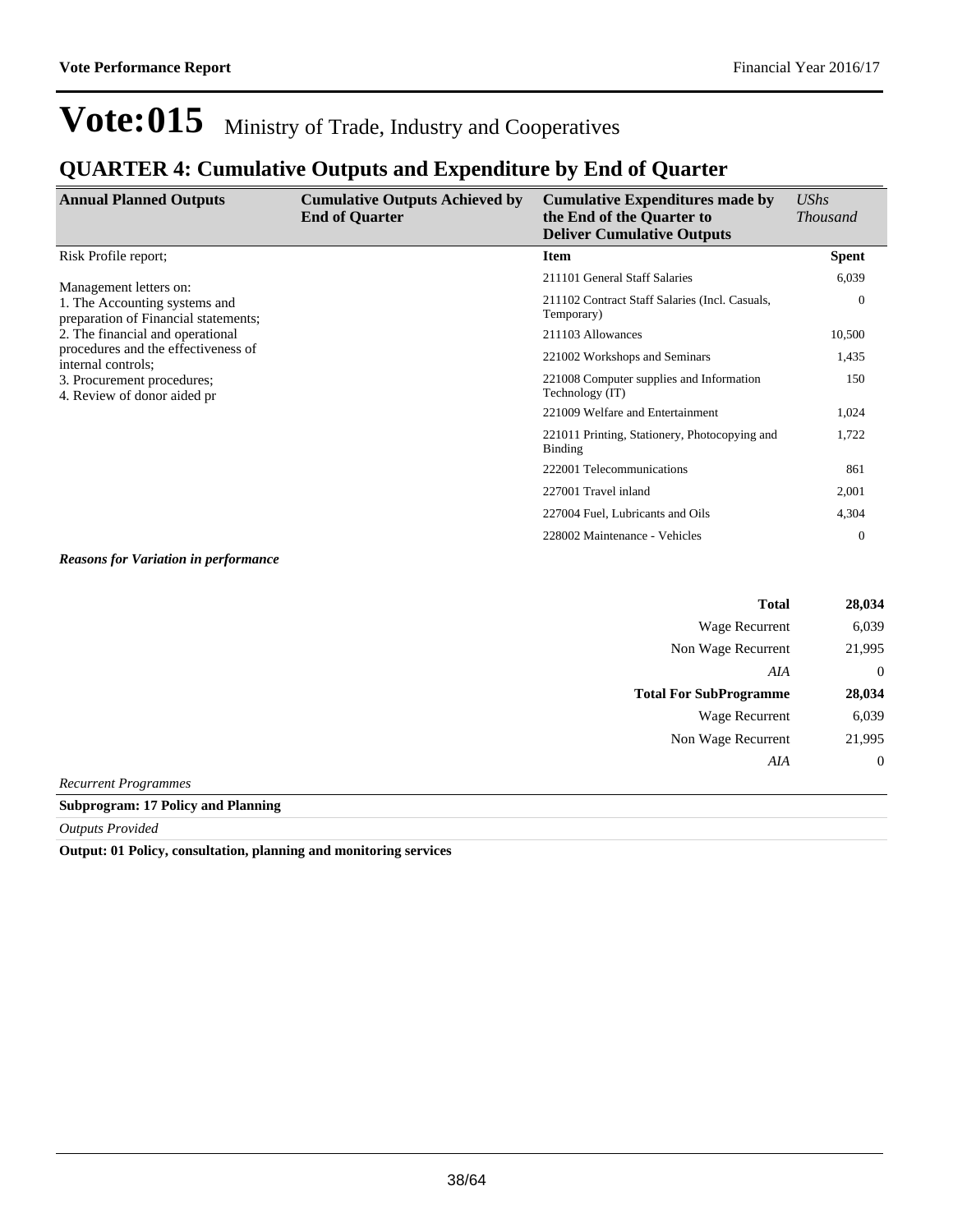### **QUARTER 4: Cumulative Outputs and Expenditure by End of Quarter**

| <b>Annual Planned Outputs</b>                                                                                          | <b>Cumulative Outputs Achieved by</b><br><b>End of Quarter</b> | <b>Cumulative Expenditures made by</b><br>the End of the Quarter to<br><b>Deliver Cumulative Outputs</b> | $\mathit{UShs}$<br><i>Thousand</i> |
|------------------------------------------------------------------------------------------------------------------------|----------------------------------------------------------------|----------------------------------------------------------------------------------------------------------|------------------------------------|
| Risk Profile report;                                                                                                   |                                                                | <b>Item</b>                                                                                              | <b>Spent</b>                       |
| Management letters on:                                                                                                 |                                                                | 211101 General Staff Salaries                                                                            | 6,039                              |
| 1. The Accounting systems and<br>preparation of Financial statements;                                                  |                                                                | 211102 Contract Staff Salaries (Incl. Casuals,<br>Temporary)                                             | $\mathbf{0}$                       |
| 2. The financial and operational                                                                                       |                                                                | 211103 Allowances                                                                                        | 10,500                             |
| procedures and the effectiveness of<br>internal controls;<br>3. Procurement procedures;<br>4. Review of donor aided pr |                                                                | 221002 Workshops and Seminars                                                                            | 1,435                              |
|                                                                                                                        |                                                                | 221008 Computer supplies and Information<br>Technology (IT)                                              | 150                                |
|                                                                                                                        |                                                                | 221009 Welfare and Entertainment                                                                         | 1,024                              |
|                                                                                                                        |                                                                | 221011 Printing, Stationery, Photocopying and<br><b>Binding</b>                                          | 1,722                              |
|                                                                                                                        |                                                                | 222001 Telecommunications                                                                                | 861                                |
|                                                                                                                        |                                                                | 227001 Travel inland                                                                                     | 2,001                              |
|                                                                                                                        |                                                                | 227004 Fuel, Lubricants and Oils                                                                         | 4,304                              |
|                                                                                                                        |                                                                | 228002 Maintenance - Vehicles                                                                            | $\overline{0}$                     |

*Reasons for Variation in performance*

| <b>Total</b>                                         | 28,034           |
|------------------------------------------------------|------------------|
| Wage Recurrent                                       | 6,039            |
| Non Wage Recurrent                                   | 21,995           |
| AIA                                                  | $\theta$         |
| <b>Total For SubProgramme</b>                        | 28,034           |
| Wage Recurrent                                       | 6,039            |
| Non Wage Recurrent                                   | 21,995           |
| AIA                                                  | $\boldsymbol{0}$ |
| $\overline{D}$ command $\overline{D}$ is a common on |                  |

*Recurrent Programmes*

**Subprogram: 17 Policy and Planning**

*Outputs Provided*

**Output: 01 Policy, consultation, planning and monitoring services**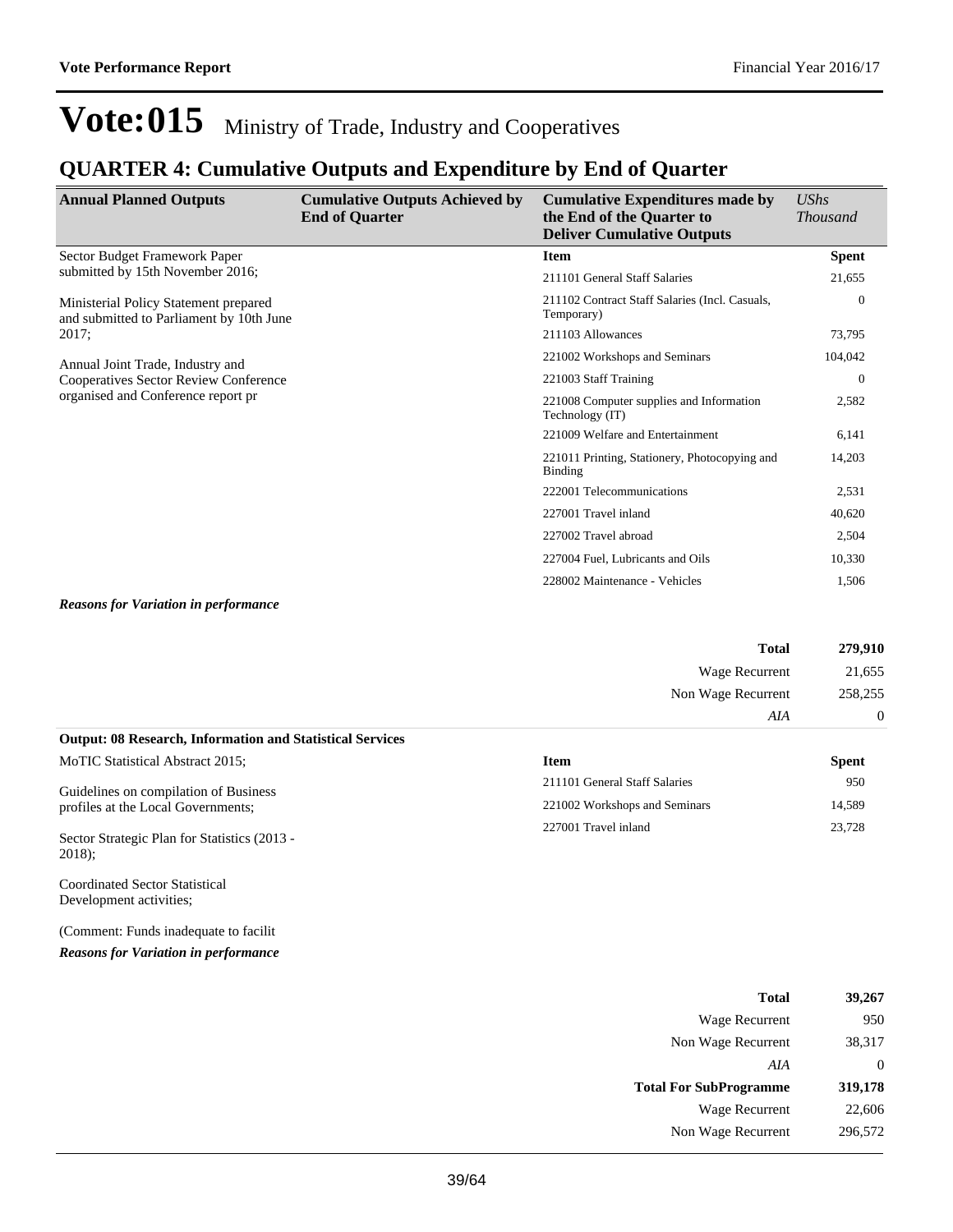### **QUARTER 4: Cumulative Outputs and Expenditure by End of Quarter**

| <b>Annual Planned Outputs</b>                                                     | <b>Cumulative Outputs Achieved by</b><br><b>End of Quarter</b> | <b>Cumulative Expenditures made by</b><br>the End of the Quarter to<br><b>Deliver Cumulative Outputs</b> | <b>UShs</b><br><b>Thousand</b> |
|-----------------------------------------------------------------------------------|----------------------------------------------------------------|----------------------------------------------------------------------------------------------------------|--------------------------------|
| Sector Budget Framework Paper                                                     |                                                                | <b>Item</b>                                                                                              | <b>Spent</b>                   |
| submitted by 15th November 2016;                                                  |                                                                | 211101 General Staff Salaries                                                                            | 21,655                         |
| Ministerial Policy Statement prepared<br>and submitted to Parliament by 10th June |                                                                | 211102 Contract Staff Salaries (Incl. Casuals,<br>Temporary)                                             | $\mathbf{0}$                   |
| 2017:                                                                             |                                                                | 211103 Allowances                                                                                        | 73,795                         |
| Annual Joint Trade, Industry and                                                  |                                                                | 221002 Workshops and Seminars                                                                            | 104,042                        |
| <b>Cooperatives Sector Review Conference</b>                                      |                                                                | 221003 Staff Training                                                                                    | $\theta$                       |
| organised and Conference report pr                                                |                                                                | 221008 Computer supplies and Information<br>Technology (IT)                                              | 2,582                          |
|                                                                                   |                                                                | 221009 Welfare and Entertainment                                                                         | 6,141                          |
|                                                                                   |                                                                | 221011 Printing, Stationery, Photocopying and<br>Binding                                                 | 14,203                         |
|                                                                                   |                                                                | 222001 Telecommunications                                                                                | 2,531                          |
|                                                                                   |                                                                | 227001 Travel inland                                                                                     | 40,620                         |
|                                                                                   |                                                                | 227002 Travel abroad                                                                                     | 2,504                          |
|                                                                                   |                                                                | 227004 Fuel, Lubricants and Oils                                                                         | 10,330                         |
|                                                                                   |                                                                | 228002 Maintenance - Vehicles                                                                            | 1.506                          |

#### *Reasons for Variation in performance*

| <b>Total</b>                                                     | 279,910  |
|------------------------------------------------------------------|----------|
| Wage Recurrent                                                   | 21,655   |
| Non Wage Recurrent                                               | 258,255  |
| AIA                                                              | $\theta$ |
| <b>Output: 08 Research, Information and Statistical Services</b> |          |

| MoTIC Statistical Abstract 2015;                                            | Item                          | Spent  |
|-----------------------------------------------------------------------------|-------------------------------|--------|
| Guidelines on compilation of Business<br>profiles at the Local Governments; | 211101 General Staff Salaries | 950    |
|                                                                             | 221002 Workshops and Seminars | 14.589 |
| Sector Strategic Plan for Statistics (2013 -                                | 227001 Travel inland          | 23,728 |

Coordinated Sector Statistical Development activities;

2018);

(Comment: Funds inadequate to facilit

*Reasons for Variation in performance*

| 39,267   | <b>Total</b>                  |
|----------|-------------------------------|
| 950      | Wage Recurrent                |
| 38,317   | Non Wage Recurrent            |
| $\theta$ | AIA                           |
| 319,178  | <b>Total For SubProgramme</b> |
| 22,606   | Wage Recurrent                |
| 296,572  | Non Wage Recurrent            |
|          |                               |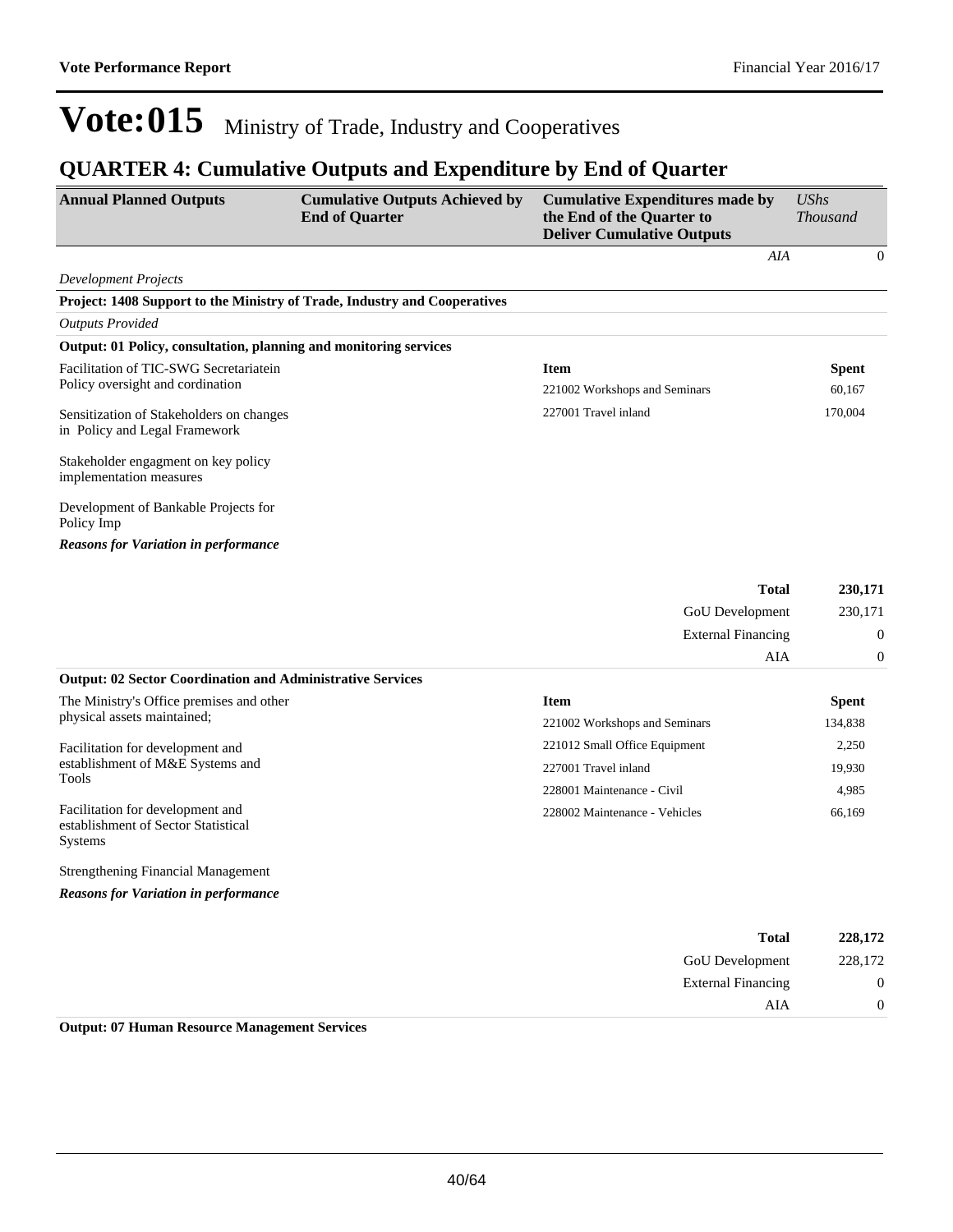AIA 0

## Vote:015 Ministry of Trade, Industry and Cooperatives

### **QUARTER 4: Cumulative Outputs and Expenditure by End of Quarter**

| <b>Annual Planned Outputs</b>                                                      | <b>Cumulative Outputs Achieved by</b><br><b>End of Quarter</b> | <b>Cumulative Expenditures made by</b><br>the End of the Quarter to<br><b>Deliver Cumulative Outputs</b> | <b>UShs</b><br><b>Thousand</b> |
|------------------------------------------------------------------------------------|----------------------------------------------------------------|----------------------------------------------------------------------------------------------------------|--------------------------------|
|                                                                                    |                                                                | AIA                                                                                                      | $\Omega$                       |
| Development Projects                                                               |                                                                |                                                                                                          |                                |
| Project: 1408 Support to the Ministry of Trade, Industry and Cooperatives          |                                                                |                                                                                                          |                                |
| <b>Outputs Provided</b>                                                            |                                                                |                                                                                                          |                                |
| Output: 01 Policy, consultation, planning and monitoring services                  |                                                                |                                                                                                          |                                |
| Facilitation of TIC-SWG Secretariatein                                             |                                                                | <b>Item</b>                                                                                              | <b>Spent</b>                   |
| Policy oversight and cordination                                                   |                                                                | 221002 Workshops and Seminars                                                                            | 60,167                         |
| Sensitization of Stakeholders on changes<br>in Policy and Legal Framework          |                                                                | 227001 Travel inland                                                                                     | 170,004                        |
| Stakeholder engagment on key policy<br>implementation measures                     |                                                                |                                                                                                          |                                |
| Development of Bankable Projects for<br>Policy Imp                                 |                                                                |                                                                                                          |                                |
| <b>Reasons for Variation in performance</b>                                        |                                                                |                                                                                                          |                                |
|                                                                                    |                                                                | <b>Total</b>                                                                                             | 230,171                        |
|                                                                                    |                                                                | GoU Development                                                                                          | 230,171                        |
|                                                                                    |                                                                | <b>External Financing</b>                                                                                | $\boldsymbol{0}$               |
|                                                                                    |                                                                | AIA                                                                                                      | $\overline{0}$                 |
| <b>Output: 02 Sector Coordination and Administrative Services</b>                  |                                                                |                                                                                                          |                                |
| The Ministry's Office premises and other                                           |                                                                | <b>Item</b>                                                                                              | <b>Spent</b>                   |
| physical assets maintained;                                                        |                                                                | 221002 Workshops and Seminars                                                                            | 134,838                        |
| Facilitation for development and                                                   |                                                                | 221012 Small Office Equipment                                                                            | 2,250                          |
| establishment of M&E Systems and                                                   |                                                                | 227001 Travel inland                                                                                     | 19,930                         |
| Tools                                                                              |                                                                | 228001 Maintenance - Civil                                                                               | 4,985                          |
| Facilitation for development and<br>establishment of Sector Statistical<br>Systems |                                                                | 228002 Maintenance - Vehicles                                                                            | 66,169                         |
| <b>Strengthening Financial Management</b>                                          |                                                                |                                                                                                          |                                |
| <b>Reasons for Variation in performance</b>                                        |                                                                |                                                                                                          |                                |
|                                                                                    |                                                                | <b>Total</b>                                                                                             | 228,172                        |
|                                                                                    |                                                                | GoU Development                                                                                          | 228,172                        |
|                                                                                    |                                                                | <b>External Financing</b>                                                                                | $\boldsymbol{0}$               |

**Output: 07 Human Resource Management Services**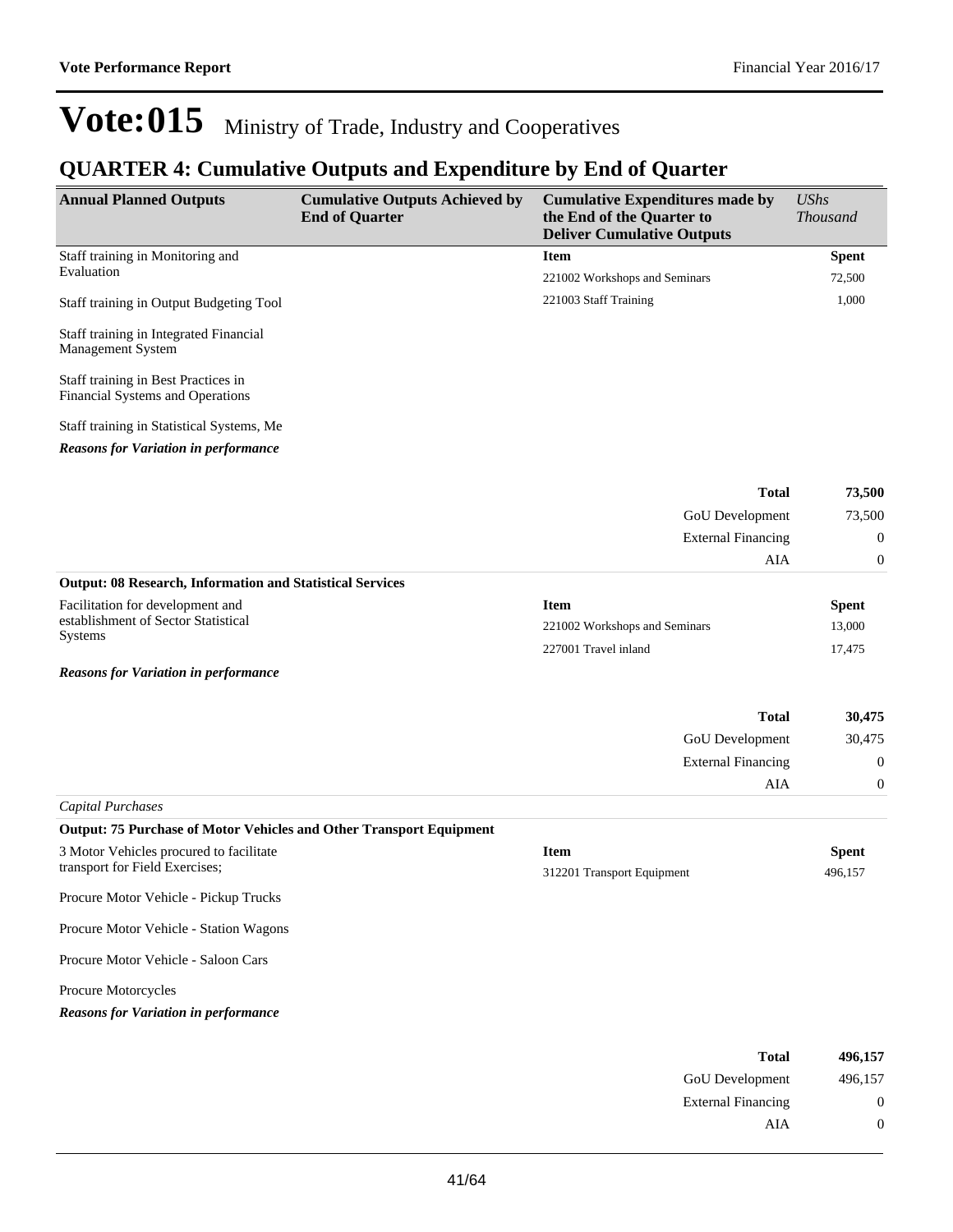### **QUARTER 4: Cumulative Outputs and Expenditure by End of Quarter**

| <b>Annual Planned Outputs</b>                                                            | <b>Cumulative Outputs Achieved by</b><br><b>End of Quarter</b> | <b>Cumulative Expenditures made by</b><br>the End of the Quarter to<br><b>Deliver Cumulative Outputs</b> | <b>UShs</b><br><b>Thousand</b> |
|------------------------------------------------------------------------------------------|----------------------------------------------------------------|----------------------------------------------------------------------------------------------------------|--------------------------------|
| Staff training in Monitoring and                                                         |                                                                | <b>Item</b>                                                                                              | <b>Spent</b>                   |
| Evaluation                                                                               |                                                                | 221002 Workshops and Seminars                                                                            | 72,500                         |
| Staff training in Output Budgeting Tool                                                  |                                                                | 221003 Staff Training                                                                                    | 1,000                          |
| Staff training in Integrated Financial<br>Management System                              |                                                                |                                                                                                          |                                |
| Staff training in Best Practices in<br>Financial Systems and Operations                  |                                                                |                                                                                                          |                                |
| Staff training in Statistical Systems, Me<br><b>Reasons for Variation in performance</b> |                                                                |                                                                                                          |                                |
|                                                                                          |                                                                | <b>Total</b>                                                                                             | 73,500                         |
|                                                                                          |                                                                | GoU Development                                                                                          | 73,500                         |
|                                                                                          |                                                                | <b>External Financing</b>                                                                                | $\boldsymbol{0}$               |
|                                                                                          |                                                                | AIA                                                                                                      | $\boldsymbol{0}$               |
| <b>Output: 08 Research, Information and Statistical Services</b>                         |                                                                |                                                                                                          |                                |
| Facilitation for development and                                                         |                                                                | <b>Item</b>                                                                                              | <b>Spent</b>                   |
| establishment of Sector Statistical<br><b>Systems</b>                                    |                                                                | 221002 Workshops and Seminars                                                                            | 13,000                         |
|                                                                                          |                                                                | 227001 Travel inland                                                                                     | 17,475                         |
| <b>Reasons for Variation in performance</b>                                              |                                                                |                                                                                                          |                                |
|                                                                                          |                                                                | <b>Total</b>                                                                                             | 30,475                         |
|                                                                                          |                                                                | GoU Development                                                                                          | 30,475                         |
|                                                                                          |                                                                | <b>External Financing</b>                                                                                | $\boldsymbol{0}$               |
|                                                                                          |                                                                | AIA                                                                                                      | $\mathbf{0}$                   |
| Capital Purchases                                                                        |                                                                |                                                                                                          |                                |
| Output: 75 Purchase of Motor Vehicles and Other Transport Equipment                      |                                                                |                                                                                                          |                                |
| 3 Motor Vehicles procured to facilitate                                                  |                                                                | <b>Item</b>                                                                                              | <b>Spent</b>                   |
| transport for Field Exercises;                                                           |                                                                | 312201 Transport Equipment                                                                               | 496,157                        |
| Procure Motor Vehicle - Pickup Trucks                                                    |                                                                |                                                                                                          |                                |
| Procure Motor Vehicle - Station Wagons                                                   |                                                                |                                                                                                          |                                |
| Procure Motor Vehicle - Saloon Cars                                                      |                                                                |                                                                                                          |                                |
| Procure Motorcycles                                                                      |                                                                |                                                                                                          |                                |
| <b>Reasons for Variation in performance</b>                                              |                                                                |                                                                                                          |                                |
|                                                                                          |                                                                | <b>Total</b>                                                                                             | 496,157                        |

| <b>GoU</b> Development    | 496,157 |
|---------------------------|---------|
| <b>External Financing</b> | 0       |
| AIA                       | 0       |
|                           |         |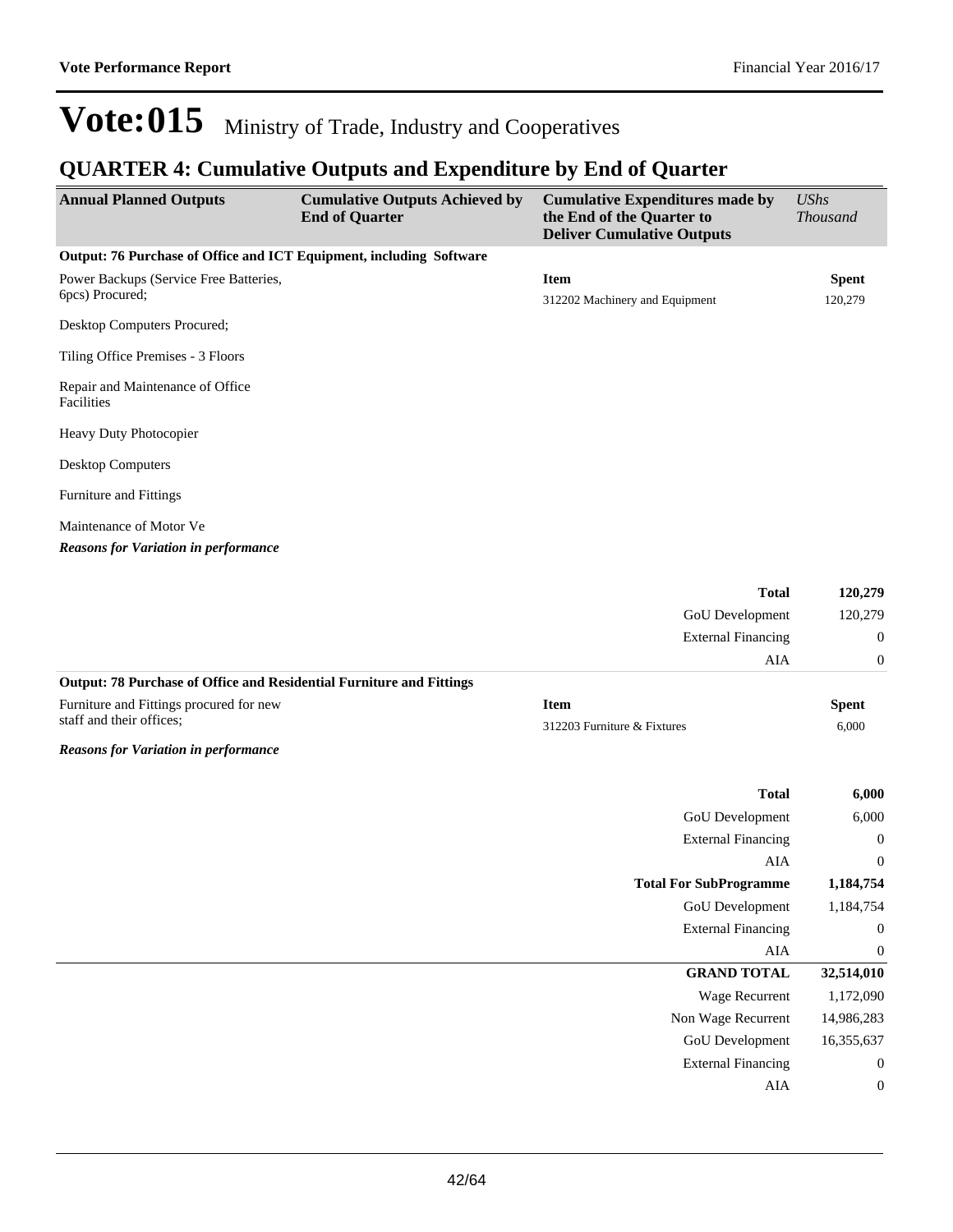### **QUARTER 4: Cumulative Outputs and Expenditure by End of Quarter**

| <b>Annual Planned Outputs</b>                                        | <b>Cumulative Outputs Achieved by</b><br><b>End of Quarter</b> | <b>Cumulative Expenditures made by</b><br>the End of the Quarter to<br><b>Deliver Cumulative Outputs</b> | <b>UShs</b><br><b>Thousand</b> |
|----------------------------------------------------------------------|----------------------------------------------------------------|----------------------------------------------------------------------------------------------------------|--------------------------------|
| Output: 76 Purchase of Office and ICT Equipment, including Software  |                                                                |                                                                                                          |                                |
| Power Backups (Service Free Batteries,<br>6pcs) Procured;            |                                                                | <b>Item</b><br>312202 Machinery and Equipment                                                            | <b>Spent</b><br>120,279        |
| Desktop Computers Procured;                                          |                                                                |                                                                                                          |                                |
| Tiling Office Premises - 3 Floors                                    |                                                                |                                                                                                          |                                |
| Repair and Maintenance of Office<br>Facilities                       |                                                                |                                                                                                          |                                |
| Heavy Duty Photocopier                                               |                                                                |                                                                                                          |                                |
| <b>Desktop Computers</b>                                             |                                                                |                                                                                                          |                                |
| Furniture and Fittings                                               |                                                                |                                                                                                          |                                |
| Maintenance of Motor Ve                                              |                                                                |                                                                                                          |                                |
| <b>Reasons for Variation in performance</b>                          |                                                                |                                                                                                          |                                |
|                                                                      |                                                                | <b>Total</b>                                                                                             | 120,279                        |
|                                                                      |                                                                | GoU Development                                                                                          | 120,279                        |
|                                                                      |                                                                | <b>External Financing</b>                                                                                | $\boldsymbol{0}$               |
|                                                                      |                                                                | <b>AIA</b>                                                                                               | $\boldsymbol{0}$               |
| Output: 78 Purchase of Office and Residential Furniture and Fittings |                                                                |                                                                                                          |                                |
| Furniture and Fittings procured for new                              |                                                                | <b>Item</b>                                                                                              | <b>Spent</b>                   |
| staff and their offices;                                             |                                                                | 312203 Furniture & Fixtures                                                                              | 6,000                          |
| <b>Reasons for Variation in performance</b>                          |                                                                |                                                                                                          |                                |
|                                                                      |                                                                | <b>Total</b>                                                                                             | 6,000                          |
|                                                                      |                                                                | GoU Development                                                                                          | 6,000                          |
|                                                                      |                                                                | <b>External Financing</b>                                                                                | $\boldsymbol{0}$               |
|                                                                      |                                                                | <b>AIA</b>                                                                                               | $\boldsymbol{0}$               |
|                                                                      |                                                                | <b>Total For SubProgramme</b>                                                                            | 1,184,754                      |
|                                                                      |                                                                | <b>GoU</b> Development                                                                                   | 1,184,754                      |
|                                                                      |                                                                | <b>External Financing</b>                                                                                | $\boldsymbol{0}$               |
|                                                                      |                                                                | ${\rm AIA}$                                                                                              | $\boldsymbol{0}$               |
|                                                                      |                                                                | <b>GRAND TOTAL</b>                                                                                       | 32,514,010                     |
|                                                                      |                                                                | <b>Wage Recurrent</b>                                                                                    | 1,172,090                      |
|                                                                      |                                                                | Non Wage Recurrent                                                                                       | 14,986,283                     |
|                                                                      |                                                                | GoU Development                                                                                          | 16,355,637                     |
|                                                                      |                                                                | <b>External Financing</b>                                                                                | $\boldsymbol{0}$               |
|                                                                      |                                                                | AIA                                                                                                      | $\boldsymbol{0}$               |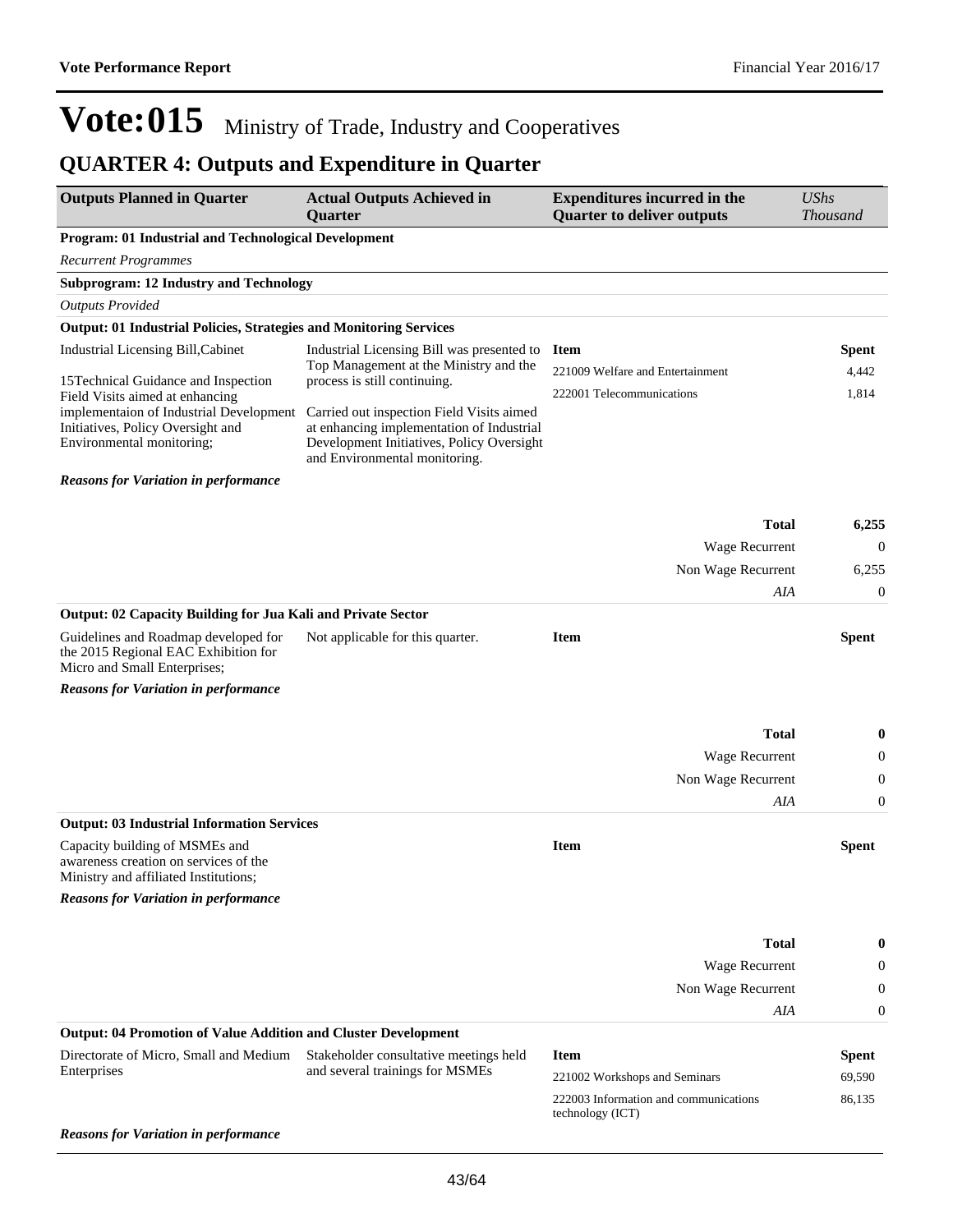## **QUARTER 4: Outputs and Expenditure in Quarter**

| <b>Outputs Planned in Quarter</b>                                                                                                            | <b>Actual Outputs Achieved in</b><br><b>Quarter</b>                                                                                                                  | <b>Expenditures incurred in the</b><br><b>Quarter to deliver outputs</b> | <b>UShs</b><br><b>Thousand</b> |
|----------------------------------------------------------------------------------------------------------------------------------------------|----------------------------------------------------------------------------------------------------------------------------------------------------------------------|--------------------------------------------------------------------------|--------------------------------|
| <b>Program: 01 Industrial and Technological Development</b>                                                                                  |                                                                                                                                                                      |                                                                          |                                |
| <b>Recurrent Programmes</b>                                                                                                                  |                                                                                                                                                                      |                                                                          |                                |
| <b>Subprogram: 12 Industry and Technology</b>                                                                                                |                                                                                                                                                                      |                                                                          |                                |
| <b>Outputs Provided</b>                                                                                                                      |                                                                                                                                                                      |                                                                          |                                |
| <b>Output: 01 Industrial Policies, Strategies and Monitoring Services</b>                                                                    |                                                                                                                                                                      |                                                                          |                                |
| Industrial Licensing Bill, Cabinet                                                                                                           | Industrial Licensing Bill was presented to                                                                                                                           | <b>Item</b>                                                              | Spent                          |
| 15 Technical Guidance and Inspection                                                                                                         | Top Management at the Ministry and the<br>process is still continuing.                                                                                               | 221009 Welfare and Entertainment                                         | 4,442                          |
| Field Visits aimed at enhancing<br>implementaion of Industrial Development<br>Initiatives, Policy Oversight and<br>Environmental monitoring; | Carried out inspection Field Visits aimed<br>at enhancing implementation of Industrial<br>Development Initiatives, Policy Oversight<br>and Environmental monitoring. | 222001 Telecommunications                                                | 1,814                          |
| <b>Reasons for Variation in performance</b>                                                                                                  |                                                                                                                                                                      |                                                                          |                                |
|                                                                                                                                              |                                                                                                                                                                      |                                                                          |                                |
|                                                                                                                                              |                                                                                                                                                                      | <b>Total</b>                                                             | 6,255                          |
|                                                                                                                                              |                                                                                                                                                                      | Wage Recurrent                                                           | $\boldsymbol{0}$               |
|                                                                                                                                              |                                                                                                                                                                      | Non Wage Recurrent                                                       | 6,255                          |
| Output: 02 Capacity Building for Jua Kali and Private Sector                                                                                 |                                                                                                                                                                      | AIA                                                                      | 0                              |
| Guidelines and Roadmap developed for<br>the 2015 Regional EAC Exhibition for<br>Micro and Small Enterprises;                                 | Not applicable for this quarter.                                                                                                                                     | <b>Item</b>                                                              | <b>Spent</b>                   |
| <b>Reasons for Variation in performance</b>                                                                                                  |                                                                                                                                                                      |                                                                          |                                |
|                                                                                                                                              |                                                                                                                                                                      | <b>Total</b>                                                             | $\bf{0}$                       |
|                                                                                                                                              |                                                                                                                                                                      | Wage Recurrent                                                           | 0                              |
|                                                                                                                                              |                                                                                                                                                                      | Non Wage Recurrent                                                       | 0                              |
|                                                                                                                                              |                                                                                                                                                                      | AIA                                                                      | $\boldsymbol{0}$               |
| <b>Output: 03 Industrial Information Services</b>                                                                                            |                                                                                                                                                                      |                                                                          |                                |
| Capacity building of MSMEs and<br>awareness creation on services of the<br>Ministry and affiliated Institutions;                             |                                                                                                                                                                      | <b>Item</b>                                                              | <b>Spent</b>                   |
| <b>Reasons for Variation in performance</b>                                                                                                  |                                                                                                                                                                      |                                                                          |                                |
|                                                                                                                                              |                                                                                                                                                                      |                                                                          |                                |
|                                                                                                                                              |                                                                                                                                                                      | <b>Total</b>                                                             | 0                              |
|                                                                                                                                              |                                                                                                                                                                      | <b>Wage Recurrent</b>                                                    | 0                              |
|                                                                                                                                              |                                                                                                                                                                      | Non Wage Recurrent                                                       | 0                              |
| <b>Output: 04 Promotion of Value Addition and Cluster Development</b>                                                                        |                                                                                                                                                                      | AIA                                                                      | 0                              |
| Directorate of Micro, Small and Medium                                                                                                       | Stakeholder consultative meetings held                                                                                                                               | <b>Item</b>                                                              | <b>Spent</b>                   |
| Enterprises                                                                                                                                  | and several trainings for MSMEs                                                                                                                                      | 221002 Workshops and Seminars                                            | 69,590                         |
|                                                                                                                                              |                                                                                                                                                                      | 222003 Information and communications                                    | 86,135                         |
| <b>Reasons for Variation in performance</b>                                                                                                  |                                                                                                                                                                      | technology (ICT)                                                         |                                |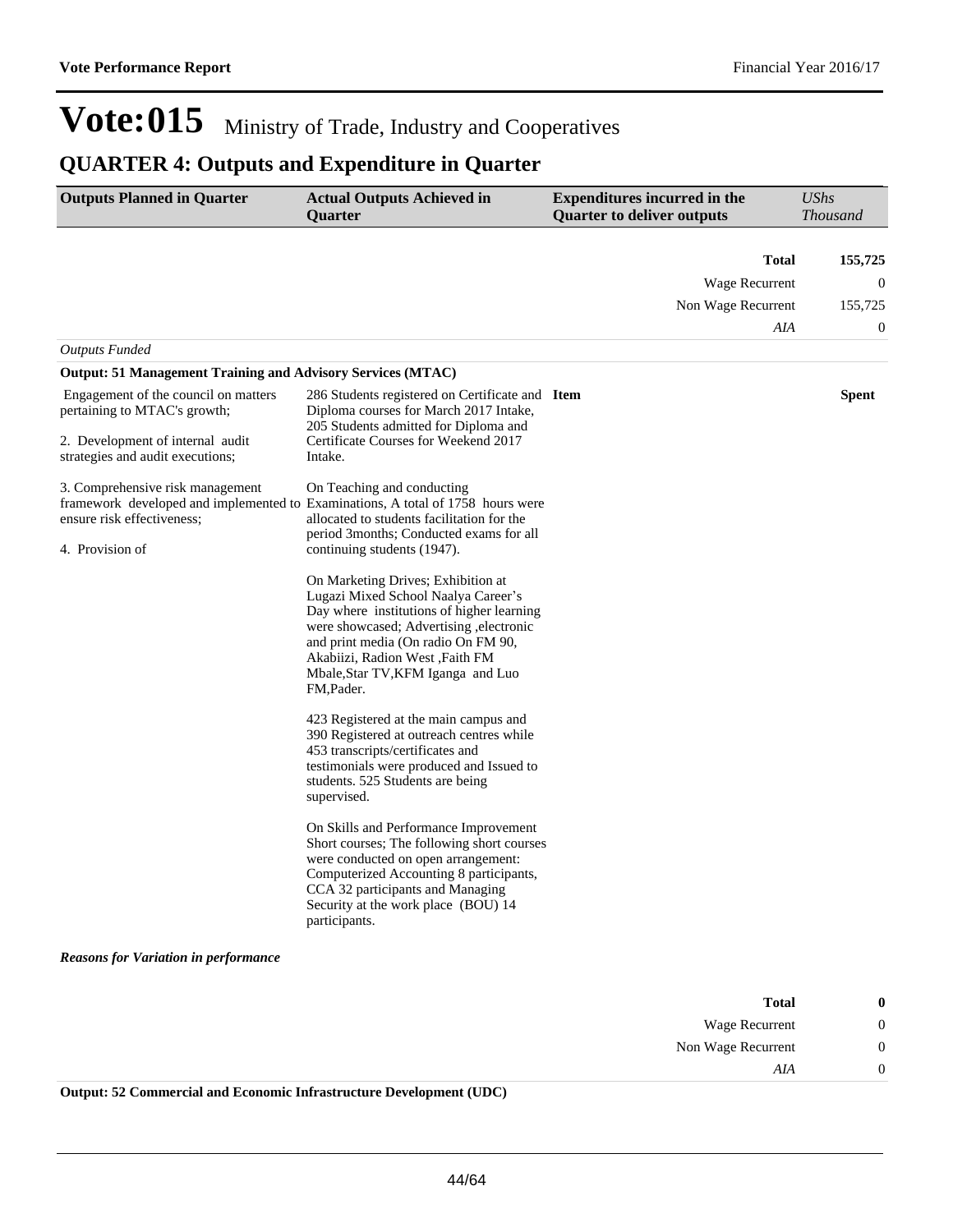## **QUARTER 4: Outputs and Expenditure in Quarter**

| <b>Outputs Planned in Quarter</b>                                                                                                            | <b>Actual Outputs Achieved in</b><br>Quarter                                                                                                                                                                                                                                                     | <b>Expenditures incurred in the</b><br><b>Quarter to deliver outputs</b> | <b>UShs</b><br><b>Thousand</b> |
|----------------------------------------------------------------------------------------------------------------------------------------------|--------------------------------------------------------------------------------------------------------------------------------------------------------------------------------------------------------------------------------------------------------------------------------------------------|--------------------------------------------------------------------------|--------------------------------|
|                                                                                                                                              |                                                                                                                                                                                                                                                                                                  | Total                                                                    | 155,725                        |
|                                                                                                                                              |                                                                                                                                                                                                                                                                                                  | <b>Wage Recurrent</b>                                                    | 0                              |
|                                                                                                                                              |                                                                                                                                                                                                                                                                                                  | Non Wage Recurrent                                                       | 155,725                        |
|                                                                                                                                              |                                                                                                                                                                                                                                                                                                  | AIA                                                                      | 0                              |
| <b>Outputs Funded</b>                                                                                                                        |                                                                                                                                                                                                                                                                                                  |                                                                          |                                |
| <b>Output: 51 Management Training and Advisory Services (MTAC)</b>                                                                           |                                                                                                                                                                                                                                                                                                  |                                                                          |                                |
| Engagement of the council on matters<br>pertaining to MTAC's growth;<br>2. Development of internal audit<br>strategies and audit executions; | 286 Students registered on Certificate and Item<br>Diploma courses for March 2017 Intake,<br>205 Students admitted for Diploma and<br>Certificate Courses for Weekend 2017<br>Intake.                                                                                                            |                                                                          | <b>Spent</b>                   |
| 3. Comprehensive risk management<br>ensure risk effectiveness;<br>4. Provision of                                                            | On Teaching and conducting<br>framework developed and implemented to Examinations, A total of 1758 hours were<br>allocated to students facilitation for the<br>period 3months; Conducted exams for all<br>continuing students (1947).                                                            |                                                                          |                                |
|                                                                                                                                              | On Marketing Drives; Exhibition at<br>Lugazi Mixed School Naalya Career's<br>Day where institutions of higher learning<br>were showcased; Advertising , electronic<br>and print media (On radio On FM 90,<br>Akabiizi, Radion West, Faith FM<br>Mbale, Star TV, KFM Iganga and Luo<br>FM, Pader. |                                                                          |                                |
|                                                                                                                                              | 423 Registered at the main campus and<br>390 Registered at outreach centres while<br>453 transcripts/certificates and<br>testimonials were produced and Issued to<br>students. 525 Students are being<br>supervised.                                                                             |                                                                          |                                |
|                                                                                                                                              | On Skills and Performance Improvement<br>Short courses; The following short courses<br>were conducted on open arrangement:<br>Computerized Accounting 8 participants,<br>CCA 32 participants and Managing<br>Security at the work place (BOU) 14<br>participants.                                |                                                                          |                                |
| <b>Reasons for Variation in performance</b>                                                                                                  |                                                                                                                                                                                                                                                                                                  |                                                                          |                                |
|                                                                                                                                              |                                                                                                                                                                                                                                                                                                  |                                                                          |                                |
|                                                                                                                                              |                                                                                                                                                                                                                                                                                                  | <b>Total</b>                                                             | 0                              |

| Total              |                   |
|--------------------|-------------------|
| Wage Recurrent     | $\mathbf{\Omega}$ |
| Non Wage Recurrent | $\mathbf{\Omega}$ |
| A I A              |                   |

**Output: 52 Commercial and Economic Infrastructure Development (UDC)**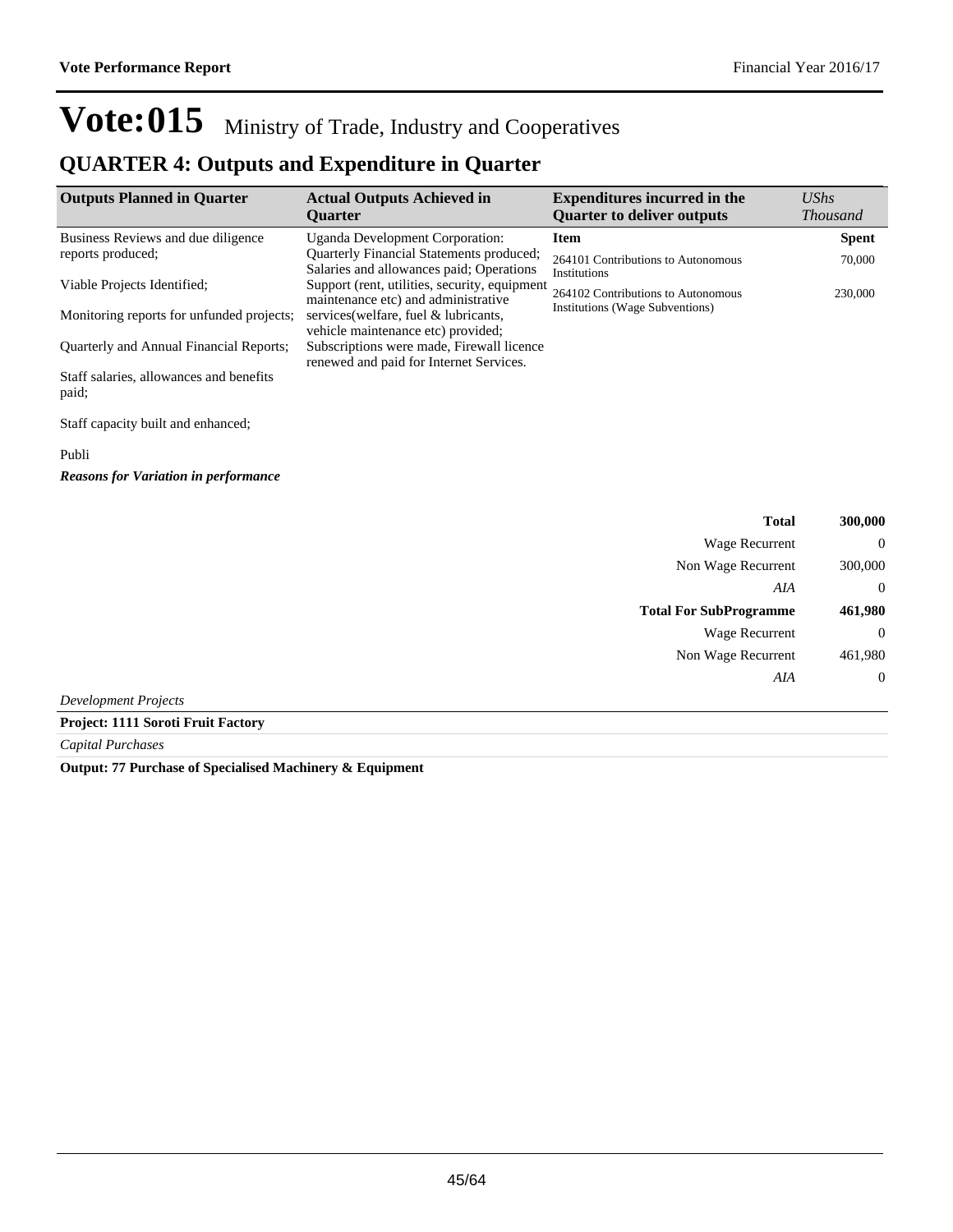### **QUARTER 4: Outputs and Expenditure in Quarter**

| <b>Outputs Planned in Quarter</b>                | <b>Actual Outputs Achieved in</b><br><b>Ouarter</b>                                         | <b>Expenditures incurred in the</b><br><b>Quarter to deliver outputs</b> | <b>UShs</b><br><i>Thousand</i> |
|--------------------------------------------------|---------------------------------------------------------------------------------------------|--------------------------------------------------------------------------|--------------------------------|
| Business Reviews and due diligence               | Uganda Development Corporation:                                                             | <b>Item</b>                                                              | <b>Spent</b>                   |
| reports produced;                                | <b>Quarterly Financial Statements produced;</b><br>Salaries and allowances paid; Operations | 264101 Contributions to Autonomous<br>Institutions                       | 70,000                         |
| Viable Projects Identified:                      | Support (rent, utilities, security, equipment<br>maintenance etc) and administrative        | 264102 Contributions to Autonomous<br>Institutions (Wage Subventions)    | 230,000                        |
| Monitoring reports for unfunded projects;        | services (welfare, fuel & lubricants,<br>vehicle maintenance etc) provided;                 |                                                                          |                                |
| <b>Ouarterly and Annual Financial Reports;</b>   | Subscriptions were made, Firewall licence<br>renewed and paid for Internet Services.        |                                                                          |                                |
| Staff salaries, allowances and benefits<br>paid; |                                                                                             |                                                                          |                                |
| Staff capacity built and enhanced;               |                                                                                             |                                                                          |                                |

#### Publi

*Reasons for Variation in performance*

|                             | <b>Total</b>                  | 300,000        |
|-----------------------------|-------------------------------|----------------|
|                             | <b>Wage Recurrent</b>         | $\overline{0}$ |
|                             | Non Wage Recurrent            | 300,000        |
|                             | AIA                           | $\overline{0}$ |
|                             | <b>Total For SubProgramme</b> | 461,980        |
|                             | Wage Recurrent                | $\overline{0}$ |
|                             | Non Wage Recurrent            | 461,980        |
|                             | AIA                           | $\theta$       |
| <b>Development Projects</b> |                               |                |

**Project: 1111 Soroti Fruit Factory**

*Capital Purchases*

**Output: 77 Purchase of Specialised Machinery & Equipment**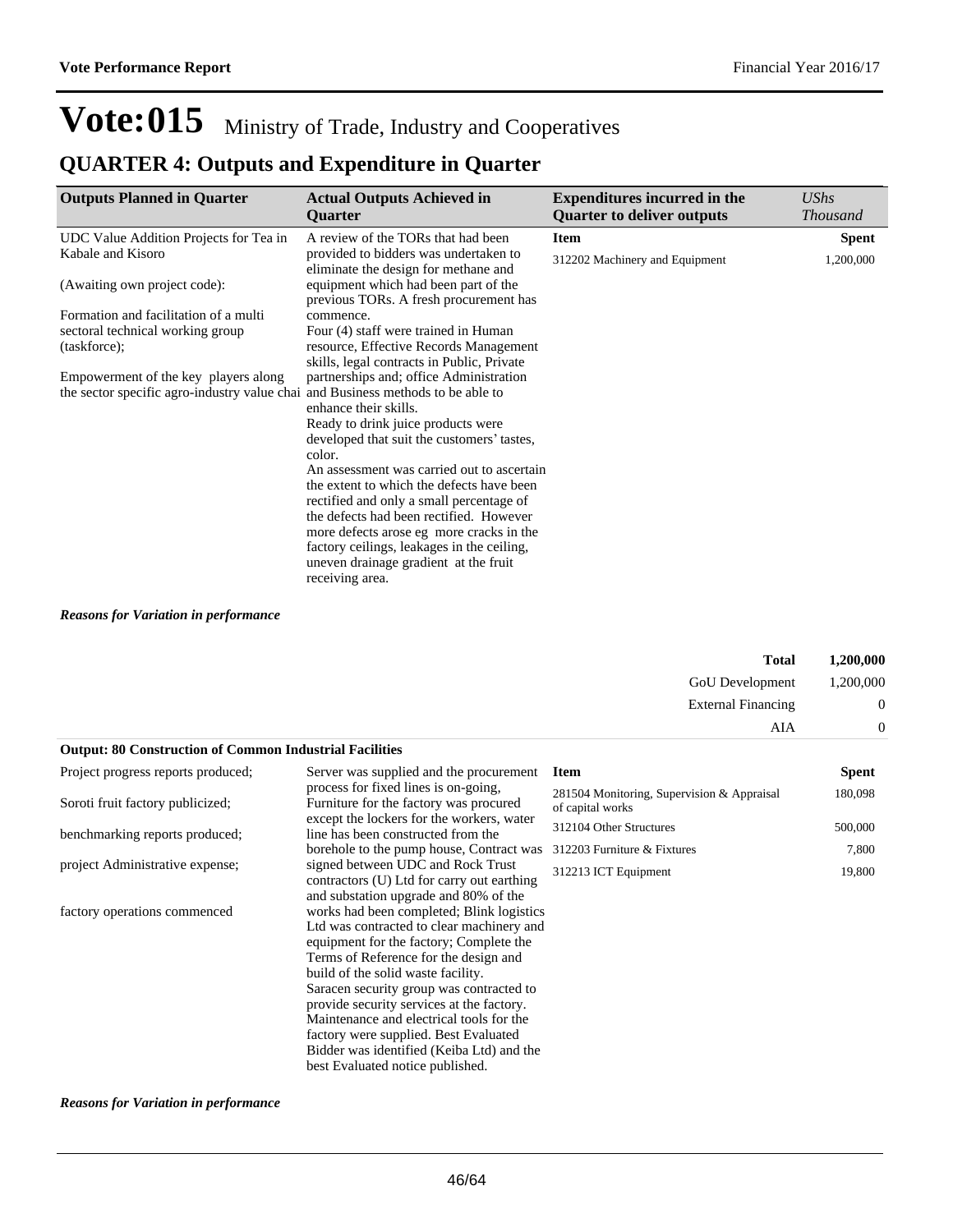## **QUARTER 4: Outputs and Expenditure in Quarter**

| <b>Outputs Planned in Quarter</b>                                               | <b>Actual Outputs Achieved in</b><br><b>Ouarter</b>                            | <b>Expenditures incurred in the</b><br><b>Quarter to deliver outputs</b> | UShs<br><b>Thousand</b> |
|---------------------------------------------------------------------------------|--------------------------------------------------------------------------------|--------------------------------------------------------------------------|-------------------------|
| UDC Value Addition Projects for Tea in                                          | A review of the TORs that had been                                             | <b>Item</b>                                                              | <b>Spent</b>            |
| Kabale and Kisoro                                                               | provided to bidders was undertaken to<br>eliminate the design for methane and  | 312202 Machinery and Equipment                                           | 1,200,000               |
| (Awaiting own project code):                                                    | equipment which had been part of the<br>previous TORs. A fresh procurement has |                                                                          |                         |
| Formation and facilitation of a multi                                           | commence.                                                                      |                                                                          |                         |
| sectoral technical working group                                                | Four (4) staff were trained in Human                                           |                                                                          |                         |
| (taskforce);                                                                    | resource, Effective Records Management                                         |                                                                          |                         |
|                                                                                 | skills, legal contracts in Public, Private                                     |                                                                          |                         |
| Empowerment of the key players along                                            | partnerships and; office Administration                                        |                                                                          |                         |
| the sector specific agro-industry value chai and Business methods to be able to |                                                                                |                                                                          |                         |
|                                                                                 | enhance their skills.                                                          |                                                                          |                         |
|                                                                                 | Ready to drink juice products were                                             |                                                                          |                         |
|                                                                                 | developed that suit the customers' tastes,<br>color.                           |                                                                          |                         |
|                                                                                 | An assessment was carried out to ascertain                                     |                                                                          |                         |
|                                                                                 | the extent to which the defects have been                                      |                                                                          |                         |
|                                                                                 | rectified and only a small percentage of                                       |                                                                          |                         |
|                                                                                 | the defects had been rectified. However                                        |                                                                          |                         |
|                                                                                 | more defects arose eg more cracks in the                                       |                                                                          |                         |
|                                                                                 | factory ceilings, leakages in the ceiling,                                     |                                                                          |                         |
|                                                                                 | uneven drainage gradient at the fruit                                          |                                                                          |                         |
|                                                                                 | receiving area.                                                                |                                                                          |                         |

#### *Reasons for Variation in performance*

|                                                                |                                                                                                                                                                                                                                                                                                                                                                                                                                                                                 | <b>Total</b><br><b>GoU</b> Development                         | 1,200,000<br>1,200,000 |
|----------------------------------------------------------------|---------------------------------------------------------------------------------------------------------------------------------------------------------------------------------------------------------------------------------------------------------------------------------------------------------------------------------------------------------------------------------------------------------------------------------------------------------------------------------|----------------------------------------------------------------|------------------------|
|                                                                |                                                                                                                                                                                                                                                                                                                                                                                                                                                                                 | <b>External Financing</b>                                      | $\boldsymbol{0}$       |
|                                                                |                                                                                                                                                                                                                                                                                                                                                                                                                                                                                 | AIA                                                            | $\mathbf 0$            |
| <b>Output: 80 Construction of Common Industrial Facilities</b> |                                                                                                                                                                                                                                                                                                                                                                                                                                                                                 |                                                                |                        |
| Project progress reports produced;                             | Server was supplied and the procurement                                                                                                                                                                                                                                                                                                                                                                                                                                         | <b>Item</b>                                                    | Spent                  |
| Soroti fruit factory publicized;                               | process for fixed lines is on-going,<br>Furniture for the factory was procured                                                                                                                                                                                                                                                                                                                                                                                                  | 281504 Monitoring, Supervision & Appraisal<br>of capital works | 180,098                |
| benchmarking reports produced;                                 | except the lockers for the workers, water<br>line has been constructed from the                                                                                                                                                                                                                                                                                                                                                                                                 | 312104 Other Structures                                        | 500,000                |
|                                                                | borehole to the pump house, Contract was                                                                                                                                                                                                                                                                                                                                                                                                                                        | 312203 Furniture & Fixtures                                    | 7,800                  |
| project Administrative expense;                                | signed between UDC and Rock Trust<br>contractors (U) Ltd for carry out earthing<br>and substation upgrade and 80% of the                                                                                                                                                                                                                                                                                                                                                        | 312213 ICT Equipment                                           | 19,800                 |
| factory operations commenced                                   | works had been completed; Blink logistics<br>Ltd was contracted to clear machinery and<br>equipment for the factory; Complete the<br>Terms of Reference for the design and<br>build of the solid waste facility.<br>Saracen security group was contracted to<br>provide security services at the factory.<br>Maintenance and electrical tools for the<br>factory were supplied. Best Evaluated<br>Bidder was identified (Keiba Ltd) and the<br>best Evaluated notice published. |                                                                |                        |

#### *Reasons for Variation in performance*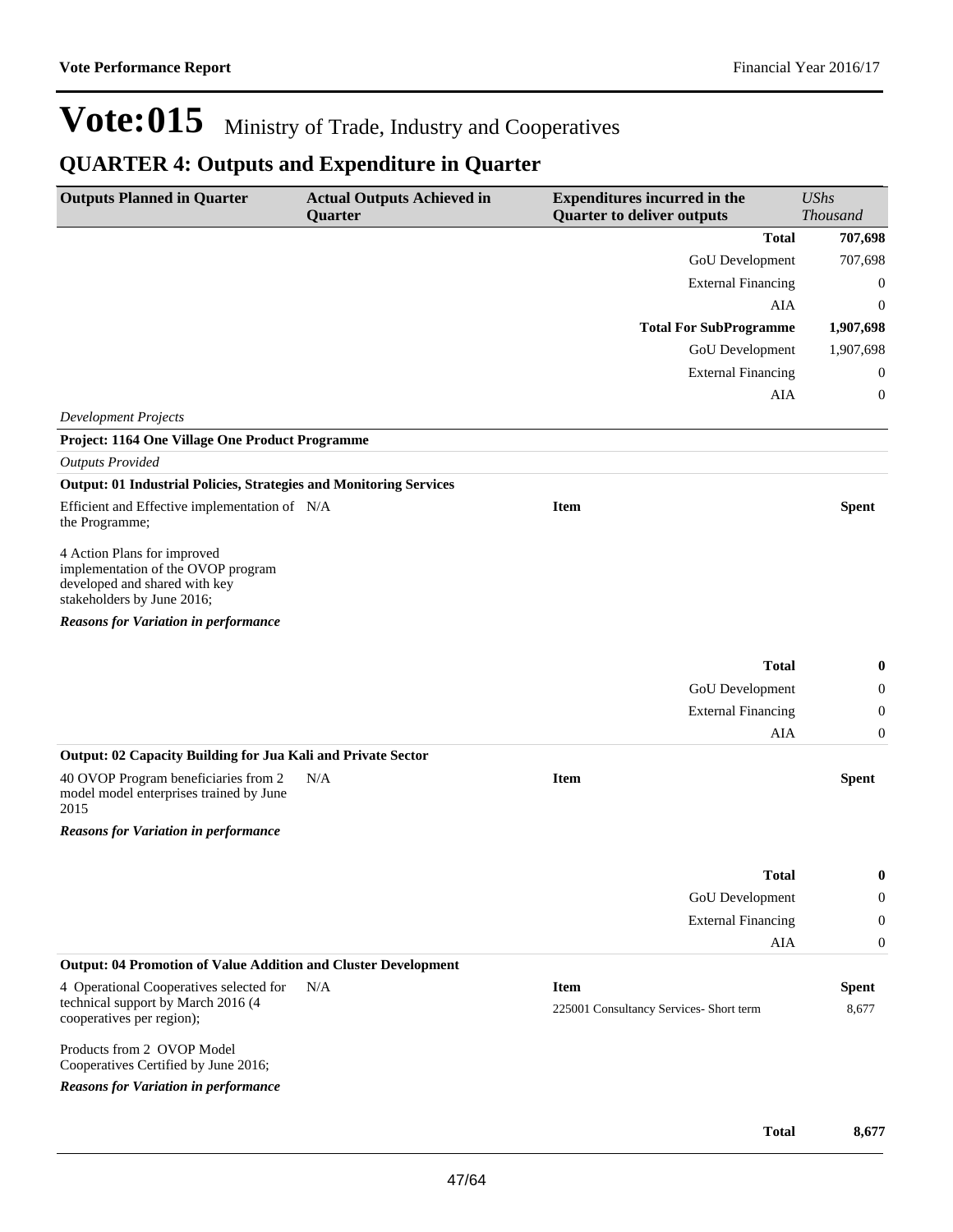## **QUARTER 4: Outputs and Expenditure in Quarter**

| <b>Outputs Planned in Quarter</b>                                                                                                | <b>Actual Outputs Achieved in</b><br>Quarter | <b>Expenditures incurred in the</b><br><b>Quarter to deliver outputs</b> | <b>UShs</b><br><b>Thousand</b> |
|----------------------------------------------------------------------------------------------------------------------------------|----------------------------------------------|--------------------------------------------------------------------------|--------------------------------|
|                                                                                                                                  |                                              | <b>Total</b>                                                             | 707,698                        |
|                                                                                                                                  |                                              | GoU Development                                                          | 707,698                        |
|                                                                                                                                  |                                              | <b>External Financing</b>                                                | $\boldsymbol{0}$               |
|                                                                                                                                  |                                              | AIA                                                                      | $\boldsymbol{0}$               |
|                                                                                                                                  |                                              | <b>Total For SubProgramme</b>                                            | 1,907,698                      |
|                                                                                                                                  |                                              | GoU Development                                                          | 1,907,698                      |
|                                                                                                                                  |                                              | <b>External Financing</b>                                                | $\boldsymbol{0}$               |
|                                                                                                                                  |                                              | AIA                                                                      | $\boldsymbol{0}$               |
| <b>Development Projects</b>                                                                                                      |                                              |                                                                          |                                |
| Project: 1164 One Village One Product Programme                                                                                  |                                              |                                                                          |                                |
| <b>Outputs Provided</b>                                                                                                          |                                              |                                                                          |                                |
| <b>Output: 01 Industrial Policies, Strategies and Monitoring Services</b>                                                        |                                              |                                                                          |                                |
| Efficient and Effective implementation of N/A<br>the Programme;                                                                  |                                              | <b>Item</b>                                                              | <b>Spent</b>                   |
| 4 Action Plans for improved<br>implementation of the OVOP program<br>developed and shared with key<br>stakeholders by June 2016; |                                              |                                                                          |                                |
| <b>Reasons for Variation in performance</b>                                                                                      |                                              |                                                                          |                                |
|                                                                                                                                  |                                              |                                                                          |                                |
|                                                                                                                                  |                                              | <b>Total</b>                                                             | $\bf{0}$                       |
|                                                                                                                                  |                                              | GoU Development                                                          | $\boldsymbol{0}$               |
|                                                                                                                                  |                                              | <b>External Financing</b>                                                | $\boldsymbol{0}$               |
|                                                                                                                                  |                                              | AIA                                                                      | $\mathbf{0}$                   |
| Output: 02 Capacity Building for Jua Kali and Private Sector                                                                     |                                              |                                                                          |                                |
| 40 OVOP Program beneficiaries from 2<br>model model enterprises trained by June<br>2015                                          | N/A                                          | <b>Item</b>                                                              | <b>Spent</b>                   |
| <b>Reasons for Variation in performance</b>                                                                                      |                                              |                                                                          |                                |
|                                                                                                                                  |                                              | <b>Total</b>                                                             | $\boldsymbol{0}$               |
|                                                                                                                                  |                                              | GoU Development                                                          | $\mathbf{0}$                   |
|                                                                                                                                  |                                              | <b>External Financing</b>                                                | $\mathbf{0}$                   |
|                                                                                                                                  |                                              | AIA                                                                      | $\mathbf{0}$                   |
| <b>Output: 04 Promotion of Value Addition and Cluster Development</b>                                                            |                                              |                                                                          |                                |
| 4 Operational Cooperatives selected for                                                                                          | N/A                                          | <b>Item</b>                                                              | <b>Spent</b>                   |
| technical support by March 2016 (4<br>cooperatives per region);                                                                  |                                              | 225001 Consultancy Services- Short term                                  | 8,677                          |
| Products from 2 OVOP Model<br>Cooperatives Certified by June 2016;                                                               |                                              |                                                                          |                                |
| <b>Reasons for Variation in performance</b>                                                                                      |                                              |                                                                          |                                |
|                                                                                                                                  |                                              |                                                                          |                                |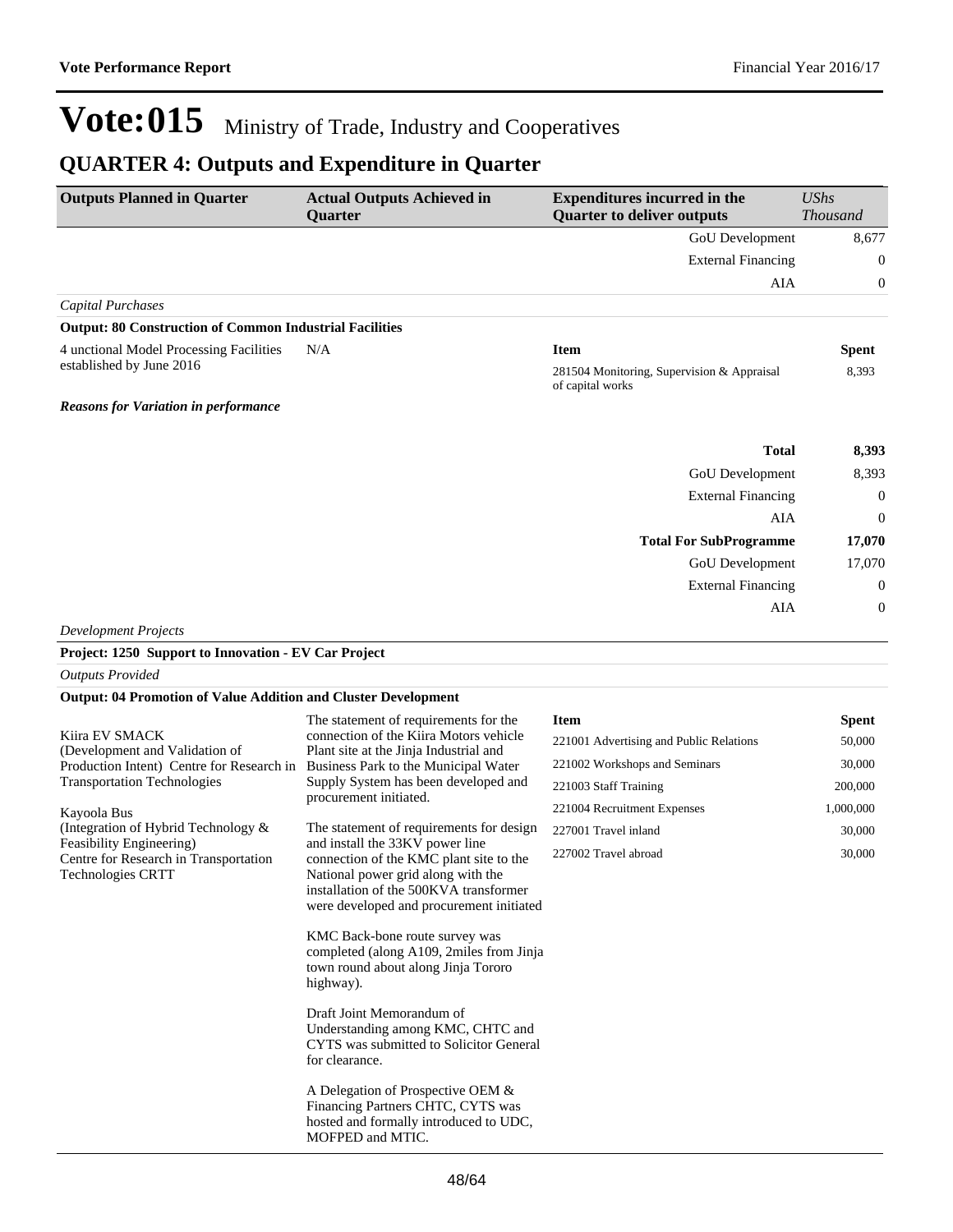## **QUARTER 4: Outputs and Expenditure in Quarter**

| <b>Outputs Planned in Quarter</b>                                     | <b>Actual Outputs Achieved in</b><br><b>Quarter</b>                                                                                                                 | <b>Expenditures incurred in the</b><br><b>Quarter to deliver outputs</b> | <b>UShs</b><br><b>Thousand</b> |
|-----------------------------------------------------------------------|---------------------------------------------------------------------------------------------------------------------------------------------------------------------|--------------------------------------------------------------------------|--------------------------------|
|                                                                       |                                                                                                                                                                     | GoU Development                                                          | 8,677                          |
|                                                                       |                                                                                                                                                                     | <b>External Financing</b>                                                | $\boldsymbol{0}$               |
|                                                                       |                                                                                                                                                                     | AIA                                                                      | $\boldsymbol{0}$               |
| Capital Purchases                                                     |                                                                                                                                                                     |                                                                          |                                |
| <b>Output: 80 Construction of Common Industrial Facilities</b>        |                                                                                                                                                                     |                                                                          |                                |
| 4 unctional Model Processing Facilities                               | N/A                                                                                                                                                                 | <b>Item</b>                                                              | <b>Spent</b>                   |
| established by June 2016                                              |                                                                                                                                                                     | 281504 Monitoring, Supervision & Appraisal<br>of capital works           | 8,393                          |
| <b>Reasons for Variation in performance</b>                           |                                                                                                                                                                     |                                                                          |                                |
|                                                                       |                                                                                                                                                                     | <b>Total</b>                                                             | 8,393                          |
|                                                                       |                                                                                                                                                                     | GoU Development                                                          | 8,393                          |
|                                                                       |                                                                                                                                                                     | <b>External Financing</b>                                                | $\boldsymbol{0}$               |
|                                                                       |                                                                                                                                                                     | AIA                                                                      | $\boldsymbol{0}$               |
|                                                                       |                                                                                                                                                                     | <b>Total For SubProgramme</b>                                            | 17,070                         |
|                                                                       |                                                                                                                                                                     | GoU Development                                                          | 17,070                         |
|                                                                       |                                                                                                                                                                     | <b>External Financing</b>                                                | $\boldsymbol{0}$               |
|                                                                       |                                                                                                                                                                     | AIA                                                                      | $\boldsymbol{0}$               |
| <b>Development Projects</b>                                           |                                                                                                                                                                     |                                                                          |                                |
| Project: 1250 Support to Innovation - EV Car Project                  |                                                                                                                                                                     |                                                                          |                                |
| <b>Outputs Provided</b>                                               |                                                                                                                                                                     |                                                                          |                                |
| <b>Output: 04 Promotion of Value Addition and Cluster Development</b> |                                                                                                                                                                     |                                                                          |                                |
|                                                                       | The statement of requirements for the                                                                                                                               | <b>Item</b>                                                              | Spent                          |
| Kiira EV SMACK<br>(Development and Validation of                      | connection of the Kiira Motors vehicle<br>Plant site at the Jinja Industrial and                                                                                    | 221001 Advertising and Public Relations                                  | 50,000                         |
| Production Intent) Centre for Research in                             | Business Park to the Municipal Water                                                                                                                                | 221002 Workshops and Seminars                                            | 30,000                         |
| <b>Transportation Technologies</b>                                    | Supply System has been developed and<br>procurement initiated.                                                                                                      | 221003 Staff Training                                                    | 200,000                        |
| Kayoola Bus                                                           |                                                                                                                                                                     | 221004 Recruitment Expenses                                              | 1,000,000                      |
| (Integration of Hybrid Technology &<br>Feasibility Engineering)       | The statement of requirements for design<br>and install the 33KV power line                                                                                         | 227001 Travel inland                                                     | 30,000                         |
| Centre for Research in Transportation<br>Technologies CRTT            | connection of the KMC plant site to the<br>National power grid along with the<br>installation of the 500KVA transformer<br>were developed and procurement initiated | 227002 Travel abroad                                                     | 30,000                         |
|                                                                       | KMC Back-bone route survey was<br>completed (along A109, 2miles from Jinja<br>town round about along Jinja Tororo<br>highway).                                      |                                                                          |                                |
|                                                                       | Draft Joint Memorandum of<br>Understanding among KMC, CHTC and<br>CYTS was submitted to Solicitor General<br>for clearance.                                         |                                                                          |                                |
|                                                                       | A Delegation of Prospective OEM &<br>Financing Partners CHTC, CYTS was<br>hosted and formally introduced to UDC,                                                    |                                                                          |                                |

MOFPED and MTIC.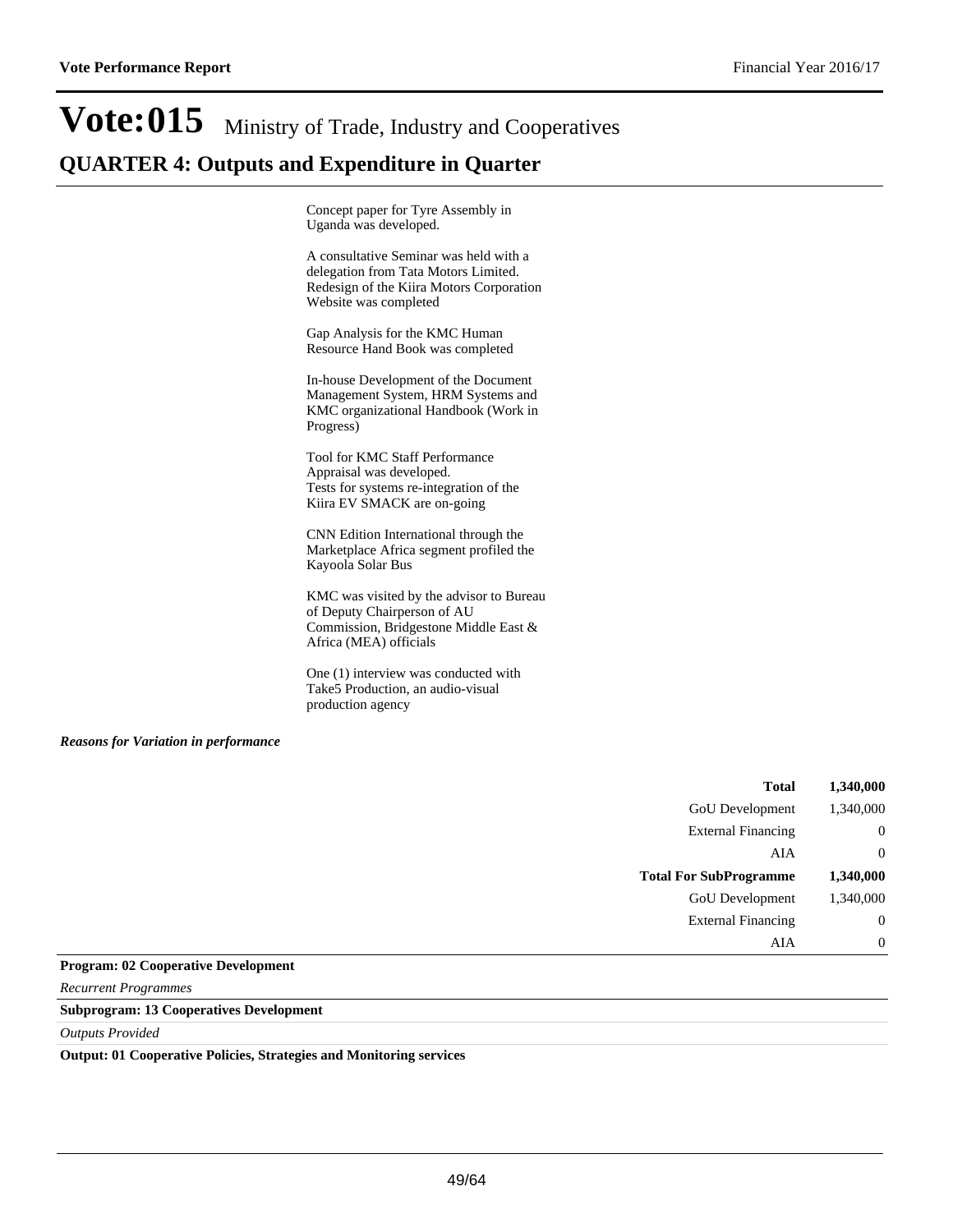## Vote: 015 Ministry of Trade, Industry and Cooperatives **QUARTER 4: Outputs and Expenditure in Quarter**

Concept paper for Tyre Assembly in Uganda was developed.

A consultative Seminar was held with a delegation from Tata Motors Limited. Redesign of the Kiira Motors Corporation Website was completed

Gap Analysis for the KMC Human Resource Hand Book was completed

In-house Development of the Document Management System, HRM Systems and KMC organizational Handbook (Work in Progress)

Tool for KMC Staff Performance Appraisal was developed. Tests for systems re-integration of the Kiira EV SMACK are on-going

CNN Edition International through the Marketplace Africa segment profiled the Kayoola Solar Bus

KMC was visited by the advisor to Bureau of Deputy Chairperson of AU Commission, Bridgestone Middle East & Africa (MEA) officials

One (1) interview was conducted with Take5 Production, an audio-visual production agency

#### *Reasons for Variation in performance*

| <b>Total</b>                  | 1,340,000      |
|-------------------------------|----------------|
| GoU Development               | 1,340,000      |
| <b>External Financing</b>     | $\overline{0}$ |
| AIA                           | $\overline{0}$ |
| <b>Total For SubProgramme</b> | 1,340,000      |
| GoU Development               | 1,340,000      |
| <b>External Financing</b>     | $\overline{0}$ |
| AIA                           | $\overline{0}$ |

#### **Program: 02 Cooperative Development**

*Recurrent Programmes*

#### **Subprogram: 13 Cooperatives Development**

*Outputs Provided*

#### **Output: 01 Cooperative Policies, Strategies and Monitoring services**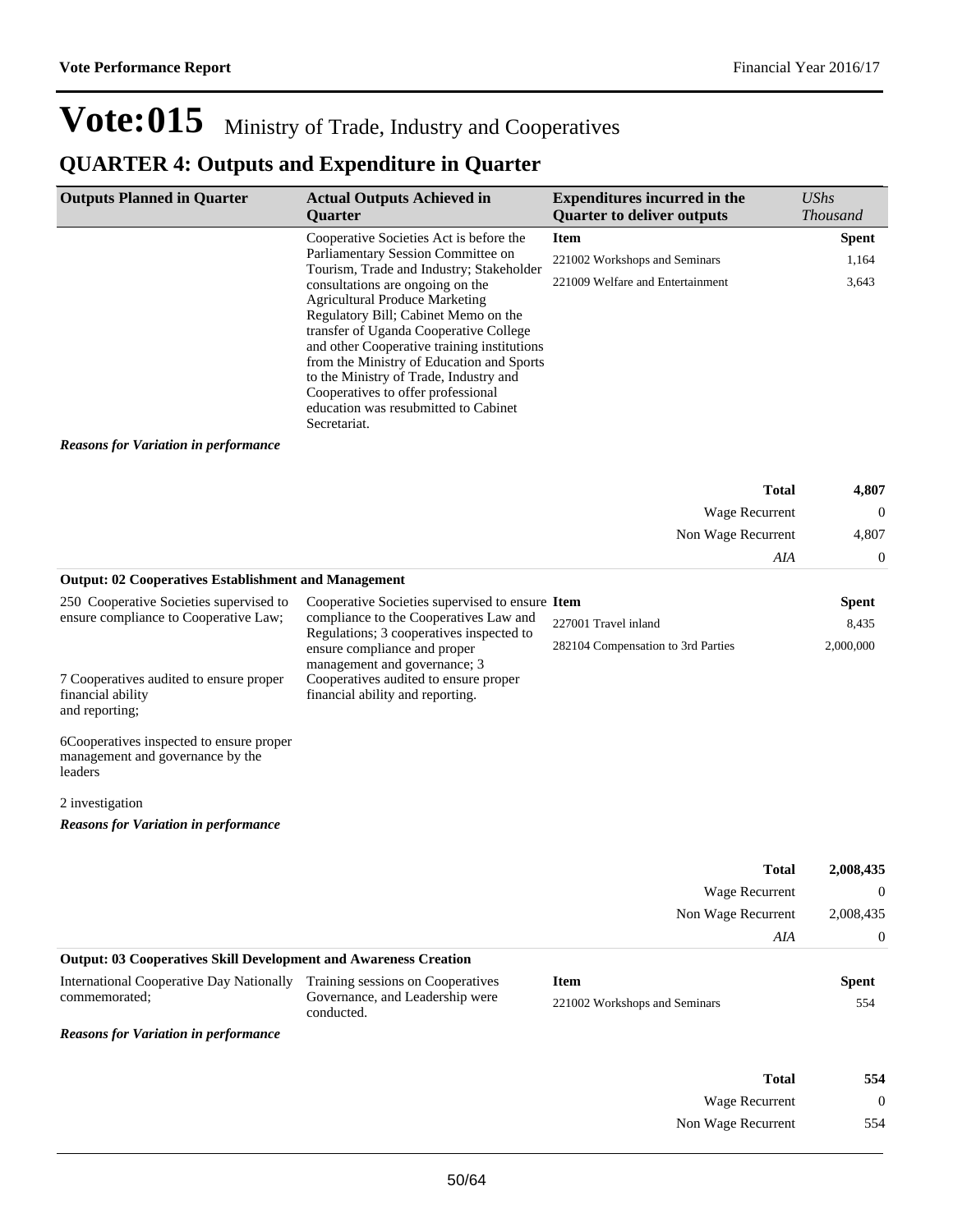Wage Recurrent 0 Non Wage Recurrent 554

## Vote:015 Ministry of Trade, Industry and Cooperatives

## **QUARTER 4: Outputs and Expenditure in Quarter**

| <b>Outputs Planned in Quarter</b>                                                                                       | <b>Actual Outputs Achieved in</b>                                                                                                                                                                                                                                                                                                                                                                                                                                                 | <b>Expenditures incurred in the</b>                        | <b>UShs</b>        |
|-------------------------------------------------------------------------------------------------------------------------|-----------------------------------------------------------------------------------------------------------------------------------------------------------------------------------------------------------------------------------------------------------------------------------------------------------------------------------------------------------------------------------------------------------------------------------------------------------------------------------|------------------------------------------------------------|--------------------|
|                                                                                                                         | Quarter                                                                                                                                                                                                                                                                                                                                                                                                                                                                           | <b>Quarter to deliver outputs</b>                          | <b>Thousand</b>    |
|                                                                                                                         | Cooperative Societies Act is before the                                                                                                                                                                                                                                                                                                                                                                                                                                           | <b>Item</b>                                                | <b>Spent</b>       |
|                                                                                                                         | Parliamentary Session Committee on<br>Tourism, Trade and Industry; Stakeholder<br>consultations are ongoing on the<br><b>Agricultural Produce Marketing</b><br>Regulatory Bill; Cabinet Memo on the<br>transfer of Uganda Cooperative College<br>and other Cooperative training institutions<br>from the Ministry of Education and Sports<br>to the Ministry of Trade, Industry and<br>Cooperatives to offer professional<br>education was resubmitted to Cabinet<br>Secretariat. | 221002 Workshops and Seminars                              | 1,164              |
|                                                                                                                         |                                                                                                                                                                                                                                                                                                                                                                                                                                                                                   | 221009 Welfare and Entertainment                           | 3,643              |
| <b>Reasons for Variation in performance</b>                                                                             |                                                                                                                                                                                                                                                                                                                                                                                                                                                                                   |                                                            |                    |
|                                                                                                                         |                                                                                                                                                                                                                                                                                                                                                                                                                                                                                   | <b>Total</b>                                               | 4,807              |
|                                                                                                                         |                                                                                                                                                                                                                                                                                                                                                                                                                                                                                   | Wage Recurrent                                             | $\mathbf 0$        |
|                                                                                                                         |                                                                                                                                                                                                                                                                                                                                                                                                                                                                                   | Non Wage Recurrent                                         | 4,807              |
|                                                                                                                         |                                                                                                                                                                                                                                                                                                                                                                                                                                                                                   | AIA                                                        | $\mathbf 0$        |
| <b>Output: 02 Cooperatives Establishment and Management</b>                                                             |                                                                                                                                                                                                                                                                                                                                                                                                                                                                                   |                                                            |                    |
| 250 Cooperative Societies supervised to                                                                                 | Cooperative Societies supervised to ensure Item<br>compliance to the Cooperatives Law and                                                                                                                                                                                                                                                                                                                                                                                         |                                                            | <b>Spent</b>       |
| ensure compliance to Cooperative Law;<br>7 Cooperatives audited to ensure proper<br>financial ability<br>and reporting; | Regulations; 3 cooperatives inspected to<br>ensure compliance and proper<br>management and governance; 3<br>Cooperatives audited to ensure proper<br>financial ability and reporting.                                                                                                                                                                                                                                                                                             | 227001 Travel inland<br>282104 Compensation to 3rd Parties | 8,435<br>2,000,000 |
| 6Cooperatives inspected to ensure proper<br>management and governance by the<br>leaders                                 |                                                                                                                                                                                                                                                                                                                                                                                                                                                                                   |                                                            |                    |
| 2 investigation                                                                                                         |                                                                                                                                                                                                                                                                                                                                                                                                                                                                                   |                                                            |                    |
| <b>Reasons for Variation in performance</b>                                                                             |                                                                                                                                                                                                                                                                                                                                                                                                                                                                                   |                                                            |                    |
|                                                                                                                         |                                                                                                                                                                                                                                                                                                                                                                                                                                                                                   | <b>Total</b>                                               | 2,008,435          |
|                                                                                                                         |                                                                                                                                                                                                                                                                                                                                                                                                                                                                                   | Wage Recurrent                                             | $\boldsymbol{0}$   |
|                                                                                                                         |                                                                                                                                                                                                                                                                                                                                                                                                                                                                                   | Non Wage Recurrent                                         | 2,008,435          |
|                                                                                                                         |                                                                                                                                                                                                                                                                                                                                                                                                                                                                                   | AIA                                                        | $\boldsymbol{0}$   |
| <b>Output: 03 Cooperatives Skill Development and Awareness Creation</b>                                                 |                                                                                                                                                                                                                                                                                                                                                                                                                                                                                   |                                                            |                    |
| <b>International Cooperative Day Nationally</b>                                                                         | Training sessions on Cooperatives                                                                                                                                                                                                                                                                                                                                                                                                                                                 | <b>Item</b>                                                | <b>Spent</b>       |
| commemorated;                                                                                                           | Governance, and Leadership were<br>conducted.                                                                                                                                                                                                                                                                                                                                                                                                                                     | 221002 Workshops and Seminars                              | 554                |
| <b>Reasons for Variation in performance</b>                                                                             |                                                                                                                                                                                                                                                                                                                                                                                                                                                                                   |                                                            |                    |
|                                                                                                                         |                                                                                                                                                                                                                                                                                                                                                                                                                                                                                   |                                                            |                    |
|                                                                                                                         |                                                                                                                                                                                                                                                                                                                                                                                                                                                                                   | <b>Total</b>                                               | 554                |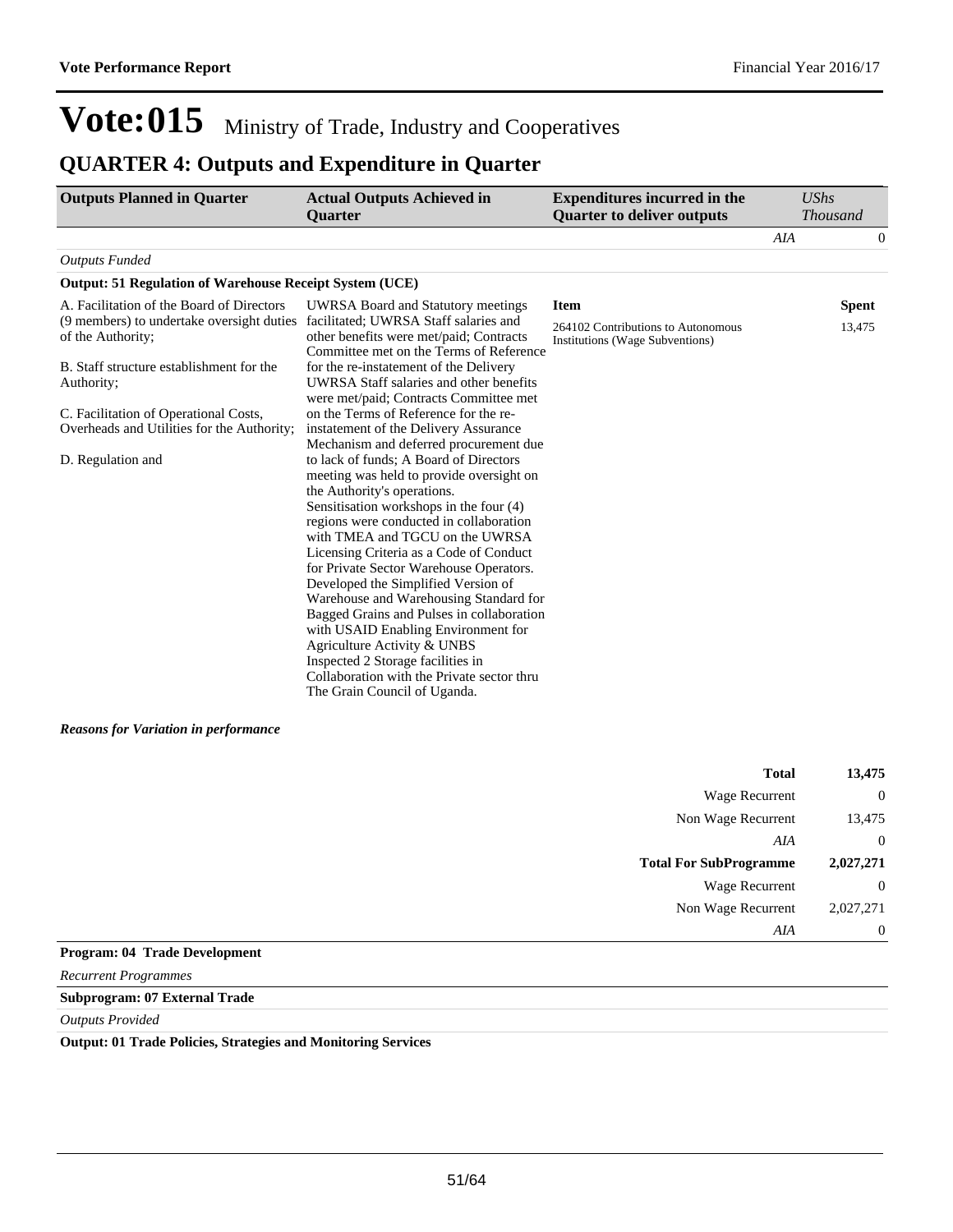### **QUARTER 4: Outputs and Expenditure in Quarter**

| <b>Outputs Planned in Quarter</b>                                                                                                                                                                                                                                                                                       | <b>Actual Outputs Achieved in</b><br><b>Ouarter</b>                                                                                                                                                                                                                                                                                                                                                                                                                                                                                                                                                                                                                                                                                                                                                                                                                                                                         | <b>Expenditures incurred in the</b><br><b>Quarter to deliver outputs</b>             | <b>UShs</b> | <b>Thousand</b>        |
|-------------------------------------------------------------------------------------------------------------------------------------------------------------------------------------------------------------------------------------------------------------------------------------------------------------------------|-----------------------------------------------------------------------------------------------------------------------------------------------------------------------------------------------------------------------------------------------------------------------------------------------------------------------------------------------------------------------------------------------------------------------------------------------------------------------------------------------------------------------------------------------------------------------------------------------------------------------------------------------------------------------------------------------------------------------------------------------------------------------------------------------------------------------------------------------------------------------------------------------------------------------------|--------------------------------------------------------------------------------------|-------------|------------------------|
|                                                                                                                                                                                                                                                                                                                         |                                                                                                                                                                                                                                                                                                                                                                                                                                                                                                                                                                                                                                                                                                                                                                                                                                                                                                                             |                                                                                      | <b>AIA</b>  | 0                      |
| <b>Outputs Funded</b>                                                                                                                                                                                                                                                                                                   |                                                                                                                                                                                                                                                                                                                                                                                                                                                                                                                                                                                                                                                                                                                                                                                                                                                                                                                             |                                                                                      |             |                        |
| <b>Output: 51 Regulation of Warehouse Receipt System (UCE)</b>                                                                                                                                                                                                                                                          |                                                                                                                                                                                                                                                                                                                                                                                                                                                                                                                                                                                                                                                                                                                                                                                                                                                                                                                             |                                                                                      |             |                        |
| A. Facilitation of the Board of Directors<br>(9 members) to undertake oversight duties facilitated; UWRSA Staff salaries and<br>of the Authority;<br>B. Staff structure establishment for the<br>Authority;<br>C. Facilitation of Operational Costs,<br>Overheads and Utilities for the Authority;<br>D. Regulation and | UWRSA Board and Statutory meetings<br>other benefits were met/paid; Contracts<br>Committee met on the Terms of Reference<br>for the re-instatement of the Delivery<br>UWRSA Staff salaries and other benefits<br>were met/paid; Contracts Committee met<br>on the Terms of Reference for the re-<br>instatement of the Delivery Assurance<br>Mechanism and deferred procurement due<br>to lack of funds; A Board of Directors<br>meeting was held to provide oversight on<br>the Authority's operations.<br>Sensitisation workshops in the four (4)<br>regions were conducted in collaboration<br>with TMEA and TGCU on the UWRSA<br>Licensing Criteria as a Code of Conduct<br>for Private Sector Warehouse Operators.<br>Developed the Simplified Version of<br>Warehouse and Warehousing Standard for<br>Bagged Grains and Pulses in collaboration<br>with USAID Enabling Environment for<br>Agriculture Activity & UNBS | <b>Item</b><br>264102 Contributions to Autonomous<br>Institutions (Wage Subventions) |             | <b>Spent</b><br>13,475 |
| <b>Reasons for Variation in performance</b>                                                                                                                                                                                                                                                                             | Inspected 2 Storage facilities in<br>Collaboration with the Private sector thru<br>The Grain Council of Uganda.                                                                                                                                                                                                                                                                                                                                                                                                                                                                                                                                                                                                                                                                                                                                                                                                             |                                                                                      |             |                        |

| <b>Total</b>                  | 13,475         |
|-------------------------------|----------------|
| Wage Recurrent                | $\overline{0}$ |
| Non Wage Recurrent            | 13,475         |
| AIA                           | $\overline{0}$ |
| <b>Total For SubProgramme</b> | 2,027,271      |
| <b>Wage Recurrent</b>         | $\overline{0}$ |
| Non Wage Recurrent            | 2,027,271      |
| AIA                           | $\overline{0}$ |

#### **Program: 04 Trade Development**

*Recurrent Programmes*

**Subprogram: 07 External Trade**

#### *Outputs Provided*

**Output: 01 Trade Policies, Strategies and Monitoring Services**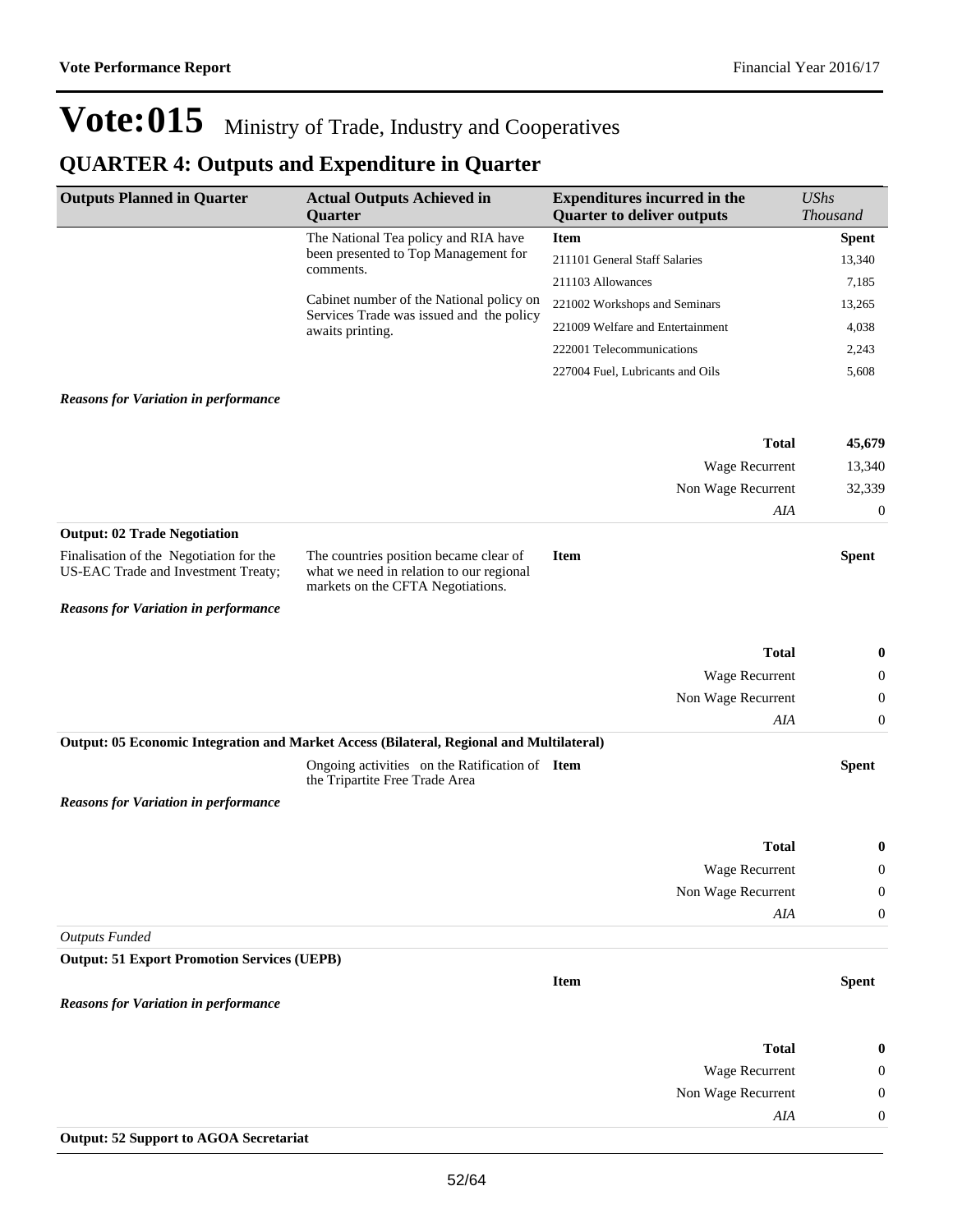## **QUARTER 4: Outputs and Expenditure in Quarter**

| <b>Outputs Planned in Quarter</b>                                              | <b>Actual Outputs Achieved in</b>                                                                                       | <b>Expenditures incurred in the</b>              | <b>UShs</b>                  |
|--------------------------------------------------------------------------------|-------------------------------------------------------------------------------------------------------------------------|--------------------------------------------------|------------------------------|
|                                                                                | Quarter<br>The National Tea policy and RIA have                                                                         | <b>Quarter to deliver outputs</b><br><b>Item</b> | Thousand                     |
|                                                                                | been presented to Top Management for                                                                                    | 211101 General Staff Salaries                    | <b>Spent</b><br>13,340       |
|                                                                                | comments.                                                                                                               | 211103 Allowances                                | 7,185                        |
|                                                                                | Cabinet number of the National policy on                                                                                | 221002 Workshops and Seminars                    | 13,265                       |
|                                                                                | Services Trade was issued and the policy                                                                                | 221009 Welfare and Entertainment                 | 4,038                        |
|                                                                                | awaits printing.                                                                                                        | 222001 Telecommunications                        | 2,243                        |
|                                                                                |                                                                                                                         | 227004 Fuel, Lubricants and Oils                 | 5,608                        |
|                                                                                |                                                                                                                         |                                                  |                              |
| <b>Reasons for Variation in performance</b>                                    |                                                                                                                         |                                                  |                              |
|                                                                                |                                                                                                                         | <b>Total</b>                                     | 45,679                       |
|                                                                                |                                                                                                                         | Wage Recurrent                                   | 13,340                       |
|                                                                                |                                                                                                                         | Non Wage Recurrent                               | 32,339                       |
|                                                                                |                                                                                                                         | AIA                                              | $\mathbf{0}$                 |
| <b>Output: 02 Trade Negotiation</b>                                            |                                                                                                                         |                                                  |                              |
| Finalisation of the Negotiation for the<br>US-EAC Trade and Investment Treaty; | The countries position became clear of<br>what we need in relation to our regional<br>markets on the CFTA Negotiations. | <b>Item</b>                                      | <b>Spent</b>                 |
| <b>Reasons for Variation in performance</b>                                    |                                                                                                                         |                                                  |                              |
|                                                                                |                                                                                                                         |                                                  |                              |
|                                                                                |                                                                                                                         | <b>Total</b>                                     | $\bf{0}$                     |
|                                                                                |                                                                                                                         | Wage Recurrent                                   | $\mathbf{0}$                 |
|                                                                                |                                                                                                                         | Non Wage Recurrent                               | $\mathbf{0}$                 |
|                                                                                |                                                                                                                         | AIA                                              | $\mathbf{0}$                 |
|                                                                                | Output: 05 Economic Integration and Market Access (Bilateral, Regional and Multilateral)                                |                                                  |                              |
|                                                                                | Ongoing activities on the Ratification of Item<br>the Tripartite Free Trade Area                                        |                                                  | <b>Spent</b>                 |
| <b>Reasons for Variation in performance</b>                                    |                                                                                                                         |                                                  |                              |
|                                                                                |                                                                                                                         | <b>Total</b>                                     | $\boldsymbol{0}$             |
|                                                                                |                                                                                                                         | Wage Recurrent                                   | $\mathbf{0}$                 |
|                                                                                |                                                                                                                         | Non Wage Recurrent                               | $\boldsymbol{0}$             |
|                                                                                |                                                                                                                         | AIA                                              | $\mathbf{0}$                 |
| <b>Outputs Funded</b>                                                          |                                                                                                                         |                                                  |                              |
| <b>Output: 51 Export Promotion Services (UEPB)</b>                             |                                                                                                                         |                                                  |                              |
|                                                                                |                                                                                                                         | Item                                             | <b>Spent</b>                 |
| <b>Reasons for Variation in performance</b>                                    |                                                                                                                         |                                                  |                              |
|                                                                                |                                                                                                                         | <b>Total</b>                                     |                              |
|                                                                                |                                                                                                                         |                                                  | $\bf{0}$                     |
|                                                                                |                                                                                                                         | Wage Recurrent<br>Non Wage Recurrent             | $\theta$<br>$\boldsymbol{0}$ |
|                                                                                |                                                                                                                         | AIA                                              | $\boldsymbol{0}$             |
| <b>Output: 52 Support to AGOA Secretariat</b>                                  |                                                                                                                         |                                                  |                              |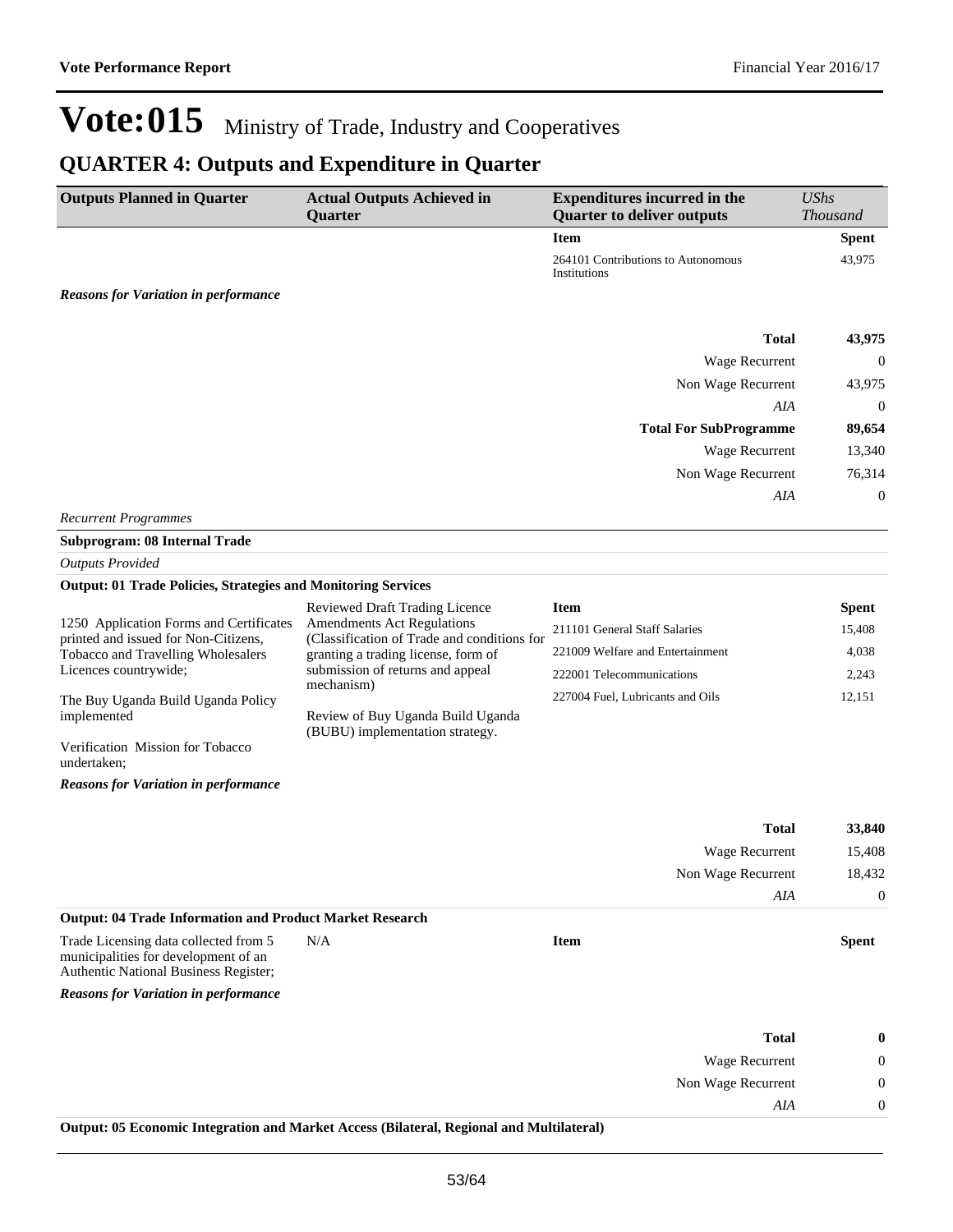### **QUARTER 4: Outputs and Expenditure in Quarter**

| <b>Outputs Planned in Quarter</b>           | <b>Actual Outputs Achieved in</b> | <b>Expenditures incurred in the</b>                | <b>UShs</b>     |
|---------------------------------------------|-----------------------------------|----------------------------------------------------|-----------------|
|                                             | Quarter                           | <b>Quarter to deliver outputs</b>                  | <b>Thousand</b> |
|                                             |                                   | <b>Item</b>                                        | <b>Spent</b>    |
|                                             |                                   | 264101 Contributions to Autonomous<br>Institutions | 43,975          |
| <b>Reasons for Variation in performance</b> |                                   |                                                    |                 |
|                                             |                                   | <b>Total</b>                                       | 43,975          |
|                                             |                                   | <b>Wage Recurrent</b>                              | $\overline{0}$  |
|                                             |                                   | Non Wage Recurrent                                 | 43,975          |
|                                             |                                   | AIA                                                | $\overline{0}$  |
|                                             |                                   | <b>Total For SubProgramme</b>                      | 89,654          |
|                                             |                                   | Wage Recurrent                                     | 13,340          |
|                                             |                                   | Non Wage Recurrent                                 | 76,314          |
|                                             |                                   | AIA                                                | 0               |

*Recurrent Programmes*

### **Subprogram: 08 Internal Trade**

*Outputs Provided*

#### **Output: 01 Trade Policies, Strategies and Monitoring Services**

|                                                                                 | <b>Reviewed Draft Trading Licence</b>                                            | <b>Item</b>                      | <b>Spent</b> |
|---------------------------------------------------------------------------------|----------------------------------------------------------------------------------|----------------------------------|--------------|
| 1250 Application Forms and Certificates<br>printed and issued for Non-Citizens, | <b>Amendments Act Regulations</b><br>(Classification of Trade and conditions for | 211101 General Staff Salaries    | 15,408       |
| Tobacco and Travelling Wholesalers                                              | granting a trading license, form of                                              | 221009 Welfare and Entertainment | 4.038        |
| Licences countrywide;                                                           | submission of returns and appeal<br>mechanism)                                   | 222001 Telecommunications        | 2.243        |
| The Buy Uganda Build Uganda Policy                                              |                                                                                  | 227004 Fuel, Lubricants and Oils | 12.151       |
| implemented                                                                     | Review of Buy Uganda Build Uganda<br>(BUBU) implementation strategy.             |                                  |              |
| Verification Mission for Tobacco<br>undertaken;                                 |                                                                                  |                                  |              |

*Reasons for Variation in performance*

|                                                                                                                               |     |             | <b>Total</b><br>Wage Recurrent | 33,840<br>15,408 |
|-------------------------------------------------------------------------------------------------------------------------------|-----|-------------|--------------------------------|------------------|
|                                                                                                                               |     |             |                                |                  |
|                                                                                                                               |     |             | Non Wage Recurrent             | 18,432           |
|                                                                                                                               |     |             | AIA                            | $\Omega$         |
| <b>Output: 04 Trade Information and Product Market Research</b>                                                               |     |             |                                |                  |
| Trade Licensing data collected from 5<br>municipalities for development of an<br><b>Authentic National Business Register;</b> | N/A | <b>Item</b> |                                | <b>Spent</b>     |
| <b>Reasons for Variation in performance</b>                                                                                   |     |             |                                |                  |

| 0 | <b>Total</b>       |  |
|---|--------------------|--|
|   | Wage Recurrent     |  |
|   | Non Wage Recurrent |  |
|   | AIA                |  |
|   |                    |  |

**Output: 05 Economic Integration and Market Access (Bilateral, Regional and Multilateral)**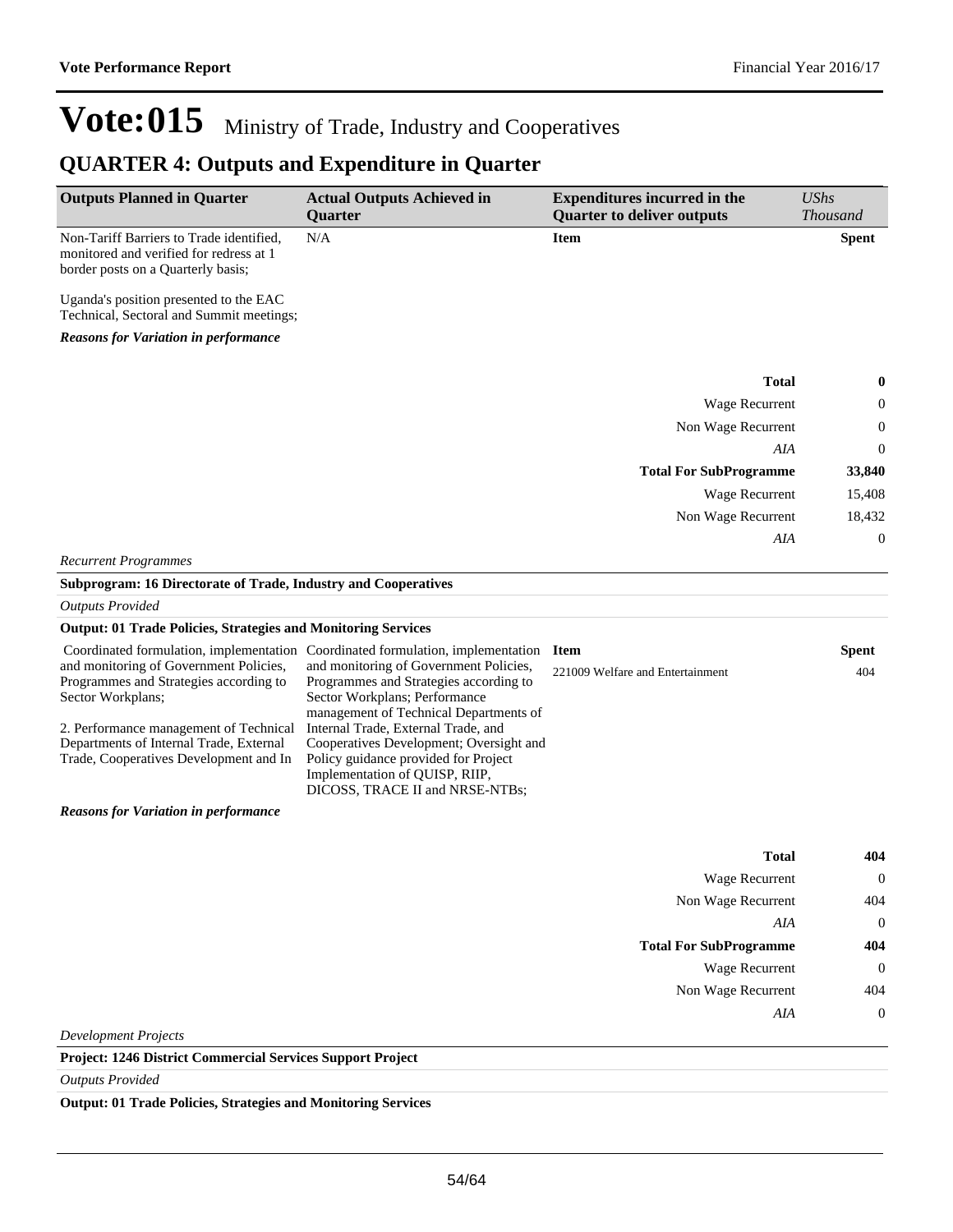## **QUARTER 4: Outputs and Expenditure in Quarter**

| <b>Outputs Planned in Quarter</b>                                                                                                                                                                                                    | <b>Actual Outputs Achieved in</b><br>Quarter                                                                                                                                                                                                                                                                                                                                                               | <b>Expenditures incurred in the</b><br><b>Quarter to deliver outputs</b> | <b>UShs</b><br>Thousand              |
|--------------------------------------------------------------------------------------------------------------------------------------------------------------------------------------------------------------------------------------|------------------------------------------------------------------------------------------------------------------------------------------------------------------------------------------------------------------------------------------------------------------------------------------------------------------------------------------------------------------------------------------------------------|--------------------------------------------------------------------------|--------------------------------------|
| Non-Tariff Barriers to Trade identified,<br>monitored and verified for redress at 1<br>border posts on a Quarterly basis;                                                                                                            | N/A                                                                                                                                                                                                                                                                                                                                                                                                        | <b>Item</b>                                                              | <b>Spent</b>                         |
| Uganda's position presented to the EAC<br>Technical, Sectoral and Summit meetings;                                                                                                                                                   |                                                                                                                                                                                                                                                                                                                                                                                                            |                                                                          |                                      |
| <b>Reasons for Variation in performance</b>                                                                                                                                                                                          |                                                                                                                                                                                                                                                                                                                                                                                                            |                                                                          |                                      |
|                                                                                                                                                                                                                                      |                                                                                                                                                                                                                                                                                                                                                                                                            |                                                                          |                                      |
|                                                                                                                                                                                                                                      |                                                                                                                                                                                                                                                                                                                                                                                                            | <b>Total</b>                                                             | $\boldsymbol{0}$                     |
|                                                                                                                                                                                                                                      |                                                                                                                                                                                                                                                                                                                                                                                                            | Wage Recurrent                                                           | 0                                    |
|                                                                                                                                                                                                                                      |                                                                                                                                                                                                                                                                                                                                                                                                            | Non Wage Recurrent                                                       | $\boldsymbol{0}$<br>$\boldsymbol{0}$ |
|                                                                                                                                                                                                                                      |                                                                                                                                                                                                                                                                                                                                                                                                            | AIA                                                                      | 33,840                               |
|                                                                                                                                                                                                                                      |                                                                                                                                                                                                                                                                                                                                                                                                            | <b>Total For SubProgramme</b>                                            |                                      |
|                                                                                                                                                                                                                                      |                                                                                                                                                                                                                                                                                                                                                                                                            | Wage Recurrent                                                           | 15,408<br>18,432                     |
|                                                                                                                                                                                                                                      |                                                                                                                                                                                                                                                                                                                                                                                                            | Non Wage Recurrent<br>AIA                                                | $\boldsymbol{0}$                     |
| <b>Recurrent Programmes</b>                                                                                                                                                                                                          |                                                                                                                                                                                                                                                                                                                                                                                                            |                                                                          |                                      |
| Subprogram: 16 Directorate of Trade, Industry and Cooperatives                                                                                                                                                                       |                                                                                                                                                                                                                                                                                                                                                                                                            |                                                                          |                                      |
| <b>Outputs Provided</b>                                                                                                                                                                                                              |                                                                                                                                                                                                                                                                                                                                                                                                            |                                                                          |                                      |
| <b>Output: 01 Trade Policies, Strategies and Monitoring Services</b>                                                                                                                                                                 |                                                                                                                                                                                                                                                                                                                                                                                                            |                                                                          |                                      |
| and monitoring of Government Policies,<br>Programmes and Strategies according to<br>Sector Workplans;<br>2. Performance management of Technical<br>Departments of Internal Trade, External<br>Trade, Cooperatives Development and In | Coordinated formulation, implementation Coordinated formulation, implementation<br>and monitoring of Government Policies,<br>Programmes and Strategies according to<br>Sector Workplans; Performance<br>management of Technical Departments of<br>Internal Trade, External Trade, and<br>Cooperatives Development; Oversight and<br>Policy guidance provided for Project<br>Implementation of QUISP, RIIP, | <b>Item</b><br>221009 Welfare and Entertainment                          | Spent<br>404                         |
| <b>Reasons for Variation in performance</b>                                                                                                                                                                                          | DICOSS, TRACE II and NRSE-NTBs;                                                                                                                                                                                                                                                                                                                                                                            |                                                                          |                                      |
|                                                                                                                                                                                                                                      |                                                                                                                                                                                                                                                                                                                                                                                                            | <b>Total</b>                                                             | 404                                  |
|                                                                                                                                                                                                                                      |                                                                                                                                                                                                                                                                                                                                                                                                            | Wage Recurrent                                                           | $\boldsymbol{0}$                     |
|                                                                                                                                                                                                                                      |                                                                                                                                                                                                                                                                                                                                                                                                            | Non Wage Recurrent                                                       | 404                                  |
|                                                                                                                                                                                                                                      |                                                                                                                                                                                                                                                                                                                                                                                                            | AIA                                                                      | $\mathbf{0}$                         |
|                                                                                                                                                                                                                                      |                                                                                                                                                                                                                                                                                                                                                                                                            | <b>Total For SubProgramme</b>                                            | 404                                  |
|                                                                                                                                                                                                                                      |                                                                                                                                                                                                                                                                                                                                                                                                            | Wage Recurrent                                                           | $\boldsymbol{0}$                     |
|                                                                                                                                                                                                                                      |                                                                                                                                                                                                                                                                                                                                                                                                            | Non Wage Recurrent                                                       | 404                                  |
|                                                                                                                                                                                                                                      |                                                                                                                                                                                                                                                                                                                                                                                                            | AIA                                                                      | $\boldsymbol{0}$                     |
| <b>Development Projects</b>                                                                                                                                                                                                          |                                                                                                                                                                                                                                                                                                                                                                                                            |                                                                          |                                      |
| Project: 1246 District Commercial Services Support Project                                                                                                                                                                           |                                                                                                                                                                                                                                                                                                                                                                                                            |                                                                          |                                      |
| <b>Outputs Provided</b>                                                                                                                                                                                                              |                                                                                                                                                                                                                                                                                                                                                                                                            |                                                                          |                                      |

**Output: 01 Trade Policies, Strategies and Monitoring Services**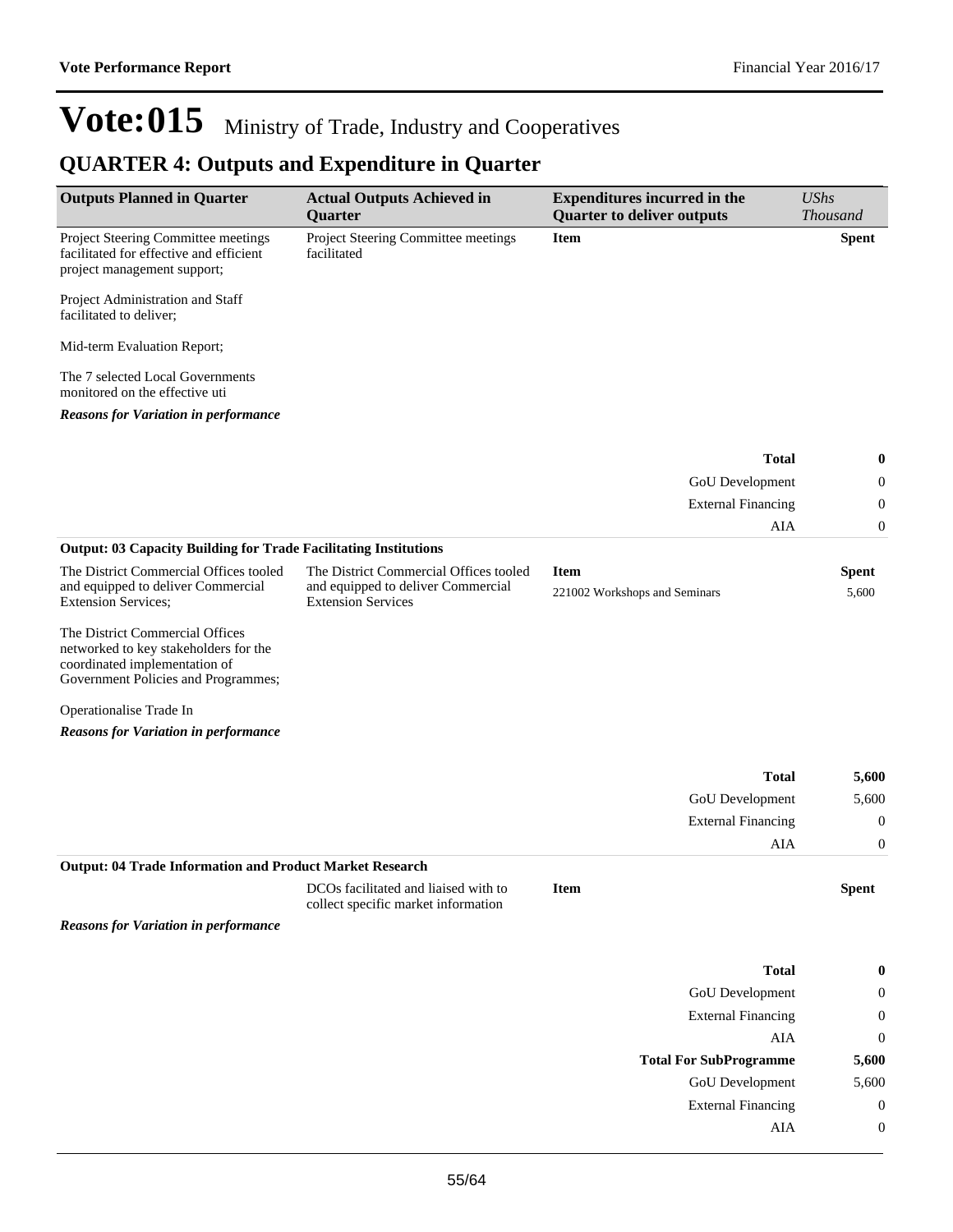## **QUARTER 4: Outputs and Expenditure in Quarter**

| <b>Outputs Planned in Quarter</b>                                                                                                                | <b>Actual Outputs Achieved in</b><br>Quarter                                                              | <b>Expenditures incurred in the</b><br><b>Quarter to deliver outputs</b> | <b>UShs</b><br><b>Thousand</b> |
|--------------------------------------------------------------------------------------------------------------------------------------------------|-----------------------------------------------------------------------------------------------------------|--------------------------------------------------------------------------|--------------------------------|
| Project Steering Committee meetings<br>facilitated for effective and efficient<br>project management support;                                    | Project Steering Committee meetings<br>facilitated                                                        | <b>Item</b>                                                              | <b>Spent</b>                   |
| Project Administration and Staff<br>facilitated to deliver;                                                                                      |                                                                                                           |                                                                          |                                |
| Mid-term Evaluation Report;                                                                                                                      |                                                                                                           |                                                                          |                                |
| The 7 selected Local Governments<br>monitored on the effective uti                                                                               |                                                                                                           |                                                                          |                                |
| <b>Reasons for Variation in performance</b>                                                                                                      |                                                                                                           |                                                                          |                                |
|                                                                                                                                                  |                                                                                                           | <b>Total</b>                                                             | 0                              |
|                                                                                                                                                  |                                                                                                           | GoU Development                                                          | 0                              |
|                                                                                                                                                  |                                                                                                           | <b>External Financing</b>                                                | $\boldsymbol{0}$               |
|                                                                                                                                                  |                                                                                                           | AIA                                                                      | $\boldsymbol{0}$               |
| <b>Output: 03 Capacity Building for Trade Facilitating Institutions</b>                                                                          |                                                                                                           |                                                                          |                                |
| The District Commercial Offices tooled<br>and equipped to deliver Commercial<br><b>Extension Services;</b>                                       | The District Commercial Offices tooled<br>and equipped to deliver Commercial<br><b>Extension Services</b> | <b>Item</b><br>221002 Workshops and Seminars                             | <b>Spent</b><br>5,600          |
| The District Commercial Offices<br>networked to key stakeholders for the<br>coordinated implementation of<br>Government Policies and Programmes; |                                                                                                           |                                                                          |                                |
| Operationalise Trade In                                                                                                                          |                                                                                                           |                                                                          |                                |
| <b>Reasons for Variation in performance</b>                                                                                                      |                                                                                                           |                                                                          |                                |
|                                                                                                                                                  |                                                                                                           | <b>Total</b>                                                             | 5,600                          |
|                                                                                                                                                  |                                                                                                           | GoU Development                                                          | 5,600                          |
|                                                                                                                                                  |                                                                                                           | <b>External Financing</b>                                                | $\boldsymbol{0}$               |
|                                                                                                                                                  |                                                                                                           | AIA                                                                      | $\boldsymbol{0}$               |
| <b>Output: 04 Trade Information and Product Market Research</b>                                                                                  |                                                                                                           |                                                                          |                                |
|                                                                                                                                                  | DCOs facilitated and liaised with to<br>collect specific market information                               | Item                                                                     | <b>Spent</b>                   |
| <b>Reasons for Variation in performance</b>                                                                                                      |                                                                                                           |                                                                          |                                |
|                                                                                                                                                  |                                                                                                           | <b>Total</b>                                                             | 0                              |
|                                                                                                                                                  |                                                                                                           | GoU Development                                                          | 0                              |
|                                                                                                                                                  |                                                                                                           | <b>External Financing</b>                                                | $\boldsymbol{0}$               |
|                                                                                                                                                  |                                                                                                           | AIA                                                                      | $\boldsymbol{0}$               |
|                                                                                                                                                  |                                                                                                           | <b>Total For SubProgramme</b>                                            | 5,600                          |
|                                                                                                                                                  |                                                                                                           | <b>GoU</b> Development                                                   | 5,600                          |
|                                                                                                                                                  |                                                                                                           | <b>External Financing</b>                                                | $\boldsymbol{0}$               |
|                                                                                                                                                  |                                                                                                           | AIA                                                                      | $\boldsymbol{0}$               |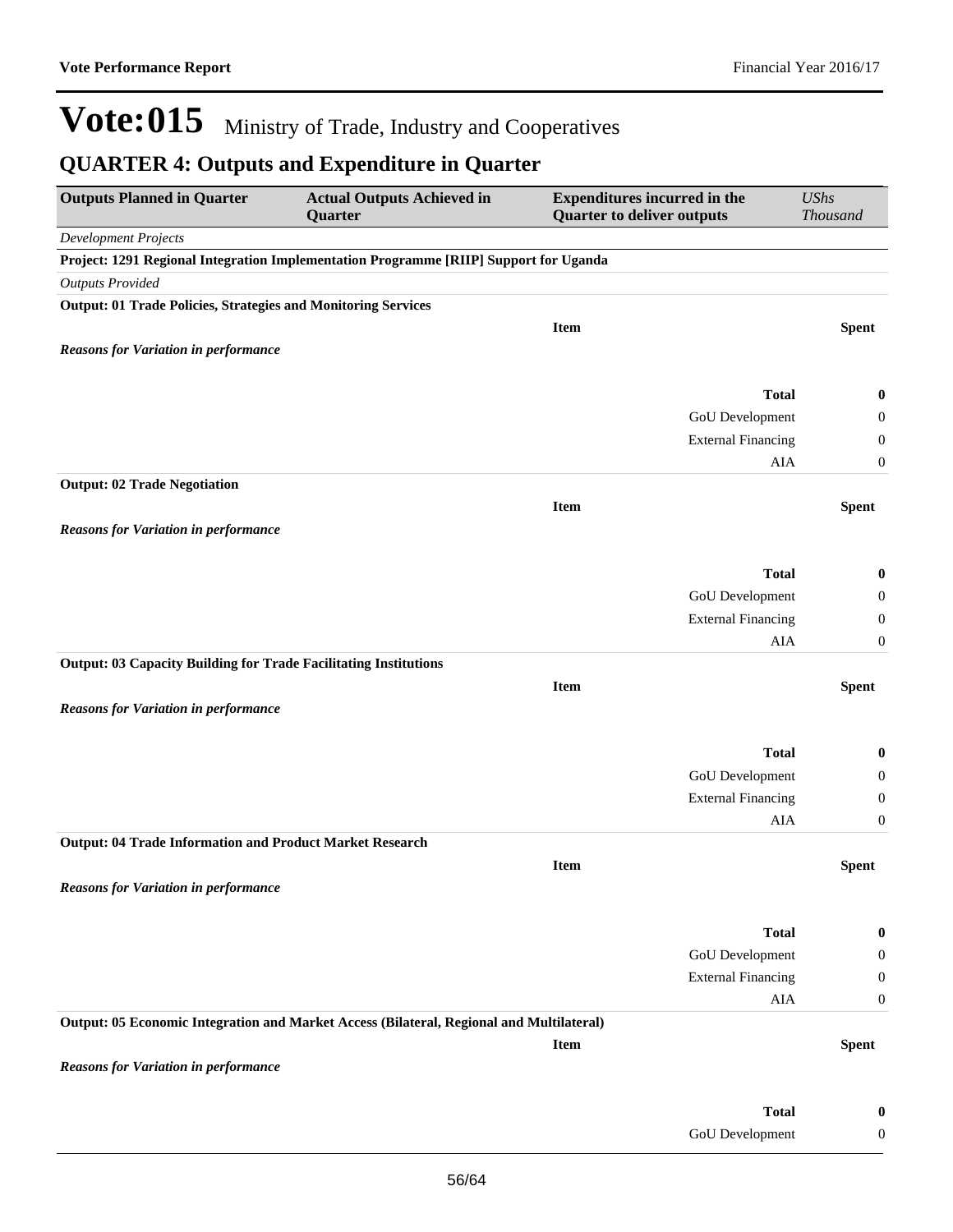## **QUARTER 4: Outputs and Expenditure in Quarter**

| <b>Outputs Planned in Quarter</b>                                       | <b>Actual Outputs Achieved in</b><br>Quarter                                             | <b>Expenditures incurred in the</b><br><b>Quarter to deliver outputs</b> | <b>UShs</b><br>Thousand              |
|-------------------------------------------------------------------------|------------------------------------------------------------------------------------------|--------------------------------------------------------------------------|--------------------------------------|
| <b>Development Projects</b>                                             |                                                                                          |                                                                          |                                      |
|                                                                         | Project: 1291 Regional Integration Implementation Programme [RIIP] Support for Uganda    |                                                                          |                                      |
| <b>Outputs Provided</b>                                                 |                                                                                          |                                                                          |                                      |
| <b>Output: 01 Trade Policies, Strategies and Monitoring Services</b>    |                                                                                          |                                                                          |                                      |
|                                                                         |                                                                                          | <b>Item</b>                                                              | <b>Spent</b>                         |
| <b>Reasons for Variation in performance</b>                             |                                                                                          |                                                                          |                                      |
|                                                                         |                                                                                          |                                                                          |                                      |
|                                                                         |                                                                                          | <b>Total</b>                                                             | $\bf{0}$                             |
|                                                                         |                                                                                          | GoU Development                                                          | $\boldsymbol{0}$                     |
|                                                                         |                                                                                          | <b>External Financing</b>                                                | $\boldsymbol{0}$                     |
|                                                                         |                                                                                          | AIA                                                                      | $\mathbf{0}$                         |
| <b>Output: 02 Trade Negotiation</b>                                     |                                                                                          |                                                                          |                                      |
|                                                                         |                                                                                          | <b>Item</b>                                                              | <b>Spent</b>                         |
| <b>Reasons for Variation in performance</b>                             |                                                                                          |                                                                          |                                      |
|                                                                         |                                                                                          | <b>Total</b>                                                             |                                      |
|                                                                         |                                                                                          |                                                                          | $\bf{0}$                             |
|                                                                         |                                                                                          | GoU Development<br><b>External Financing</b>                             | $\boldsymbol{0}$                     |
|                                                                         |                                                                                          | AIA                                                                      | $\boldsymbol{0}$<br>$\boldsymbol{0}$ |
| <b>Output: 03 Capacity Building for Trade Facilitating Institutions</b> |                                                                                          |                                                                          |                                      |
|                                                                         |                                                                                          | <b>Item</b>                                                              | <b>Spent</b>                         |
| <b>Reasons for Variation in performance</b>                             |                                                                                          |                                                                          |                                      |
|                                                                         |                                                                                          |                                                                          |                                      |
|                                                                         |                                                                                          | <b>Total</b>                                                             | 0                                    |
|                                                                         |                                                                                          | GoU Development                                                          | $\boldsymbol{0}$                     |
|                                                                         |                                                                                          | <b>External Financing</b>                                                | $\mathbf{0}$                         |
|                                                                         |                                                                                          | AIA                                                                      | $\boldsymbol{0}$                     |
| <b>Output: 04 Trade Information and Product Market Research</b>         |                                                                                          |                                                                          |                                      |
|                                                                         |                                                                                          | <b>Item</b>                                                              | <b>Spent</b>                         |
| <b>Reasons for Variation in performance</b>                             |                                                                                          |                                                                          |                                      |
|                                                                         |                                                                                          |                                                                          |                                      |
|                                                                         |                                                                                          | <b>Total</b>                                                             | $\bf{0}$                             |
|                                                                         |                                                                                          | GoU Development                                                          | $\boldsymbol{0}$                     |
|                                                                         |                                                                                          | <b>External Financing</b>                                                | $\boldsymbol{0}$                     |
|                                                                         |                                                                                          | ${\rm AIA}$                                                              | $\boldsymbol{0}$                     |
|                                                                         | Output: 05 Economic Integration and Market Access (Bilateral, Regional and Multilateral) |                                                                          |                                      |
|                                                                         |                                                                                          | <b>Item</b>                                                              | <b>Spent</b>                         |
| <b>Reasons for Variation in performance</b>                             |                                                                                          |                                                                          |                                      |
|                                                                         |                                                                                          |                                                                          |                                      |
|                                                                         |                                                                                          | <b>Total</b>                                                             | $\bf{0}$                             |
|                                                                         |                                                                                          | GoU Development                                                          | $\boldsymbol{0}$                     |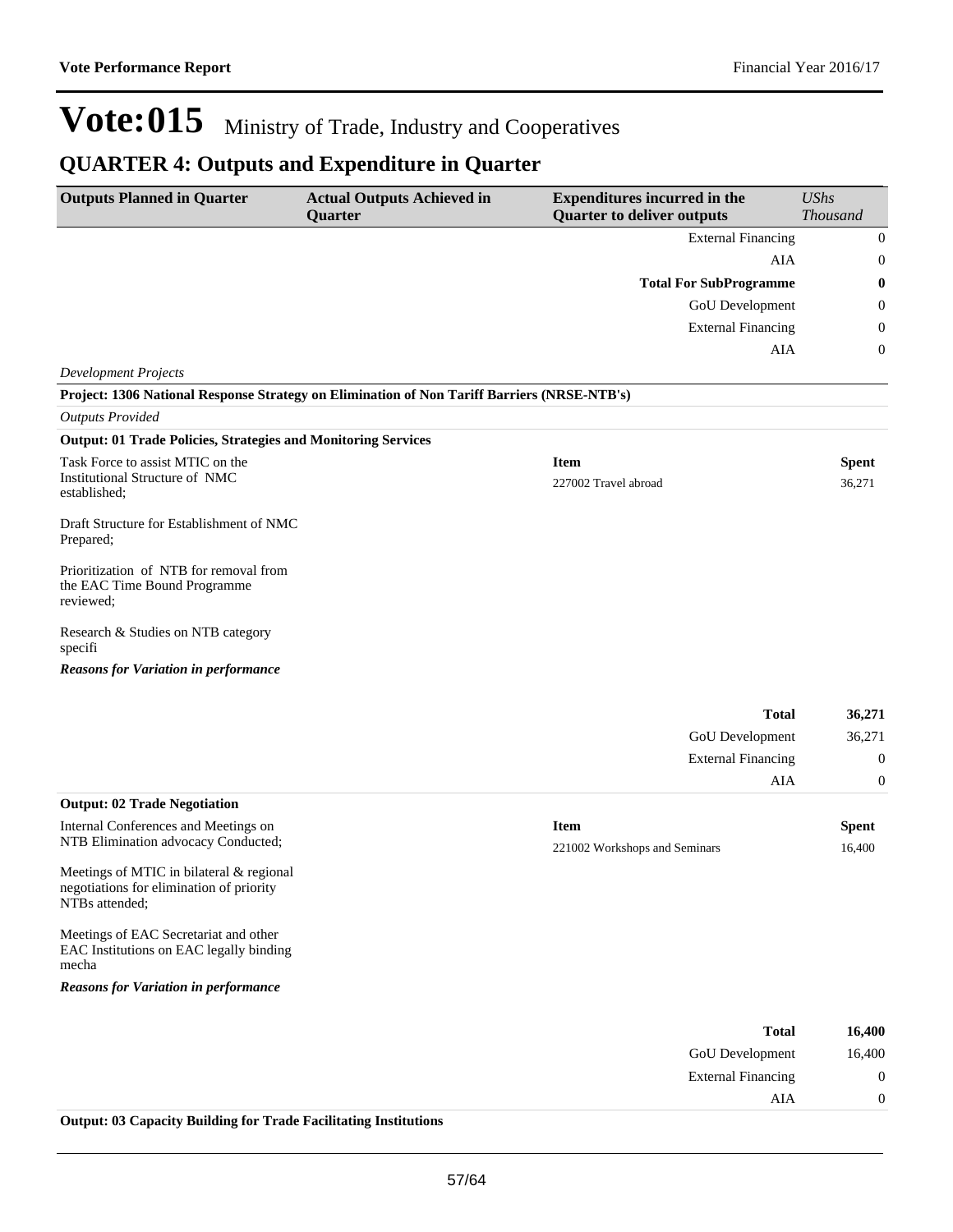AIA 0

# Vote:015 Ministry of Trade, Industry and Cooperatives

## **QUARTER 4: Outputs and Expenditure in Quarter**

| <b>Outputs Planned in Quarter</b>                                                                      | <b>Actual Outputs Achieved in</b><br>Quarter | <b>Expenditures incurred in the</b><br><b>Quarter to deliver outputs</b> | <b>UShs</b><br>Thousand |
|--------------------------------------------------------------------------------------------------------|----------------------------------------------|--------------------------------------------------------------------------|-------------------------|
|                                                                                                        |                                              | <b>External Financing</b>                                                | $\boldsymbol{0}$        |
|                                                                                                        |                                              | AIA                                                                      | $\boldsymbol{0}$        |
|                                                                                                        |                                              | <b>Total For SubProgramme</b>                                            | 0                       |
|                                                                                                        |                                              | <b>GoU</b> Development                                                   | 0                       |
|                                                                                                        |                                              | <b>External Financing</b>                                                | 0                       |
|                                                                                                        |                                              | AIA                                                                      | 0                       |
| <b>Development Projects</b>                                                                            |                                              |                                                                          |                         |
| Project: 1306 National Response Strategy on Elimination of Non Tariff Barriers (NRSE-NTB's)            |                                              |                                                                          |                         |
| <b>Outputs Provided</b>                                                                                |                                              |                                                                          |                         |
| <b>Output: 01 Trade Policies, Strategies and Monitoring Services</b>                                   |                                              |                                                                          |                         |
| Task Force to assist MTIC on the                                                                       |                                              | <b>Item</b>                                                              | <b>Spent</b>            |
| Institutional Structure of NMC<br>established;                                                         |                                              | 227002 Travel abroad                                                     | 36,271                  |
| Draft Structure for Establishment of NMC<br>Prepared;                                                  |                                              |                                                                          |                         |
| Prioritization of NTB for removal from<br>the EAC Time Bound Programme<br>reviewed:                    |                                              |                                                                          |                         |
| Research & Studies on NTB category<br>specifi                                                          |                                              |                                                                          |                         |
| <b>Reasons for Variation in performance</b>                                                            |                                              |                                                                          |                         |
|                                                                                                        |                                              | <b>Total</b>                                                             | 36,271                  |
|                                                                                                        |                                              | GoU Development                                                          | 36,271                  |
|                                                                                                        |                                              | <b>External Financing</b>                                                | $\boldsymbol{0}$        |
|                                                                                                        |                                              | AIA                                                                      | 0                       |
| <b>Output: 02 Trade Negotiation</b>                                                                    |                                              |                                                                          |                         |
| Internal Conferences and Meetings on                                                                   |                                              | <b>Item</b>                                                              | <b>Spent</b>            |
| NTB Elimination advocacy Conducted;                                                                    |                                              | 221002 Workshops and Seminars                                            | 16,400                  |
| Meetings of MTIC in bilateral & regional<br>negotiations for elimination of priority<br>NTBs attended: |                                              |                                                                          |                         |
| Meetings of EAC Secretariat and other<br>EAC Institutions on EAC legally binding<br>mecha              |                                              |                                                                          |                         |
| <b>Reasons for Variation in performance</b>                                                            |                                              |                                                                          |                         |
|                                                                                                        |                                              |                                                                          |                         |
|                                                                                                        |                                              | <b>Total</b>                                                             | 16,400                  |
|                                                                                                        |                                              | <b>GoU</b> Development                                                   | 16,400                  |
|                                                                                                        |                                              | <b>External Financing</b>                                                | $\mathbf{0}$            |

**Output: 03 Capacity Building for Trade Facilitating Institutions**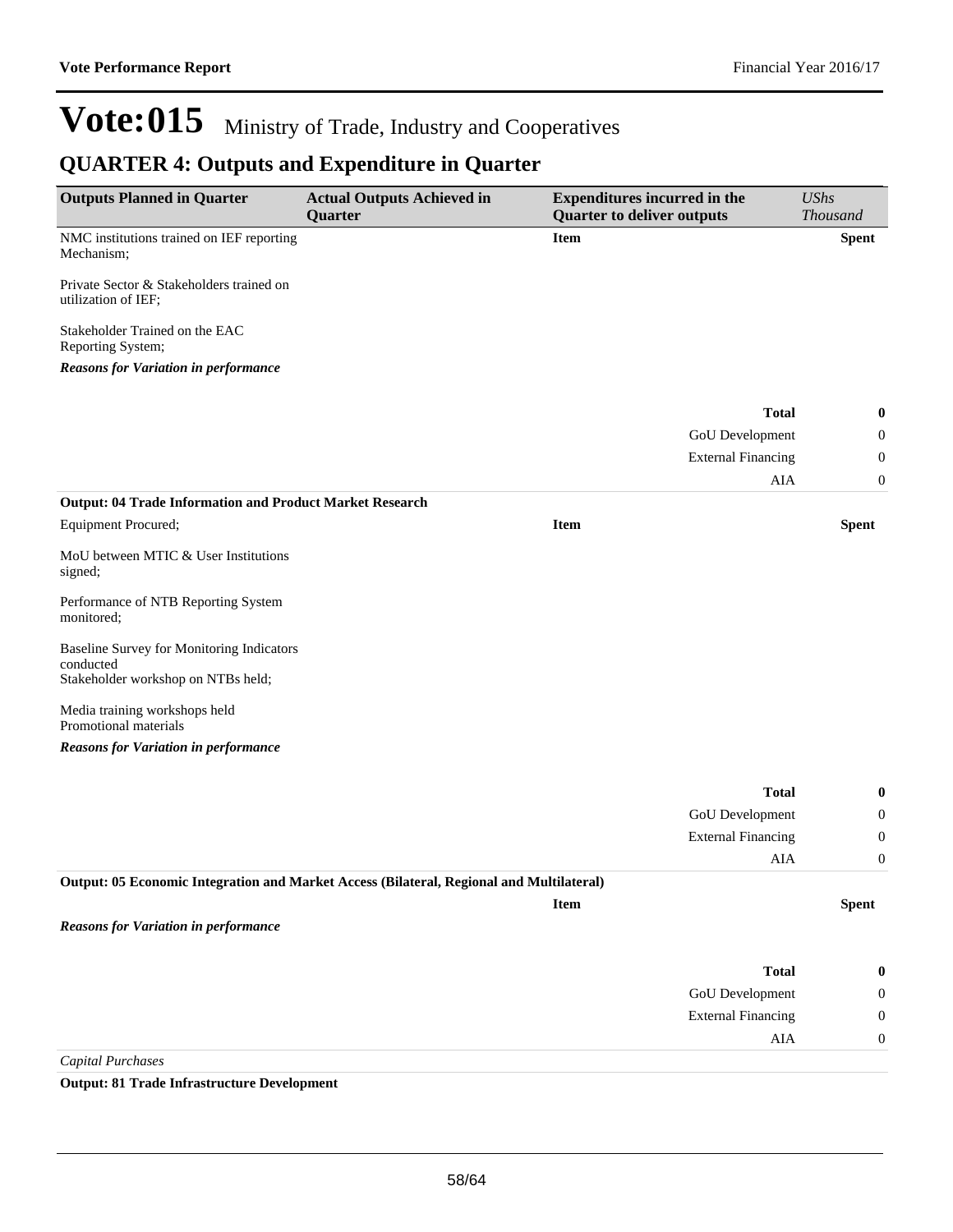## **QUARTER 4: Outputs and Expenditure in Quarter**

| <b>Outputs Planned in Quarter</b>                                                        | <b>Actual Outputs Achieved in</b><br>Quarter | <b>Expenditures incurred in the</b><br><b>Quarter to deliver outputs</b> | <b>UShs</b><br><b>Thousand</b> |
|------------------------------------------------------------------------------------------|----------------------------------------------|--------------------------------------------------------------------------|--------------------------------|
| NMC institutions trained on IEF reporting<br>Mechanism;                                  |                                              | <b>Item</b>                                                              | <b>Spent</b>                   |
| Private Sector & Stakeholders trained on<br>utilization of IEF;                          |                                              |                                                                          |                                |
| Stakeholder Trained on the EAC<br>Reporting System;                                      |                                              |                                                                          |                                |
| <b>Reasons for Variation in performance</b>                                              |                                              |                                                                          |                                |
|                                                                                          |                                              | <b>Total</b>                                                             | 0                              |
|                                                                                          |                                              | GoU Development                                                          | 0                              |
|                                                                                          |                                              | <b>External Financing</b>                                                | $\mathbf 0$                    |
|                                                                                          |                                              | AIA                                                                      | $\mathbf{0}$                   |
| <b>Output: 04 Trade Information and Product Market Research</b>                          |                                              |                                                                          |                                |
| Equipment Procured;                                                                      |                                              | <b>Item</b>                                                              | <b>Spent</b>                   |
| MoU between MTIC & User Institutions<br>signed;                                          |                                              |                                                                          |                                |
| Performance of NTB Reporting System<br>monitored;                                        |                                              |                                                                          |                                |
| Baseline Survey for Monitoring Indicators                                                |                                              |                                                                          |                                |
| conducted<br>Stakeholder workshop on NTBs held;                                          |                                              |                                                                          |                                |
| Media training workshops held<br>Promotional materials                                   |                                              |                                                                          |                                |
| <b>Reasons for Variation in performance</b>                                              |                                              |                                                                          |                                |
|                                                                                          |                                              | <b>Total</b>                                                             | 0                              |
|                                                                                          |                                              | GoU Development                                                          | $\mathbf{0}$                   |
|                                                                                          |                                              | <b>External Financing</b>                                                | $\boldsymbol{0}$               |
|                                                                                          |                                              | AIA                                                                      | 0                              |
| Output: 05 Economic Integration and Market Access (Bilateral, Regional and Multilateral) |                                              |                                                                          |                                |
|                                                                                          |                                              | <b>Item</b>                                                              | <b>Spent</b>                   |
| <b>Reasons for Variation in performance</b>                                              |                                              |                                                                          |                                |
|                                                                                          |                                              | <b>Total</b>                                                             | $\bf{0}$                       |
|                                                                                          |                                              | GoU Development                                                          | $\mathbf{0}$                   |
|                                                                                          |                                              | <b>External Financing</b>                                                | $\boldsymbol{0}$               |
|                                                                                          |                                              | ${\rm AIA}$                                                              | $\boldsymbol{0}$               |
| <b>Capital Purchases</b>                                                                 |                                              |                                                                          |                                |

**Output: 81 Trade Infrastructure Development**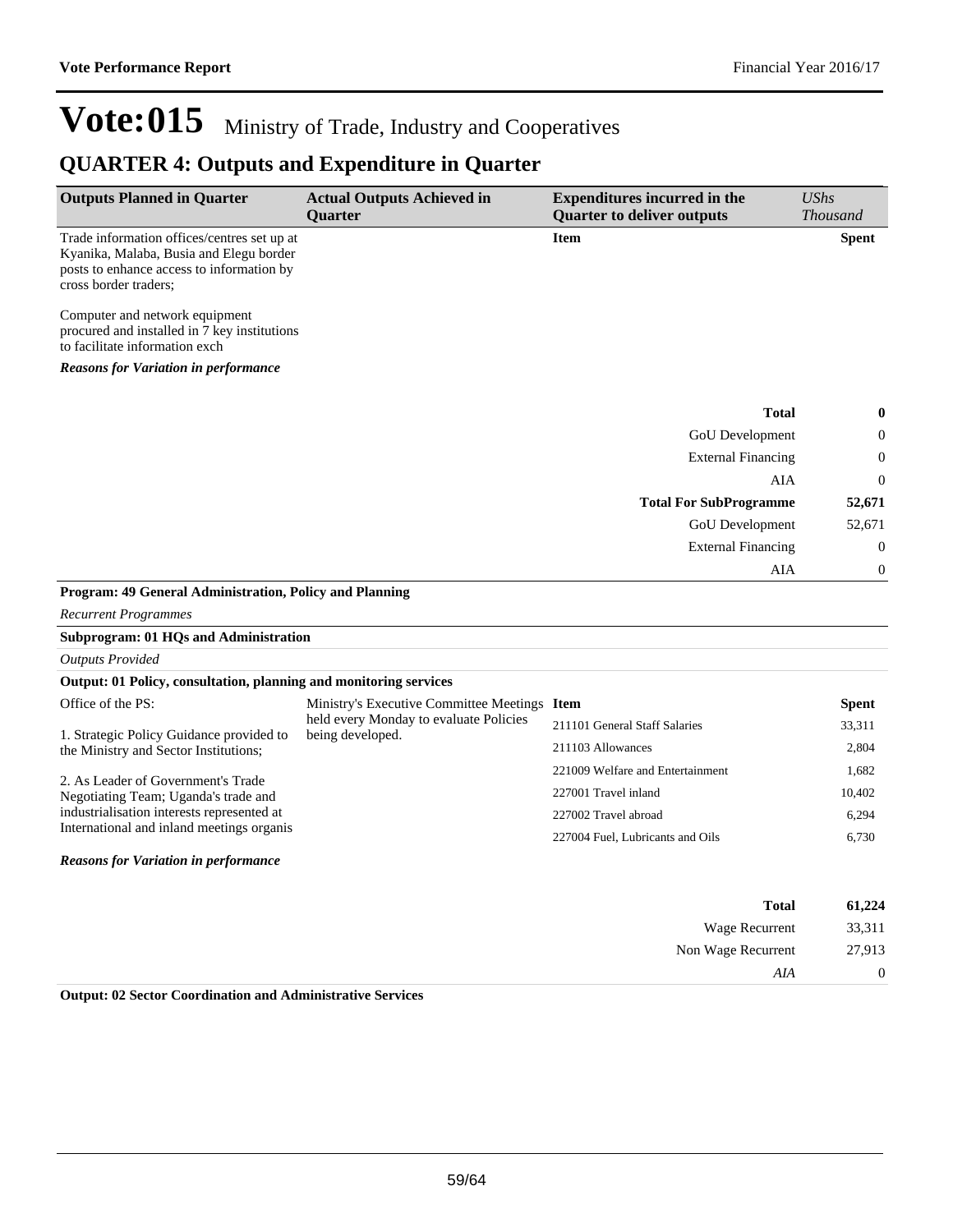Non Wage Recurrent 27,913

*AIA* 0

# Vote:015 Ministry of Trade, Industry and Cooperatives

### **QUARTER 4: Outputs and Expenditure in Quarter**

| <b>Outputs Planned in Quarter</b>                                                                                                                            | <b>Actual Outputs Achieved in</b><br><b>Ouarter</b>        | <b>Expenditures incurred in the</b><br><b>Quarter to deliver outputs</b> | <b>UShs</b><br><b>Thousand</b> |
|--------------------------------------------------------------------------------------------------------------------------------------------------------------|------------------------------------------------------------|--------------------------------------------------------------------------|--------------------------------|
| Trade information offices/centres set up at<br>Kyanika, Malaba, Busia and Elegu border<br>posts to enhance access to information by<br>cross border traders; |                                                            | <b>Item</b>                                                              | <b>Spent</b>                   |
| Computer and network equipment<br>procured and installed in 7 key institutions<br>to facilitate information exch                                             |                                                            |                                                                          |                                |
| <b>Reasons for Variation in performance</b>                                                                                                                  |                                                            |                                                                          |                                |
|                                                                                                                                                              |                                                            | <b>Total</b>                                                             | 0                              |
|                                                                                                                                                              |                                                            | GoU Development                                                          | 0                              |
|                                                                                                                                                              |                                                            | <b>External Financing</b>                                                | $\mathbf 0$                    |
|                                                                                                                                                              |                                                            | AIA                                                                      | $\mathbf 0$                    |
|                                                                                                                                                              |                                                            | <b>Total For SubProgramme</b>                                            | 52,671                         |
|                                                                                                                                                              |                                                            | GoU Development                                                          | 52,671                         |
|                                                                                                                                                              |                                                            | <b>External Financing</b>                                                | $\boldsymbol{0}$               |
|                                                                                                                                                              |                                                            | AIA                                                                      | $\mathbf 0$                    |
| Program: 49 General Administration, Policy and Planning                                                                                                      |                                                            |                                                                          |                                |
| <b>Recurrent Programmes</b>                                                                                                                                  |                                                            |                                                                          |                                |
| <b>Subprogram: 01 HQs and Administration</b>                                                                                                                 |                                                            |                                                                          |                                |
| <b>Outputs Provided</b>                                                                                                                                      |                                                            |                                                                          |                                |
| Output: 01 Policy, consultation, planning and monitoring services                                                                                            |                                                            |                                                                          |                                |
| Office of the PS:                                                                                                                                            | Ministry's Executive Committee Meetings Item               |                                                                          | <b>Spent</b>                   |
| 1. Strategic Policy Guidance provided to                                                                                                                     | held every Monday to evaluate Policies<br>being developed. | 211101 General Staff Salaries                                            | 33,311                         |
| the Ministry and Sector Institutions;                                                                                                                        |                                                            | 211103 Allowances                                                        | 2,804                          |
|                                                                                                                                                              |                                                            | 221009 Welfare and Entertainment                                         | 1,682                          |
| 2. As Leader of Government's Trade<br>Negotiating Team; Uganda's trade and                                                                                   |                                                            | 227001 Travel inland                                                     | 10,402                         |
| industrialisation interests represented at                                                                                                                   |                                                            | 227002 Travel abroad                                                     | 6,294                          |
| International and inland meetings organis                                                                                                                    |                                                            | 227004 Fuel, Lubricants and Oils                                         | 6,730                          |
| <b>Reasons for Variation in performance</b>                                                                                                                  |                                                            |                                                                          |                                |
|                                                                                                                                                              |                                                            | <b>Total</b>                                                             | 61,224                         |
|                                                                                                                                                              |                                                            | Wage Recurrent                                                           | 33,311                         |
|                                                                                                                                                              |                                                            |                                                                          |                                |

**Output: 02 Sector Coordination and Administrative Services**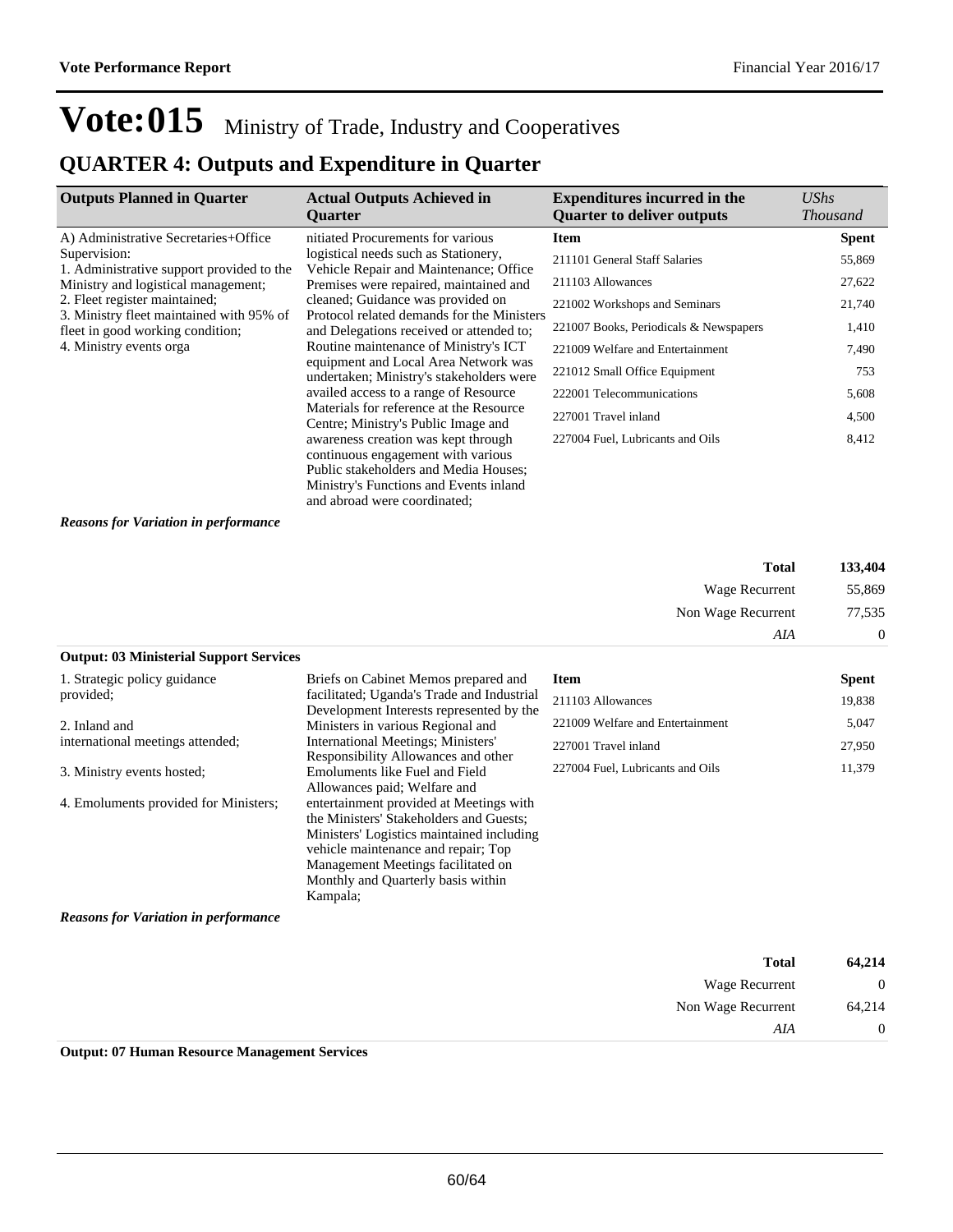### **QUARTER 4: Outputs and Expenditure in Quarter**

| <b>Outputs Planned in Quarter</b>                                            | <b>Actual Outputs Achieved in</b><br><b>Ouarter</b>                                    | <b>Expenditures incurred in the</b><br><b>Ouarter to deliver outputs</b> | UShs<br><i>Thousand</i> |
|------------------------------------------------------------------------------|----------------------------------------------------------------------------------------|--------------------------------------------------------------------------|-------------------------|
| A) Administrative Secretaries+Office                                         | nitiated Procurements for various                                                      | <b>Item</b>                                                              | <b>Spent</b>            |
| Supervision:<br>1. Administrative support provided to the                    | logistical needs such as Stationery,<br>Vehicle Repair and Maintenance; Office         | 211101 General Staff Salaries                                            | 55,869                  |
| Ministry and logistical management;                                          | Premises were repaired, maintained and                                                 | 211103 Allowances                                                        | 27,622                  |
| 2. Fleet register maintained;                                                | cleaned; Guidance was provided on                                                      | 221002 Workshops and Seminars                                            | 21,740                  |
| 3. Ministry fleet maintained with 95% of<br>fleet in good working condition; | Protocol related demands for the Ministers<br>and Delegations received or attended to: | 221007 Books, Periodicals & Newspapers                                   | 1,410                   |
| 4. Ministry events orga                                                      | Routine maintenance of Ministry's ICT                                                  | 221009 Welfare and Entertainment                                         | 7,490                   |
|                                                                              | equipment and Local Area Network was<br>undertaken; Ministry's stakeholders were       | 221012 Small Office Equipment                                            | 753                     |
|                                                                              | availed access to a range of Resource                                                  | 222001 Telecommunications                                                | 5,608                   |
|                                                                              | Materials for reference at the Resource<br>Centre; Ministry's Public Image and         | 227001 Travel inland                                                     | 4,500                   |
|                                                                              | awareness creation was kept through                                                    | 227004 Fuel, Lubricants and Oils                                         | 8,412                   |
|                                                                              | continuous engagement with various                                                     |                                                                          |                         |
|                                                                              | Public stakeholders and Media Houses:                                                  |                                                                          |                         |

#### *Reasons for Variation in performance*

| 133,404  | <b>Total</b>       |
|----------|--------------------|
| 55,869   | Wage Recurrent     |
| 77,535   | Non Wage Recurrent |
| $\theta$ | AIA                |

Ministry's Functions and Events inland and abroad were coordinated;

#### **Output: 03 Ministerial Support Services**

| 1. Strategic policy guidance                | Briefs on Cabinet Memos prepared and                                                                                                                                                                                                                           | <b>Item</b>                      | <b>Spent</b> |
|---------------------------------------------|----------------------------------------------------------------------------------------------------------------------------------------------------------------------------------------------------------------------------------------------------------------|----------------------------------|--------------|
| provided;                                   | facilitated; Uganda's Trade and Industrial<br>Development Interests represented by the                                                                                                                                                                         | 211103 Allowances                | 19,838       |
| 2. Inland and                               | Ministers in various Regional and                                                                                                                                                                                                                              | 221009 Welfare and Entertainment | 5,047        |
| international meetings attended;            | <b>International Meetings; Ministers'</b>                                                                                                                                                                                                                      | 227001 Travel inland             | 27,950       |
| 3. Ministry events hosted;                  | Responsibility Allowances and other<br>Emoluments like Fuel and Field<br>Allowances paid; Welfare and                                                                                                                                                          | 227004 Fuel, Lubricants and Oils | 11,379       |
| 4. Emoluments provided for Ministers;       | entertainment provided at Meetings with<br>the Ministers' Stakeholders and Guests;<br>Ministers' Logistics maintained including<br>vehicle maintenance and repair; Top<br>Management Meetings facilitated on<br>Monthly and Quarterly basis within<br>Kampala; |                                  |              |
| <b>Reasons for Variation in performance</b> |                                                                                                                                                                                                                                                                |                                  |              |
|                                             |                                                                                                                                                                                                                                                                |                                  |              |

| 64,214       | <b>Total</b>          |  |
|--------------|-----------------------|--|
| $\mathbf{0}$ | <b>Wage Recurrent</b> |  |
| 64,214       | Non Wage Recurrent    |  |
| $\theta$     | AIA                   |  |
|              |                       |  |

**Output: 07 Human Resource Management Services**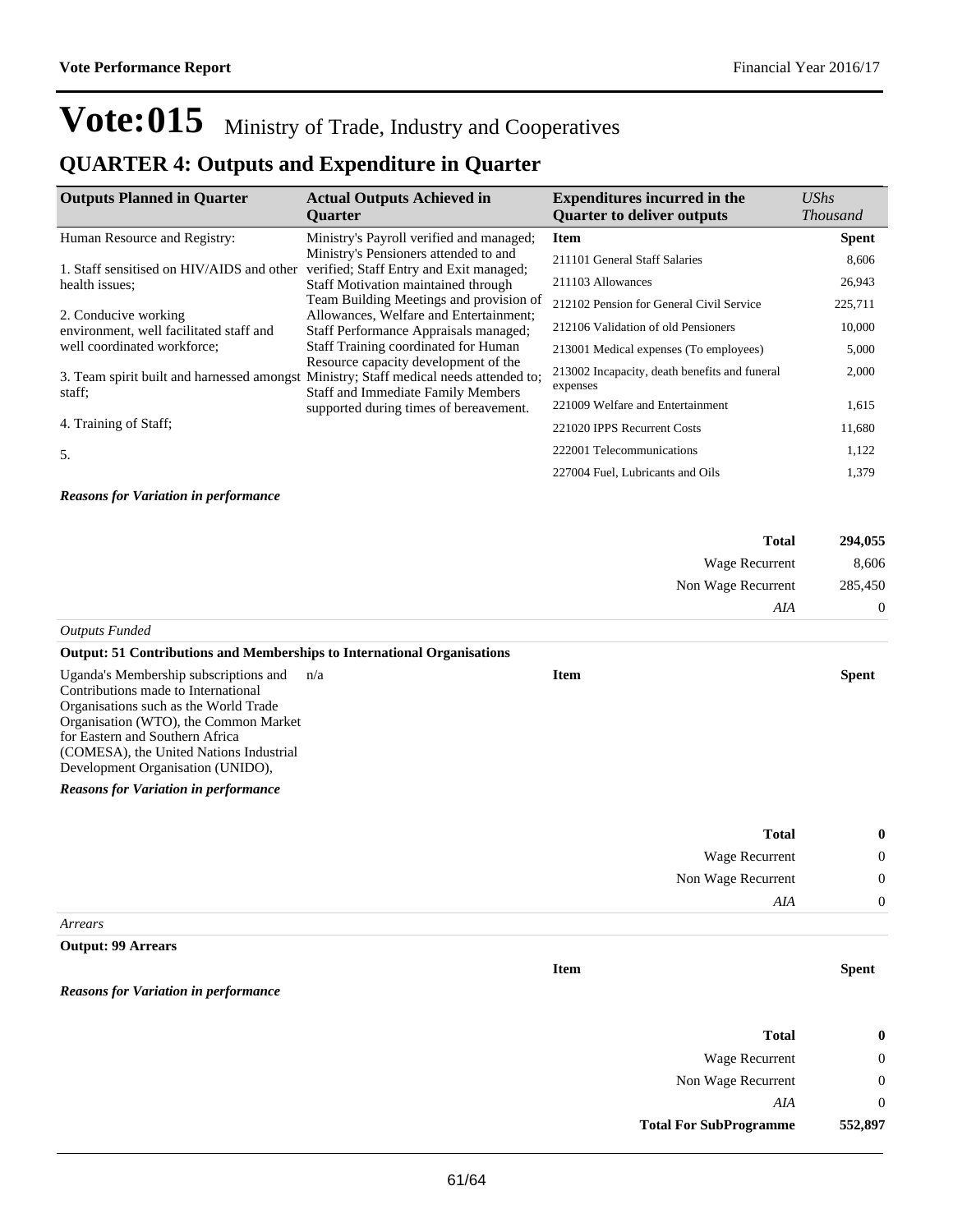### **QUARTER 4: Outputs and Expenditure in Quarter**

| <b>Outputs Planned in Quarter</b>                                                               | <b>Actual Outputs Achieved in</b><br><b>Ouarter</b>                               | <b>Expenditures incurred in the</b><br><b>Quarter to deliver outputs</b> | UShs<br><i>Thousand</i> |
|-------------------------------------------------------------------------------------------------|-----------------------------------------------------------------------------------|--------------------------------------------------------------------------|-------------------------|
| Human Resource and Registry:                                                                    | Ministry's Payroll verified and managed;                                          | <b>Item</b>                                                              | <b>Spent</b>            |
| 1. Staff sensitised on HIV/AIDS and other                                                       | Ministry's Pensioners attended to and<br>verified; Staff Entry and Exit managed;  | 211101 General Staff Salaries                                            | 8,606                   |
| health issues:                                                                                  | Staff Motivation maintained through                                               | 211103 Allowances                                                        | 26,943                  |
|                                                                                                 | Team Building Meetings and provision of                                           | 212102 Pension for General Civil Service                                 | 225,711                 |
| 2. Conducive working<br>environment, well facilitated staff and                                 | Allowances, Welfare and Entertainment;<br>Staff Performance Appraisals managed;   | 212106 Validation of old Pensioners                                      | 10,000                  |
| well coordinated workforce;                                                                     | Staff Training coordinated for Human                                              | 213001 Medical expenses (To employees)                                   | 5,000                   |
| 3. Team spirit built and harnessed amongst Ministry; Staff medical needs attended to;<br>staff: | Resource capacity development of the<br><b>Staff and Immediate Family Members</b> | 213002 Incapacity, death benefits and funeral<br>expenses                | 2,000                   |
|                                                                                                 | supported during times of bereavement.                                            | 221009 Welfare and Entertainment                                         | 1,615                   |
| 4. Training of Staff;                                                                           |                                                                                   | 221020 IPPS Recurrent Costs                                              | 11,680                  |
| 5.                                                                                              |                                                                                   | 222001 Telecommunications                                                | 1,122                   |
|                                                                                                 |                                                                                   | 227004 Fuel, Lubricants and Oils                                         | 1,379                   |
| <b>Reasons for Variation in performance</b>                                                     |                                                                                   |                                                                          |                         |

| <b>Total</b>          | 294,055  |
|-----------------------|----------|
| Wage Recurrent        | 8,606    |
| Non Wage Recurrent    | 285,450  |
| AIA                   | $\theta$ |
| <b>Outputs Funded</b> |          |

#### **Output: 51 Contributions and Memberships to International Organisations**

| Uganda's Membership subscriptions and<br>n/a | Item | <b>Spent</b> |
|----------------------------------------------|------|--------------|
| Contributions made to International          |      |              |
| Organisations such as the World Trade        |      |              |
| Organisation (WTO), the Common Market        |      |              |
| for Eastern and Southern Africa              |      |              |
| (COMESA), the United Nations Industrial      |      |              |
| Development Organisation (UNIDO),            |      |              |
| <b>Reasons for Variation in performance</b>  |      |              |
|                                              |      |              |
|                                              |      |              |

| 0              | Total                 |
|----------------|-----------------------|
| $\overline{0}$ | <b>Wage Recurrent</b> |
| $\overline{0}$ | Non Wage Recurrent    |
| $\Omega$       | AIA                   |
|                |                       |

#### *Arrears*

#### **Output: 99 Arrears**

*Reasons for Variation in performance*

| 0       |
|---------|
| 0       |
| 0       |
| 0       |
| 552,897 |
|         |

**Item Spent**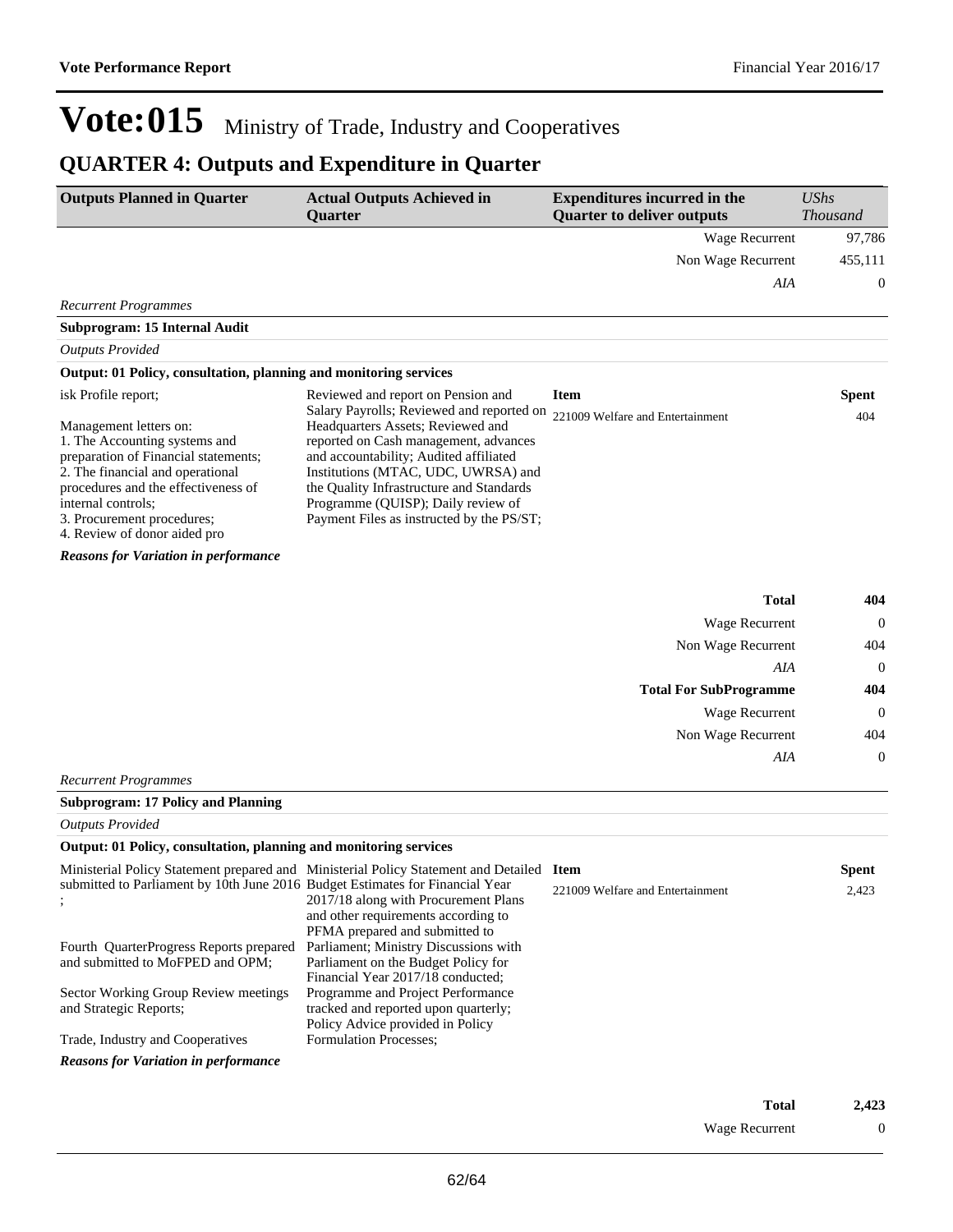## **QUARTER 4: Outputs and Expenditure in Quarter**

| <b>Outputs Planned in Quarter</b>                                                                                                                                                                                                                              | <b>Actual Outputs Achieved in</b><br><b>Quarter</b>                                                                                                                                                                                                                                                                                     | <b>Expenditures incurred in the</b><br><b>Quarter to deliver outputs</b> | <b>UShs</b><br><b>Thousand</b> |
|----------------------------------------------------------------------------------------------------------------------------------------------------------------------------------------------------------------------------------------------------------------|-----------------------------------------------------------------------------------------------------------------------------------------------------------------------------------------------------------------------------------------------------------------------------------------------------------------------------------------|--------------------------------------------------------------------------|--------------------------------|
|                                                                                                                                                                                                                                                                |                                                                                                                                                                                                                                                                                                                                         | <b>Wage Recurrent</b>                                                    | 97,786                         |
|                                                                                                                                                                                                                                                                |                                                                                                                                                                                                                                                                                                                                         | Non Wage Recurrent                                                       | 455,111                        |
|                                                                                                                                                                                                                                                                |                                                                                                                                                                                                                                                                                                                                         | AIA                                                                      | $\boldsymbol{0}$               |
| <b>Recurrent Programmes</b>                                                                                                                                                                                                                                    |                                                                                                                                                                                                                                                                                                                                         |                                                                          |                                |
| Subprogram: 15 Internal Audit                                                                                                                                                                                                                                  |                                                                                                                                                                                                                                                                                                                                         |                                                                          |                                |
| <b>Outputs Provided</b>                                                                                                                                                                                                                                        |                                                                                                                                                                                                                                                                                                                                         |                                                                          |                                |
| Output: 01 Policy, consultation, planning and monitoring services                                                                                                                                                                                              |                                                                                                                                                                                                                                                                                                                                         |                                                                          |                                |
| isk Profile report;                                                                                                                                                                                                                                            | Reviewed and report on Pension and                                                                                                                                                                                                                                                                                                      | <b>Item</b>                                                              | <b>Spent</b>                   |
| Management letters on:<br>1. The Accounting systems and<br>preparation of Financial statements;<br>2. The financial and operational<br>procedures and the effectiveness of<br>internal controls:<br>3. Procurement procedures;<br>4. Review of donor aided pro | Salary Payrolls; Reviewed and reported on<br>Headquarters Assets; Reviewed and<br>reported on Cash management, advances<br>and accountability; Audited affiliated<br>Institutions (MTAC, UDC, UWRSA) and<br>the Quality Infrastructure and Standards<br>Programme (QUISP); Daily review of<br>Payment Files as instructed by the PS/ST; | 221009 Welfare and Entertainment                                         | 404                            |
| <b>Reasons for Variation in performance</b>                                                                                                                                                                                                                    |                                                                                                                                                                                                                                                                                                                                         |                                                                          |                                |
|                                                                                                                                                                                                                                                                |                                                                                                                                                                                                                                                                                                                                         | <b>Total</b>                                                             | 404                            |
|                                                                                                                                                                                                                                                                |                                                                                                                                                                                                                                                                                                                                         | Wage Recurrent                                                           | $\Omega$                       |
|                                                                                                                                                                                                                                                                |                                                                                                                                                                                                                                                                                                                                         | Non Wage Recurrent                                                       | 404                            |
|                                                                                                                                                                                                                                                                |                                                                                                                                                                                                                                                                                                                                         | AIA                                                                      | $\theta$                       |
|                                                                                                                                                                                                                                                                |                                                                                                                                                                                                                                                                                                                                         | <b>Total For SubProgramme</b>                                            | 404                            |
|                                                                                                                                                                                                                                                                |                                                                                                                                                                                                                                                                                                                                         | Wage Recurrent                                                           | $\theta$                       |
|                                                                                                                                                                                                                                                                |                                                                                                                                                                                                                                                                                                                                         | Non Wage Recurrent                                                       | 404                            |
|                                                                                                                                                                                                                                                                |                                                                                                                                                                                                                                                                                                                                         | AIA                                                                      | $\mathbf{0}$                   |
| <b>Recurrent Programmes</b>                                                                                                                                                                                                                                    |                                                                                                                                                                                                                                                                                                                                         |                                                                          |                                |
| <b>Subprogram: 17 Policy and Planning</b>                                                                                                                                                                                                                      |                                                                                                                                                                                                                                                                                                                                         |                                                                          |                                |
| <b>Outputs Provided</b>                                                                                                                                                                                                                                        |                                                                                                                                                                                                                                                                                                                                         |                                                                          |                                |

#### **Output: 01 Policy, consultation, planning and monitoring services**

|                                                                                                        | Ministerial Policy Statement prepared and Ministerial Policy Statement and Detailed                       | <b>Item</b>                      | <b>Spent</b> |
|--------------------------------------------------------------------------------------------------------|-----------------------------------------------------------------------------------------------------------|----------------------------------|--------------|
| submitted to Parliament by 10th June 2016 Budget Estimates for Financial Year<br>$\ddot{\phantom{0}},$ | 2017/18 along with Procurement Plans                                                                      | 221009 Welfare and Entertainment | 2,423        |
|                                                                                                        | and other requirements according to                                                                       |                                  |              |
|                                                                                                        | PFMA prepared and submitted to                                                                            |                                  |              |
| Fourth QuarterProgress Reports prepared                                                                | Parliament; Ministry Discussions with                                                                     |                                  |              |
| and submitted to MoFPED and OPM;                                                                       | Parliament on the Budget Policy for                                                                       |                                  |              |
|                                                                                                        | Financial Year 2017/18 conducted:                                                                         |                                  |              |
|                                                                                                        | Programme and Project Performance                                                                         |                                  |              |
|                                                                                                        |                                                                                                           |                                  |              |
|                                                                                                        |                                                                                                           |                                  |              |
| Trade, Industry and Cooperatives                                                                       |                                                                                                           |                                  |              |
| <b>Reasons for Variation in performance</b>                                                            |                                                                                                           |                                  |              |
| Sector Working Group Review meetings<br>and Strategic Reports;                                         | tracked and reported upon quarterly;<br>Policy Advice provided in Policy<br><b>Formulation Processes:</b> |                                  |              |

| Total          | 2,423 |
|----------------|-------|
| Wage Recurrent | 0     |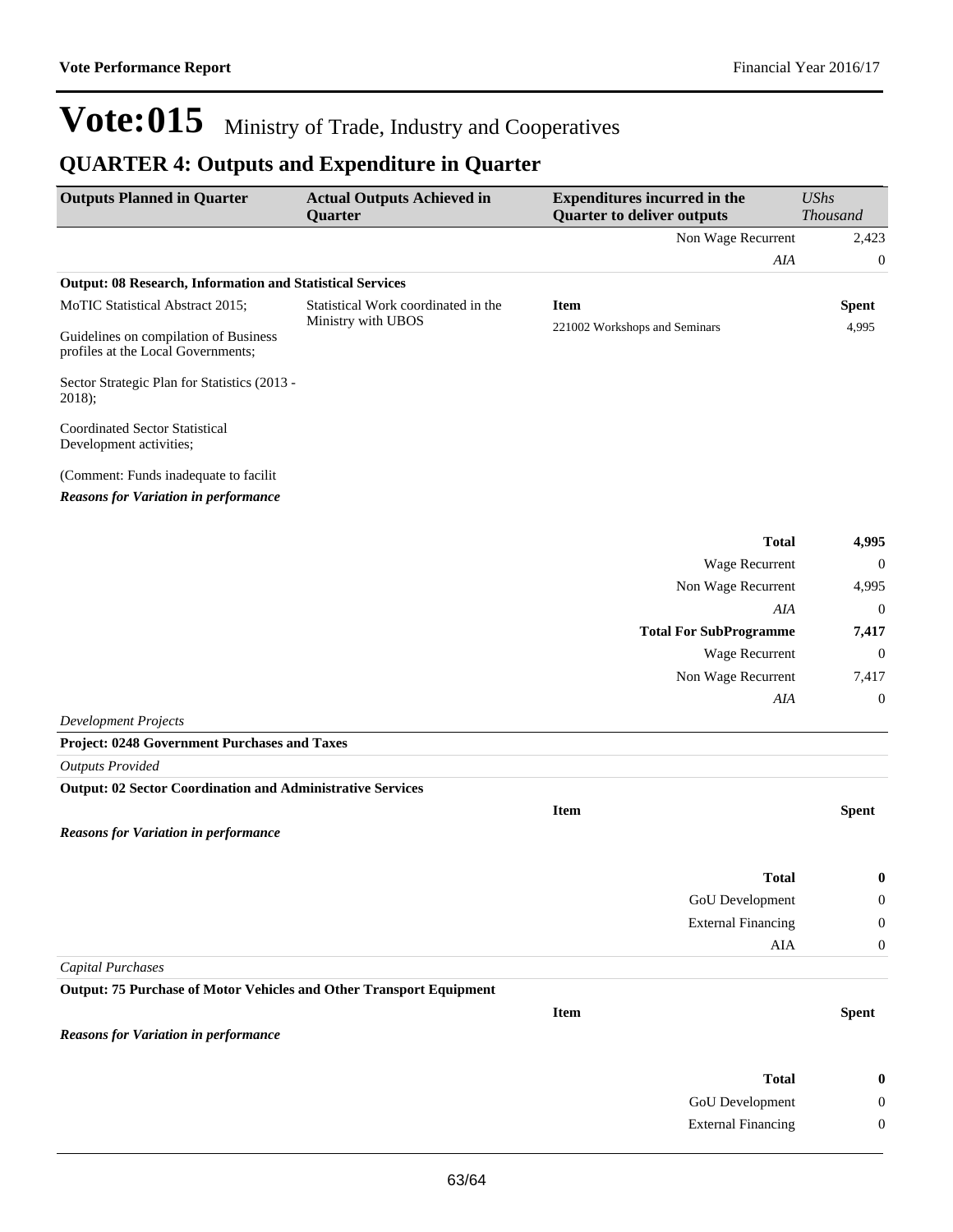## **QUARTER 4: Outputs and Expenditure in Quarter**

| Non Wage Recurrent<br>2,423<br>AIA<br>$\boldsymbol{0}$<br><b>Output: 08 Research, Information and Statistical Services</b><br>MoTIC Statistical Abstract 2015;<br>Statistical Work coordinated in the<br><b>Item</b><br><b>Spent</b><br>Ministry with UBOS<br>221002 Workshops and Seminars<br>4,995<br>Guidelines on compilation of Business<br>profiles at the Local Governments;<br>Sector Strategic Plan for Statistics (2013 -<br>2018);<br><b>Coordinated Sector Statistical</b><br>Development activities;<br>(Comment: Funds inadequate to facilit<br><b>Reasons for Variation in performance</b><br><b>Total</b><br>4,995<br>Wage Recurrent<br>$\mathbf{0}$<br>Non Wage Recurrent<br>4,995<br>AIA<br>$\boldsymbol{0}$<br><b>Total For SubProgramme</b><br>7,417<br>$\boldsymbol{0}$<br><b>Wage Recurrent</b><br>Non Wage Recurrent<br>7,417<br>AIA<br>$\boldsymbol{0}$<br><b>Development Projects</b><br>Project: 0248 Government Purchases and Taxes<br><b>Outputs Provided</b><br><b>Output: 02 Sector Coordination and Administrative Services</b><br><b>Item</b><br><b>Spent</b><br><b>Reasons for Variation in performance</b><br><b>Total</b><br>$\boldsymbol{0}$<br><b>GoU</b> Development<br>$\boldsymbol{0}$<br><b>External Financing</b><br>$\boldsymbol{0}$<br>AIA<br>$\boldsymbol{0}$<br><b>Capital Purchases</b><br><b>Output: 75 Purchase of Motor Vehicles and Other Transport Equipment</b><br><b>Item</b><br><b>Spent</b><br><b>Reasons for Variation in performance</b><br><b>Total</b><br>$\bf{0}$<br>GoU Development<br>$\boldsymbol{0}$<br><b>External Financing</b><br>$\boldsymbol{0}$ | <b>Outputs Planned in Quarter</b> | <b>Actual Outputs Achieved in</b><br>Quarter | <b>Expenditures incurred in the</b><br><b>Quarter to deliver outputs</b> | <b>UShs</b><br><b>Thousand</b> |
|------------------------------------------------------------------------------------------------------------------------------------------------------------------------------------------------------------------------------------------------------------------------------------------------------------------------------------------------------------------------------------------------------------------------------------------------------------------------------------------------------------------------------------------------------------------------------------------------------------------------------------------------------------------------------------------------------------------------------------------------------------------------------------------------------------------------------------------------------------------------------------------------------------------------------------------------------------------------------------------------------------------------------------------------------------------------------------------------------------------------------------------------------------------------------------------------------------------------------------------------------------------------------------------------------------------------------------------------------------------------------------------------------------------------------------------------------------------------------------------------------------------------------------------------------------------------------------------------------------------------|-----------------------------------|----------------------------------------------|--------------------------------------------------------------------------|--------------------------------|
|                                                                                                                                                                                                                                                                                                                                                                                                                                                                                                                                                                                                                                                                                                                                                                                                                                                                                                                                                                                                                                                                                                                                                                                                                                                                                                                                                                                                                                                                                                                                                                                                                        |                                   |                                              |                                                                          |                                |
|                                                                                                                                                                                                                                                                                                                                                                                                                                                                                                                                                                                                                                                                                                                                                                                                                                                                                                                                                                                                                                                                                                                                                                                                                                                                                                                                                                                                                                                                                                                                                                                                                        |                                   |                                              |                                                                          |                                |
|                                                                                                                                                                                                                                                                                                                                                                                                                                                                                                                                                                                                                                                                                                                                                                                                                                                                                                                                                                                                                                                                                                                                                                                                                                                                                                                                                                                                                                                                                                                                                                                                                        |                                   |                                              |                                                                          |                                |
|                                                                                                                                                                                                                                                                                                                                                                                                                                                                                                                                                                                                                                                                                                                                                                                                                                                                                                                                                                                                                                                                                                                                                                                                                                                                                                                                                                                                                                                                                                                                                                                                                        |                                   |                                              |                                                                          |                                |
|                                                                                                                                                                                                                                                                                                                                                                                                                                                                                                                                                                                                                                                                                                                                                                                                                                                                                                                                                                                                                                                                                                                                                                                                                                                                                                                                                                                                                                                                                                                                                                                                                        |                                   |                                              |                                                                          |                                |
|                                                                                                                                                                                                                                                                                                                                                                                                                                                                                                                                                                                                                                                                                                                                                                                                                                                                                                                                                                                                                                                                                                                                                                                                                                                                                                                                                                                                                                                                                                                                                                                                                        |                                   |                                              |                                                                          |                                |
|                                                                                                                                                                                                                                                                                                                                                                                                                                                                                                                                                                                                                                                                                                                                                                                                                                                                                                                                                                                                                                                                                                                                                                                                                                                                                                                                                                                                                                                                                                                                                                                                                        |                                   |                                              |                                                                          |                                |
|                                                                                                                                                                                                                                                                                                                                                                                                                                                                                                                                                                                                                                                                                                                                                                                                                                                                                                                                                                                                                                                                                                                                                                                                                                                                                                                                                                                                                                                                                                                                                                                                                        |                                   |                                              |                                                                          |                                |
|                                                                                                                                                                                                                                                                                                                                                                                                                                                                                                                                                                                                                                                                                                                                                                                                                                                                                                                                                                                                                                                                                                                                                                                                                                                                                                                                                                                                                                                                                                                                                                                                                        |                                   |                                              |                                                                          |                                |
|                                                                                                                                                                                                                                                                                                                                                                                                                                                                                                                                                                                                                                                                                                                                                                                                                                                                                                                                                                                                                                                                                                                                                                                                                                                                                                                                                                                                                                                                                                                                                                                                                        |                                   |                                              |                                                                          |                                |
|                                                                                                                                                                                                                                                                                                                                                                                                                                                                                                                                                                                                                                                                                                                                                                                                                                                                                                                                                                                                                                                                                                                                                                                                                                                                                                                                                                                                                                                                                                                                                                                                                        |                                   |                                              |                                                                          |                                |
|                                                                                                                                                                                                                                                                                                                                                                                                                                                                                                                                                                                                                                                                                                                                                                                                                                                                                                                                                                                                                                                                                                                                                                                                                                                                                                                                                                                                                                                                                                                                                                                                                        |                                   |                                              |                                                                          |                                |
|                                                                                                                                                                                                                                                                                                                                                                                                                                                                                                                                                                                                                                                                                                                                                                                                                                                                                                                                                                                                                                                                                                                                                                                                                                                                                                                                                                                                                                                                                                                                                                                                                        |                                   |                                              |                                                                          |                                |
|                                                                                                                                                                                                                                                                                                                                                                                                                                                                                                                                                                                                                                                                                                                                                                                                                                                                                                                                                                                                                                                                                                                                                                                                                                                                                                                                                                                                                                                                                                                                                                                                                        |                                   |                                              |                                                                          |                                |
|                                                                                                                                                                                                                                                                                                                                                                                                                                                                                                                                                                                                                                                                                                                                                                                                                                                                                                                                                                                                                                                                                                                                                                                                                                                                                                                                                                                                                                                                                                                                                                                                                        |                                   |                                              |                                                                          |                                |
|                                                                                                                                                                                                                                                                                                                                                                                                                                                                                                                                                                                                                                                                                                                                                                                                                                                                                                                                                                                                                                                                                                                                                                                                                                                                                                                                                                                                                                                                                                                                                                                                                        |                                   |                                              |                                                                          |                                |
|                                                                                                                                                                                                                                                                                                                                                                                                                                                                                                                                                                                                                                                                                                                                                                                                                                                                                                                                                                                                                                                                                                                                                                                                                                                                                                                                                                                                                                                                                                                                                                                                                        |                                   |                                              |                                                                          |                                |
|                                                                                                                                                                                                                                                                                                                                                                                                                                                                                                                                                                                                                                                                                                                                                                                                                                                                                                                                                                                                                                                                                                                                                                                                                                                                                                                                                                                                                                                                                                                                                                                                                        |                                   |                                              |                                                                          |                                |
|                                                                                                                                                                                                                                                                                                                                                                                                                                                                                                                                                                                                                                                                                                                                                                                                                                                                                                                                                                                                                                                                                                                                                                                                                                                                                                                                                                                                                                                                                                                                                                                                                        |                                   |                                              |                                                                          |                                |
|                                                                                                                                                                                                                                                                                                                                                                                                                                                                                                                                                                                                                                                                                                                                                                                                                                                                                                                                                                                                                                                                                                                                                                                                                                                                                                                                                                                                                                                                                                                                                                                                                        |                                   |                                              |                                                                          |                                |
|                                                                                                                                                                                                                                                                                                                                                                                                                                                                                                                                                                                                                                                                                                                                                                                                                                                                                                                                                                                                                                                                                                                                                                                                                                                                                                                                                                                                                                                                                                                                                                                                                        |                                   |                                              |                                                                          |                                |
|                                                                                                                                                                                                                                                                                                                                                                                                                                                                                                                                                                                                                                                                                                                                                                                                                                                                                                                                                                                                                                                                                                                                                                                                                                                                                                                                                                                                                                                                                                                                                                                                                        |                                   |                                              |                                                                          |                                |
|                                                                                                                                                                                                                                                                                                                                                                                                                                                                                                                                                                                                                                                                                                                                                                                                                                                                                                                                                                                                                                                                                                                                                                                                                                                                                                                                                                                                                                                                                                                                                                                                                        |                                   |                                              |                                                                          |                                |
|                                                                                                                                                                                                                                                                                                                                                                                                                                                                                                                                                                                                                                                                                                                                                                                                                                                                                                                                                                                                                                                                                                                                                                                                                                                                                                                                                                                                                                                                                                                                                                                                                        |                                   |                                              |                                                                          |                                |
|                                                                                                                                                                                                                                                                                                                                                                                                                                                                                                                                                                                                                                                                                                                                                                                                                                                                                                                                                                                                                                                                                                                                                                                                                                                                                                                                                                                                                                                                                                                                                                                                                        |                                   |                                              |                                                                          |                                |
|                                                                                                                                                                                                                                                                                                                                                                                                                                                                                                                                                                                                                                                                                                                                                                                                                                                                                                                                                                                                                                                                                                                                                                                                                                                                                                                                                                                                                                                                                                                                                                                                                        |                                   |                                              |                                                                          |                                |
|                                                                                                                                                                                                                                                                                                                                                                                                                                                                                                                                                                                                                                                                                                                                                                                                                                                                                                                                                                                                                                                                                                                                                                                                                                                                                                                                                                                                                                                                                                                                                                                                                        |                                   |                                              |                                                                          |                                |
|                                                                                                                                                                                                                                                                                                                                                                                                                                                                                                                                                                                                                                                                                                                                                                                                                                                                                                                                                                                                                                                                                                                                                                                                                                                                                                                                                                                                                                                                                                                                                                                                                        |                                   |                                              |                                                                          |                                |
|                                                                                                                                                                                                                                                                                                                                                                                                                                                                                                                                                                                                                                                                                                                                                                                                                                                                                                                                                                                                                                                                                                                                                                                                                                                                                                                                                                                                                                                                                                                                                                                                                        |                                   |                                              |                                                                          |                                |
|                                                                                                                                                                                                                                                                                                                                                                                                                                                                                                                                                                                                                                                                                                                                                                                                                                                                                                                                                                                                                                                                                                                                                                                                                                                                                                                                                                                                                                                                                                                                                                                                                        |                                   |                                              |                                                                          |                                |
|                                                                                                                                                                                                                                                                                                                                                                                                                                                                                                                                                                                                                                                                                                                                                                                                                                                                                                                                                                                                                                                                                                                                                                                                                                                                                                                                                                                                                                                                                                                                                                                                                        |                                   |                                              |                                                                          |                                |
|                                                                                                                                                                                                                                                                                                                                                                                                                                                                                                                                                                                                                                                                                                                                                                                                                                                                                                                                                                                                                                                                                                                                                                                                                                                                                                                                                                                                                                                                                                                                                                                                                        |                                   |                                              |                                                                          |                                |
|                                                                                                                                                                                                                                                                                                                                                                                                                                                                                                                                                                                                                                                                                                                                                                                                                                                                                                                                                                                                                                                                                                                                                                                                                                                                                                                                                                                                                                                                                                                                                                                                                        |                                   |                                              |                                                                          |                                |